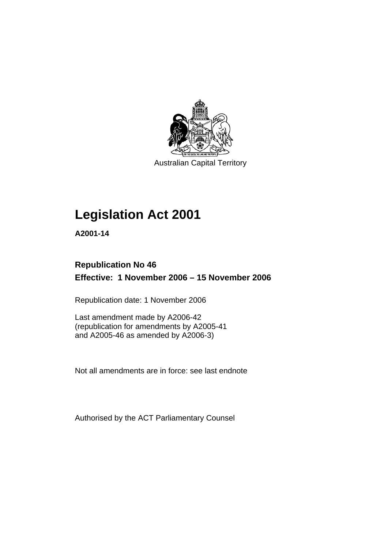

Australian Capital Territory

# **Legislation Act 2001**

**A2001-14** 

# **Republication No 46 Effective: 1 November 2006 – 15 November 2006**

Republication date: 1 November 2006

Last amendment made by A2006-42 (republication for amendments by A2005-41 and A2005-46 as amended by A2006-3)

Not all amendments are in force: see last endnote

Authorised by the ACT Parliamentary Counsel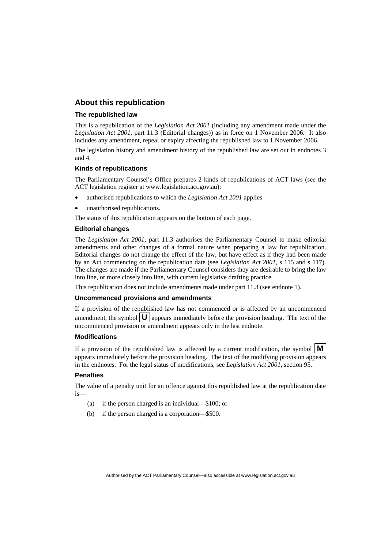## **About this republication**

#### **The republished law**

This is a republication of the *Legislation Act 2001* (including any amendment made under the *Legislation Act 2001*, part 11.3 (Editorial changes)) as in force on 1 November 2006*.* It also includes any amendment, repeal or expiry affecting the republished law to 1 November 2006.

The legislation history and amendment history of the republished law are set out in endnotes 3 and 4.

#### **Kinds of republications**

The Parliamentary Counsel's Office prepares 2 kinds of republications of ACT laws (see the ACT legislation register at www.legislation.act.gov.au):

- authorised republications to which the *Legislation Act 2001* applies
- unauthorised republications.

The status of this republication appears on the bottom of each page.

#### **Editorial changes**

The *Legislation Act 2001*, part 11.3 authorises the Parliamentary Counsel to make editorial amendments and other changes of a formal nature when preparing a law for republication. Editorial changes do not change the effect of the law, but have effect as if they had been made by an Act commencing on the republication date (see *Legislation Act 2001*, s 115 and s 117). The changes are made if the Parliamentary Counsel considers they are desirable to bring the law into line, or more closely into line, with current legislative drafting practice.

This republication does not include amendments made under part 11.3 (see endnote 1).

#### **Uncommenced provisions and amendments**

If a provision of the republished law has not commenced or is affected by an uncommenced amendment, the symbol  $\mathbf{U}$  appears immediately before the provision heading. The text of the uncommenced provision or amendment appears only in the last endnote.

#### **Modifications**

If a provision of the republished law is affected by a current modification, the symbol  $\mathbf{M}$ appears immediately before the provision heading. The text of the modifying provision appears in the endnotes. For the legal status of modifications, see *Legislation Act 2001*, section 95.

#### **Penalties**

The value of a penalty unit for an offence against this republished law at the republication date is—

- (a) if the person charged is an individual—\$100; or
- (b) if the person charged is a corporation—\$500.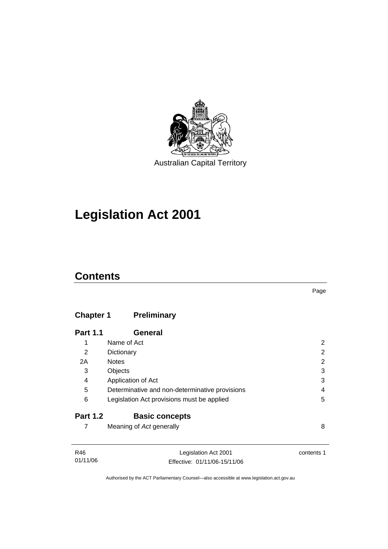

# **Legislation Act 2001**

# **Contents**

# **Chapter 1 Preliminary**

| <b>Part 1.1</b> | General                                        |   |
|-----------------|------------------------------------------------|---|
| 1               | Name of Act                                    |   |
| 2               | Dictionary                                     | 2 |
| 2A              | <b>Notes</b>                                   | 2 |
| 3               | Objects                                        | 3 |
| 4               | Application of Act                             | 3 |
| 5               | Determinative and non-determinative provisions | 4 |
| 6               | Legislation Act provisions must be applied     | 5 |
| <b>Part 1.2</b> | <b>Basic concepts</b>                          |   |
|                 | Meaning of Act generally                       | 8 |

| R46      | Legislation Act 2001         | contents 1 |
|----------|------------------------------|------------|
| 01/11/06 | Effective: 01/11/06-15/11/06 |            |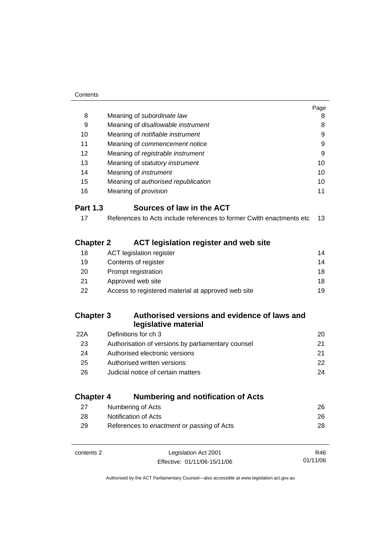|                  |                                                                      | Page |
|------------------|----------------------------------------------------------------------|------|
| 8                | Meaning of subordinate law                                           | 8    |
| 9                | Meaning of disallowable instrument                                   | 8    |
| 10               | Meaning of notifiable instrument                                     | 9    |
| 11               | Meaning of commencement notice                                       | 9    |
| 12               | Meaning of registrable instrument                                    | 9    |
| 13               | Meaning of statutory instrument                                      | 10   |
| 14               | Meaning of <i>instrument</i>                                         | 10   |
| 15               | Meaning of authorised republication                                  | 10   |
| 16               | Meaning of <i>provision</i>                                          | 11   |
| <b>Part 1.3</b>  | Sources of law in the ACT                                            |      |
| 17               | References to Acts include references to former Cwlth enactments etc | 13   |
| <b>Chapter 2</b> | <b>ACT legislation register and web site</b>                         |      |
| 18               | <b>ACT</b> legislation register                                      | 14   |
| 19               | Contents of register                                                 | 14   |
| 20               | Prompt registration                                                  | 18   |
| 21               | Approved web site                                                    | 18   |
| 22               | Access to registered material at approved web site                   | 19   |
| <b>Chapter 3</b> | Authorised versions and evidence of laws and                         |      |
|                  | legislative material                                                 |      |
| 22A              | Definitions for ch 3                                                 | 20   |
| 23               | Authorisation of versions by parliamentary counsel                   | 21   |
| 24               | Authorised electronic versions                                       | 21   |
| 25               | Authorised written versions                                          | 22   |
| 26               | Judicial notice of certain matters                                   | 24   |
| <b>Chapter 4</b> | <b>Numbering and notification of Acts</b>                            |      |
| 27               | Numbering of Acts                                                    | 26   |
| 28               | <b>Notification of Acts</b>                                          | 26   |
| 29               | References to enactment or passing of Acts                           | 28   |
|                  |                                                                      |      |

contents 2 Legislation Act 2001 Effective: 01/11/06-15/11/06

R46 01/11/06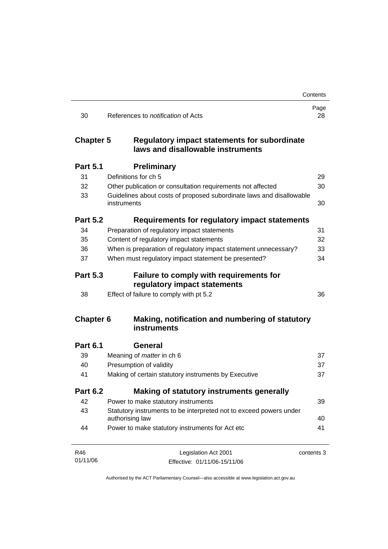|                  |                                                                                          | Contents   |
|------------------|------------------------------------------------------------------------------------------|------------|
| 30               | References to <i>notification</i> of Acts                                                | Page<br>28 |
| <b>Chapter 5</b> | <b>Regulatory impact statements for subordinate</b><br>laws and disallowable instruments |            |
| <b>Part 5.1</b>  | <b>Preliminary</b>                                                                       |            |
| 31               | Definitions for ch 5                                                                     | 29         |
| 32               | Other publication or consultation requirements not affected                              | 30         |
| 33               | Guidelines about costs of proposed subordinate laws and disallowable<br>instruments      | 30         |
| <b>Part 5.2</b>  | Requirements for regulatory impact statements                                            |            |
| 34               | Preparation of regulatory impact statements                                              | 31         |
| 35               | Content of regulatory impact statements                                                  | 32         |
| 36               | When is preparation of regulatory impact statement unnecessary?                          | 33         |
| 37               | When must regulatory impact statement be presented?                                      | 34         |
| <b>Part 5.3</b>  | <b>Failure to comply with requirements for</b><br>regulatory impact statements           |            |
| 38               | Effect of failure to comply with pt 5.2                                                  | 36         |
| <b>Chapter 6</b> | Making, notification and numbering of statutory<br>instruments                           |            |
| <b>Part 6.1</b>  | General                                                                                  |            |
| 39               | Meaning of <i>matter</i> in ch 6                                                         | 37         |
| 40               | Presumption of validity                                                                  | 37         |
| 41               | Making of certain statutory instruments by Executive                                     | 37         |
| <b>Part 6.2</b>  | Making of statutory instruments generally                                                |            |
| 42               | Power to make statutory instruments                                                      | 39         |
| 43               | Statutory instruments to be interpreted not to exceed powers under<br>authorising law    | 40         |
| 44               | Power to make statutory instruments for Act etc                                          | 41         |
| R46              | Legislation Act 2001                                                                     | contents 3 |
| 01/11/06         | Effective: 01/11/06-15/11/06                                                             |            |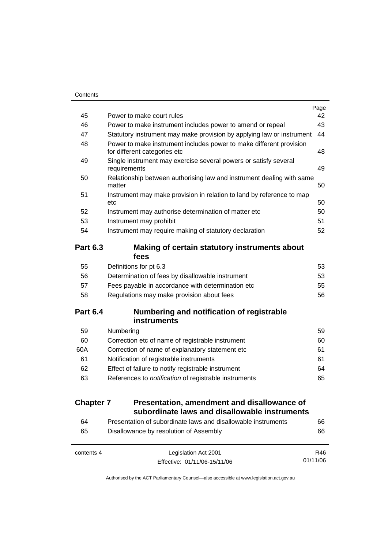| 45              | Power to make court rules                                                                           | Page<br>42 |
|-----------------|-----------------------------------------------------------------------------------------------------|------------|
|                 |                                                                                                     |            |
| 46              | Power to make instrument includes power to amend or repeal                                          | 43         |
| 47              | Statutory instrument may make provision by applying law or instrument                               | 44         |
| 48              | Power to make instrument includes power to make different provision<br>for different categories etc | 48         |
| 49              | Single instrument may exercise several powers or satisfy several<br>requirements                    | 49         |
| 50              | Relationship between authorising law and instrument dealing with same<br>matter                     | 50         |
| 51              | Instrument may make provision in relation to land by reference to map                               |            |
|                 | etc.                                                                                                | 50         |
| 52              | Instrument may authorise determination of matter etc                                                | 50         |
| 53              | Instrument may prohibit                                                                             | 51         |
| 54              | Instrument may require making of statutory declaration                                              | 52         |
| <b>Part 6.3</b> | Making of certain statutory instruments about<br>fees                                               |            |
| 55              | Definitions for pt 6.3                                                                              | 53         |
| 56              | Determination of fees by disallowable instrument                                                    | 53         |
| 57              | Fees payable in accordance with determination etc                                                   | 55         |
| 58              | Regulations may make provision about fees                                                           | 56         |
| <b>Part 6.4</b> | Numbering and notification of registrable<br><b>instruments</b>                                     |            |
|                 |                                                                                                     |            |
| 59              | Numbering                                                                                           | 59         |
| 60              | Correction etc of name of registrable instrument                                                    | 60         |
| 60A             | Correction of name of explanatory statement etc                                                     | 61         |
| 61              | Notification of registrable instruments                                                             | 61         |
| 62              | Effect of failure to notify registrable instrument                                                  | 64         |
| 63              | References to <i>notification</i> of registrable instruments                                        | 65         |

| <b>Chapter 7</b> | Presentation, amendment and disallowance of   |
|------------------|-----------------------------------------------|
|                  | subordinate laws and disallowable instruments |

| 64 | Presentation of subordinate laws and disallowable instruments | 66 |
|----|---------------------------------------------------------------|----|
| 65 | Disallowance by resolution of Assembly                        | 66 |
|    |                                                               |    |

| contents 4 | Legislation Act 2001         | R46      |
|------------|------------------------------|----------|
|            | Effective: 01/11/06-15/11/06 | 01/11/06 |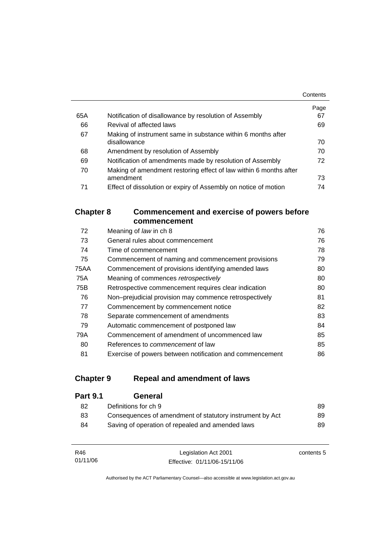|     |                                                                   | Contents |
|-----|-------------------------------------------------------------------|----------|
|     |                                                                   | Page     |
| 65A | Notification of disallowance by resolution of Assembly            | 67       |
| 66  | Revival of affected laws                                          | 69       |
| 67  | Making of instrument same in substance within 6 months after      |          |
|     | disallowance                                                      | 70       |
| 68  | Amendment by resolution of Assembly                               | 70       |
| 69  | Notification of amendments made by resolution of Assembly         | 72       |
| 70  | Making of amendment restoring effect of law within 6 months after |          |
|     | amendment                                                         | 73       |
| 71  | Effect of dissolution or expiry of Assembly on notice of motion   | 74       |

# **Chapter 8 Commencement and exercise of powers before commencement**

| 72   | Meaning of law in ch 8                                   | 76 |
|------|----------------------------------------------------------|----|
| 73   | General rules about commencement                         | 76 |
| 74   | Time of commencement                                     | 78 |
| 75   | Commencement of naming and commencement provisions       | 79 |
| 75AA | Commencement of provisions identifying amended laws      | 80 |
| 75A  | Meaning of commences retrospectively                     | 80 |
| 75B  | Retrospective commencement requires clear indication     | 80 |
| 76   | Non-prejudicial provision may commence retrospectively   | 81 |
| 77   | Commencement by commencement notice                      | 82 |
| 78   | Separate commencement of amendments                      | 83 |
| 79   | Automatic commencement of postponed law                  | 84 |
| 79A  | Commencement of amendment of uncommenced law             | 85 |
| 80   | References to <i>commencement</i> of law                 | 85 |
| 81   | Exercise of powers between notification and commencement | 86 |

# **Chapter 9 Repeal and amendment of laws**

| <b>Part 9.1</b> | General                                                  |     |
|-----------------|----------------------------------------------------------|-----|
| 82              | Definitions for ch 9                                     | 89  |
| 83              | Consequences of amendment of statutory instrument by Act | 89  |
| 84              | Saving of operation of repealed and amended laws         | 89. |
|                 |                                                          |     |

| R46      | Legislation Act 2001         | contents 5 |
|----------|------------------------------|------------|
| 01/11/06 | Effective: 01/11/06-15/11/06 |            |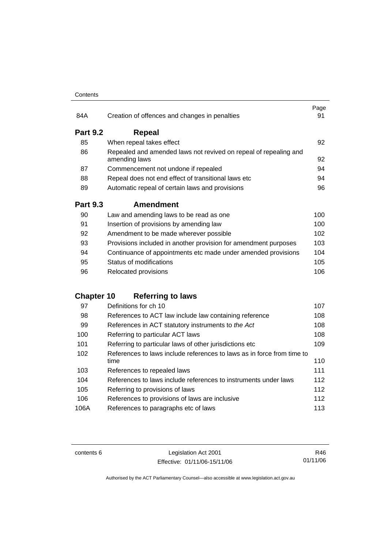#### **Contents**

| 84A             | Creation of offences and changes in penalties                                     | Page<br>91 |
|-----------------|-----------------------------------------------------------------------------------|------------|
| <b>Part 9.2</b> | Repeal                                                                            |            |
| 85              | When repeal takes effect                                                          | 92         |
| 86              | Repealed and amended laws not revived on repeal of repealing and<br>amending laws | 92         |
| 87              | Commencement not undone if repealed                                               | 94         |
| 88              | Repeal does not end effect of transitional laws etc                               | 94         |
| 89              | Automatic repeal of certain laws and provisions                                   | 96         |
|                 |                                                                                   |            |
| <b>Part 9.3</b> | <b>Amendment</b>                                                                  |            |
| 90              | Law and amending laws to be read as one                                           | 100        |
| 91              | Insertion of provisions by amending law                                           | 100        |
| 92              | Amendment to be made wherever possible                                            | 102        |
| 93              | Provisions included in another provision for amendment purposes                   | 103        |
| 94              | Continuance of appointments etc made under amended provisions                     | 104        |
| 95              | Status of modifications                                                           | 105        |

# **Chapter 10 Referring to laws**

| 97   | Definitions for ch 10                                                          | 107 |
|------|--------------------------------------------------------------------------------|-----|
| 98   | References to ACT law include law containing reference                         | 108 |
| 99   | References in ACT statutory instruments to the Act                             | 108 |
| 100  | Referring to particular ACT laws                                               | 108 |
| 101  | Referring to particular laws of other jurisdictions etc                        | 109 |
| 102  | References to laws include references to laws as in force from time to<br>time | 110 |
| 103  | References to repealed laws                                                    | 111 |
| 104  | References to laws include references to instruments under laws                | 112 |
| 105  | Referring to provisions of laws                                                | 112 |
| 106  | References to provisions of laws are inclusive                                 | 112 |
| 106A | References to paragraphs etc of laws                                           | 113 |
|      |                                                                                |     |

contents 6 Legislation Act 2001 Effective: 01/11/06-15/11/06

R46 01/11/06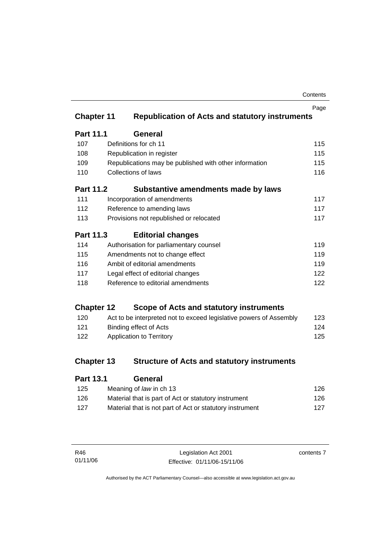| Contents |
|----------|
|----------|

|                   |                                                                    | Page |
|-------------------|--------------------------------------------------------------------|------|
| <b>Chapter 11</b> | <b>Republication of Acts and statutory instruments</b>             |      |
| <b>Part 11.1</b>  | <b>General</b>                                                     |      |
| 107               | Definitions for ch 11                                              | 115  |
| 108               | Republication in register                                          | 115  |
| 109               | Republications may be published with other information             | 115  |
| 110               | <b>Collections of laws</b>                                         | 116  |
| <b>Part 11.2</b>  | Substantive amendments made by laws                                |      |
| 111               | Incorporation of amendments                                        | 117  |
| 112               | Reference to amending laws                                         | 117  |
| 113               | Provisions not republished or relocated                            | 117  |
| Part 11.3         | <b>Editorial changes</b>                                           |      |
| 114               | Authorisation for parliamentary counsel                            | 119  |
| 115               | Amendments not to change effect                                    | 119  |
| 116               | Ambit of editorial amendments                                      | 119  |
| 117               | Legal effect of editorial changes                                  | 122  |
| 118               | Reference to editorial amendments                                  | 122  |
| <b>Chapter 12</b> | Scope of Acts and statutory instruments                            |      |
| 120               | Act to be interpreted not to exceed legislative powers of Assembly | 123  |
| 121               | <b>Binding effect of Acts</b>                                      | 124  |
| 122               | <b>Application to Territory</b>                                    | 125  |
| <b>Chapter 13</b> | <b>Structure of Acts and statutory instruments</b>                 |      |
| <b>Part 13.1</b>  | General                                                            |      |

| 125 | Meaning of law in ch 13                                  | 126 |
|-----|----------------------------------------------------------|-----|
| 126 | Material that is part of Act or statutory instrument     | 126 |
| 127 | Material that is not part of Act or statutory instrument | 127 |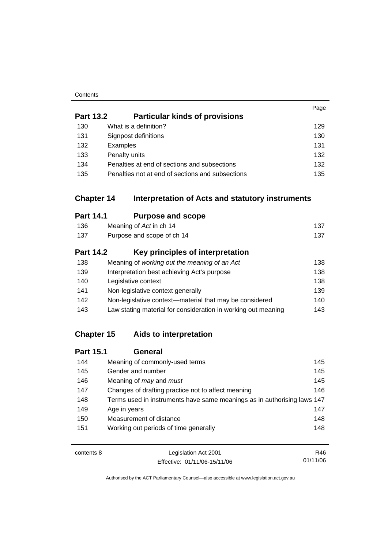#### **Contents**

|                  |                                                                       | Page |
|------------------|-----------------------------------------------------------------------|------|
| <b>Part 13.2</b> | <b>Particular kinds of provisions</b>                                 |      |
| 130              | What is a definition?                                                 | 129  |
| 131              | Signpost definitions                                                  | 130  |
| 132              | Examples                                                              | 131  |
| 133              | Penalty units                                                         | 132  |
| 134              | Penalties at end of sections and subsections                          | 132  |
| 135              | Penalties not at end of sections and subsections                      | 135  |
|                  |                                                                       |      |
|                  | <b>Chapter 14</b><br>Interpretation of Acts and statutory instruments |      |
| <b>Part 14.1</b> | <b>Purpose and scope</b>                                              |      |
| 136              | Meaning of Act in ch 14                                               | 137  |
| 137              | Purpose and scope of ch 14                                            | 137  |
| <b>Part 14.2</b> | Key principles of interpretation                                      |      |
| 138              | Meaning of working out the meaning of an Act                          | 138  |
| 139              | Interpretation best achieving Act's purpose                           | 138  |
| 140              | Legislative context                                                   | 138  |
| 141              | Non-legislative context generally                                     | 139  |
| 142              | Non-legislative context-material that may be considered               | 140  |
| 143              | Law stating material for consideration in working out meaning         | 143  |

# **Chapter 15 Aids to interpretation**

| <b>Part 15.1</b> | <b>General</b>                                                          |     |
|------------------|-------------------------------------------------------------------------|-----|
| 144              | Meaning of commonly-used terms                                          | 145 |
| 145              | Gender and number                                                       | 145 |
| 146              | Meaning of <i>may</i> and <i>must</i>                                   | 145 |
| 147              | Changes of drafting practice not to affect meaning                      | 146 |
| 148              | Terms used in instruments have same meanings as in authorising laws 147 |     |
| 149              | Age in years                                                            | 147 |
| 150              | Measurement of distance                                                 | 148 |
| 151              | Working out periods of time generally                                   | 148 |
|                  |                                                                         |     |

| contents 8 | Legislation Act 2001         | R46.     |
|------------|------------------------------|----------|
|            | Effective: 01/11/06-15/11/06 | 01/11/06 |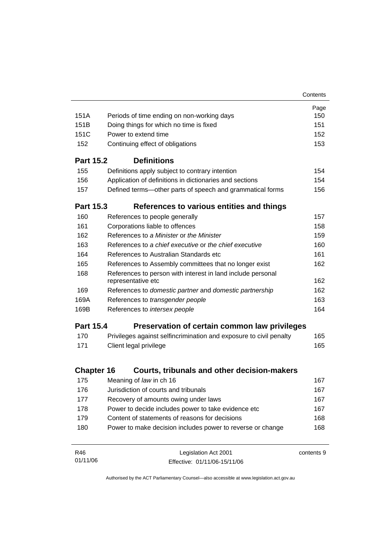|                   |                                                                                   | Contents   |
|-------------------|-----------------------------------------------------------------------------------|------------|
|                   |                                                                                   | Page       |
| 151A              | Periods of time ending on non-working days                                        | 150        |
| 151B              | Doing things for which no time is fixed                                           | 151        |
| 151C              | Power to extend time                                                              | 152        |
| 152               | Continuing effect of obligations                                                  | 153        |
| <b>Part 15.2</b>  | <b>Definitions</b>                                                                |            |
| 155               | Definitions apply subject to contrary intention                                   | 154        |
| 156               | Application of definitions in dictionaries and sections                           | 154        |
| 157               | Defined terms-other parts of speech and grammatical forms                         | 156        |
| <b>Part 15.3</b>  | References to various entities and things                                         |            |
| 160               | References to people generally                                                    | 157        |
| 161               | Corporations liable to offences                                                   | 158        |
| 162               | References to a Minister or the Minister                                          | 159        |
| 163               | References to a chief executive or the chief executive                            | 160        |
| 164               | References to Australian Standards etc                                            | 161        |
| 165               | References to Assembly committees that no longer exist                            | 162        |
| 168               | References to person with interest in land include personal<br>representative etc | 162        |
| 169               | References to domestic partner and domestic partnership                           | 162        |
| 169A              | References to transgender people                                                  | 163        |
| 169B              | References to intersex people                                                     | 164        |
| <b>Part 15.4</b>  | Preservation of certain common law privileges                                     |            |
| 170               | Privileges against selfincrimination and exposure to civil penalty                | 165        |
| 171               | Client legal privilege                                                            | 165        |
|                   |                                                                                   |            |
| <b>Chapter 16</b> | Courts, tribunals and other decision-makers                                       |            |
| 175               | Meaning of law in ch 16                                                           | 167        |
| 176               | Jurisdiction of courts and tribunals                                              | 167        |
| 177               | Recovery of amounts owing under laws                                              | 167        |
| 178               | Power to decide includes power to take evidence etc                               | 167        |
| 179               | Content of statements of reasons for decisions                                    | 168        |
| 180               | Power to make decision includes power to reverse or change                        | 168        |
| R46               | Legislation Act 2001                                                              | contents 9 |
| 01/11/06          | Effective: 01/11/06-15/11/06                                                      |            |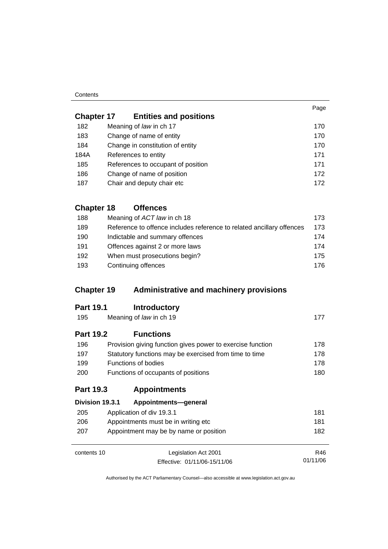#### **Contents**

| <b>Chapter 17</b> | <b>Entities and positions</b>      |     |
|-------------------|------------------------------------|-----|
| 182               | Meaning of law in ch 17            | 170 |
| 183               | Change of name of entity           | 170 |
| 184               | Change in constitution of entity   | 170 |
| 184A              | References to entity               | 171 |
| 185               | References to occupant of position | 171 |
| 186               | Change of name of position         | 172 |
| 187               | Chair and deputy chair etc         | 172 |

# **Chapter 18 Offences**

| 188 | Meaning of ACT law in ch 18                                           | 173. |
|-----|-----------------------------------------------------------------------|------|
| 189 | Reference to offence includes reference to related ancillary offences | 173  |
| 190 | Indictable and summary offences                                       | 174  |
| 191 | Offences against 2 or more laws                                       | 174  |
| 192 | When must prosecutions begin?                                         | 175. |
| 193 | Continuing offences                                                   | 176. |

# **Chapter 19 Administrative and machinery provisions**

| 195<br>Meaning of law in ch 19 |                                                            | 177  |
|--------------------------------|------------------------------------------------------------|------|
| <b>Part 19.2</b>               | <b>Functions</b>                                           |      |
| 196                            | Provision giving function gives power to exercise function | 178. |

| .    | $1.101101011$ gives given being a given possible to extend the set of $1.001$ |     |
|------|-------------------------------------------------------------------------------|-----|
| 197  | Statutory functions may be exercised from time to time                        | 178 |
| 199  | Functions of bodies                                                           | 178 |
| -200 | Functions of occupants of positions                                           | 180 |

# **Part 19.3 Appointments**

|     | Division 19.3.1<br>Appointments-general |     |
|-----|-----------------------------------------|-----|
| 205 | Application of div 19.3.1               | 181 |
| 206 | Appointments must be in writing etc     | 181 |
| 207 | Appointment may be by name or position  | 182 |
|     |                                         |     |

contents 10 Legislation Act 2001 Effective: 01/11/06-15/11/06 R46 01/11/06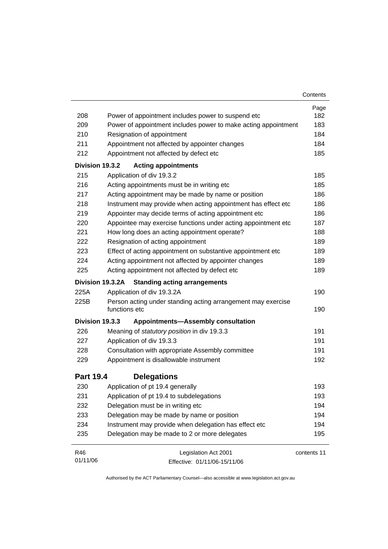|                  |                                                                               | Contents    |
|------------------|-------------------------------------------------------------------------------|-------------|
|                  |                                                                               | Page        |
| 208              | Power of appointment includes power to suspend etc                            | 182         |
| 209              | Power of appointment includes power to make acting appointment                | 183         |
| 210              | Resignation of appointment                                                    | 184         |
| 211              | Appointment not affected by appointer changes                                 | 184         |
| 212              | Appointment not affected by defect etc                                        | 185         |
| Division 19.3.2  | <b>Acting appointments</b>                                                    |             |
| 215              | Application of div 19.3.2                                                     | 185         |
| 216              | Acting appointments must be in writing etc                                    | 185         |
| 217              | Acting appointment may be made by name or position                            | 186         |
| 218              | Instrument may provide when acting appointment has effect etc                 | 186         |
| 219              | Appointer may decide terms of acting appointment etc                          | 186         |
| 220              | Appointee may exercise functions under acting appointment etc                 | 187         |
| 221              | How long does an acting appointment operate?                                  | 188         |
| 222              | Resignation of acting appointment                                             | 189         |
| 223              | Effect of acting appointment on substantive appointment etc                   | 189         |
| 224              | Acting appointment not affected by appointer changes                          | 189         |
| 225              | Acting appointment not affected by defect etc                                 | 189         |
|                  | Division 19.3.2A<br><b>Standing acting arrangements</b>                       |             |
| 225A             | Application of div 19.3.2A                                                    | 190         |
| 225B             | Person acting under standing acting arrangement may exercise<br>functions etc | 190         |
| Division 19.3.3  | <b>Appointments-Assembly consultation</b>                                     |             |
| 226              | Meaning of statutory position in div 19.3.3                                   | 191         |
| 227              | Application of div 19.3.3                                                     | 191         |
| 228              | Consultation with appropriate Assembly committee                              | 191         |
| 229              | Appointment is disallowable instrument                                        | 192         |
| <b>Part 19.4</b> | <b>Delegations</b>                                                            |             |
| 230              | Application of pt 19.4 generally                                              | 193         |
| 231              | Application of pt 19.4 to subdelegations                                      | 193         |
| 232              | Delegation must be in writing etc                                             | 194         |
| 233              | Delegation may be made by name or position                                    | 194         |
| 234              | Instrument may provide when delegation has effect etc                         | 194         |
| 235              | Delegation may be made to 2 or more delegates                                 | 195         |
|                  |                                                                               |             |
| R46              | Legislation Act 2001                                                          | contents 11 |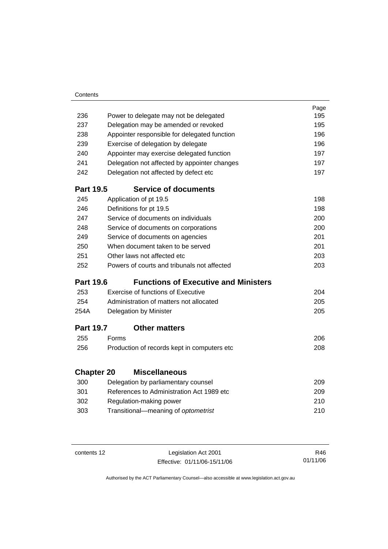# **Part 19.5 Service of documents**

| 245 | Application of pt 19.5                      | 198 |
|-----|---------------------------------------------|-----|
| 246 | Definitions for pt 19.5                     | 198 |
| 247 | Service of documents on individuals         | 200 |
| 248 | Service of documents on corporations        | 200 |
| 249 | Service of documents on agencies            | 201 |
| 250 | When document taken to be served            | 201 |
| 251 | Other laws not affected etc                 | 203 |
| 252 | Powers of courts and tribunals not affected | 203 |

236 Power to delegate may not be delegated 195 237 Delegation may be amended or revoked 195 238 Appointer responsible for delegated function 196 239 Exercise of delegation by delegate 196 240 Appointer may exercise delegated function 197 241 Delegation not affected by appointer changes 197 242 Delegation not affected by defect etc 197

# **Part 19.6 Functions of Executive and Ministers**

| 253  | Exercise of functions of Executive      | 204 |
|------|-----------------------------------------|-----|
| 254  | Administration of matters not allocated | 205 |
| 254A | Delegation by Minister                  | 205 |

## **Part 19.7 Other matters**

| 255 | <b>Forms</b>                                 | 206 |
|-----|----------------------------------------------|-----|
| 256 | Production of records kept in computers etc. | 208 |

# **Chapter 20 Miscellaneous**

| 300 | Delegation by parliamentary counsel       | 209 |
|-----|-------------------------------------------|-----|
| 301 | References to Administration Act 1989 etc | 209 |
| 302 | Regulation-making power                   | 210 |
| 303 | Transitional—meaning of optometrist       | 210 |

contents 12 Legislation Act 2001 Effective: 01/11/06-15/11/06

R46 01/11/06

Page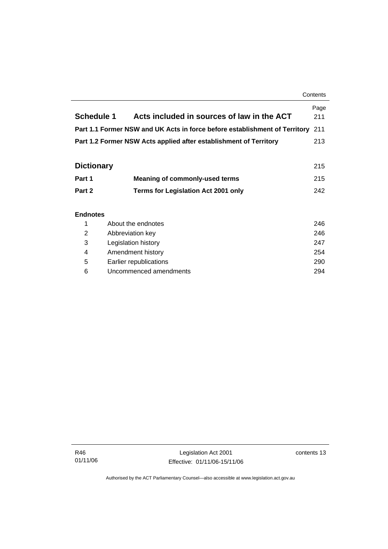|                   |                                                                            | Contents    |
|-------------------|----------------------------------------------------------------------------|-------------|
| <b>Schedule 1</b> | Acts included in sources of law in the ACT                                 | Page<br>211 |
|                   | Part 1.1 Former NSW and UK Acts in force before establishment of Territory | 211         |
|                   | Part 1.2 Former NSW Acts applied after establishment of Territory          | 213         |
|                   |                                                                            |             |
| <b>Dictionary</b> |                                                                            | 215         |
| Part 1            | <b>Meaning of commonly-used terms</b>                                      | 215         |
| Part 2            | <b>Terms for Legislation Act 2001 only</b>                                 | 242         |
|                   |                                                                            |             |
| <b>Endnotes</b>   |                                                                            |             |
| 1                 | About the endnotes                                                         | 246         |
| $\overline{2}$    | Abbreviation key                                                           | 246         |
| 3                 | Legislation history                                                        | 247         |
| 4                 | Amendment history                                                          | 254         |

 5 Earlier republications 290 6 Uncommenced amendments 294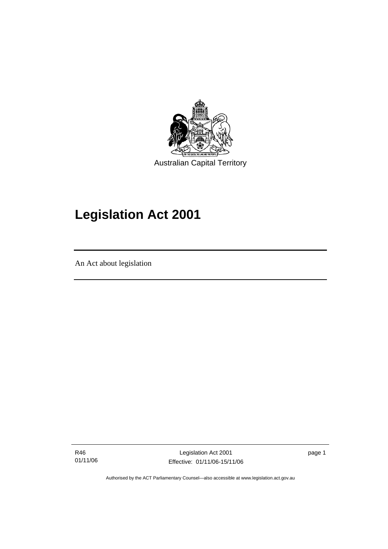

# **Legislation Act 2001**

An Act about legislation

ׅ֚֡֡֡֡֬֝

R46 01/11/06

Legislation Act 2001 Effective: 01/11/06-15/11/06 page 1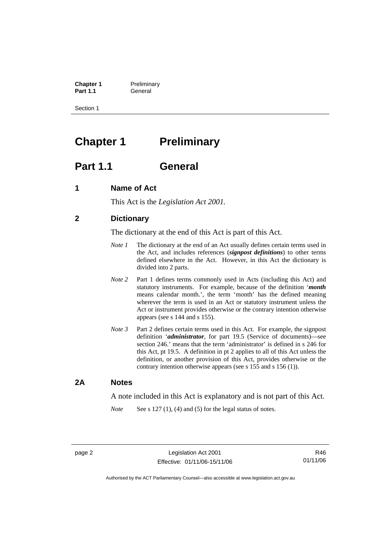**Chapter 1** Preliminary<br>**Part 1.1** General General

Section 1

# **Chapter 1** Preliminary

# **Part 1.1 General**

## **1 Name of Act**

This Act is the *Legislation Act 2001.* 

# **2 Dictionary**

The dictionary at the end of this Act is part of this Act.

- *Note 1* The dictionary at the end of an Act usually defines certain terms used in the Act, and includes references (*signpost definitions*) to other terms defined elsewhere in the Act. However, in this Act the dictionary is divided into 2 parts.
- *Note* 2 Part 1 defines terms commonly used in Acts (including this Act) and statutory instruments. For example, because of the definition '*month* means calendar month.', the term 'month' has the defined meaning wherever the term is used in an Act or statutory instrument unless the Act or instrument provides otherwise or the contrary intention otherwise appears (see s 144 and s 155).
- *Note 3* Part 2 defines certain terms used in this Act. For example, the signpost definition '*administrator*, for part 19.5 (Service of documents)—see section 246.' means that the term 'administrator' is defined in s 246 for this Act, pt 19.5. A definition in pt 2 applies to all of this Act unless the definition, or another provision of this Act, provides otherwise or the contrary intention otherwise appears (see s 155 and s 156 (1)).

## **2A Notes**

A note included in this Act is explanatory and is not part of this Act.

*Note* See s 127 (1), (4) and (5) for the legal status of notes.

R46 01/11/06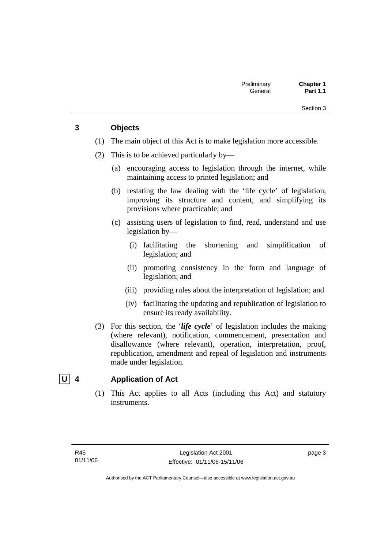# **3 Objects**

- (1) The main object of this Act is to make legislation more accessible.
- (2) This is to be achieved particularly by—
	- (a) encouraging access to legislation through the internet, while maintaining access to printed legislation; and
	- (b) restating the law dealing with the 'life cycle' of legislation, improving its structure and content, and simplifying its provisions where practicable; and
	- (c) assisting users of legislation to find, read, understand and use legislation by—
		- (i) facilitating the shortening and simplification of legislation; and
		- (ii) promoting consistency in the form and language of legislation; and
		- (iii) providing rules about the interpretation of legislation; and
		- (iv) facilitating the updating and republication of legislation to ensure its ready availability.
- (3) For this section, the '*life cycle*' of legislation includes the making (where relevant), notification, commencement, presentation and disallowance (where relevant), operation, interpretation, proof, republication, amendment and repeal of legislation and instruments made under legislation.

# **U 4 Application of Act**

 (1) This Act applies to all Acts (including this Act) and statutory instruments.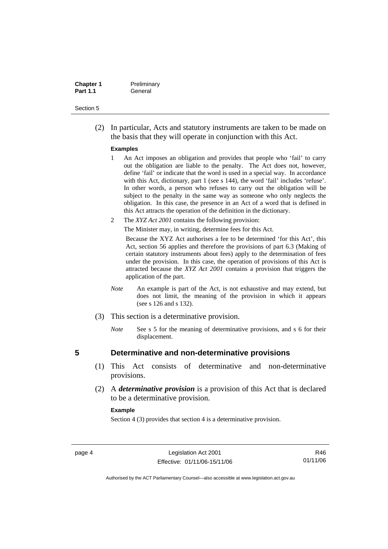| <b>Chapter 1</b> | Preliminary |
|------------------|-------------|
| <b>Part 1.1</b>  | General     |

 (2) In particular, Acts and statutory instruments are taken to be made on the basis that they will operate in conjunction with this Act.

#### **Examples**

- 1 An Act imposes an obligation and provides that people who 'fail' to carry out the obligation are liable to the penalty. The Act does not, however, define 'fail' or indicate that the word is used in a special way. In accordance with this Act, dictionary, part 1 (see s 144), the word 'fail' includes 'refuse'. In other words, a person who refuses to carry out the obligation will be subject to the penalty in the same way as someone who only neglects the obligation. In this case, the presence in an Act of a word that is defined in this Act attracts the operation of the definition in the dictionary.
- 2 The *XYZ Act 2001* contains the following provision:

The Minister may, in writing, determine fees for this Act.

Because the XYZ Act authorises a fee to be determined 'for this Act', this Act, section 56 applies and therefore the provisions of part 6.3 (Making of certain statutory instruments about fees) apply to the determination of fees under the provision. In this case, the operation of provisions of this Act is attracted because the *XYZ Act 2001* contains a provision that triggers the application of the part.

- *Note* An example is part of the Act, is not exhaustive and may extend, but does not limit, the meaning of the provision in which it appears (see s 126 and s 132).
- (3) This section is a determinative provision.
	- *Note* See s 5 for the meaning of determinative provisions, and s 6 for their displacement.

## **5 Determinative and non-determinative provisions**

- (1) This Act consists of determinative and non-determinative provisions.
- (2) A *determinative provision* is a provision of this Act that is declared to be a determinative provision.

#### **Example**

Section 4 (3) provides that section 4 is a determinative provision.

R46 01/11/06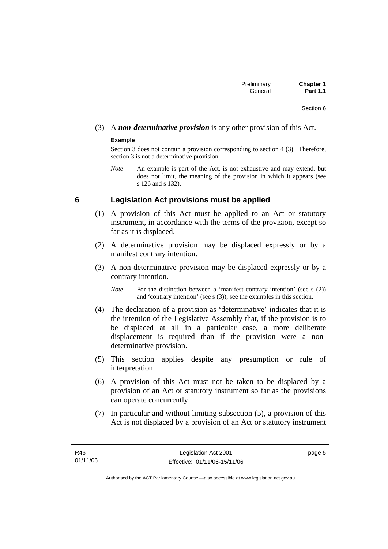# (3) A *non-determinative provision* is any other provision of this Act.

## **Example**

Section 3 does not contain a provision corresponding to section 4 (3). Therefore, section 3 is not a determinative provision.

*Note* An example is part of the Act, is not exhaustive and may extend, but does not limit, the meaning of the provision in which it appears (see s 126 and s 132).

## **6 Legislation Act provisions must be applied**

- (1) A provision of this Act must be applied to an Act or statutory instrument, in accordance with the terms of the provision, except so far as it is displaced.
- (2) A determinative provision may be displaced expressly or by a manifest contrary intention.
- (3) A non-determinative provision may be displaced expressly or by a contrary intention.

- (4) The declaration of a provision as 'determinative' indicates that it is the intention of the Legislative Assembly that, if the provision is to be displaced at all in a particular case, a more deliberate displacement is required than if the provision were a nondeterminative provision.
- (5) This section applies despite any presumption or rule of interpretation.
- (6) A provision of this Act must not be taken to be displaced by a provision of an Act or statutory instrument so far as the provisions can operate concurrently.
- (7) In particular and without limiting subsection (5), a provision of this Act is not displaced by a provision of an Act or statutory instrument

*Note* For the distinction between a 'manifest contrary intention' (see s (2)) and 'contrary intention' (see s (3)), see the examples in this section.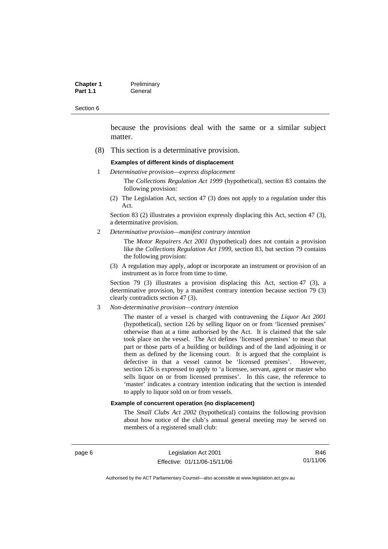| <b>Chapter 1</b> | Preliminary |
|------------------|-------------|
| <b>Part 1.1</b>  | General     |

because the provisions deal with the same or a similar subject matter.

(8) This section is a determinative provision.

#### **Examples of different kinds of displacement**

1 *Determinative provision—express displacement*

The *Collections Regulation Act 1999* (hypothetical), section 83 contains the following provision:

(2) The Legislation Act, section 47 (3) does not apply to a regulation under this Act.

Section 83 (2) illustrates a provision expressly displacing this Act, section 47 (3), a determinative provision.

2 *Determinative provision—manifest contrary intention*

The *Motor Repairers Act 2001* (hypothetical) does not contain a provision like the *Collections Regulation Act 1999*, section 83, but section 79 contains the following provision:

(3) A regulation may apply, adopt or incorporate an instrument or provision of an instrument as in force from time to time.

Section 79 (3) illustrates a provision displacing this Act, section 47 (3), a determinative provision, by a manifest contrary intention because section 79 (3) clearly contradicts section 47 (3).

3 *Non-determinative provision—contrary intention*

The master of a vessel is charged with contravening the *Liquor Act 2001* (hypothetical), section 126 by selling liquor on or from 'licensed premises' otherwise than at a time authorised by the Act. It is claimed that the sale took place on the vessel. The Act defines 'licensed premises' to mean that part or those parts of a building or buildings and of the land adjoining it or them as defined by the licensing court. It is argued that the complaint is defective in that a vessel cannot be 'licensed premises'. However, section 126 is expressed to apply to 'a licensee, servant, agent or master who sells liquor on or from licensed premises'. In this case, the reference to 'master' indicates a contrary intention indicating that the section is intended to apply to liquor sold on or from vessels.

#### **Example of concurrent operation (no displacement)**

The *Small Clubs Act 2002* (hypothetical) contains the following provision about how notice of the club's annual general meeting may be served on members of a registered small club:

page 6 Legislation Act 2001 Effective: 01/11/06-15/11/06

R46 01/11/06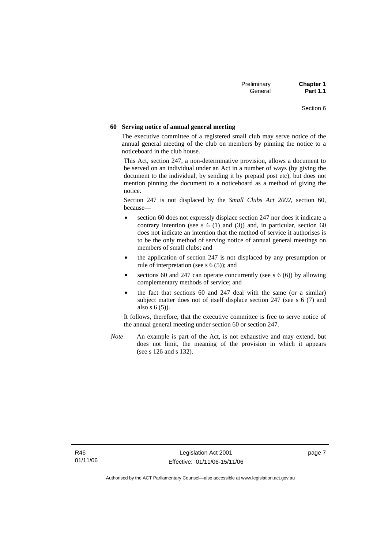| Preliminary | <b>Chapter 1</b> |
|-------------|------------------|
| General     | <b>Part 1.1</b>  |

#### **60 Serving notice of annual general meeting**

The executive committee of a registered small club may serve notice of the annual general meeting of the club on members by pinning the notice to a noticeboard in the club house.

This Act, section 247, a non-determinative provision, allows a document to be served on an individual under an Act in a number of ways (by giving the document to the individual, by sending it by prepaid post etc), but does not mention pinning the document to a noticeboard as a method of giving the notice.

Section 247 is not displaced by the *Small Clubs Act 2002*, section 60, because—

- section 60 does not expressly displace section 247 nor does it indicate a contrary intention (see s  $6(1)$  and  $(3)$ ) and, in particular, section  $60$ does not indicate an intention that the method of service it authorises is to be the only method of serving notice of annual general meetings on members of small clubs; and
- the application of section 247 is not displaced by any presumption or rule of interpretation (see s 6 (5)); and
- sections 60 and 247 can operate concurrently (see s  $6(6)$ ) by allowing complementary methods of service; and
- the fact that sections 60 and 247 deal with the same (or a similar) subject matter does not of itself displace section 247 (see s 6 (7) and also s 6 (5)).

It follows, therefore, that the executive committee is free to serve notice of the annual general meeting under section 60 or section 247.

*Note* An example is part of the Act, is not exhaustive and may extend, but does not limit, the meaning of the provision in which it appears (see s 126 and s 132).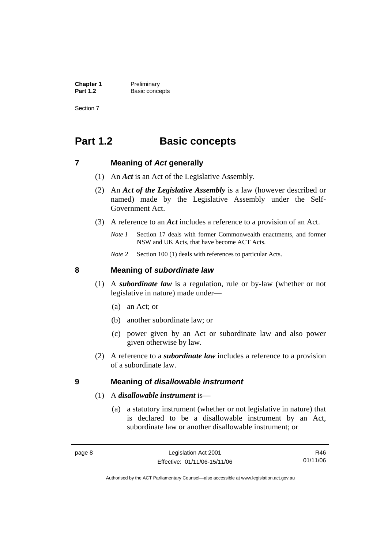**Chapter 1** Preliminary<br>**Part 1.2** Basic conce **Basic concepts** 

Section 7

# **Part 1.2 Basic concepts**

## **7 Meaning of** *Act* **generally**

- (1) An *Act* is an Act of the Legislative Assembly.
- (2) An *Act of the Legislative Assembly* is a law (however described or named) made by the Legislative Assembly under the Self-Government Act.
- (3) A reference to an *Act* includes a reference to a provision of an Act.
	- *Note 1* Section 17 deals with former Commonwealth enactments, and former NSW and UK Acts, that have become ACT Acts.
	- *Note 2* Section 100 (1) deals with references to particular Acts.

## **8 Meaning of** *subordinate law*

- (1) A *subordinate law* is a regulation, rule or by-law (whether or not legislative in nature) made under—
	- (a) an Act; or
	- (b) another subordinate law; or
	- (c) power given by an Act or subordinate law and also power given otherwise by law.
- (2) A reference to a *subordinate law* includes a reference to a provision of a subordinate law.

### **9 Meaning of** *disallowable instrument*

- (1) A *disallowable instrument* is—
	- (a) a statutory instrument (whether or not legislative in nature) that is declared to be a disallowable instrument by an Act, subordinate law or another disallowable instrument; or

R46 01/11/06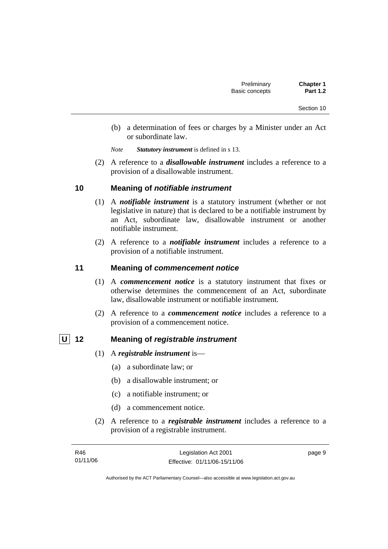- (b) a determination of fees or charges by a Minister under an Act or subordinate law.
- *Note Statutory instrument* is defined in s 13.
- (2) A reference to a *disallowable instrument* includes a reference to a provision of a disallowable instrument.

## **10 Meaning of** *notifiable instrument*

- (1) A *notifiable instrument* is a statutory instrument (whether or not legislative in nature) that is declared to be a notifiable instrument by an Act, subordinate law, disallowable instrument or another notifiable instrument.
- (2) A reference to a *notifiable instrument* includes a reference to a provision of a notifiable instrument.

# **11 Meaning of** *commencement notice*

- (1) A *commencement notice* is a statutory instrument that fixes or otherwise determines the commencement of an Act, subordinate law, disallowable instrument or notifiable instrument.
- (2) A reference to a *commencement notice* includes a reference to a provision of a commencement notice.

## **U 12 Meaning of** *registrable instrument*

- (1) A *registrable instrument* is—
	- (a) a subordinate law; or
	- (b) a disallowable instrument; or
	- (c) a notifiable instrument; or
	- (d) a commencement notice.
- (2) A reference to a *registrable instrument* includes a reference to a provision of a registrable instrument.

| R46      | Legislation Act 2001         | page 9 |
|----------|------------------------------|--------|
| 01/11/06 | Effective: 01/11/06-15/11/06 |        |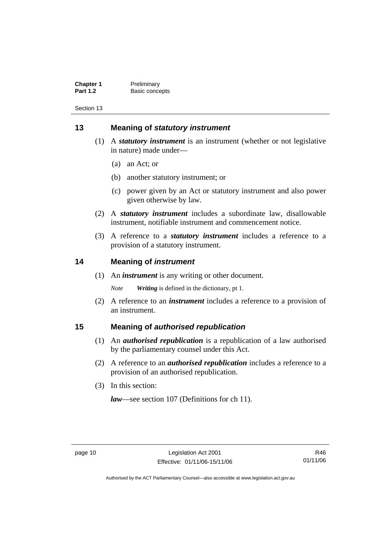| <b>Chapter 1</b> | Preliminary    |
|------------------|----------------|
| <b>Part 1.2</b>  | Basic concepts |

# **13 Meaning of** *statutory instrument*

- (1) A *statutory instrument* is an instrument (whether or not legislative in nature) made under—
	- (a) an Act; or
	- (b) another statutory instrument; or
	- (c) power given by an Act or statutory instrument and also power given otherwise by law.
- (2) A *statutory instrument* includes a subordinate law, disallowable instrument, notifiable instrument and commencement notice.
- (3) A reference to a *statutory instrument* includes a reference to a provision of a statutory instrument.

## **14 Meaning of** *instrument*

(1) An *instrument* is any writing or other document.

*Note Writing* is defined in the dictionary, pt 1.

 (2) A reference to an *instrument* includes a reference to a provision of an instrument.

## **15 Meaning of** *authorised republication*

- (1) An *authorised republication* is a republication of a law authorised by the parliamentary counsel under this Act.
- (2) A reference to an *authorised republication* includes a reference to a provision of an authorised republication.
- (3) In this section:

*law*—see section 107 (Definitions for ch 11).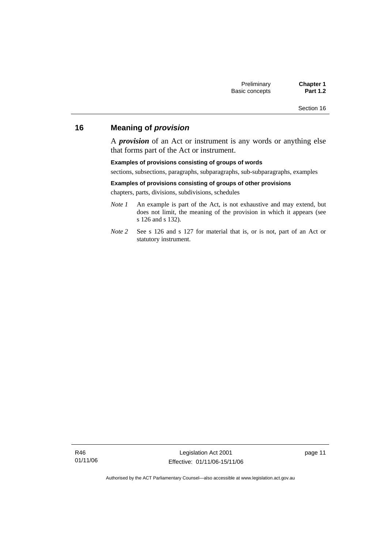# **16 Meaning of** *provision*

A *provision* of an Act or instrument is any words or anything else that forms part of the Act or instrument.

#### **Examples of provisions consisting of groups of words**

sections, subsections, paragraphs, subparagraphs, sub-subparagraphs, examples

#### **Examples of provisions consisting of groups of other provisions**

chapters, parts, divisions, subdivisions, schedules

- *Note 1* An example is part of the Act, is not exhaustive and may extend, but does not limit, the meaning of the provision in which it appears (see s 126 and s 132).
- *Note 2* See s 126 and s 127 for material that is, or is not, part of an Act or statutory instrument.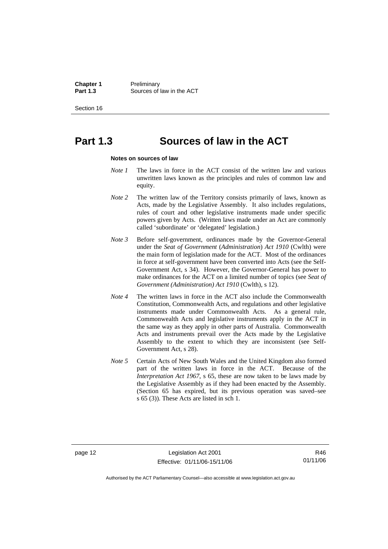**Chapter 1** Preliminary<br>**Part 1.3** Sources of **Part 1.3** Sources of law in the ACT

Section 16

# **Part 1.3 Sources of law in the ACT**

#### **Notes on sources of law**

- *Note 1* The laws in force in the ACT consist of the written law and various unwritten laws known as the principles and rules of common law and equity.
- *Note* 2 The written law of the Territory consists primarily of laws, known as Acts, made by the Legislative Assembly. It also includes regulations, rules of court and other legislative instruments made under specific powers given by Acts. (Written laws made under an Act are commonly called 'subordinate' or 'delegated' legislation.)
- *Note 3* Before self-government, ordinances made by the Governor-General under the *Seat of Government* (*Administration*) *Act 1910* (Cwlth) were the main form of legislation made for the ACT. Most of the ordinances in force at self-government have been converted into Acts (see the Self-Government Act, s 34). However, the Governor-General has power to make ordinances for the ACT on a limited number of topics (see *Seat of Government (Administration) Act 1910* (Cwlth), s 12).
- *Note 4* The written laws in force in the ACT also include the Commonwealth Constitution, Commonwealth Acts, and regulations and other legislative instruments made under Commonwealth Acts. As a general rule, Commonwealth Acts and legislative instruments apply in the ACT in the same way as they apply in other parts of Australia. Commonwealth Acts and instruments prevail over the Acts made by the Legislative Assembly to the extent to which they are inconsistent (see Self-Government Act, s 28).
- *Note 5* Certain Acts of New South Wales and the United Kingdom also formed part of the written laws in force in the ACT. Because of the *Interpretation Act 1967*, s 65, these are now taken to be laws made by the Legislative Assembly as if they had been enacted by the Assembly. (Section 65 has expired, but its previous operation was saved–see s 65 (3)). These Acts are listed in sch 1.

page 12 Legislation Act 2001 Effective: 01/11/06-15/11/06

R46 01/11/06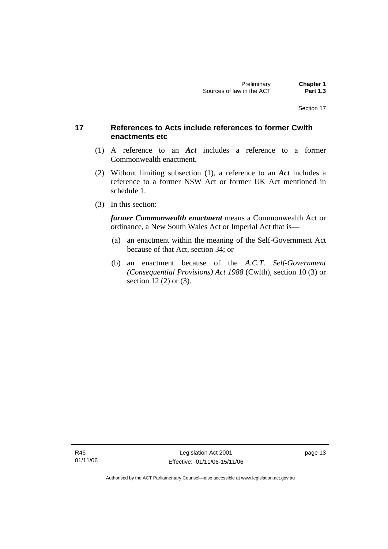# **17 References to Acts include references to former Cwlth enactments etc**

- (1) A reference to an *Act* includes a reference to a former Commonwealth enactment.
- (2) Without limiting subsection (1), a reference to an *Act* includes a reference to a former NSW Act or former UK Act mentioned in schedule 1.
- (3) In this section:

*former Commonwealth enactment* means a Commonwealth Act or ordinance, a New South Wales Act or Imperial Act that is—

- (a) an enactment within the meaning of the Self-Government Act because of that Act, section 34; or
- (b) an enactment because of the *A.C.T*. *Self-Government (Consequential Provisions) Act 1988* (Cwlth), section 10 (3) or section 12 (2) or (3).

R46 01/11/06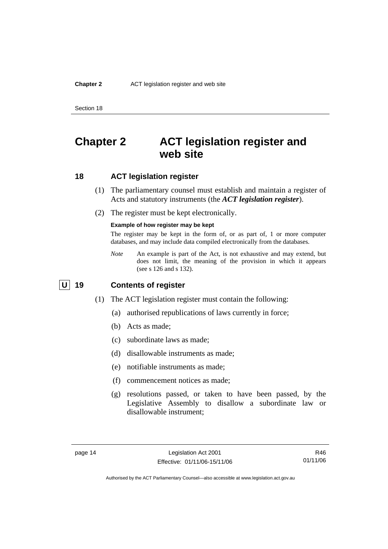#### **Chapter 2** ACT legislation register and web site

Section 18

# **Chapter 2 ACT legislation register and web site**

## **18 ACT legislation register**

- (1) The parliamentary counsel must establish and maintain a register of Acts and statutory instruments (the *ACT legislation register*).
- (2) The register must be kept electronically.

#### **Example of how register may be kept**

The register may be kept in the form of, or as part of, 1 or more computer databases, and may include data compiled electronically from the databases.

*Note* An example is part of the Act, is not exhaustive and may extend, but does not limit, the meaning of the provision in which it appears (see s 126 and s 132).

# **U 19 Contents of register**

- (1) The ACT legislation register must contain the following:
	- (a) authorised republications of laws currently in force;
	- (b) Acts as made;
	- (c) subordinate laws as made;
	- (d) disallowable instruments as made;
	- (e) notifiable instruments as made;
	- (f) commencement notices as made;
	- (g) resolutions passed, or taken to have been passed, by the Legislative Assembly to disallow a subordinate law or disallowable instrument;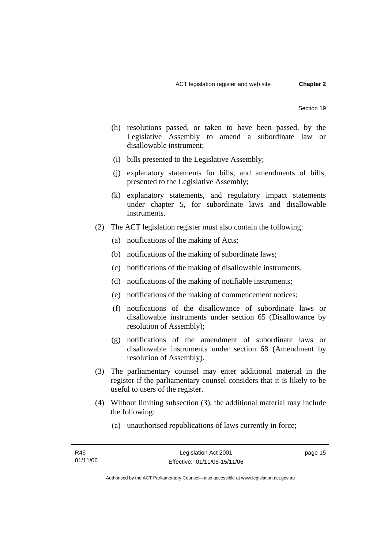- (h) resolutions passed, or taken to have been passed, by the Legislative Assembly to amend a subordinate law or disallowable instrument;
- (i) bills presented to the Legislative Assembly;
- (j) explanatory statements for bills, and amendments of bills, presented to the Legislative Assembly;
- (k) explanatory statements, and regulatory impact statements under chapter 5, for subordinate laws and disallowable instruments.
- (2) The ACT legislation register must also contain the following:
	- (a) notifications of the making of Acts;
	- (b) notifications of the making of subordinate laws;
	- (c) notifications of the making of disallowable instruments;
	- (d) notifications of the making of notifiable instruments;
	- (e) notifications of the making of commencement notices;
	- (f) notifications of the disallowance of subordinate laws or disallowable instruments under section 65 (Disallowance by resolution of Assembly);
	- (g) notifications of the amendment of subordinate laws or disallowable instruments under section 68 (Amendment by resolution of Assembly).
- (3) The parliamentary counsel may enter additional material in the register if the parliamentary counsel considers that it is likely to be useful to users of the register.
- (4) Without limiting subsection (3), the additional material may include the following:
	- (a) unauthorised republications of laws currently in force;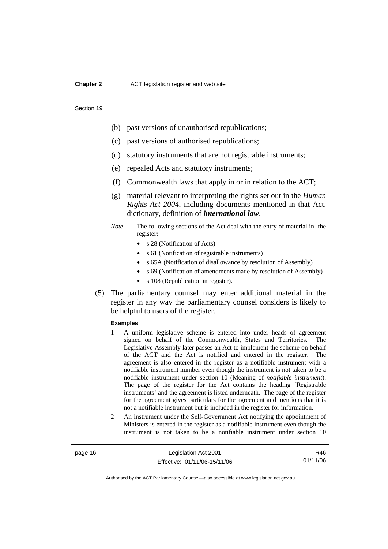#### **Chapter 2** ACT legislation register and web site

#### Section 19

- (b) past versions of unauthorised republications;
- (c) past versions of authorised republications;
- (d) statutory instruments that are not registrable instruments;
- (e) repealed Acts and statutory instruments;
- (f) Commonwealth laws that apply in or in relation to the ACT;
- (g) material relevant to interpreting the rights set out in the *Human Rights Act 2004*, including documents mentioned in that Act, dictionary, definition of *international law*.
- *Note* The following sections of the Act deal with the entry of material in the register:
	- s 28 (Notification of Acts)
	- s 61 (Notification of registrable instruments)
	- s 65A (Notification of disallowance by resolution of Assembly)
	- s 69 (Notification of amendments made by resolution of Assembly)
	- s 108 (Republication in register).
- (5) The parliamentary counsel may enter additional material in the register in any way the parliamentary counsel considers is likely to be helpful to users of the register.

#### **Examples**

- 1 A uniform legislative scheme is entered into under heads of agreement signed on behalf of the Commonwealth, States and Territories. The Legislative Assembly later passes an Act to implement the scheme on behalf of the ACT and the Act is notified and entered in the register. The agreement is also entered in the register as a notifiable instrument with a notifiable instrument number even though the instrument is not taken to be a notifiable instrument under section 10 (Meaning of *notifiable instrument*). The page of the register for the Act contains the heading 'Registrable instruments' and the agreement is listed underneath. The page of the register for the agreement gives particulars for the agreement and mentions that it is not a notifiable instrument but is included in the register for information.
- 2 An instrument under the Self-Government Act notifying the appointment of Ministers is entered in the register as a notifiable instrument even though the instrument is not taken to be a notifiable instrument under section 10

page 16 Legislation Act 2001 Effective: 01/11/06-15/11/06

R46 01/11/06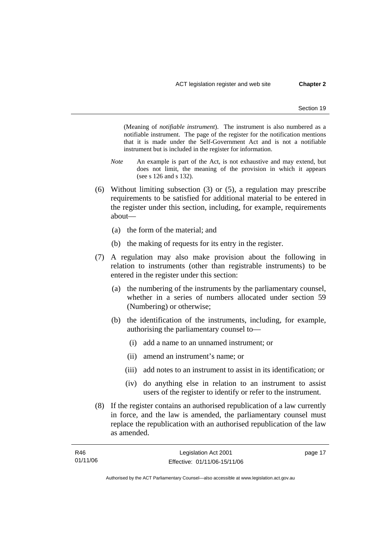(Meaning of *notifiable instrument*). The instrument is also numbered as a notifiable instrument. The page of the register for the notification mentions that it is made under the Self-Government Act and is not a notifiable instrument but is included in the register for information.

- *Note* An example is part of the Act, is not exhaustive and may extend, but does not limit, the meaning of the provision in which it appears (see s 126 and s 132).
- (6) Without limiting subsection (3) or (5), a regulation may prescribe requirements to be satisfied for additional material to be entered in the register under this section, including, for example, requirements about—
	- (a) the form of the material; and
	- (b) the making of requests for its entry in the register.
- (7) A regulation may also make provision about the following in relation to instruments (other than registrable instruments) to be entered in the register under this section:
	- (a) the numbering of the instruments by the parliamentary counsel, whether in a series of numbers allocated under section 59 (Numbering) or otherwise;
	- (b) the identification of the instruments, including, for example, authorising the parliamentary counsel to—
		- (i) add a name to an unnamed instrument; or
		- (ii) amend an instrument's name; or
		- (iii) add notes to an instrument to assist in its identification; or
		- (iv) do anything else in relation to an instrument to assist users of the register to identify or refer to the instrument.
- (8) If the register contains an authorised republication of a law currently in force, and the law is amended, the parliamentary counsel must replace the republication with an authorised republication of the law as amended.

| R46      | Legislation Act 2001         | page 17 |
|----------|------------------------------|---------|
| 01/11/06 | Effective: 01/11/06-15/11/06 |         |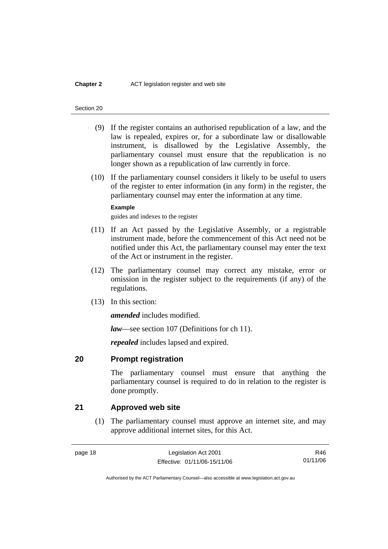#### **Chapter 2** ACT legislation register and web site

#### Section 20

- (9) If the register contains an authorised republication of a law, and the law is repealed, expires or, for a subordinate law or disallowable instrument, is disallowed by the Legislative Assembly, the parliamentary counsel must ensure that the republication is no longer shown as a republication of law currently in force.
- (10) If the parliamentary counsel considers it likely to be useful to users of the register to enter information (in any form) in the register, the parliamentary counsel may enter the information at any time.

#### **Example**

guides and indexes to the register

- (11) If an Act passed by the Legislative Assembly, or a registrable instrument made, before the commencement of this Act need not be notified under this Act, the parliamentary counsel may enter the text of the Act or instrument in the register.
- (12) The parliamentary counsel may correct any mistake, error or omission in the register subject to the requirements (if any) of the regulations.
- (13) In this section:

*amended* includes modified.

*law*—see section 107 (Definitions for ch 11).

*repealed* includes lapsed and expired.

### **20 Prompt registration**

The parliamentary counsel must ensure that anything the parliamentary counsel is required to do in relation to the register is done promptly.

## **21 Approved web site**

 (1) The parliamentary counsel must approve an internet site, and may approve additional internet sites, for this Act.

R46 01/11/06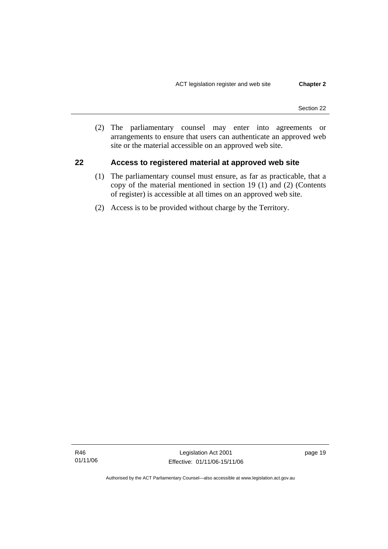(2) The parliamentary counsel may enter into agreements or arrangements to ensure that users can authenticate an approved web site or the material accessible on an approved web site.

## **22 Access to registered material at approved web site**

- (1) The parliamentary counsel must ensure, as far as practicable, that a copy of the material mentioned in section 19 (1) and (2) (Contents of register) is accessible at all times on an approved web site.
- (2) Access is to be provided without charge by the Territory.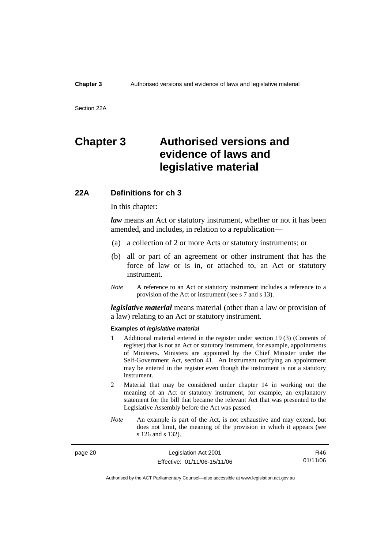#### **Chapter 3** Authorised versions and evidence of laws and legislative material

Section 22A

# **Chapter 3 Authorised versions and evidence of laws and legislative material**

## **22A Definitions for ch 3**

In this chapter:

*law* means an Act or statutory instrument, whether or not it has been amended, and includes, in relation to a republication—

- (a) a collection of 2 or more Acts or statutory instruments; or
- (b) all or part of an agreement or other instrument that has the force of law or is in, or attached to, an Act or statutory instrument.
- *Note* A reference to an Act or statutory instrument includes a reference to a provision of the Act or instrument (see s 7 and s 13).

*legislative material* means material (other than a law or provision of a law) relating to an Act or statutory instrument.

#### **Examples of** *legislative material*

- 1 Additional material entered in the register under section 19 (3) (Contents of register) that is not an Act or statutory instrument, for example, appointments of Ministers. Ministers are appointed by the Chief Minister under the Self-Government Act, section 41. An instrument notifying an appointment may be entered in the register even though the instrument is not a statutory instrument.
- 2 Material that may be considered under chapter 14 in working out the meaning of an Act or statutory instrument, for example, an explanatory statement for the bill that became the relevant Act that was presented to the Legislative Assembly before the Act was passed.
- *Note* An example is part of the Act, is not exhaustive and may extend, but does not limit, the meaning of the provision in which it appears (see s 126 and s 132).

| page 20 | Legislation Act 2001         | R46.     |
|---------|------------------------------|----------|
|         | Effective: 01/11/06-15/11/06 | 01/11/06 |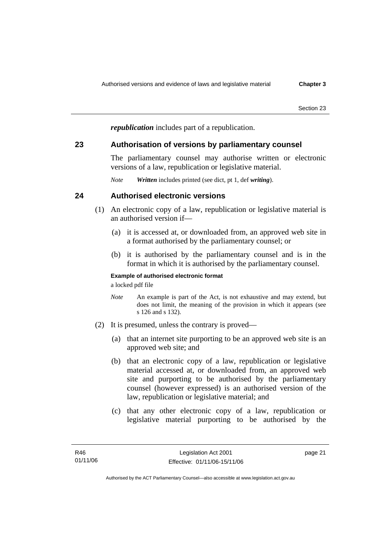*republication* includes part of a republication.

# **23 Authorisation of versions by parliamentary counsel**

The parliamentary counsel may authorise written or electronic versions of a law, republication or legislative material.

*Note Written* includes printed (see dict, pt 1, def *writing*).

# **24 Authorised electronic versions**

- (1) An electronic copy of a law, republication or legislative material is an authorised version if—
	- (a) it is accessed at, or downloaded from, an approved web site in a format authorised by the parliamentary counsel; or
	- (b) it is authorised by the parliamentary counsel and is in the format in which it is authorised by the parliamentary counsel.

## **Example of authorised electronic format**

a locked pdf file

- *Note* An example is part of the Act, is not exhaustive and may extend, but does not limit, the meaning of the provision in which it appears (see s 126 and s 132).
- (2) It is presumed, unless the contrary is proved—
	- (a) that an internet site purporting to be an approved web site is an approved web site; and
	- (b) that an electronic copy of a law, republication or legislative material accessed at, or downloaded from, an approved web site and purporting to be authorised by the parliamentary counsel (however expressed) is an authorised version of the law, republication or legislative material; and
	- (c) that any other electronic copy of a law, republication or legislative material purporting to be authorised by the

page 21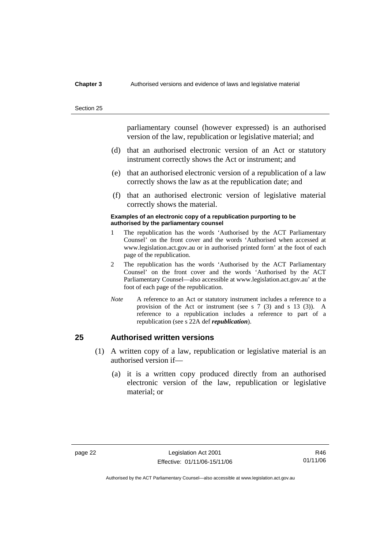#### **Chapter 3** Authorised versions and evidence of laws and legislative material

#### Section 25

parliamentary counsel (however expressed) is an authorised version of the law, republication or legislative material; and

- (d) that an authorised electronic version of an Act or statutory instrument correctly shows the Act or instrument; and
- (e) that an authorised electronic version of a republication of a law correctly shows the law as at the republication date; and
- (f) that an authorised electronic version of legislative material correctly shows the material.

### **Examples of an electronic copy of a republication purporting to be authorised by the parliamentary counsel**

- 1 The republication has the words 'Authorised by the ACT Parliamentary Counsel' on the front cover and the words 'Authorised when accessed at www.legislation.act.gov.au or in authorised printed form' at the foot of each page of the republication.
- 2 The republication has the words 'Authorised by the ACT Parliamentary Counsel' on the front cover and the words 'Authorised by the ACT Parliamentary Counsel—also accessible at www.legislation.act.gov.au' at the foot of each page of the republication.
- *Note* A reference to an Act or statutory instrument includes a reference to a provision of the Act or instrument (see s 7 (3) and s 13 (3)). A reference to a republication includes a reference to part of a republication (see s 22A def *republication*).

# **25 Authorised written versions**

- (1) A written copy of a law, republication or legislative material is an authorised version if—
	- (a) it is a written copy produced directly from an authorised electronic version of the law, republication or legislative material; or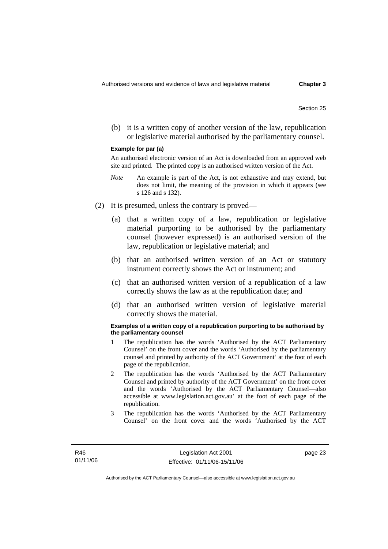(b) it is a written copy of another version of the law, republication or legislative material authorised by the parliamentary counsel.

#### **Example for par (a)**

An authorised electronic version of an Act is downloaded from an approved web site and printed. The printed copy is an authorised written version of the Act.

- *Note* An example is part of the Act, is not exhaustive and may extend, but does not limit, the meaning of the provision in which it appears (see s 126 and s 132).
- (2) It is presumed, unless the contrary is proved—
	- (a) that a written copy of a law, republication or legislative material purporting to be authorised by the parliamentary counsel (however expressed) is an authorised version of the law, republication or legislative material; and
	- (b) that an authorised written version of an Act or statutory instrument correctly shows the Act or instrument; and
	- (c) that an authorised written version of a republication of a law correctly shows the law as at the republication date; and
	- (d) that an authorised written version of legislative material correctly shows the material.

#### **Examples of a written copy of a republication purporting to be authorised by the parliamentary counsel**

- 1 The republication has the words 'Authorised by the ACT Parliamentary Counsel' on the front cover and the words 'Authorised by the parliamentary counsel and printed by authority of the ACT Government' at the foot of each page of the republication.
- 2 The republication has the words 'Authorised by the ACT Parliamentary Counsel and printed by authority of the ACT Government' on the front cover and the words 'Authorised by the ACT Parliamentary Counsel—also accessible at www.legislation.act.gov.au' at the foot of each page of the republication.
- 3 The republication has the words 'Authorised by the ACT Parliamentary Counsel' on the front cover and the words 'Authorised by the ACT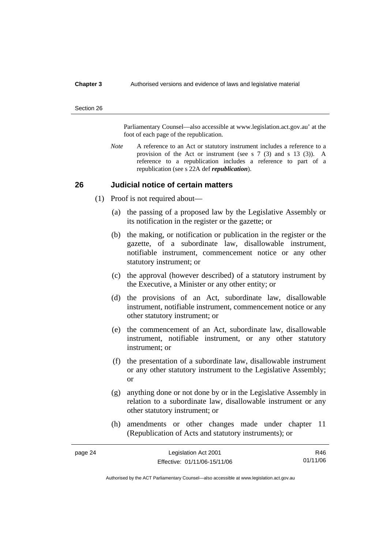#### **Chapter 3** Authorised versions and evidence of laws and legislative material

#### Section 26

Parliamentary Counsel—also accessible at www.legislation.act.gov.au' at the foot of each page of the republication.

*Note* A reference to an Act or statutory instrument includes a reference to a provision of the Act or instrument (see s 7 (3) and s 13 (3)). A reference to a republication includes a reference to part of a republication (see s 22A def *republication*).

### **26 Judicial notice of certain matters**

- (1) Proof is not required about—
	- (a) the passing of a proposed law by the Legislative Assembly or its notification in the register or the gazette; or
	- (b) the making, or notification or publication in the register or the gazette, of a subordinate law, disallowable instrument, notifiable instrument, commencement notice or any other statutory instrument; or
	- (c) the approval (however described) of a statutory instrument by the Executive, a Minister or any other entity; or
	- (d) the provisions of an Act, subordinate law, disallowable instrument, notifiable instrument, commencement notice or any other statutory instrument; or
	- (e) the commencement of an Act, subordinate law, disallowable instrument, notifiable instrument, or any other statutory instrument; or
	- (f) the presentation of a subordinate law, disallowable instrument or any other statutory instrument to the Legislative Assembly; or
	- (g) anything done or not done by or in the Legislative Assembly in relation to a subordinate law, disallowable instrument or any other statutory instrument; or
	- (h) amendments or other changes made under chapter 11 (Republication of Acts and statutory instruments); or

| page 24 | Legislation Act 2001         | R46      |
|---------|------------------------------|----------|
|         | Effective: 01/11/06-15/11/06 | 01/11/06 |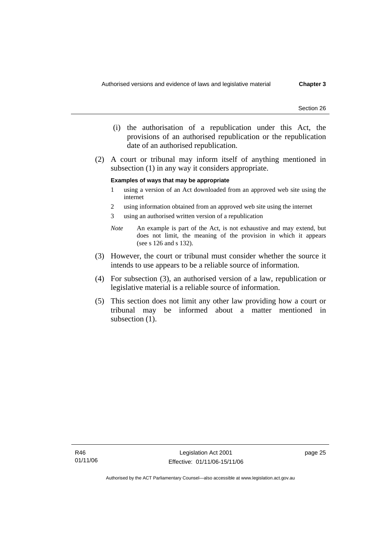- (i) the authorisation of a republication under this Act, the provisions of an authorised republication or the republication date of an authorised republication.
- (2) A court or tribunal may inform itself of anything mentioned in subsection (1) in any way it considers appropriate.

#### **Examples of ways that may be appropriate**

- 1 using a version of an Act downloaded from an approved web site using the internet
- 2 using information obtained from an approved web site using the internet
- 3 using an authorised written version of a republication
- *Note* An example is part of the Act, is not exhaustive and may extend, but does not limit, the meaning of the provision in which it appears (see s 126 and s 132).
- (3) However, the court or tribunal must consider whether the source it intends to use appears to be a reliable source of information.
- (4) For subsection (3), an authorised version of a law, republication or legislative material is a reliable source of information.
- (5) This section does not limit any other law providing how a court or tribunal may be informed about a matter mentioned in subsection  $(1)$ .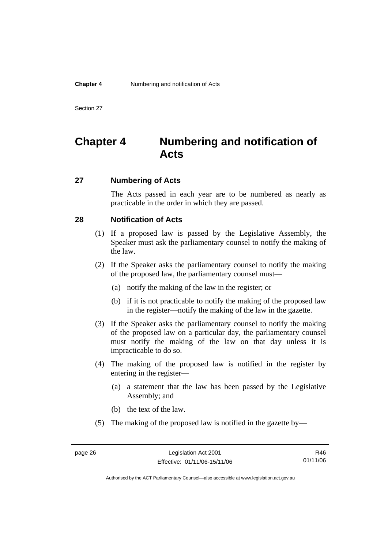# **Chapter 4 Numbering and notification of Acts**

# **27 Numbering of Acts**

The Acts passed in each year are to be numbered as nearly as practicable in the order in which they are passed.

# **28 Notification of Acts**

- (1) If a proposed law is passed by the Legislative Assembly, the Speaker must ask the parliamentary counsel to notify the making of the law.
- (2) If the Speaker asks the parliamentary counsel to notify the making of the proposed law, the parliamentary counsel must—
	- (a) notify the making of the law in the register; or
	- (b) if it is not practicable to notify the making of the proposed law in the register—notify the making of the law in the gazette.
- (3) If the Speaker asks the parliamentary counsel to notify the making of the proposed law on a particular day, the parliamentary counsel must notify the making of the law on that day unless it is impracticable to do so.
- (4) The making of the proposed law is notified in the register by entering in the register—
	- (a) a statement that the law has been passed by the Legislative Assembly; and
	- (b) the text of the law.
- (5) The making of the proposed law is notified in the gazette by—

R46 01/11/06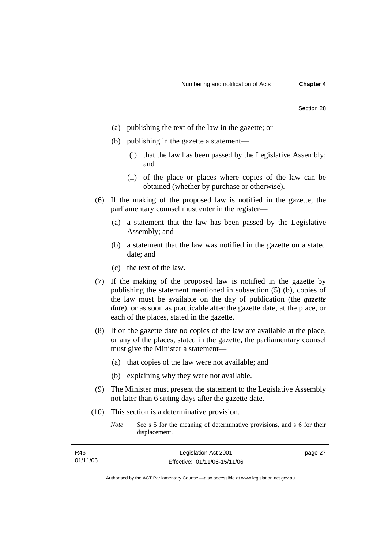| Section 28 |  |
|------------|--|
|            |  |

- (a) publishing the text of the law in the gazette; or
- (b) publishing in the gazette a statement—
	- (i) that the law has been passed by the Legislative Assembly; and
	- (ii) of the place or places where copies of the law can be obtained (whether by purchase or otherwise).
- (6) If the making of the proposed law is notified in the gazette, the parliamentary counsel must enter in the register—
	- (a) a statement that the law has been passed by the Legislative Assembly; and
	- (b) a statement that the law was notified in the gazette on a stated date; and
	- (c) the text of the law.
- (7) If the making of the proposed law is notified in the gazette by publishing the statement mentioned in subsection (5) (b), copies of the law must be available on the day of publication (the *gazette date*), or as soon as practicable after the gazette date, at the place, or each of the places, stated in the gazette.
- (8) If on the gazette date no copies of the law are available at the place, or any of the places, stated in the gazette, the parliamentary counsel must give the Minister a statement—
	- (a) that copies of the law were not available; and
	- (b) explaining why they were not available.
- (9) The Minister must present the statement to the Legislative Assembly not later than 6 sitting days after the gazette date.
- (10) This section is a determinative provision.
	- *Note* See s 5 for the meaning of determinative provisions, and s 6 for their displacement.

| R46      | Legislation Act 2001         | page 27 |
|----------|------------------------------|---------|
| 01/11/06 | Effective: 01/11/06-15/11/06 |         |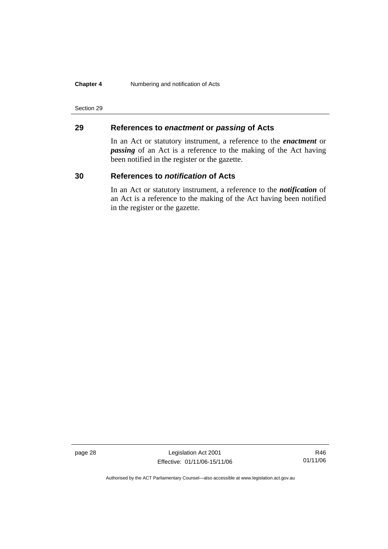### **Chapter 4** Numbering and notification of Acts

### Section 29

# **29 References to** *enactment* **or** *passing* **of Acts**

In an Act or statutory instrument, a reference to the *enactment* or *passing* of an Act is a reference to the making of the Act having been notified in the register or the gazette.

## **30 References to** *notification* **of Acts**

In an Act or statutory instrument, a reference to the *notification* of an Act is a reference to the making of the Act having been notified in the register or the gazette.

page 28 Legislation Act 2001 Effective: 01/11/06-15/11/06

R46 01/11/06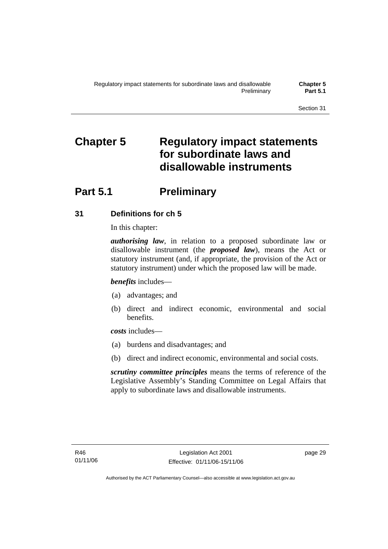# **Chapter 5 Regulatory impact statements for subordinate laws and disallowable instruments**

# **Part 5.1** Preliminary

# **31 Definitions for ch 5**

In this chapter:

*authorising law*, in relation to a proposed subordinate law or disallowable instrument (the *proposed law*), means the Act or statutory instrument (and, if appropriate, the provision of the Act or statutory instrument) under which the proposed law will be made.

*benefits* includes—

- (a) advantages; and
- (b) direct and indirect economic, environmental and social benefits.

*costs* includes—

- (a) burdens and disadvantages; and
- (b) direct and indirect economic, environmental and social costs.

*scrutiny committee principles* means the terms of reference of the Legislative Assembly's Standing Committee on Legal Affairs that apply to subordinate laws and disallowable instruments.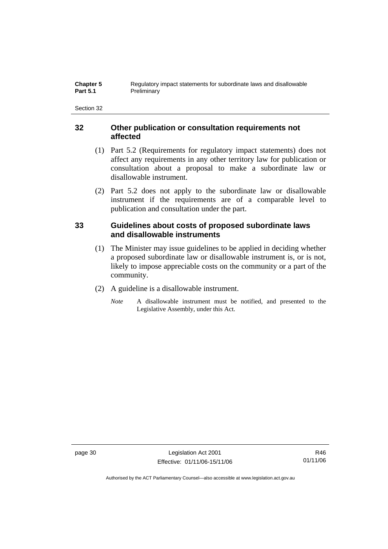# **32 Other publication or consultation requirements not affected**

- (1) Part 5.2 (Requirements for regulatory impact statements) does not affect any requirements in any other territory law for publication or consultation about a proposal to make a subordinate law or disallowable instrument.
- (2) Part 5.2 does not apply to the subordinate law or disallowable instrument if the requirements are of a comparable level to publication and consultation under the part.

# **33 Guidelines about costs of proposed subordinate laws and disallowable instruments**

- (1) The Minister may issue guidelines to be applied in deciding whether a proposed subordinate law or disallowable instrument is, or is not, likely to impose appreciable costs on the community or a part of the community.
- (2) A guideline is a disallowable instrument.
	- *Note* A disallowable instrument must be notified, and presented to the Legislative Assembly, under this Act.

page 30 Legislation Act 2001 Effective: 01/11/06-15/11/06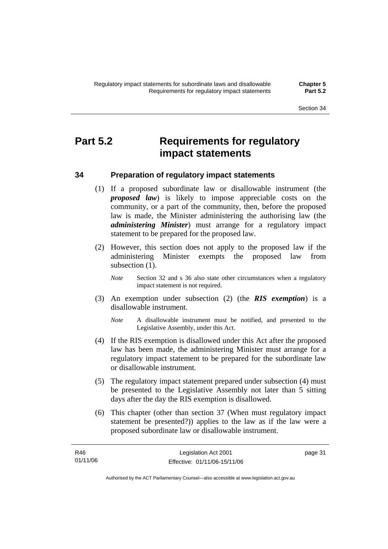# **Part 5.2 Requirements for regulatory impact statements**

# **34 Preparation of regulatory impact statements**

- (1) If a proposed subordinate law or disallowable instrument (the *proposed law*) is likely to impose appreciable costs on the community, or a part of the community, then, before the proposed law is made, the Minister administering the authorising law (the *administering Minister*) must arrange for a regulatory impact statement to be prepared for the proposed law.
- (2) However, this section does not apply to the proposed law if the administering Minister exempts the proposed law from subsection  $(1)$ .
	- *Note* Section 32 and s 36 also state other circumstances when a regulatory impact statement is not required.
- (3) An exemption under subsection (2) (the *RIS exemption*) is a disallowable instrument.
	- *Note* A disallowable instrument must be notified, and presented to the Legislative Assembly, under this Act.
- (4) If the RIS exemption is disallowed under this Act after the proposed law has been made, the administering Minister must arrange for a regulatory impact statement to be prepared for the subordinate law or disallowable instrument.
- (5) The regulatory impact statement prepared under subsection (4) must be presented to the Legislative Assembly not later than 5 sitting days after the day the RIS exemption is disallowed.
- (6) This chapter (other than section 37 (When must regulatory impact statement be presented?)) applies to the law as if the law were a proposed subordinate law or disallowable instrument.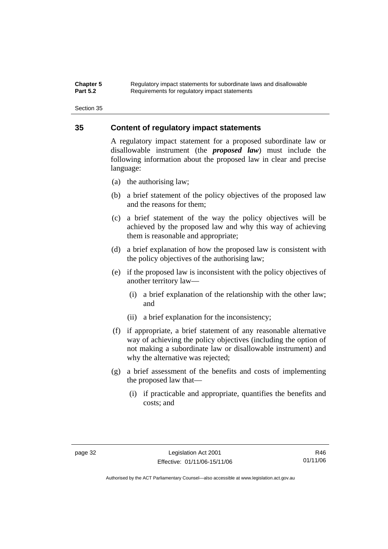### **Chapter 5** Regulatory impact statements for subordinate laws and disallowable<br>**Part 5.2** Requirements for requlatory impact statements Requirements for regulatory impact statements

Section 35

# **35 Content of regulatory impact statements**

A regulatory impact statement for a proposed subordinate law or disallowable instrument (the *proposed law*) must include the following information about the proposed law in clear and precise language:

- (a) the authorising law;
- (b) a brief statement of the policy objectives of the proposed law and the reasons for them;
- (c) a brief statement of the way the policy objectives will be achieved by the proposed law and why this way of achieving them is reasonable and appropriate;
- (d) a brief explanation of how the proposed law is consistent with the policy objectives of the authorising law;
- (e) if the proposed law is inconsistent with the policy objectives of another territory law—
	- (i) a brief explanation of the relationship with the other law; and
	- (ii) a brief explanation for the inconsistency;
- (f) if appropriate, a brief statement of any reasonable alternative way of achieving the policy objectives (including the option of not making a subordinate law or disallowable instrument) and why the alternative was rejected;
- (g) a brief assessment of the benefits and costs of implementing the proposed law that—
	- (i) if practicable and appropriate, quantifies the benefits and costs; and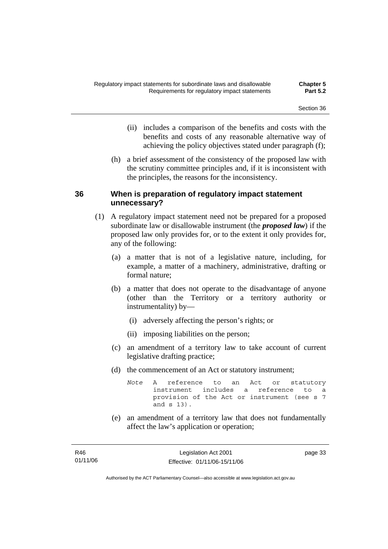- (ii) includes a comparison of the benefits and costs with the benefits and costs of any reasonable alternative way of achieving the policy objectives stated under paragraph (f);
- (h) a brief assessment of the consistency of the proposed law with the scrutiny committee principles and, if it is inconsistent with the principles, the reasons for the inconsistency.

# **36 When is preparation of regulatory impact statement unnecessary?**

- (1) A regulatory impact statement need not be prepared for a proposed subordinate law or disallowable instrument (the *proposed law*) if the proposed law only provides for, or to the extent it only provides for, any of the following:
	- (a) a matter that is not of a legislative nature, including, for example, a matter of a machinery, administrative, drafting or formal nature;
	- (b) a matter that does not operate to the disadvantage of anyone (other than the Territory or a territory authority or instrumentality) by—
		- (i) adversely affecting the person's rights; or
		- (ii) imposing liabilities on the person;
	- (c) an amendment of a territory law to take account of current legislative drafting practice;
	- (d) the commencement of an Act or statutory instrument;

*Note* A reference to an Act or statutory instrument includes a reference to a provision of the Act or instrument (see s 7 and s 13).

 (e) an amendment of a territory law that does not fundamentally affect the law's application or operation;

page 33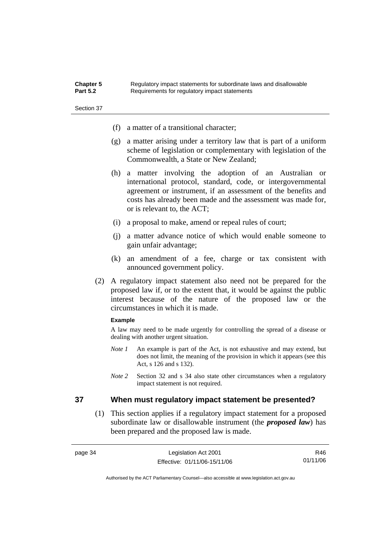| <b>Chapter 5</b> | Regulatory impact statements for subordinate laws and disallowable |
|------------------|--------------------------------------------------------------------|
| <b>Part 5.2</b>  | Requirements for regulatory impact statements                      |

- (f) a matter of a transitional character;
- (g) a matter arising under a territory law that is part of a uniform scheme of legislation or complementary with legislation of the Commonwealth, a State or New Zealand;
- (h) a matter involving the adoption of an Australian or international protocol, standard, code, or intergovernmental agreement or instrument, if an assessment of the benefits and costs has already been made and the assessment was made for, or is relevant to, the ACT;
- (i) a proposal to make, amend or repeal rules of court;
- (j) a matter advance notice of which would enable someone to gain unfair advantage;
- (k) an amendment of a fee, charge or tax consistent with announced government policy.
- (2) A regulatory impact statement also need not be prepared for the proposed law if, or to the extent that, it would be against the public interest because of the nature of the proposed law or the circumstances in which it is made.

### **Example**

A law may need to be made urgently for controlling the spread of a disease or dealing with another urgent situation.

- *Note 1* An example is part of the Act, is not exhaustive and may extend, but does not limit, the meaning of the provision in which it appears (see this Act, s 126 and s 132).
- *Note* 2 Section 32 and s 34 also state other circumstances when a regulatory impact statement is not required.

# **37 When must regulatory impact statement be presented?**

 (1) This section applies if a regulatory impact statement for a proposed subordinate law or disallowable instrument (the *proposed law*) has been prepared and the proposed law is made.

| page 34 | Legislation Act 2001 |
|---------|----------------------|
|         | $TH_{2}$             |

R46 01/11/06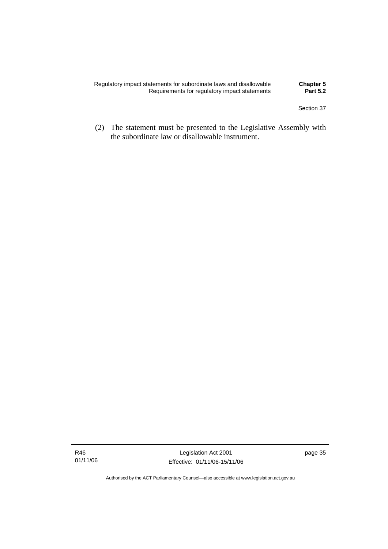| Regulatory impact statements for subordinate laws and disallowable<br>Requirements for regulatory impact statements | <b>Chapter 5</b><br><b>Part 5.2</b> |
|---------------------------------------------------------------------------------------------------------------------|-------------------------------------|
|                                                                                                                     |                                     |

 (2) The statement must be presented to the Legislative Assembly with the subordinate law or disallowable instrument.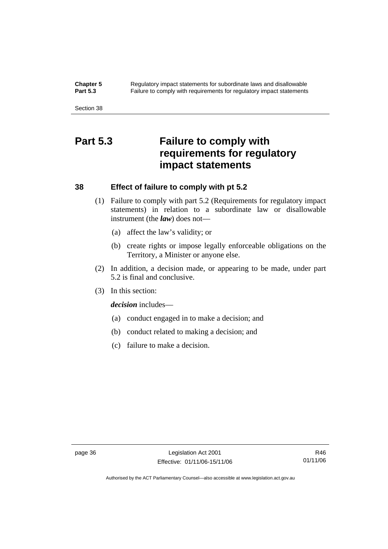**Chapter 5** Regulatory impact statements for subordinate laws and disallowable<br>**Part 5.3** Failure to comply with requirements for requilatory impact statements Failure to comply with requirements for regulatory impact statements

Section 38

# **Part 5.3 Failure to comply with requirements for regulatory impact statements**

# **38 Effect of failure to comply with pt 5.2**

- (1) Failure to comply with part 5.2 (Requirements for regulatory impact statements) in relation to a subordinate law or disallowable instrument (the *law*) does not—
	- (a) affect the law's validity; or
	- (b) create rights or impose legally enforceable obligations on the Territory, a Minister or anyone else.
- (2) In addition, a decision made, or appearing to be made, under part 5.2 is final and conclusive.
- (3) In this section:

*decision* includes—

- (a) conduct engaged in to make a decision; and
- (b) conduct related to making a decision; and
- (c) failure to make a decision.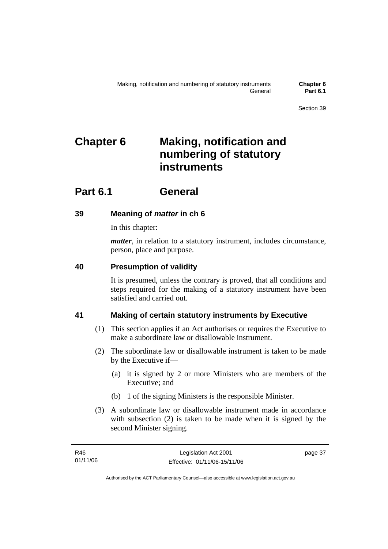# **Chapter 6 Making, notification and numbering of statutory instruments**

# **Part 6.1 General**

# **39 Meaning of** *matter* **in ch 6**

In this chapter:

*matter*, in relation to a statutory instrument, includes circumstance, person, place and purpose.

# **40 Presumption of validity**

It is presumed, unless the contrary is proved, that all conditions and steps required for the making of a statutory instrument have been satisfied and carried out.

# **41 Making of certain statutory instruments by Executive**

- (1) This section applies if an Act authorises or requires the Executive to make a subordinate law or disallowable instrument.
- (2) The subordinate law or disallowable instrument is taken to be made by the Executive if—
	- (a) it is signed by 2 or more Ministers who are members of the Executive; and
	- (b) 1 of the signing Ministers is the responsible Minister.
- (3) A subordinate law or disallowable instrument made in accordance with subsection (2) is taken to be made when it is signed by the second Minister signing.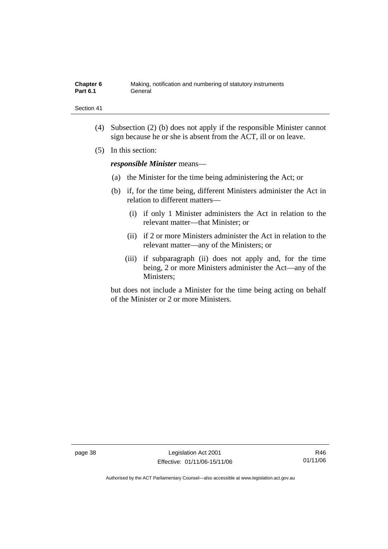| Chapter 6       | Making, notification and numbering of statutory instruments |
|-----------------|-------------------------------------------------------------|
| <b>Part 6.1</b> | General                                                     |

- (4) Subsection (2) (b) does not apply if the responsible Minister cannot sign because he or she is absent from the ACT, ill or on leave.
- (5) In this section:

*responsible Minister* means—

- (a) the Minister for the time being administering the Act; or
- (b) if, for the time being, different Ministers administer the Act in relation to different matters—
	- (i) if only 1 Minister administers the Act in relation to the relevant matter—that Minister; or
	- (ii) if 2 or more Ministers administer the Act in relation to the relevant matter—any of the Ministers; or
	- (iii) if subparagraph (ii) does not apply and, for the time being, 2 or more Ministers administer the Act—any of the Ministers;

but does not include a Minister for the time being acting on behalf of the Minister or 2 or more Ministers.

page 38 Legislation Act 2001 Effective: 01/11/06-15/11/06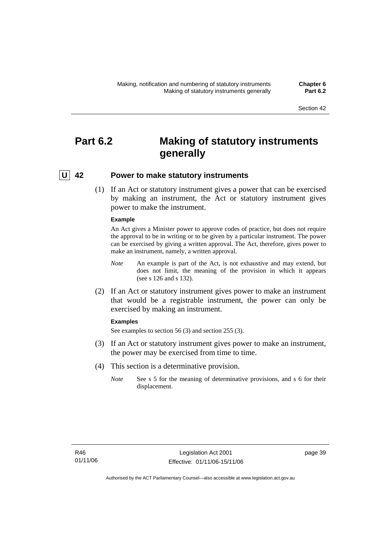# **Part 6.2 Making of statutory instruments generally**

# **U 42 Power to make statutory instruments**

 (1) If an Act or statutory instrument gives a power that can be exercised by making an instrument, the Act or statutory instrument gives power to make the instrument.

#### **Example**

An Act gives a Minister power to approve codes of practice, but does not require the approval to be in writing or to be given by a particular instrument. The power can be exercised by giving a written approval. The Act, therefore, gives power to make an instrument, namely, a written approval.

- *Note* An example is part of the Act, is not exhaustive and may extend, but does not limit, the meaning of the provision in which it appears (see s 126 and s 132).
- (2) If an Act or statutory instrument gives power to make an instrument that would be a registrable instrument, the power can only be exercised by making an instrument.

#### **Examples**

See examples to section 56 (3) and section 255 (3).

- (3) If an Act or statutory instrument gives power to make an instrument, the power may be exercised from time to time.
- (4) This section is a determinative provision.
	- *Note* See s 5 for the meaning of determinative provisions, and s 6 for their displacement.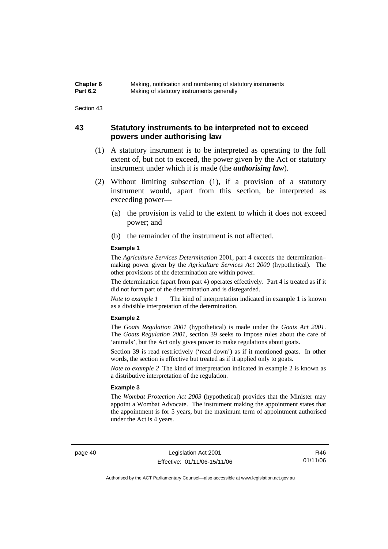| Chapter 6       | Making, notification and numbering of statutory instruments |
|-----------------|-------------------------------------------------------------|
| <b>Part 6.2</b> | Making of statutory instruments generally                   |

# **43 Statutory instruments to be interpreted not to exceed powers under authorising law**

- (1) A statutory instrument is to be interpreted as operating to the full extent of, but not to exceed, the power given by the Act or statutory instrument under which it is made (the *authorising law*).
- (2) Without limiting subsection (1), if a provision of a statutory instrument would, apart from this section, be interpreted as exceeding power—
	- (a) the provision is valid to the extent to which it does not exceed power; and
	- (b) the remainder of the instrument is not affected.

#### **Example 1**

The *Agriculture Services Determination* 2001, part 4 exceeds the determination– making power given by the *Agriculture Services Act 2000* (hypothetical). The other provisions of the determination are within power.

The determination (apart from part 4) operates effectively. Part 4 is treated as if it did not form part of the determination and is disregarded.

*Note to example 1* The kind of interpretation indicated in example 1 is known as a divisible interpretation of the determination.

#### **Example 2**

The *Goats Regulation 2001* (hypothetical) is made under the *Goats Act 2001*. The *Goats Regulation 2001*, section 39 seeks to impose rules about the care of 'animals', but the Act only gives power to make regulations about goats.

Section 39 is read restrictively ('read down') as if it mentioned goats. In other words, the section is effective but treated as if it applied only to goats.

*Note to example 2* The kind of interpretation indicated in example 2 is known as a distributive interpretation of the regulation.

#### **Example 3**

The *Wombat Protection Act 2003* (hypothetical) provides that the Minister may appoint a Wombat Advocate. The instrument making the appointment states that the appointment is for 5 years, but the maximum term of appointment authorised under the Act is 4 years.

page 40 Legislation Act 2001 Effective: 01/11/06-15/11/06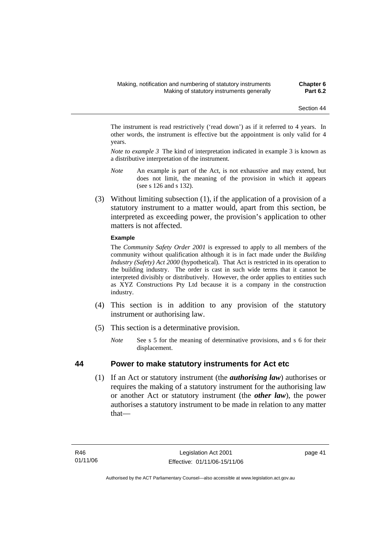The instrument is read restrictively ('read down') as if it referred to 4 years. In other words, the instrument is effective but the appointment is only valid for 4 years.

*Note to example 3* The kind of interpretation indicated in example 3 is known as a distributive interpretation of the instrument.

- *Note* An example is part of the Act, is not exhaustive and may extend, but does not limit, the meaning of the provision in which it appears (see s 126 and s 132).
- (3) Without limiting subsection (1), if the application of a provision of a statutory instrument to a matter would, apart from this section, be interpreted as exceeding power, the provision's application to other matters is not affected.

### **Example**

The *Community Safety Order 2001* is expressed to apply to all members of the community without qualification although it is in fact made under the *Building Industry (Safety) Act 2000* (hypothetical). That Act is restricted in its operation to the building industry. The order is cast in such wide terms that it cannot be interpreted divisibly or distributively. However, the order applies to entities such as XYZ Constructions Pty Ltd because it is a company in the construction industry.

- (4) This section is in addition to any provision of the statutory instrument or authorising law.
- (5) This section is a determinative provision.
	- *Note* See s 5 for the meaning of determinative provisions, and s 6 for their displacement.

# **44 Power to make statutory instruments for Act etc**

 (1) If an Act or statutory instrument (the *authorising law*) authorises or requires the making of a statutory instrument for the authorising law or another Act or statutory instrument (the *other law*), the power authorises a statutory instrument to be made in relation to any matter that—

page 41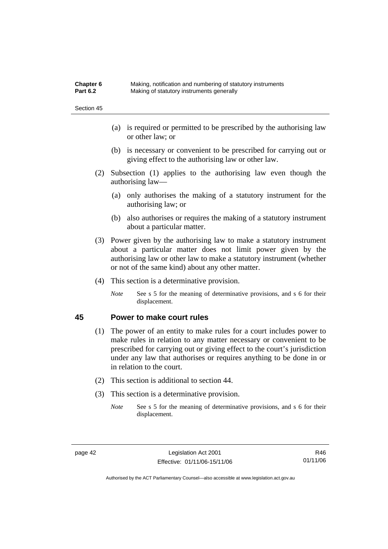| Chapter 6       | Making, notification and numbering of statutory instruments |
|-----------------|-------------------------------------------------------------|
| <b>Part 6.2</b> | Making of statutory instruments generally                   |

- (a) is required or permitted to be prescribed by the authorising law or other law; or
- (b) is necessary or convenient to be prescribed for carrying out or giving effect to the authorising law or other law.
- (2) Subsection (1) applies to the authorising law even though the authorising law—
	- (a) only authorises the making of a statutory instrument for the authorising law; or
	- (b) also authorises or requires the making of a statutory instrument about a particular matter.
- (3) Power given by the authorising law to make a statutory instrument about a particular matter does not limit power given by the authorising law or other law to make a statutory instrument (whether or not of the same kind) about any other matter.
- (4) This section is a determinative provision.
	- *Note* See s 5 for the meaning of determinative provisions, and s 6 for their displacement.

## **45 Power to make court rules**

- (1) The power of an entity to make rules for a court includes power to make rules in relation to any matter necessary or convenient to be prescribed for carrying out or giving effect to the court's jurisdiction under any law that authorises or requires anything to be done in or in relation to the court.
- (2) This section is additional to section 44.
- (3) This section is a determinative provision.
	- *Note* See s 5 for the meaning of determinative provisions, and s 6 for their displacement.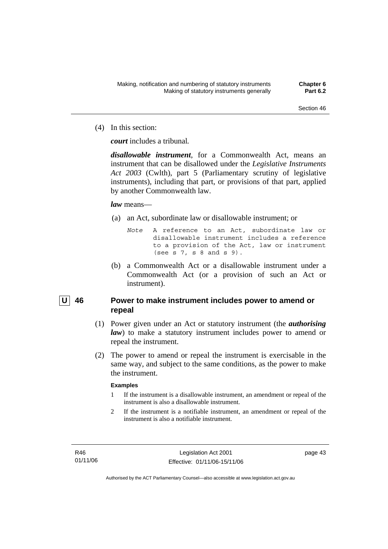(4) In this section:

*court* includes a tribunal*.*

*disallowable instrument*, for a Commonwealth Act, means an instrument that can be disallowed under the *Legislative Instruments Act 2003* (Cwlth), part 5 (Parliamentary scrutiny of legislative instruments), including that part, or provisions of that part, applied by another Commonwealth law.

## *law* means—

- (a) an Act, subordinate law or disallowable instrument; or
	- *Note* A reference to an Act, subordinate law or disallowable instrument includes a reference to a provision of the Act, law or instrument (see s 7, s 8 and s 9).
- (b) a Commonwealth Act or a disallowable instrument under a Commonwealth Act (or a provision of such an Act or instrument).

# | U | 46 Power to make instrument includes power to amend or **repeal**

- (1) Power given under an Act or statutory instrument (the *authorising law*) to make a statutory instrument includes power to amend or repeal the instrument.
- (2) The power to amend or repeal the instrument is exercisable in the same way, and subject to the same conditions, as the power to make the instrument.

# **Examples**

- 1 If the instrument is a disallowable instrument, an amendment or repeal of the instrument is also a disallowable instrument.
- 2 If the instrument is a notifiable instrument, an amendment or repeal of the instrument is also a notifiable instrument.

R46 01/11/06 page 43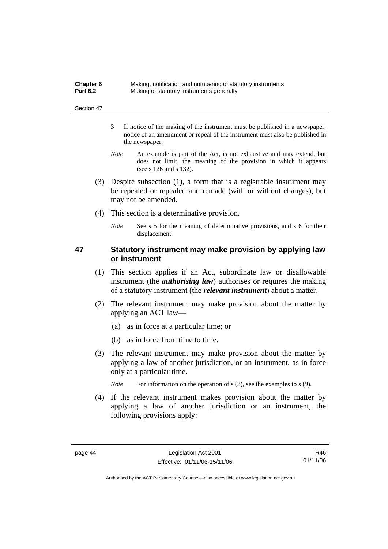| Chapter 6       | Making, notification and numbering of statutory instruments |
|-----------------|-------------------------------------------------------------|
| <b>Part 6.2</b> | Making of statutory instruments generally                   |

- 3 If notice of the making of the instrument must be published in a newspaper, notice of an amendment or repeal of the instrument must also be published in the newspaper.
- *Note* An example is part of the Act, is not exhaustive and may extend, but does not limit, the meaning of the provision in which it appears (see s 126 and s 132).
- (3) Despite subsection (1), a form that is a registrable instrument may be repealed or repealed and remade (with or without changes), but may not be amended.
- (4) This section is a determinative provision.
	- *Note* See s 5 for the meaning of determinative provisions, and s 6 for their displacement.

# **47 Statutory instrument may make provision by applying law or instrument**

- (1) This section applies if an Act, subordinate law or disallowable instrument (the *authorising law*) authorises or requires the making of a statutory instrument (the *relevant instrument*) about a matter.
- (2) The relevant instrument may make provision about the matter by applying an ACT law—
	- (a) as in force at a particular time; or
	- (b) as in force from time to time.
- (3) The relevant instrument may make provision about the matter by applying a law of another jurisdiction, or an instrument, as in force only at a particular time.

*Note* For information on the operation of s (3), see the examples to s (9).

 (4) If the relevant instrument makes provision about the matter by applying a law of another jurisdiction or an instrument, the following provisions apply: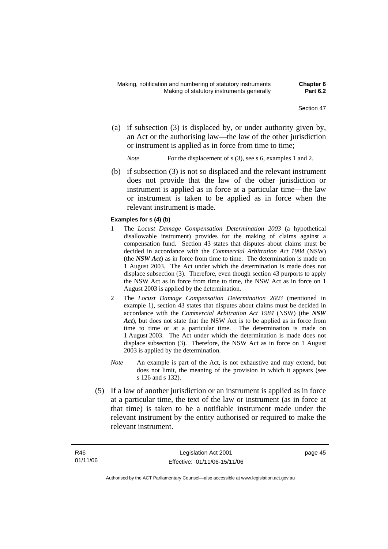- (a) if subsection (3) is displaced by, or under authority given by, an Act or the authorising law—the law of the other jurisdiction or instrument is applied as in force from time to time;
	- *Note* For the displacement of s (3), see s 6, examples 1 and 2.
- (b) if subsection (3) is not so displaced and the relevant instrument does not provide that the law of the other jurisdiction or instrument is applied as in force at a particular time—the law or instrument is taken to be applied as in force when the relevant instrument is made.

### **Examples for s (4) (b)**

- 1 The *Locust Damage Compensation Determination 2003* (a hypothetical disallowable instrument) provides for the making of claims against a compensation fund. Section 43 states that disputes about claims must be decided in accordance with the *Commercial Arbitration Act 1984* (NSW) (the *NSW Act*) as in force from time to time. The determination is made on 1 August 2003. The Act under which the determination is made does not displace subsection (3). Therefore, even though section 43 purports to apply the NSW Act as in force from time to time, the NSW Act as in force on 1 August 2003 is applied by the determination.
- 2 The *Locust Damage Compensation Determination 2003* (mentioned in example 1), section 43 states that disputes about claims must be decided in accordance with the *Commercial Arbitration Act 1984* (NSW) (the *NSW Act*), but does not state that the NSW Act is to be applied as in force from time to time or at a particular time. The determination is made on 1 August 2003. The Act under which the determination is made does not displace subsection (3). Therefore, the NSW Act as in force on 1 August 2003 is applied by the determination.
- *Note* An example is part of the Act, is not exhaustive and may extend, but does not limit, the meaning of the provision in which it appears (see s 126 and s 132).
- (5) If a law of another jurisdiction or an instrument is applied as in force at a particular time, the text of the law or instrument (as in force at that time) is taken to be a notifiable instrument made under the relevant instrument by the entity authorised or required to make the relevant instrument.

page 45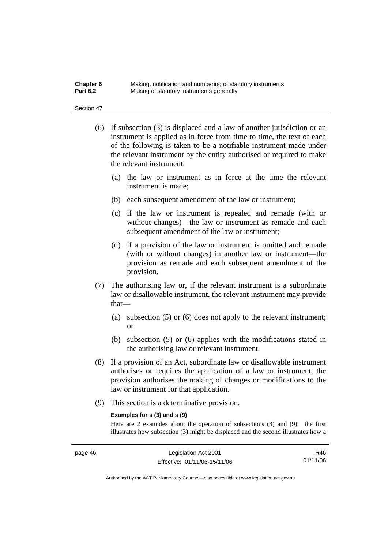| Chapter 6       | Making, notification and numbering of statutory instruments |
|-----------------|-------------------------------------------------------------|
| <b>Part 6.2</b> | Making of statutory instruments generally                   |

- (6) If subsection (3) is displaced and a law of another jurisdiction or an instrument is applied as in force from time to time, the text of each of the following is taken to be a notifiable instrument made under the relevant instrument by the entity authorised or required to make the relevant instrument:
	- (a) the law or instrument as in force at the time the relevant instrument is made;
	- (b) each subsequent amendment of the law or instrument;
	- (c) if the law or instrument is repealed and remade (with or without changes)—the law or instrument as remade and each subsequent amendment of the law or instrument;
	- (d) if a provision of the law or instrument is omitted and remade (with or without changes) in another law or instrument—the provision as remade and each subsequent amendment of the provision.
- (7) The authorising law or, if the relevant instrument is a subordinate law or disallowable instrument, the relevant instrument may provide that—
	- (a) subsection (5) or (6) does not apply to the relevant instrument; or
	- (b) subsection (5) or (6) applies with the modifications stated in the authorising law or relevant instrument.
- (8) If a provision of an Act, subordinate law or disallowable instrument authorises or requires the application of a law or instrument, the provision authorises the making of changes or modifications to the law or instrument for that application.
- (9) This section is a determinative provision.

#### **Examples for s (3) and s (9)**

Here are 2 examples about the operation of subsections (3) and (9): the first illustrates how subsection (3) might be displaced and the second illustrates how a

R46 01/11/06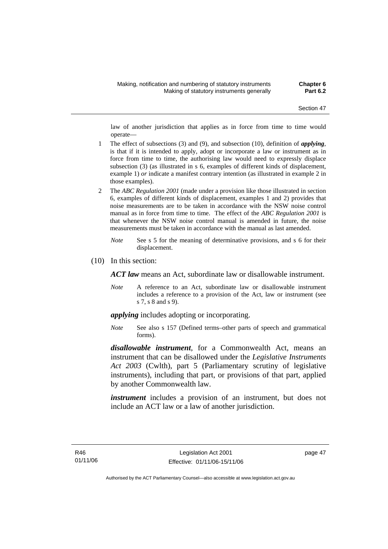law of another jurisdiction that applies as in force from time to time would operate—

- 1 The effect of subsections (3) and (9), and subsection (10), definition of *applying*, is that if it is intended to apply, adopt or incorporate a law or instrument as in force from time to time, the authorising law would need to expressly displace subsection (3) (as illustrated in s 6, examples of different kinds of displacement, example 1) *or* indicate a manifest contrary intention (as illustrated in example 2 in those examples).
- 2 The *ABC Regulation 2001* (made under a provision like those illustrated in section 6, examples of different kinds of displacement, examples 1 and 2) provides that noise measurements are to be taken in accordance with the NSW noise control manual as in force from time to time. The effect of the *ABC Regulation 2001* is that whenever the NSW noise control manual is amended in future, the noise measurements must be taken in accordance with the manual as last amended.
	- *Note* See s 5 for the meaning of determinative provisions, and s 6 for their displacement.
- (10) In this section:

*ACT law* means an Act, subordinate law or disallowable instrument.

*Note* A reference to an Act, subordinate law or disallowable instrument includes a reference to a provision of the Act, law or instrument (see s 7, s 8 and s 9).

*applying* includes adopting or incorporating.

*Note* See also s 157 (Defined terms–other parts of speech and grammatical forms).

*disallowable instrument*, for a Commonwealth Act, means an instrument that can be disallowed under the *Legislative Instruments Act 2003* (Cwlth), part 5 (Parliamentary scrutiny of legislative instruments), including that part, or provisions of that part, applied by another Commonwealth law.

*instrument* includes a provision of an instrument, but does not include an ACT law or a law of another jurisdiction.

page 47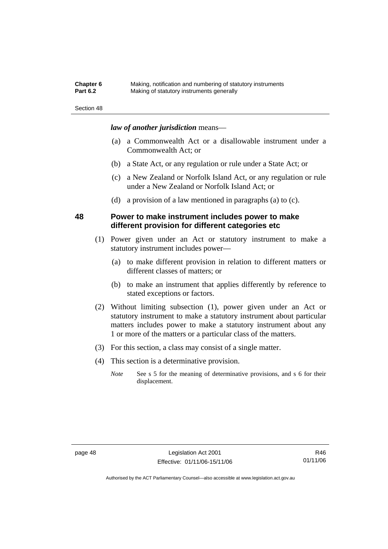| <b>Chapter 6</b> | Making, notification and numbering of statutory instruments |
|------------------|-------------------------------------------------------------|
| <b>Part 6.2</b>  | Making of statutory instruments generally                   |

### *law of another jurisdiction* means—

- (a) a Commonwealth Act or a disallowable instrument under a Commonwealth Act; or
- (b) a State Act, or any regulation or rule under a State Act; or
- (c) a New Zealand or Norfolk Island Act, or any regulation or rule under a New Zealand or Norfolk Island Act; or
- (d) a provision of a law mentioned in paragraphs (a) to (c).

## **48 Power to make instrument includes power to make different provision for different categories etc**

- (1) Power given under an Act or statutory instrument to make a statutory instrument includes power—
	- (a) to make different provision in relation to different matters or different classes of matters; or
	- (b) to make an instrument that applies differently by reference to stated exceptions or factors.
- (2) Without limiting subsection (1), power given under an Act or statutory instrument to make a statutory instrument about particular matters includes power to make a statutory instrument about any 1 or more of the matters or a particular class of the matters.
- (3) For this section, a class may consist of a single matter.
- (4) This section is a determinative provision.
	- *Note* See s 5 for the meaning of determinative provisions, and s 6 for their displacement.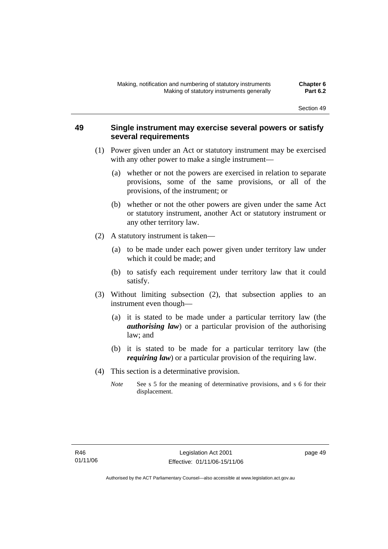# **49 Single instrument may exercise several powers or satisfy several requirements**

- (1) Power given under an Act or statutory instrument may be exercised with any other power to make a single instrument—
	- (a) whether or not the powers are exercised in relation to separate provisions, some of the same provisions, or all of the provisions, of the instrument; or
	- (b) whether or not the other powers are given under the same Act or statutory instrument, another Act or statutory instrument or any other territory law.
- (2) A statutory instrument is taken—
	- (a) to be made under each power given under territory law under which it could be made; and
	- (b) to satisfy each requirement under territory law that it could satisfy.
- (3) Without limiting subsection (2), that subsection applies to an instrument even though—
	- (a) it is stated to be made under a particular territory law (the *authorising law*) or a particular provision of the authorising law; and
	- (b) it is stated to be made for a particular territory law (the *requiring law*) or a particular provision of the requiring law.
- (4) This section is a determinative provision.
	- *Note* See s 5 for the meaning of determinative provisions, and s 6 for their displacement.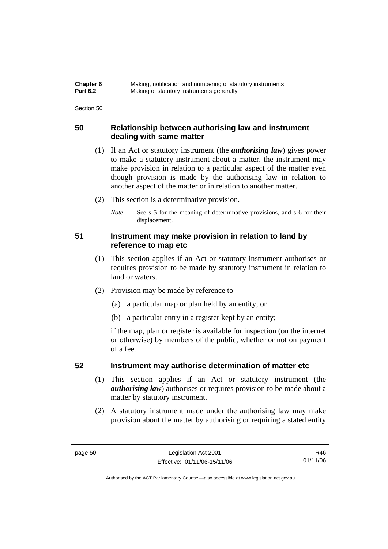| Chapter 6       | Making, notification and numbering of statutory instruments |
|-----------------|-------------------------------------------------------------|
| <b>Part 6.2</b> | Making of statutory instruments generally                   |

# **50 Relationship between authorising law and instrument dealing with same matter**

- (1) If an Act or statutory instrument (the *authorising law*) gives power to make a statutory instrument about a matter, the instrument may make provision in relation to a particular aspect of the matter even though provision is made by the authorising law in relation to another aspect of the matter or in relation to another matter.
- (2) This section is a determinative provision.
	- *Note* See s 5 for the meaning of determinative provisions, and s 6 for their displacement.

# **51 Instrument may make provision in relation to land by reference to map etc**

- (1) This section applies if an Act or statutory instrument authorises or requires provision to be made by statutory instrument in relation to land or waters.
- (2) Provision may be made by reference to—
	- (a) a particular map or plan held by an entity; or
	- (b) a particular entry in a register kept by an entity;

if the map, plan or register is available for inspection (on the internet or otherwise) by members of the public, whether or not on payment of a fee.

# **52 Instrument may authorise determination of matter etc**

- (1) This section applies if an Act or statutory instrument (the *authorising law*) authorises or requires provision to be made about a matter by statutory instrument.
- (2) A statutory instrument made under the authorising law may make provision about the matter by authorising or requiring a stated entity

R46 01/11/06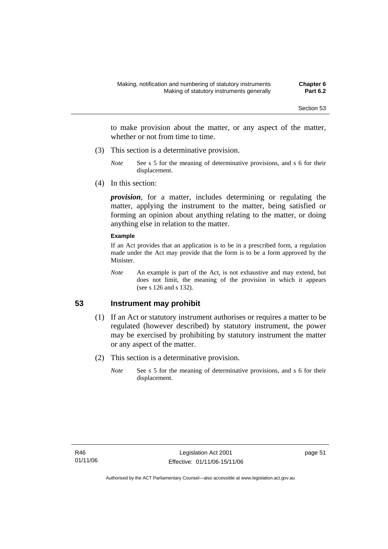to make provision about the matter, or any aspect of the matter, whether or not from time to time.

- (3) This section is a determinative provision.
	- *Note* See s 5 for the meaning of determinative provisions, and s 6 for their displacement.
- (4) In this section:

*provision*, for a matter, includes determining or regulating the matter, applying the instrument to the matter, being satisfied or forming an opinion about anything relating to the matter, or doing anything else in relation to the matter.

#### **Example**

If an Act provides that an application is to be in a prescribed form, a regulation made under the Act may provide that the form is to be a form approved by the Minister.

*Note* An example is part of the Act, is not exhaustive and may extend, but does not limit, the meaning of the provision in which it appears (see s 126 and s 132).

# **53 Instrument may prohibit**

- (1) If an Act or statutory instrument authorises or requires a matter to be regulated (however described) by statutory instrument, the power may be exercised by prohibiting by statutory instrument the matter or any aspect of the matter.
- (2) This section is a determinative provision.
	- *Note* See s 5 for the meaning of determinative provisions, and s 6 for their displacement.

page 51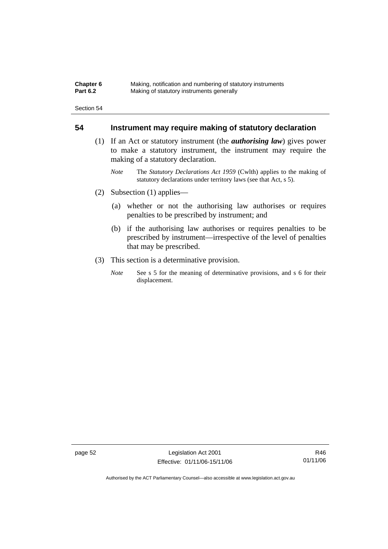| Chapter 6       | Making, notification and numbering of statutory instruments |
|-----------------|-------------------------------------------------------------|
| <b>Part 6.2</b> | Making of statutory instruments generally                   |

# **54 Instrument may require making of statutory declaration**

- (1) If an Act or statutory instrument (the *authorising law*) gives power to make a statutory instrument, the instrument may require the making of a statutory declaration.
	- *Note* The *Statutory Declarations Act 1959* (Cwlth) applies to the making of statutory declarations under territory laws (see that Act, s 5).
- (2) Subsection (1) applies—
	- (a) whether or not the authorising law authorises or requires penalties to be prescribed by instrument; and
	- (b) if the authorising law authorises or requires penalties to be prescribed by instrument—irrespective of the level of penalties that may be prescribed.
- (3) This section is a determinative provision.
	- *Note* See s 5 for the meaning of determinative provisions, and s 6 for their displacement.

page 52 Legislation Act 2001 Effective: 01/11/06-15/11/06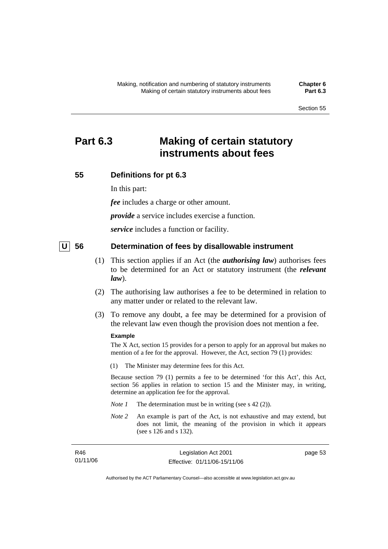# **Part 6.3 Making of certain statutory instruments about fees**

# **55 Definitions for pt 6.3**

In this part:

*fee* includes a charge or other amount.

*provide* a service includes exercise a function.

*service* includes a function or facility.

# **U** 56 Determination of fees by disallowable instrument

- (1) This section applies if an Act (the *authorising law*) authorises fees to be determined for an Act or statutory instrument (the *relevant law*).
- (2) The authorising law authorises a fee to be determined in relation to any matter under or related to the relevant law.
- (3) To remove any doubt, a fee may be determined for a provision of the relevant law even though the provision does not mention a fee.

#### **Example**

The X Act, section 15 provides for a person to apply for an approval but makes no mention of a fee for the approval. However, the Act, section 79 (1) provides:

(1) The Minister may determine fees for this Act.

Because section 79 (1) permits a fee to be determined 'for this Act', this Act, section 56 applies in relation to section 15 and the Minister may, in writing, determine an application fee for the approval.

- *Note 1* The determination must be in writing (see s 42 (2)).
- *Note 2* An example is part of the Act, is not exhaustive and may extend, but does not limit, the meaning of the provision in which it appears (see s 126 and s 132).

| R46      | Legislation Act 2001         | page 53 |
|----------|------------------------------|---------|
| 01/11/06 | Effective: 01/11/06-15/11/06 |         |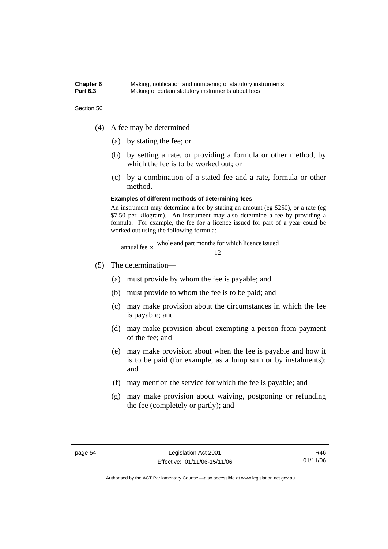#### **Chapter 6** Making, notification and numbering of statutory instruments<br>**Part 6.3** Making of certain statutory instruments about fees Making of certain statutory instruments about fees

Section 56

- (4) A fee may be determined—
	- (a) by stating the fee; or
	- (b) by setting a rate, or providing a formula or other method, by which the fee is to be worked out; or
	- (c) by a combination of a stated fee and a rate, formula or other method.

#### **Examples of different methods of determining fees**

An instrument may determine a fee by stating an amount (eg \$250), or a rate (eg \$7.50 per kilogram). An instrument may also determine a fee by providing a formula. For example, the fee for a licence issued for part of a year could be worked out using the following formula:

$$
annual fee \times \frac{\text{whole and part months for which licence issued}}{12}
$$

- (5) The determination—
	- (a) must provide by whom the fee is payable; and
	- (b) must provide to whom the fee is to be paid; and
	- (c) may make provision about the circumstances in which the fee is payable; and
	- (d) may make provision about exempting a person from payment of the fee; and
	- (e) may make provision about when the fee is payable and how it is to be paid (for example, as a lump sum or by instalments); and
	- (f) may mention the service for which the fee is payable; and
	- (g) may make provision about waiving, postponing or refunding the fee (completely or partly); and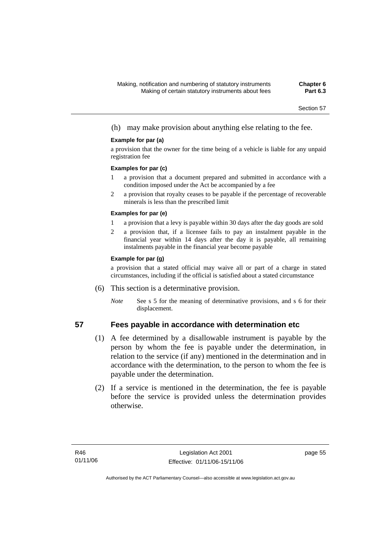(h) may make provision about anything else relating to the fee.

### **Example for par (a)**

a provision that the owner for the time being of a vehicle is liable for any unpaid registration fee

### **Examples for par (c)**

- 1 a provision that a document prepared and submitted in accordance with a condition imposed under the Act be accompanied by a fee
- 2 a provision that royalty ceases to be payable if the percentage of recoverable minerals is less than the prescribed limit

### **Examples for par (e)**

- 1 a provision that a levy is payable within 30 days after the day goods are sold
- 2 a provision that, if a licensee fails to pay an instalment payable in the financial year within 14 days after the day it is payable, all remaining instalments payable in the financial year become payable

### **Example for par (g)**

a provision that a stated official may waive all or part of a charge in stated circumstances, including if the official is satisfied about a stated circumstance

- (6) This section is a determinative provision.
	- *Note* See s 5 for the meaning of determinative provisions, and s 6 for their displacement.

# **57 Fees payable in accordance with determination etc**

- (1) A fee determined by a disallowable instrument is payable by the person by whom the fee is payable under the determination, in relation to the service (if any) mentioned in the determination and in accordance with the determination, to the person to whom the fee is payable under the determination.
- (2) If a service is mentioned in the determination, the fee is payable before the service is provided unless the determination provides otherwise.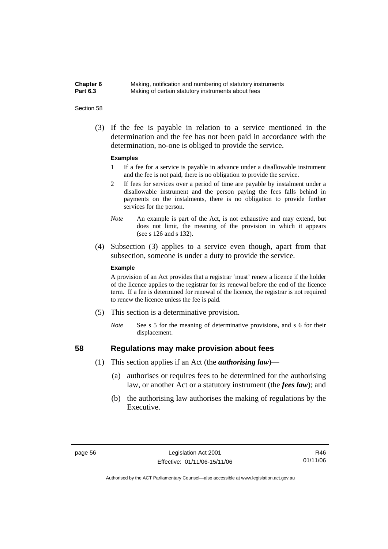**Chapter 6** Making, notification and numbering of statutory instruments<br>**Part 6.3** Making of certain statutory instruments about fees Making of certain statutory instruments about fees

#### Section 58

 (3) If the fee is payable in relation to a service mentioned in the determination and the fee has not been paid in accordance with the determination, no-one is obliged to provide the service.

#### **Examples**

- 1 If a fee for a service is payable in advance under a disallowable instrument and the fee is not paid, there is no obligation to provide the service.
- 2 If fees for services over a period of time are payable by instalment under a disallowable instrument and the person paying the fees falls behind in payments on the instalments, there is no obligation to provide further services for the person.
- *Note* An example is part of the Act, is not exhaustive and may extend, but does not limit, the meaning of the provision in which it appears (see s 126 and s 132).
- (4) Subsection (3) applies to a service even though, apart from that subsection, someone is under a duty to provide the service.

#### **Example**

A provision of an Act provides that a registrar 'must' renew a licence if the holder of the licence applies to the registrar for its renewal before the end of the licence term. If a fee is determined for renewal of the licence, the registrar is not required to renew the licence unless the fee is paid.

- (5) This section is a determinative provision.
	- *Note* See s 5 for the meaning of determinative provisions, and s 6 for their displacement.

- **58 Regulations may make provision about fees** 
	- (1) This section applies if an Act (the *authorising law*)—
		- (a) authorises or requires fees to be determined for the authorising law, or another Act or a statutory instrument (the *fees law*); and
		- (b) the authorising law authorises the making of regulations by the Executive.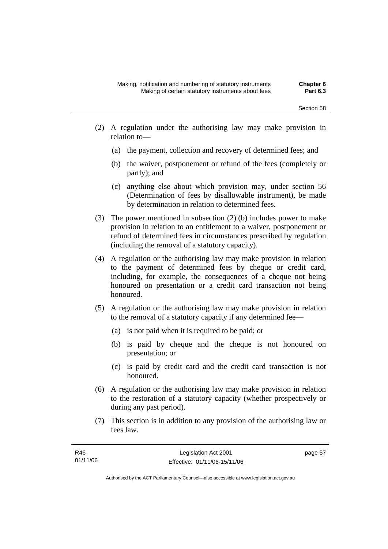- (2) A regulation under the authorising law may make provision in relation to—
	- (a) the payment, collection and recovery of determined fees; and
	- (b) the waiver, postponement or refund of the fees (completely or partly); and
	- (c) anything else about which provision may, under section 56 (Determination of fees by disallowable instrument), be made by determination in relation to determined fees.
- (3) The power mentioned in subsection (2) (b) includes power to make provision in relation to an entitlement to a waiver, postponement or refund of determined fees in circumstances prescribed by regulation (including the removal of a statutory capacity).
- (4) A regulation or the authorising law may make provision in relation to the payment of determined fees by cheque or credit card, including, for example, the consequences of a cheque not being honoured on presentation or a credit card transaction not being honoured.
- (5) A regulation or the authorising law may make provision in relation to the removal of a statutory capacity if any determined fee—
	- (a) is not paid when it is required to be paid; or
	- (b) is paid by cheque and the cheque is not honoured on presentation; or
	- (c) is paid by credit card and the credit card transaction is not honoured.
- (6) A regulation or the authorising law may make provision in relation to the restoration of a statutory capacity (whether prospectively or during any past period).
- (7) This section is in addition to any provision of the authorising law or fees law.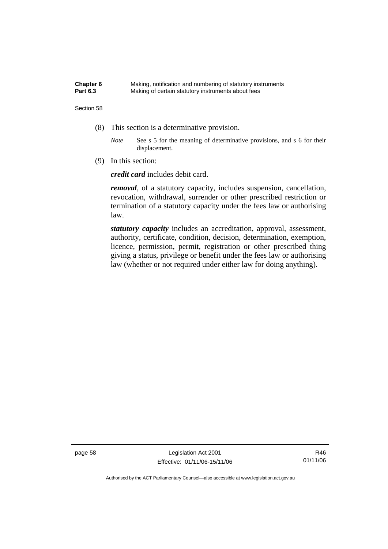| Chapter 6       | Making, notification and numbering of statutory instruments |
|-----------------|-------------------------------------------------------------|
| <b>Part 6.3</b> | Making of certain statutory instruments about fees          |

- (8) This section is a determinative provision.
	- *Note* See s 5 for the meaning of determinative provisions, and s 6 for their displacement.
- (9) In this section:

*credit card* includes debit card.

*removal*, of a statutory capacity, includes suspension, cancellation, revocation, withdrawal, surrender or other prescribed restriction or termination of a statutory capacity under the fees law or authorising law.

*statutory capacity* includes an accreditation, approval, assessment, authority, certificate, condition, decision, determination, exemption, licence, permission, permit, registration or other prescribed thing giving a status, privilege or benefit under the fees law or authorising law (whether or not required under either law for doing anything).

page 58 Legislation Act 2001 Effective: 01/11/06-15/11/06

R46 01/11/06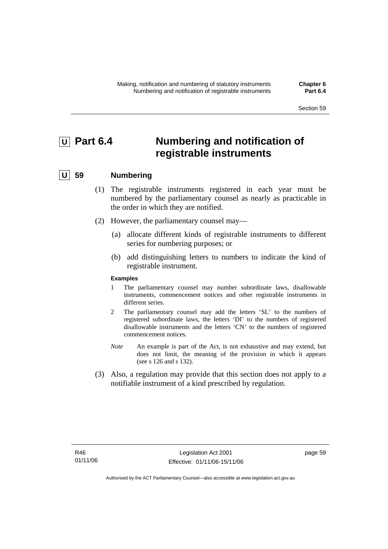# *<u>U</u>* Part 6.4 **Numbering and notification of registrable instruments**

## **U 59 Numbering**

- (1) The registrable instruments registered in each year must be numbered by the parliamentary counsel as nearly as practicable in the order in which they are notified.
- (2) However, the parliamentary counsel may—
	- (a) allocate different kinds of registrable instruments to different series for numbering purposes; or
	- (b) add distinguishing letters to numbers to indicate the kind of registrable instrument.

### **Examples**

- 1 The parliamentary counsel may number subordinate laws, disallowable instruments, commencement notices and other registrable instruments in different series.
- 2 The parliamentary counsel may add the letters 'SL' to the numbers of registered subordinate laws, the letters 'DI' to the numbers of registered disallowable instruments and the letters 'CN' to the numbers of registered commencement notices.
- *Note* An example is part of the Act, is not exhaustive and may extend, but does not limit, the meaning of the provision in which it appears (see s 126 and s 132).
- (3) Also, a regulation may provide that this section does not apply to a notifiable instrument of a kind prescribed by regulation.

page 59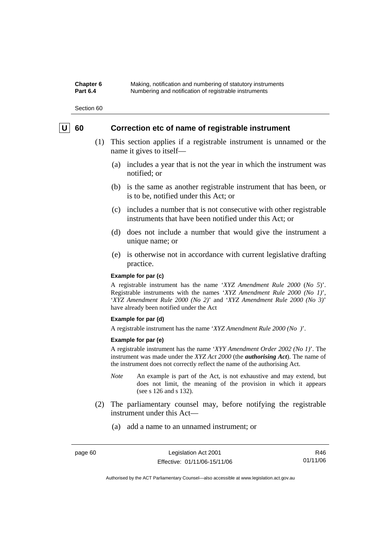**Chapter 6** Making, notification and numbering of statutory instruments<br>**Part 6.4** Mumbering and notification of registrable instruments Numbering and notification of registrable instruments

Section 60

## **U** 60 Correction etc of name of registrable instrument

- (1) This section applies if a registrable instrument is unnamed or the name it gives to itself—
	- (a) includes a year that is not the year in which the instrument was notified; or
	- (b) is the same as another registrable instrument that has been, or is to be, notified under this Act; or
	- (c) includes a number that is not consecutive with other registrable instruments that have been notified under this Act; or
	- (d) does not include a number that would give the instrument a unique name; or
	- (e) is otherwise not in accordance with current legislative drafting practice.

#### **Example for par (c)**

A registrable instrument has the name '*XYZ Amendment Rule 2000* (*No 5*)'. Registrable instruments with the names '*XYZ Amendment Rule 2000 (No 1)*', '*XYZ Amendment Rule 2000 (No 2)*' and '*XYZ Amendment Rule 2000 (No 3)*' have already been notified under the Act

#### **Example for par (d)**

A registrable instrument has the name '*XYZ Amendment Rule 2000 (No )*'.

#### **Example for par (e)**

A registrable instrument has the name '*XYY Amendment Order 2002 (No 1)*'. The instrument was made under the *XYZ Act 2000* (the *authorising Act*). The name of the instrument does not correctly reflect the name of the authorising Act.

- *Note* An example is part of the Act, is not exhaustive and may extend, but does not limit, the meaning of the provision in which it appears (see s 126 and s 132).
- (2) The parliamentary counsel may, before notifying the registrable instrument under this Act—
	- (a) add a name to an unnamed instrument; or

R46 01/11/06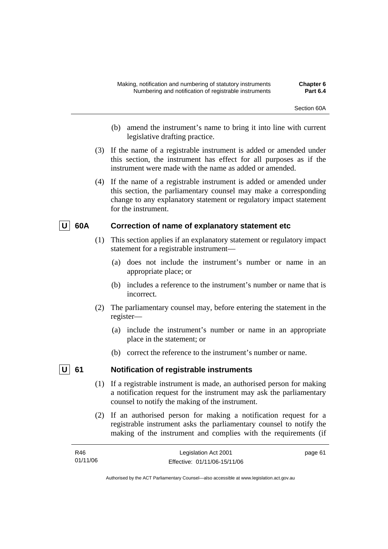- (b) amend the instrument's name to bring it into line with current legislative drafting practice.
- (3) If the name of a registrable instrument is added or amended under this section, the instrument has effect for all purposes as if the instrument were made with the name as added or amended.
- (4) If the name of a registrable instrument is added or amended under this section, the parliamentary counsel may make a corresponding change to any explanatory statement or regulatory impact statement for the instrument.

## | U | 60A Correction of name of explanatory statement etc

- (1) This section applies if an explanatory statement or regulatory impact statement for a registrable instrument—
	- (a) does not include the instrument's number or name in an appropriate place; or
	- (b) includes a reference to the instrument's number or name that is incorrect.
- (2) The parliamentary counsel may, before entering the statement in the register—
	- (a) include the instrument's number or name in an appropriate place in the statement; or
	- (b) correct the reference to the instrument's number or name.

## **U** 61 Notification of registrable instruments

- (1) If a registrable instrument is made, an authorised person for making a notification request for the instrument may ask the parliamentary counsel to notify the making of the instrument.
- (2) If an authorised person for making a notification request for a registrable instrument asks the parliamentary counsel to notify the making of the instrument and complies with the requirements (if

| R46      | Legislation Act 2001         | page 61 |
|----------|------------------------------|---------|
| 01/11/06 | Effective: 01/11/06-15/11/06 |         |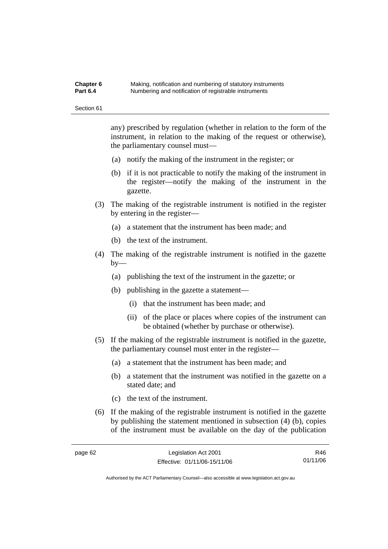#### **Chapter 6** Making, notification and numbering of statutory instruments<br>**Part 6.4** Mumbering and notification of registrable instruments **Part 6.4** Numbering and notification of registrable instruments

Section 61

any) prescribed by regulation (whether in relation to the form of the instrument, in relation to the making of the request or otherwise), the parliamentary counsel must—

- (a) notify the making of the instrument in the register; or
- (b) if it is not practicable to notify the making of the instrument in the register—notify the making of the instrument in the gazette.
- (3) The making of the registrable instrument is notified in the register by entering in the register—
	- (a) a statement that the instrument has been made; and
	- (b) the text of the instrument.
- (4) The making of the registrable instrument is notified in the gazette by—
	- (a) publishing the text of the instrument in the gazette; or
	- (b) publishing in the gazette a statement—
		- (i) that the instrument has been made; and
		- (ii) of the place or places where copies of the instrument can be obtained (whether by purchase or otherwise).
- (5) If the making of the registrable instrument is notified in the gazette, the parliamentary counsel must enter in the register—
	- (a) a statement that the instrument has been made; and
	- (b) a statement that the instrument was notified in the gazette on a stated date; and
	- (c) the text of the instrument.
- (6) If the making of the registrable instrument is notified in the gazette by publishing the statement mentioned in subsection (4) (b), copies of the instrument must be available on the day of the publication

R46 01/11/06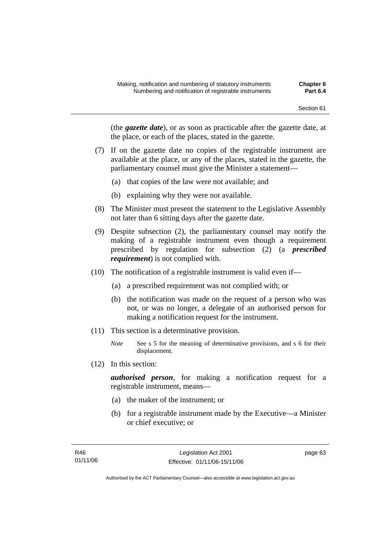(the *gazette date*), or as soon as practicable after the gazette date, at the place, or each of the places, stated in the gazette.

- (7) If on the gazette date no copies of the registrable instrument are available at the place, or any of the places, stated in the gazette, the parliamentary counsel must give the Minister a statement—
	- (a) that copies of the law were not available; and
	- (b) explaining why they were not available.
- (8) The Minister must present the statement to the Legislative Assembly not later than 6 sitting days after the gazette date.
- (9) Despite subsection (2), the parliamentary counsel may notify the making of a registrable instrument even though a requirement prescribed by regulation for subsection (2) (a *prescribed requirement*) is not complied with.
- (10) The notification of a registrable instrument is valid even if—
	- (a) a prescribed requirement was not complied with; or
	- (b) the notification was made on the request of a person who was not, or was no longer, a delegate of an authorised person for making a notification request for the instrument.
- (11) This section is a determinative provision.
	- *Note* See s 5 for the meaning of determinative provisions, and s 6 for their displacement.
- (12) In this section:

*authorised person*, for making a notification request for a registrable instrument, means—

- (a) the maker of the instrument; or
- (b) for a registrable instrument made by the Executive—a Minister or chief executive; or

page 63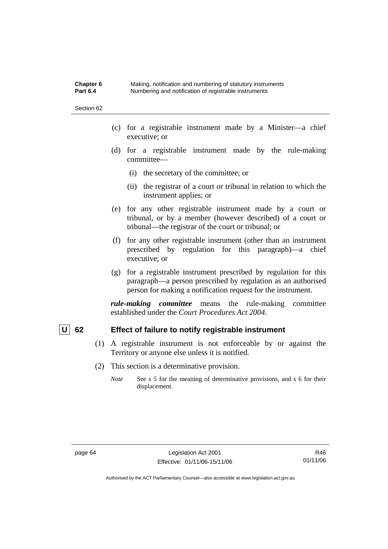**Chapter 6** Making, notification and numbering of statutory instruments<br>**Part 6.4** Mumbering and notification of registrable instruments **Part 6.4** Numbering and notification of registrable instruments

Section 62

- (c) for a registrable instrument made by a Minister—a chief executive; or
- (d) for a registrable instrument made by the rule-making committee—
	- (i) the secretary of the committee; or
	- (ii) the registrar of a court or tribunal in relation to which the instrument applies; or
- (e) for any other registrable instrument made by a court or tribunal, or by a member (however described) of a court or tribunal—the registrar of the court or tribunal; or
- (f) for any other registrable instrument (other than an instrument prescribed by regulation for this paragraph)—a chief executive; or
- (g) for a registrable instrument prescribed by regulation for this paragraph—a person prescribed by regulation as an authorised person for making a notification request for the instrument.

*rule-making committee* means the rule-making committee established under the *Court Procedures Act 2004*.

## **U** 62 Effect of failure to notify registrable instrument

- (1) A registrable instrument is not enforceable by or against the Territory or anyone else unless it is notified.
- (2) This section is a determinative provision.
	- *Note* See s 5 for the meaning of determinative provisions, and s 6 for their displacement.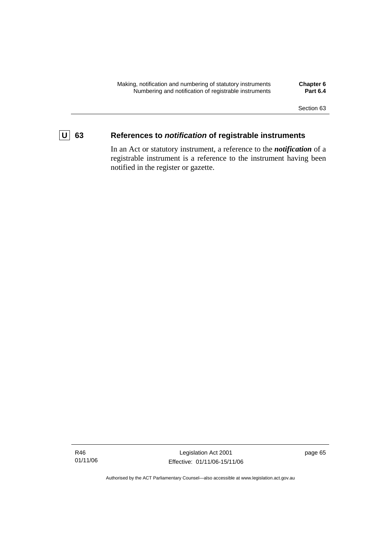

# **U 63 References to** *notification* **of registrable instruments**

In an Act or statutory instrument, a reference to the *notification* of a registrable instrument is a reference to the instrument having been notified in the register or gazette.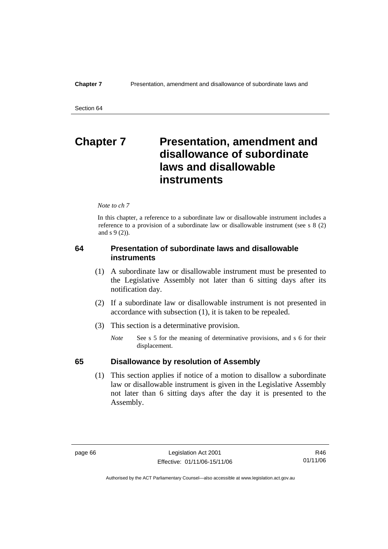# **Chapter 7 Presentation, amendment and disallowance of subordinate laws and disallowable instruments**

*Note to ch 7* 

In this chapter, a reference to a subordinate law or disallowable instrument includes a reference to a provision of a subordinate law or disallowable instrument (see s 8 (2) and s 9 (2)).

## **64 Presentation of subordinate laws and disallowable instruments**

- (1) A subordinate law or disallowable instrument must be presented to the Legislative Assembly not later than 6 sitting days after its notification day.
- (2) If a subordinate law or disallowable instrument is not presented in accordance with subsection (1), it is taken to be repealed.
- (3) This section is a determinative provision.
	- *Note* See s 5 for the meaning of determinative provisions, and s 6 for their displacement.

## **65 Disallowance by resolution of Assembly**

 (1) This section applies if notice of a motion to disallow a subordinate law or disallowable instrument is given in the Legislative Assembly not later than 6 sitting days after the day it is presented to the Assembly.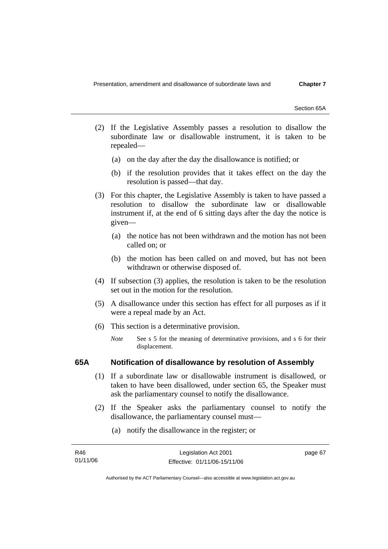Section 65A

- (2) If the Legislative Assembly passes a resolution to disallow the subordinate law or disallowable instrument, it is taken to be repealed—
	- (a) on the day after the day the disallowance is notified; or
	- (b) if the resolution provides that it takes effect on the day the resolution is passed—that day.
- (3) For this chapter, the Legislative Assembly is taken to have passed a resolution to disallow the subordinate law or disallowable instrument if, at the end of 6 sitting days after the day the notice is given—
	- (a) the notice has not been withdrawn and the motion has not been called on; or
	- (b) the motion has been called on and moved, but has not been withdrawn or otherwise disposed of.
- (4) If subsection (3) applies, the resolution is taken to be the resolution set out in the motion for the resolution.
- (5) A disallowance under this section has effect for all purposes as if it were a repeal made by an Act.
- (6) This section is a determinative provision.
	- *Note* See s 5 for the meaning of determinative provisions, and s 6 for their displacement.

## **65A Notification of disallowance by resolution of Assembly**

- (1) If a subordinate law or disallowable instrument is disallowed, or taken to have been disallowed, under section 65, the Speaker must ask the parliamentary counsel to notify the disallowance.
- (2) If the Speaker asks the parliamentary counsel to notify the disallowance, the parliamentary counsel must—
	- (a) notify the disallowance in the register; or

| R46      | Legislation Act 2001         | page 67 |
|----------|------------------------------|---------|
| 01/11/06 | Effective: 01/11/06-15/11/06 |         |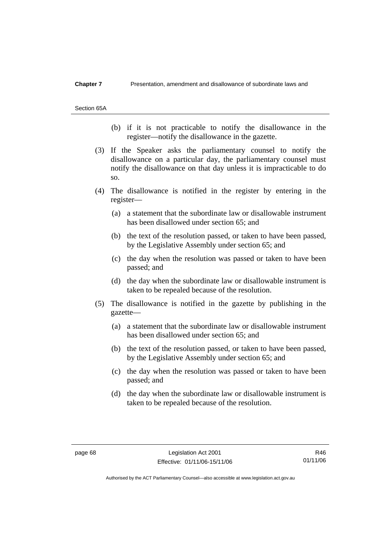#### **Chapter 7** Presentation, amendment and disallowance of subordinate laws and

Section 65A

- (b) if it is not practicable to notify the disallowance in the register—notify the disallowance in the gazette.
- (3) If the Speaker asks the parliamentary counsel to notify the disallowance on a particular day, the parliamentary counsel must notify the disallowance on that day unless it is impracticable to do so.
- (4) The disallowance is notified in the register by entering in the register—
	- (a) a statement that the subordinate law or disallowable instrument has been disallowed under section 65; and
	- (b) the text of the resolution passed, or taken to have been passed, by the Legislative Assembly under section 65; and
	- (c) the day when the resolution was passed or taken to have been passed; and
	- (d) the day when the subordinate law or disallowable instrument is taken to be repealed because of the resolution.
- (5) The disallowance is notified in the gazette by publishing in the gazette—
	- (a) a statement that the subordinate law or disallowable instrument has been disallowed under section 65; and
	- (b) the text of the resolution passed, or taken to have been passed, by the Legislative Assembly under section 65; and
	- (c) the day when the resolution was passed or taken to have been passed; and
	- (d) the day when the subordinate law or disallowable instrument is taken to be repealed because of the resolution.

R46 01/11/06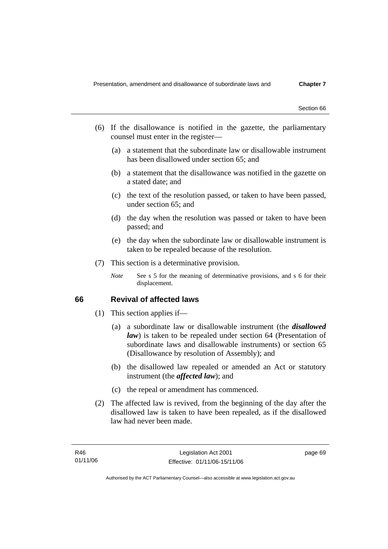- (6) If the disallowance is notified in the gazette, the parliamentary counsel must enter in the register—
	- (a) a statement that the subordinate law or disallowable instrument has been disallowed under section 65; and
	- (b) a statement that the disallowance was notified in the gazette on a stated date; and
	- (c) the text of the resolution passed, or taken to have been passed, under section 65; and
	- (d) the day when the resolution was passed or taken to have been passed; and
	- (e) the day when the subordinate law or disallowable instrument is taken to be repealed because of the resolution.
- (7) This section is a determinative provision.
	- *Note* See s 5 for the meaning of determinative provisions, and s 6 for their displacement.

## **66 Revival of affected laws**

- (1) This section applies if—
	- (a) a subordinate law or disallowable instrument (the *disallowed law*) is taken to be repealed under section 64 (Presentation of subordinate laws and disallowable instruments) or section 65 (Disallowance by resolution of Assembly); and
	- (b) the disallowed law repealed or amended an Act or statutory instrument (the *affected law*); and
	- (c) the repeal or amendment has commenced.
- (2) The affected law is revived, from the beginning of the day after the disallowed law is taken to have been repealed, as if the disallowed law had never been made.

page 69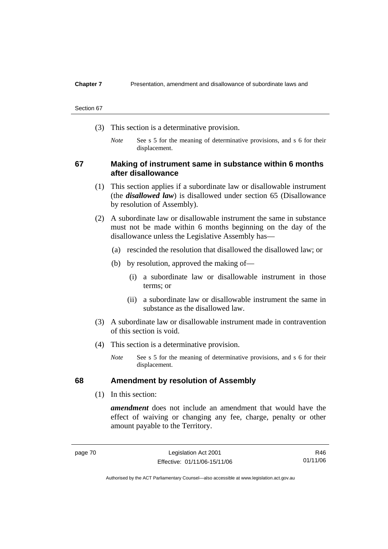### **Chapter 7** Presentation, amendment and disallowance of subordinate laws and

#### Section 67

- (3) This section is a determinative provision.
	- *Note* See s 5 for the meaning of determinative provisions, and s 6 for their displacement.

## **67 Making of instrument same in substance within 6 months after disallowance**

- (1) This section applies if a subordinate law or disallowable instrument (the *disallowed law*) is disallowed under section 65 (Disallowance by resolution of Assembly).
- (2) A subordinate law or disallowable instrument the same in substance must not be made within 6 months beginning on the day of the disallowance unless the Legislative Assembly has—
	- (a) rescinded the resolution that disallowed the disallowed law; or
	- (b) by resolution, approved the making of—
		- (i) a subordinate law or disallowable instrument in those terms; or
		- (ii) a subordinate law or disallowable instrument the same in substance as the disallowed law.
- (3) A subordinate law or disallowable instrument made in contravention of this section is void.
- (4) This section is a determinative provision.
	- *Note* See s 5 for the meaning of determinative provisions, and s 6 for their displacement.

## **68 Amendment by resolution of Assembly**

(1) In this section:

*amendment* does not include an amendment that would have the effect of waiving or changing any fee, charge, penalty or other amount payable to the Territory.

Authorised by the ACT Parliamentary Counsel—also accessible at www.legislation.act.gov.au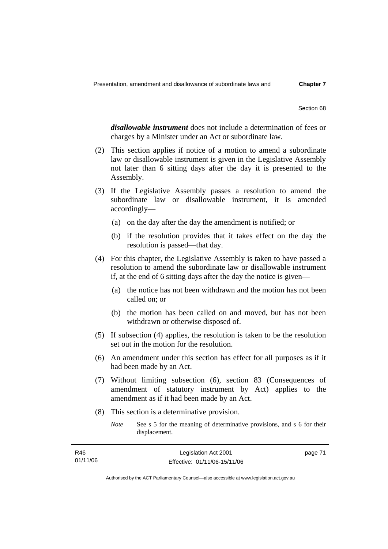*disallowable instrument* does not include a determination of fees or charges by a Minister under an Act or subordinate law.

- (2) This section applies if notice of a motion to amend a subordinate law or disallowable instrument is given in the Legislative Assembly not later than 6 sitting days after the day it is presented to the Assembly.
- (3) If the Legislative Assembly passes a resolution to amend the subordinate law or disallowable instrument, it is amended accordingly—
	- (a) on the day after the day the amendment is notified; or
	- (b) if the resolution provides that it takes effect on the day the resolution is passed—that day.
- (4) For this chapter, the Legislative Assembly is taken to have passed a resolution to amend the subordinate law or disallowable instrument if, at the end of 6 sitting days after the day the notice is given—
	- (a) the notice has not been withdrawn and the motion has not been called on; or
	- (b) the motion has been called on and moved, but has not been withdrawn or otherwise disposed of.
- (5) If subsection (4) applies, the resolution is taken to be the resolution set out in the motion for the resolution.
- (6) An amendment under this section has effect for all purposes as if it had been made by an Act.
- (7) Without limiting subsection (6), section 83 (Consequences of amendment of statutory instrument by Act) applies to the amendment as if it had been made by an Act.
- (8) This section is a determinative provision.

*Note* See s 5 for the meaning of determinative provisions, and s 6 for their displacement.

| R46      | Legislation Act 2001         | page 71 |
|----------|------------------------------|---------|
| 01/11/06 | Effective: 01/11/06-15/11/06 |         |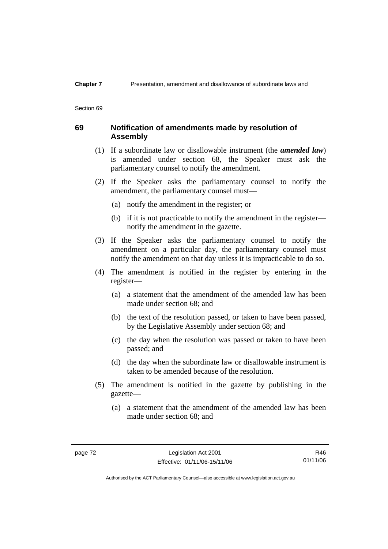### **Chapter 7** Presentation, amendment and disallowance of subordinate laws and

#### Section 69

## **69 Notification of amendments made by resolution of Assembly**

- (1) If a subordinate law or disallowable instrument (the *amended law*) is amended under section 68, the Speaker must ask the parliamentary counsel to notify the amendment.
- (2) If the Speaker asks the parliamentary counsel to notify the amendment, the parliamentary counsel must—
	- (a) notify the amendment in the register; or
	- (b) if it is not practicable to notify the amendment in the register notify the amendment in the gazette.
- (3) If the Speaker asks the parliamentary counsel to notify the amendment on a particular day, the parliamentary counsel must notify the amendment on that day unless it is impracticable to do so.
- (4) The amendment is notified in the register by entering in the register—
	- (a) a statement that the amendment of the amended law has been made under section 68; and
	- (b) the text of the resolution passed, or taken to have been passed, by the Legislative Assembly under section 68; and
	- (c) the day when the resolution was passed or taken to have been passed; and
	- (d) the day when the subordinate law or disallowable instrument is taken to be amended because of the resolution.
- (5) The amendment is notified in the gazette by publishing in the gazette—
	- (a) a statement that the amendment of the amended law has been made under section 68; and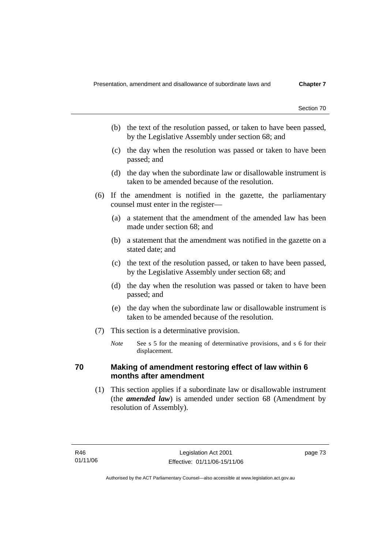- (b) the text of the resolution passed, or taken to have been passed, by the Legislative Assembly under section 68; and
- (c) the day when the resolution was passed or taken to have been passed; and
- (d) the day when the subordinate law or disallowable instrument is taken to be amended because of the resolution.
- (6) If the amendment is notified in the gazette, the parliamentary counsel must enter in the register—
	- (a) a statement that the amendment of the amended law has been made under section 68; and
	- (b) a statement that the amendment was notified in the gazette on a stated date; and
	- (c) the text of the resolution passed, or taken to have been passed, by the Legislative Assembly under section 68; and
	- (d) the day when the resolution was passed or taken to have been passed; and
	- (e) the day when the subordinate law or disallowable instrument is taken to be amended because of the resolution.
- (7) This section is a determinative provision.
	- *Note* See s 5 for the meaning of determinative provisions, and s 6 for their displacement.

## **70 Making of amendment restoring effect of law within 6 months after amendment**

 (1) This section applies if a subordinate law or disallowable instrument (the *amended law*) is amended under section 68 (Amendment by resolution of Assembly).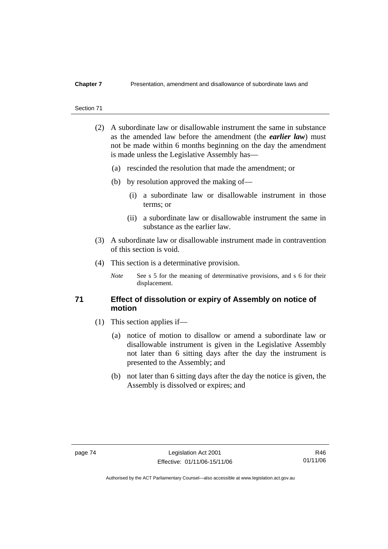## **Chapter 7** Presentation, amendment and disallowance of subordinate laws and

#### Section 71

- (2) A subordinate law or disallowable instrument the same in substance as the amended law before the amendment (the *earlier law*) must not be made within 6 months beginning on the day the amendment is made unless the Legislative Assembly has—
	- (a) rescinded the resolution that made the amendment; or
	- (b) by resolution approved the making of—
		- (i) a subordinate law or disallowable instrument in those terms; or
		- (ii) a subordinate law or disallowable instrument the same in substance as the earlier law.
- (3) A subordinate law or disallowable instrument made in contravention of this section is void.
- (4) This section is a determinative provision.
	- *Note* See s 5 for the meaning of determinative provisions, and s 6 for their displacement.

## **71 Effect of dissolution or expiry of Assembly on notice of motion**

- (1) This section applies if—
	- (a) notice of motion to disallow or amend a subordinate law or disallowable instrument is given in the Legislative Assembly not later than 6 sitting days after the day the instrument is presented to the Assembly; and
	- (b) not later than 6 sitting days after the day the notice is given, the Assembly is dissolved or expires; and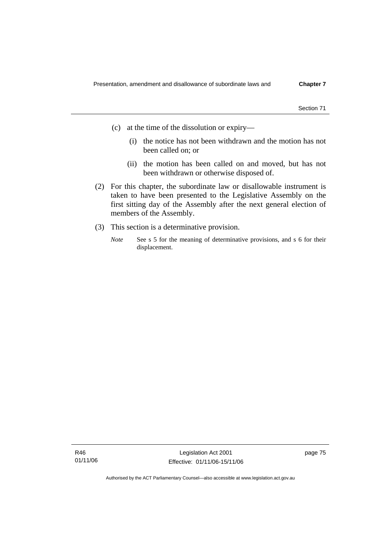- (c) at the time of the dissolution or expiry—
	- (i) the notice has not been withdrawn and the motion has not been called on; or
	- (ii) the motion has been called on and moved, but has not been withdrawn or otherwise disposed of.
- (2) For this chapter, the subordinate law or disallowable instrument is taken to have been presented to the Legislative Assembly on the first sitting day of the Assembly after the next general election of members of the Assembly.
- (3) This section is a determinative provision.
	- *Note* See s 5 for the meaning of determinative provisions, and s 6 for their displacement.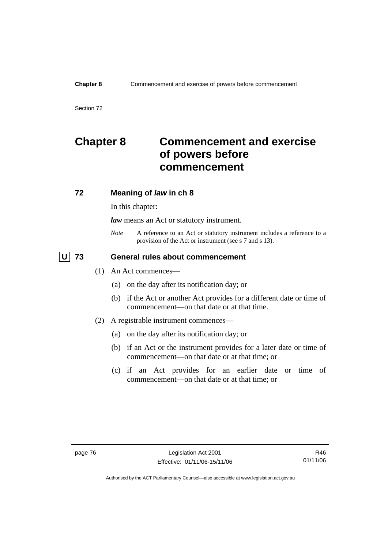Section 72

# **Chapter 8 Commencement and exercise of powers before commencement**

## **72 Meaning of** *law* **in ch 8**

In this chapter:

*law* means an Act or statutory instrument.

*Note* A reference to an Act or statutory instrument includes a reference to a provision of the Act or instrument (see s 7 and s 13).

## **U 73 General rules about commencement**

- (1) An Act commences—
	- (a) on the day after its notification day; or
	- (b) if the Act or another Act provides for a different date or time of commencement—on that date or at that time.
- (2) A registrable instrument commences—
	- (a) on the day after its notification day; or
	- (b) if an Act or the instrument provides for a later date or time of commencement—on that date or at that time; or
	- (c) if an Act provides for an earlier date or time of commencement—on that date or at that time; or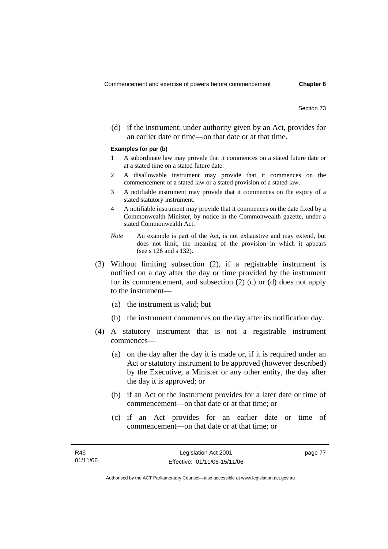(d) if the instrument, under authority given by an Act, provides for an earlier date or time—on that date or at that time.

#### **Examples for par (b)**

- 1 A subordinate law may provide that it commences on a stated future date or at a stated time on a stated future date.
- 2 A disallowable instrument may provide that it commences on the commencement of a stated law or a stated provision of a stated law.
- 3 A notifiable instrument may provide that it commences on the expiry of a stated statutory instrument.
- 4 A notifiable instrument may provide that it commences on the date fixed by a Commonwealth Minister, by notice in the Commonwealth gazette, under a stated Commonwealth Act.
- *Note* An example is part of the Act, is not exhaustive and may extend, but does not limit, the meaning of the provision in which it appears (see s 126 and s 132).
- (3) Without limiting subsection (2), if a registrable instrument is notified on a day after the day or time provided by the instrument for its commencement, and subsection (2) (c) or (d) does not apply to the instrument—
	- (a) the instrument is valid; but
	- (b) the instrument commences on the day after its notification day.
- (4) A statutory instrument that is not a registrable instrument commences—
	- (a) on the day after the day it is made or, if it is required under an Act or statutory instrument to be approved (however described) by the Executive, a Minister or any other entity, the day after the day it is approved; or
	- (b) if an Act or the instrument provides for a later date or time of commencement—on that date or at that time; or
	- (c) if an Act provides for an earlier date or time of commencement—on that date or at that time; or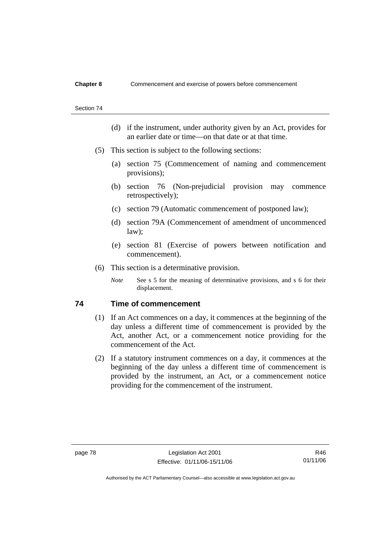#### Section 74

- (d) if the instrument, under authority given by an Act, provides for an earlier date or time—on that date or at that time.
- (5) This section is subject to the following sections:
	- (a) section 75 (Commencement of naming and commencement provisions);
	- (b) section 76 (Non-prejudicial provision may commence retrospectively);
	- (c) section 79 (Automatic commencement of postponed law);
	- (d) section 79A (Commencement of amendment of uncommenced law);
	- (e) section 81 (Exercise of powers between notification and commencement).
- (6) This section is a determinative provision.
	- *Note* See s 5 for the meaning of determinative provisions, and s 6 for their displacement.

## **74 Time of commencement**

- (1) If an Act commences on a day, it commences at the beginning of the day unless a different time of commencement is provided by the Act, another Act, or a commencement notice providing for the commencement of the Act.
- (2) If a statutory instrument commences on a day, it commences at the beginning of the day unless a different time of commencement is provided by the instrument, an Act, or a commencement notice providing for the commencement of the instrument.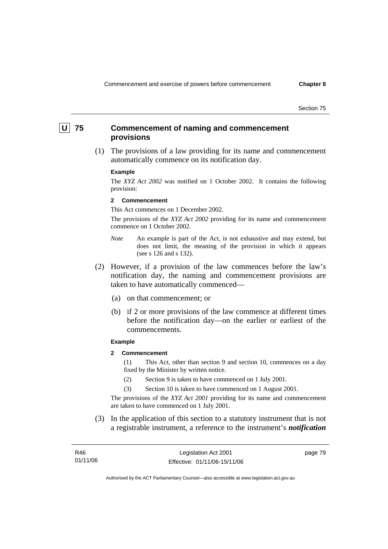## **U 75 Commencement of naming and commencement provisions**

 (1) The provisions of a law providing for its name and commencement automatically commence on its notification day.

#### **Example**

The *XYZ Act 2002* was notified on 1 October 2002. It contains the following provision:

#### **2 Commencement**

This Act commences on 1 December 2002.

The provisions of the *XYZ Act 2002* providing for its name and commencement commence on 1 October 2002.

- *Note* An example is part of the Act, is not exhaustive and may extend, but does not limit, the meaning of the provision in which it appears (see s 126 and s 132).
- (2) However, if a provision of the law commences before the law's notification day, the naming and commencement provisions are taken to have automatically commenced—
	- (a) on that commencement; or
	- (b) if 2 or more provisions of the law commence at different times before the notification day—on the earlier or earliest of the commencements.

#### **Example**

**2 Commencement** 

(1) This Act, other than section 9 and section 10, commences on a day fixed by the Minister by written notice.

- (2) Section 9 is taken to have commenced on 1 July 2001.
- (3) Section 10 is taken to have commenced on 1 August 2001.

The provisions of the *XYZ Act 2001* providing for its name and commencement are taken to have commenced on 1 July 2001.

 (3) In the application of this section to a statutory instrument that is not a registrable instrument, a reference to the instrument's *notification* 

| R46      | Legislation Act 2001         | page 79 |
|----------|------------------------------|---------|
| 01/11/06 | Effective: 01/11/06-15/11/06 |         |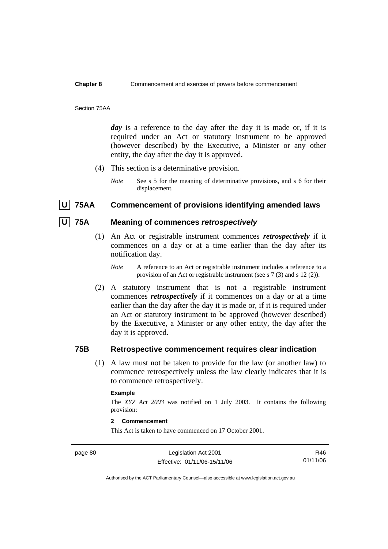#### Section 75AA

day is a reference to the day after the day it is made or, if it is required under an Act or statutory instrument to be approved (however described) by the Executive, a Minister or any other entity, the day after the day it is approved.

- (4) This section is a determinative provision.
	- *Note* See s 5 for the meaning of determinative provisions, and s 6 for their displacement.

## **U 75AA Commencement of provisions identifying amended laws**

## **U 75A Meaning of commences** *retrospectively*

- (1) An Act or registrable instrument commences *retrospectively* if it commences on a day or at a time earlier than the day after its notification day.
	- *Note* A reference to an Act or registrable instrument includes a reference to a provision of an Act or registrable instrument (see s 7 (3) and s 12 (2)).
- (2) A statutory instrument that is not a registrable instrument commences *retrospectively* if it commences on a day or at a time earlier than the day after the day it is made or, if it is required under an Act or statutory instrument to be approved (however described) by the Executive, a Minister or any other entity, the day after the day it is approved.

## **75B Retrospective commencement requires clear indication**

 (1) A law must not be taken to provide for the law (or another law) to commence retrospectively unless the law clearly indicates that it is to commence retrospectively.

#### **Example**

The *XYZ Act 2003* was notified on 1 July 2003. It contains the following provision:

#### **2 Commencement**

This Act is taken to have commenced on 17 October 2001.

page 80 Legislation Act 2001 Effective: 01/11/06-15/11/06

R46 01/11/06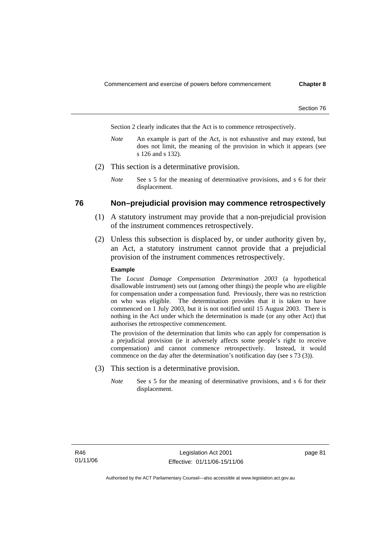Section 2 clearly indicates that the Act is to commence retrospectively.

- *Note* An example is part of the Act, is not exhaustive and may extend, but does not limit, the meaning of the provision in which it appears (see s 126 and s 132).
- (2) This section is a determinative provision.
	- *Note* See s 5 for the meaning of determinative provisions, and s 6 for their displacement.

## **76 Non–prejudicial provision may commence retrospectively**

- (1) A statutory instrument may provide that a non-prejudicial provision of the instrument commences retrospectively.
- (2) Unless this subsection is displaced by, or under authority given by, an Act, a statutory instrument cannot provide that a prejudicial provision of the instrument commences retrospectively.

#### **Example**

The *Locust Damage Compensation Determination 2003* (a hypothetical disallowable instrument) sets out (among other things) the people who are eligible for compensation under a compensation fund. Previously, there was no restriction on who was eligible. The determination provides that it is taken to have commenced on 1 July 2003, but it is not notified until 15 August 2003. There is nothing in the Act under which the determination is made (or any other Act) that authorises the retrospective commencement.

The provision of the determination that limits who can apply for compensation is a prejudicial provision (ie it adversely affects some people's right to receive compensation) and cannot commence retrospectively. Instead, it would commence on the day after the determination's notification day (see s 73 (3)).

- (3) This section is a determinative provision.
	- *Note* See s 5 for the meaning of determinative provisions, and s 6 for their displacement.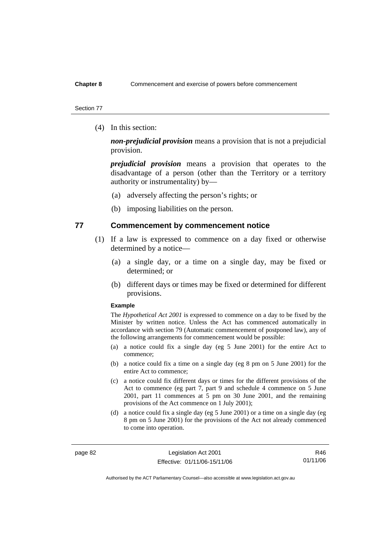#### Section 77

(4) In this section:

*non-prejudicial provision* means a provision that is not a prejudicial provision.

*prejudicial provision* means a provision that operates to the disadvantage of a person (other than the Territory or a territory authority or instrumentality) by—

- (a) adversely affecting the person's rights; or
- (b) imposing liabilities on the person.

## **77 Commencement by commencement notice**

- (1) If a law is expressed to commence on a day fixed or otherwise determined by a notice—
	- (a) a single day, or a time on a single day, may be fixed or determined; or
	- (b) different days or times may be fixed or determined for different provisions.

#### **Example**

The *Hypothetical Act 2001* is expressed to commence on a day to be fixed by the Minister by written notice. Unless the Act has commenced automatically in accordance with section 79 (Automatic commencement of postponed law), any of the following arrangements for commencement would be possible:

- (a) a notice could fix a single day (eg 5 June 2001) for the entire Act to commence;
- (b) a notice could fix a time on a single day (eg 8 pm on 5 June 2001) for the entire Act to commence;
- (c) a notice could fix different days or times for the different provisions of the Act to commence (eg part 7, part 9 and schedule 4 commence on 5 June 2001, part 11 commences at 5 pm on 30 June 2001, and the remaining provisions of the Act commence on 1 July 2001);
- (d) a notice could fix a single day (eg 5 June 2001) or a time on a single day (eg 8 pm on 5 June 2001) for the provisions of the Act not already commenced to come into operation.

page 82 Legislation Act 2001 Effective: 01/11/06-15/11/06

R46 01/11/06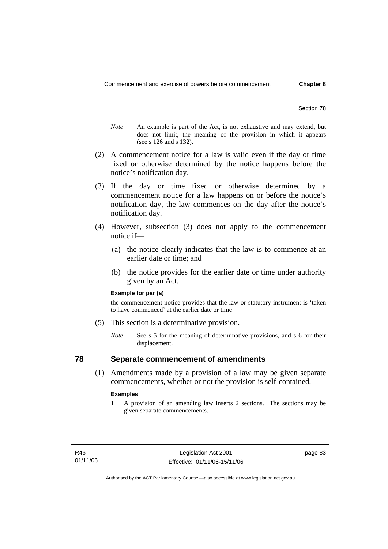- *Note* An example is part of the Act, is not exhaustive and may extend, but does not limit, the meaning of the provision in which it appears (see s 126 and s 132).
- (2) A commencement notice for a law is valid even if the day or time fixed or otherwise determined by the notice happens before the notice's notification day.
- (3) If the day or time fixed or otherwise determined by a commencement notice for a law happens on or before the notice's notification day, the law commences on the day after the notice's notification day.
- (4) However, subsection (3) does not apply to the commencement notice if—
	- (a) the notice clearly indicates that the law is to commence at an earlier date or time; and
	- (b) the notice provides for the earlier date or time under authority given by an Act.

#### **Example for par (a)**

the commencement notice provides that the law or statutory instrument is 'taken to have commenced' at the earlier date or time

- (5) This section is a determinative provision.
	- *Note* See s 5 for the meaning of determinative provisions, and s 6 for their displacement.

## **78 Separate commencement of amendments**

 (1) Amendments made by a provision of a law may be given separate commencements, whether or not the provision is self-contained.

#### **Examples**

1 A provision of an amending law inserts 2 sections. The sections may be given separate commencements.

page 83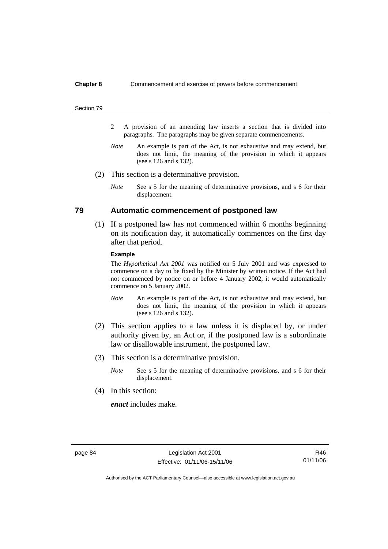#### Section 79

- 2 A provision of an amending law inserts a section that is divided into paragraphs. The paragraphs may be given separate commencements.
- *Note* An example is part of the Act, is not exhaustive and may extend, but does not limit, the meaning of the provision in which it appears (see s 126 and s 132).
- (2) This section is a determinative provision.
	- *Note* See s 5 for the meaning of determinative provisions, and s 6 for their displacement.

## **79 Automatic commencement of postponed law**

 (1) If a postponed law has not commenced within 6 months beginning on its notification day, it automatically commences on the first day after that period.

### **Example**

The *Hypothetical Act 2001* was notified on 5 July 2001 and was expressed to commence on a day to be fixed by the Minister by written notice. If the Act had not commenced by notice on or before 4 January 2002, it would automatically commence on 5 January 2002.

- *Note* An example is part of the Act, is not exhaustive and may extend, but does not limit, the meaning of the provision in which it appears (see s 126 and s 132).
- (2) This section applies to a law unless it is displaced by, or under authority given by, an Act or, if the postponed law is a subordinate law or disallowable instrument, the postponed law.
- (3) This section is a determinative provision.
	- *Note* See s 5 for the meaning of determinative provisions, and s 6 for their displacement.
- (4) In this section:

*enact* includes make.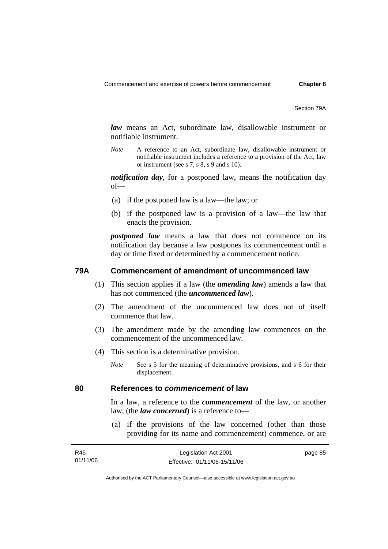Section 79A

*law* means an Act, subordinate law, disallowable instrument or notifiable instrument.

*Note* A reference to an Act, subordinate law, disallowable instrument or notifiable instrument includes a reference to a provision of the Act, law or instrument (see s 7, s 8, s 9 and s 10).

*notification day*, for a postponed law, means the notification day of—

- (a) if the postponed law is a law—the law; or
- (b) if the postponed law is a provision of a law—the law that enacts the provision.

*postponed law* means a law that does not commence on its notification day because a law postpones its commencement until a day or time fixed or determined by a commencement notice.

## **79A Commencement of amendment of uncommenced law**

- (1) This section applies if a law (the *amending law*) amends a law that has not commenced (the *uncommenced law*).
- (2) The amendment of the uncommenced law does not of itself commence that law.
- (3) The amendment made by the amending law commences on the commencement of the uncommenced law.
- (4) This section is a determinative provision.
	- *Note* See s 5 for the meaning of determinative provisions, and s 6 for their displacement.

## **80 References to** *commencement* **of law**

In a law, a reference to the *commencement* of the law, or another law, (the *law concerned*) is a reference to—

 (a) if the provisions of the law concerned (other than those providing for its name and commencement) commence, or are

| R46      | Legislation Act 2001         | page 85 |
|----------|------------------------------|---------|
| 01/11/06 | Effective: 01/11/06-15/11/06 |         |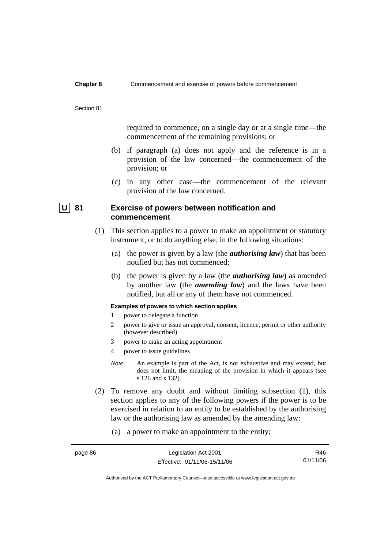#### Section 81

required to commence, on a single day or at a single time—the commencement of the remaining provisions; or

- (b) if paragraph (a) does not apply and the reference is in a provision of the law concerned—the commencement of the provision; or
- (c) in any other case—the commencement of the relevant provision of the law concerned.

## **U** 81 Exercise of powers between notification and **commencement**

- (1) This section applies to a power to make an appointment or statutory instrument, or to do anything else, in the following situations:
	- (a) the power is given by a law (the *authorising law*) that has been notified but has not commenced;
	- (b) the power is given by a law (the *authorising law*) as amended by another law (the *amending law*) and the laws have been notified, but all or any of them have not commenced.

## **Examples of powers to which section applies**

- 1 power to delegate a function
- 2 power to give or issue an approval, consent, licence, permit or other authority (however described)
- 3 power to make an acting appointment
- 4 power to issue guidelines
- *Note* An example is part of the Act, is not exhaustive and may extend, but does not limit, the meaning of the provision in which it appears (see s 126 and s 132).
- (2) To remove any doubt and without limiting subsection (1), this section applies to any of the following powers if the power is to be exercised in relation to an entity to be established by the authorising law or the authorising law as amended by the amending law:
	- (a) a power to make an appointment to the entity;

| page 86 | Legislation Act 2001         | R46      |
|---------|------------------------------|----------|
|         | Effective: 01/11/06-15/11/06 | 01/11/06 |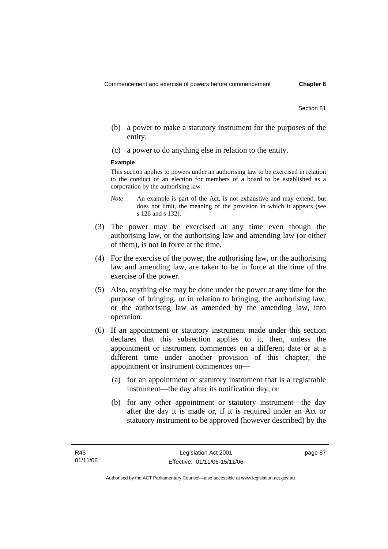- (b) a power to make a statutory instrument for the purposes of the entity;
- (c) a power to do anything else in relation to the entity.

### **Example**

This section applies to powers under an authorising law to be exercised in relation to the conduct of an election for members of a board to be established as a corporation by the authorising law.

- *Note* An example is part of the Act, is not exhaustive and may extend, but does not limit, the meaning of the provision in which it appears (see s 126 and s 132).
- (3) The power may be exercised at any time even though the authorising law, or the authorising law and amending law (or either of them), is not in force at the time.
- (4) For the exercise of the power, the authorising law, or the authorising law and amending law, are taken to be in force at the time of the exercise of the power.
- (5) Also, anything else may be done under the power at any time for the purpose of bringing, or in relation to bringing, the authorising law, or the authorising law as amended by the amending law, into operation.
- (6) If an appointment or statutory instrument made under this section declares that this subsection applies to it, then, unless the appointment or instrument commences on a different date or at a different time under another provision of this chapter, the appointment or instrument commences on—
	- (a) for an appointment or statutory instrument that is a registrable instrument—the day after its notification day; or
	- (b) for any other appointment or statutory instrument—the day after the day it is made or, if it is required under an Act or statutory instrument to be approved (however described) by the

page 87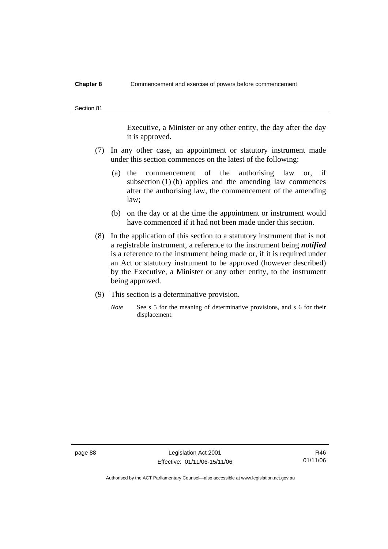Executive, a Minister or any other entity, the day after the day it is approved.

- (7) In any other case, an appointment or statutory instrument made under this section commences on the latest of the following:
	- (a) the commencement of the authorising law or, if subsection (1) (b) applies and the amending law commences after the authorising law, the commencement of the amending law;
	- (b) on the day or at the time the appointment or instrument would have commenced if it had not been made under this section.
- (8) In the application of this section to a statutory instrument that is not a registrable instrument, a reference to the instrument being *notified*  is a reference to the instrument being made or, if it is required under an Act or statutory instrument to be approved (however described) by the Executive, a Minister or any other entity, to the instrument being approved.
- (9) This section is a determinative provision.
	- *Note* See s 5 for the meaning of determinative provisions, and s 6 for their displacement.

page 88 Legislation Act 2001 Effective: 01/11/06-15/11/06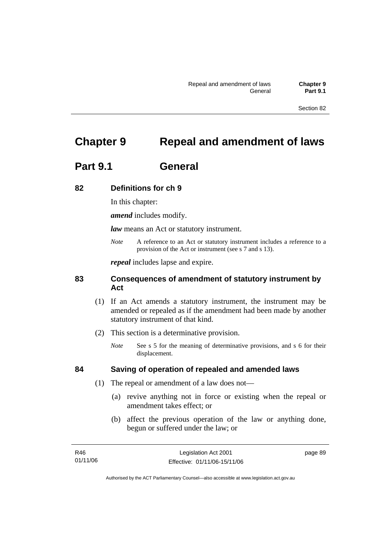# **Chapter 9 Repeal and amendment of laws**

# **Part 9.1 General**

## **82 Definitions for ch 9**

In this chapter:

*amend* includes modify.

*law* means an Act or statutory instrument.

*Note* A reference to an Act or statutory instrument includes a reference to a provision of the Act or instrument (see s 7 and s 13).

*repeal* includes lapse and expire.

## **83 Consequences of amendment of statutory instrument by Act**

- (1) If an Act amends a statutory instrument, the instrument may be amended or repealed as if the amendment had been made by another statutory instrument of that kind.
- (2) This section is a determinative provision.
	- *Note* See s 5 for the meaning of determinative provisions, and s 6 for their displacement.

## **84 Saving of operation of repealed and amended laws**

- (1) The repeal or amendment of a law does not—
	- (a) revive anything not in force or existing when the repeal or amendment takes effect; or
	- (b) affect the previous operation of the law or anything done, begun or suffered under the law; or

| R46      | Legislation Act 2001         | page 89 |
|----------|------------------------------|---------|
| 01/11/06 | Effective: 01/11/06-15/11/06 |         |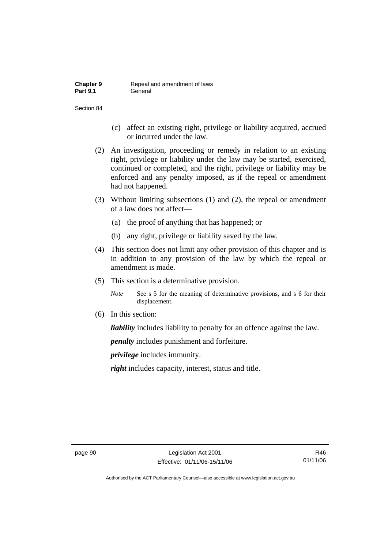| <b>Chapter 9</b> | Repeal and amendment of laws |
|------------------|------------------------------|
| <b>Part 9.1</b>  | General                      |

- (c) affect an existing right, privilege or liability acquired, accrued or incurred under the law.
- (2) An investigation, proceeding or remedy in relation to an existing right, privilege or liability under the law may be started, exercised, continued or completed, and the right, privilege or liability may be enforced and any penalty imposed, as if the repeal or amendment had not happened.
- (3) Without limiting subsections (1) and (2), the repeal or amendment of a law does not affect—
	- (a) the proof of anything that has happened; or
	- (b) any right, privilege or liability saved by the law.
- (4) This section does not limit any other provision of this chapter and is in addition to any provision of the law by which the repeal or amendment is made.
- (5) This section is a determinative provision.
	- *Note* See s 5 for the meaning of determinative provisions, and s 6 for their displacement.
- (6) In this section:

*liability* includes liability to penalty for an offence against the law.

*penalty* includes punishment and forfeiture.

*privilege* includes immunity.

*right* includes capacity, interest, status and title.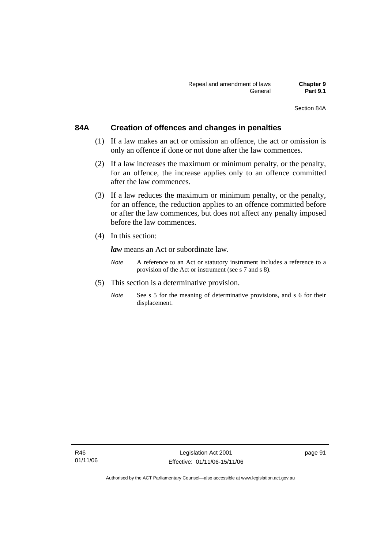## **84A Creation of offences and changes in penalties**

- (1) If a law makes an act or omission an offence, the act or omission is only an offence if done or not done after the law commences.
- (2) If a law increases the maximum or minimum penalty, or the penalty, for an offence, the increase applies only to an offence committed after the law commences.
- (3) If a law reduces the maximum or minimum penalty, or the penalty, for an offence, the reduction applies to an offence committed before or after the law commences, but does not affect any penalty imposed before the law commences.
- (4) In this section:

*law* means an Act or subordinate law.

- *Note* A reference to an Act or statutory instrument includes a reference to a provision of the Act or instrument (see s 7 and s 8).
- (5) This section is a determinative provision.
	- *Note* See s 5 for the meaning of determinative provisions, and s 6 for their displacement.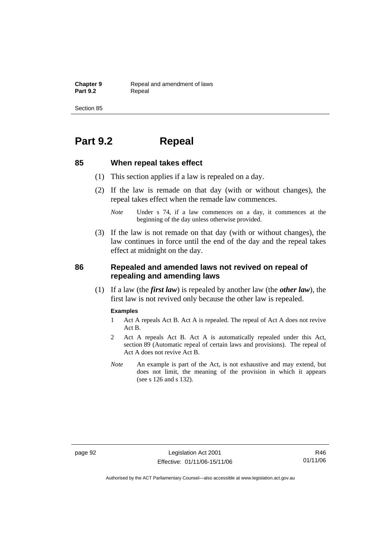**Chapter 9 Repeal and amendment of laws**<br>**Part 9.2 Repeal** Repeal

Section 85

# **Part 9.2 Repeal**

## **85 When repeal takes effect**

- (1) This section applies if a law is repealed on a day.
- (2) If the law is remade on that day (with or without changes), the repeal takes effect when the remade law commences.
	- *Note* Under s 74, if a law commences on a day, it commences at the beginning of the day unless otherwise provided.
- (3) If the law is not remade on that day (with or without changes), the law continues in force until the end of the day and the repeal takes effect at midnight on the day.

## **86 Repealed and amended laws not revived on repeal of repealing and amending laws**

 (1) If a law (the *first law*) is repealed by another law (the *other law*), the first law is not revived only because the other law is repealed.

### **Examples**

- 1 Act A repeals Act B. Act A is repealed. The repeal of Act A does not revive Act B.
- 2 Act A repeals Act B. Act A is automatically repealed under this Act, section 89 (Automatic repeal of certain laws and provisions). The repeal of Act A does not revive Act B.
- *Note* An example is part of the Act, is not exhaustive and may extend, but does not limit, the meaning of the provision in which it appears (see s 126 and s 132).

page 92 Legislation Act 2001 Effective: 01/11/06-15/11/06

R46 01/11/06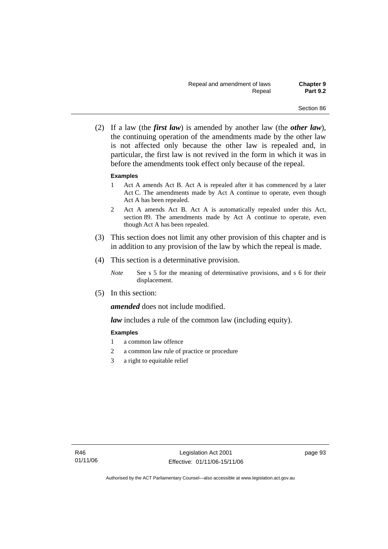(2) If a law (the *first law*) is amended by another law (the *other law*), the continuing operation of the amendments made by the other law is not affected only because the other law is repealed and, in particular, the first law is not revived in the form in which it was in before the amendments took effect only because of the repeal.

### **Examples**

- 1 Act A amends Act B. Act A is repealed after it has commenced by a later Act C. The amendments made by Act A continue to operate, even though Act A has been repealed.
- 2 Act A amends Act B. Act A is automatically repealed under this Act, section 89. The amendments made by Act A continue to operate, even though Act A has been repealed.
- (3) This section does not limit any other provision of this chapter and is in addition to any provision of the law by which the repeal is made.
- (4) This section is a determinative provision.
	- *Note* See s 5 for the meaning of determinative provisions, and s 6 for their displacement.
- (5) In this section:

*amended* does not include modified.

*law* includes a rule of the common law (including equity).

### **Examples**

- 1 a common law offence
- 2 a common law rule of practice or procedure
- 3 a right to equitable relief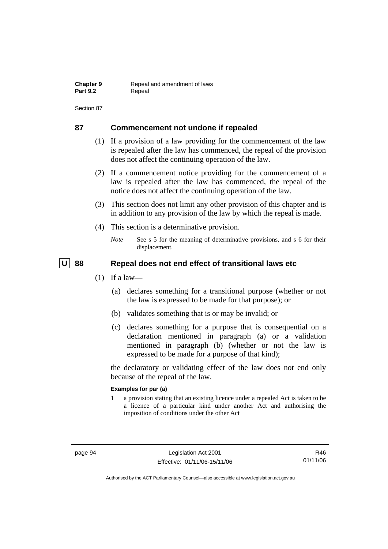| <b>Chapter 9</b> | Repeal and amendment of laws |
|------------------|------------------------------|
| <b>Part 9.2</b>  | Repeal                       |

### **87 Commencement not undone if repealed**

- (1) If a provision of a law providing for the commencement of the law is repealed after the law has commenced, the repeal of the provision does not affect the continuing operation of the law.
- (2) If a commencement notice providing for the commencement of a law is repealed after the law has commenced, the repeal of the notice does not affect the continuing operation of the law.
- (3) This section does not limit any other provision of this chapter and is in addition to any provision of the law by which the repeal is made.
- (4) This section is a determinative provision.
	- *Note* See s 5 for the meaning of determinative provisions, and s 6 for their displacement.

### | U | 88 Repeal does not end effect of transitional laws etc

- $(1)$  If a law—
	- (a) declares something for a transitional purpose (whether or not the law is expressed to be made for that purpose); or
	- (b) validates something that is or may be invalid; or
	- (c) declares something for a purpose that is consequential on a declaration mentioned in paragraph (a) or a validation mentioned in paragraph (b) (whether or not the law is expressed to be made for a purpose of that kind);

the declaratory or validating effect of the law does not end only because of the repeal of the law.

### **Examples for par (a)**

1 a provision stating that an existing licence under a repealed Act is taken to be a licence of a particular kind under another Act and authorising the imposition of conditions under the other Act

R46 01/11/06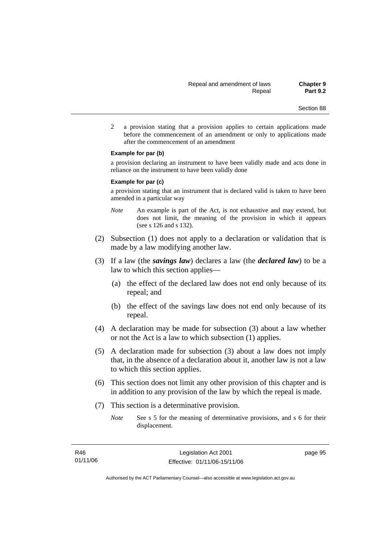2 a provision stating that a provision applies to certain applications made before the commencement of an amendment or only to applications made after the commencement of an amendment

#### **Example for par (b)**

a provision declaring an instrument to have been validly made and acts done in reliance on the instrument to have been validly done

#### **Example for par (c)**

a provision stating that an instrument that is declared valid is taken to have been amended in a particular way

- *Note* An example is part of the Act, is not exhaustive and may extend, but does not limit, the meaning of the provision in which it appears (see s 126 and s 132).
- (2) Subsection (1) does not apply to a declaration or validation that is made by a law modifying another law.
- (3) If a law (the *savings law*) declares a law (the *declared law*) to be a law to which this section applies—
	- (a) the effect of the declared law does not end only because of its repeal; and
	- (b) the effect of the savings law does not end only because of its repeal.
- (4) A declaration may be made for subsection (3) about a law whether or not the Act is a law to which subsection (1) applies.
- (5) A declaration made for subsection (3) about a law does not imply that, in the absence of a declaration about it, another law is not a law to which this section applies.
- (6) This section does not limit any other provision of this chapter and is in addition to any provision of the law by which the repeal is made.
- (7) This section is a determinative provision.
	- *Note* See s 5 for the meaning of determinative provisions, and s 6 for their displacement.

page 95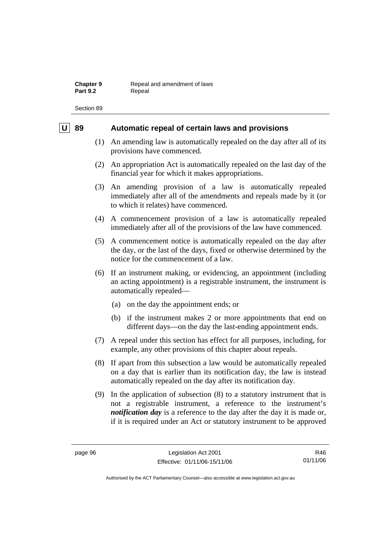### **U** 89 Automatic repeal of certain laws and provisions

- (1) An amending law is automatically repealed on the day after all of its provisions have commenced.
- (2) An appropriation Act is automatically repealed on the last day of the financial year for which it makes appropriations.
- (3) An amending provision of a law is automatically repealed immediately after all of the amendments and repeals made by it (or to which it relates) have commenced.
- (4) A commencement provision of a law is automatically repealed immediately after all of the provisions of the law have commenced.
- (5) A commencement notice is automatically repealed on the day after the day, or the last of the days, fixed or otherwise determined by the notice for the commencement of a law.
- (6) If an instrument making, or evidencing, an appointment (including an acting appointment) is a registrable instrument, the instrument is automatically repealed—
	- (a) on the day the appointment ends; or
	- (b) if the instrument makes 2 or more appointments that end on different days—on the day the last-ending appointment ends.
- (7) A repeal under this section has effect for all purposes, including, for example, any other provisions of this chapter about repeals.
- (8) If apart from this subsection a law would be automatically repealed on a day that is earlier than its notification day, the law is instead automatically repealed on the day after its notification day.
- (9) In the application of subsection (8) to a statutory instrument that is not a registrable instrument, a reference to the instrument's *notification day* is a reference to the day after the day it is made or, if it is required under an Act or statutory instrument to be approved

R46 01/11/06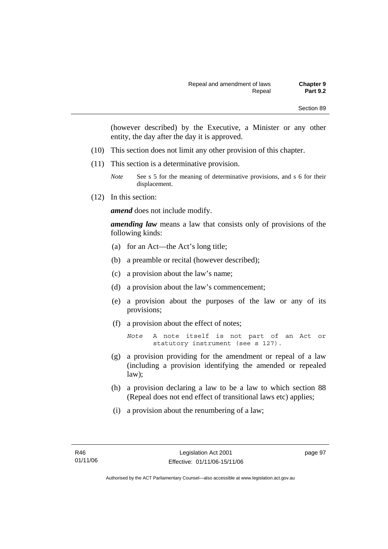(however described) by the Executive, a Minister or any other entity, the day after the day it is approved.

- (10) This section does not limit any other provision of this chapter.
- (11) This section is a determinative provision.

(12) In this section:

*amend* does not include modify.

*amending law* means a law that consists only of provisions of the following kinds:

- (a) for an Act—the Act's long title;
- (b) a preamble or recital (however described);
- (c) a provision about the law's name;
- (d) a provision about the law's commencement;
- (e) a provision about the purposes of the law or any of its provisions;
- (f) a provision about the effect of notes;

```
Note A note itself is not part of an Act or 
statutory instrument (see s 127).
```
- (g) a provision providing for the amendment or repeal of a law (including a provision identifying the amended or repealed law);
- (h) a provision declaring a law to be a law to which section 88 (Repeal does not end effect of transitional laws etc) applies;
- (i) a provision about the renumbering of a law;

*Note* See s 5 for the meaning of determinative provisions, and s 6 for their displacement.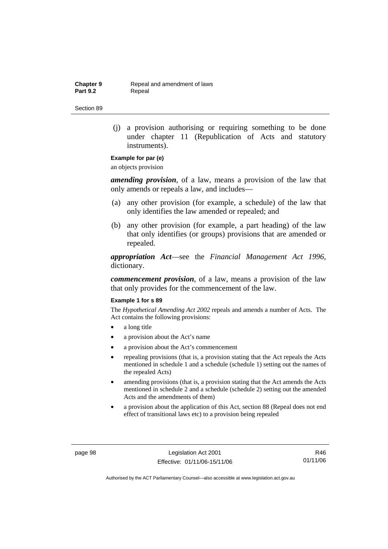**Chapter 9 Repeal and amendment of laws**<br>**Part 9.2 Repeal** Repeal

Section 89

 (j) a provision authorising or requiring something to be done under chapter 11 (Republication of Acts and statutory instruments).

### **Example for par (e)**

an objects provision

*amending provision*, of a law, means a provision of the law that only amends or repeals a law, and includes—

- (a) any other provision (for example, a schedule) of the law that only identifies the law amended or repealed; and
- (b) any other provision (for example, a part heading) of the law that only identifies (or groups) provisions that are amended or repealed.

*appropriation Act*—see the *Financial Management Act 1996*, dictionary.

*commencement provision*, of a law, means a provision of the law that only provides for the commencement of the law.

#### **Example 1 for s 89**

The *Hypothetical Amending Act 2002* repeals and amends a number of Acts. The Act contains the following provisions:

- a long title
- a provision about the Act's name
- a provision about the Act's commencement
- repealing provisions (that is, a provision stating that the Act repeals the Acts mentioned in schedule 1 and a schedule (schedule 1) setting out the names of the repealed Acts)
- amending provisions (that is, a provision stating that the Act amends the Acts mentioned in schedule 2 and a schedule (schedule 2) setting out the amended Acts and the amendments of them)
- a provision about the application of this Act, section 88 (Repeal does not end effect of transitional laws etc) to a provision being repealed

page 98 Legislation Act 2001 Effective: 01/11/06-15/11/06

R46 01/11/06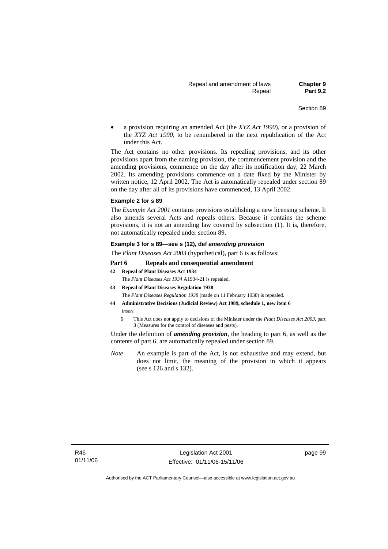• a provision requiring an amended Act (the *XYZ Act 1990*), or a provision of the *XYZ Act 1990*, to be renumbered in the next republication of the Act under this Act.

The Act contains no other provisions. Its repealing provisions, and its other provisions apart from the naming provision, the commencement provision and the amending provisions, commence on the day after its notification day, 22 March 2002. Its amending provisions commence on a date fixed by the Minister by written notice, 12 April 2002. The Act is automatically repealed under section 89 on the day after all of its provisions have commenced, 13 April 2002.

#### **Example 2 for s 89**

The *Example Act 2001* contains provisions establishing a new licensing scheme. It also amends several Acts and repeals others. Because it contains the scheme provisions, it is not an amending law covered by subsection (1). It is, therefore, not automatically repealed under section 89.

#### **Example 3 for s 89—see s (12), def** *amending provision*

The *Plant Diseases Act 2003* (hypothetical), part 6 is as follows:

#### **Part 6 Repeals and consequential amendment**

**42 Repeal of Plant Diseases Act 1934**

The *Plant Diseases Act 1934* A1934-21 is repealed.

- **43 Repeal of Plant Diseases Regulation 1938**
	- The *Plant Diseases Regulation 1938* (made on 11 February 1938) is repealed.
- **44 Administrative Decisions (Judicial Review) Act 1989, schedule 1, new item 6**  *insert* 
	- 6 This Act does not apply to decisions of the Minister under the *Plant Diseases Act 2003*, part 3 (Measures for the control of diseases and pests).

Under the definition of *amending provision*, the heading to part 6, as well as the contents of part 6, are automatically repealed under section 89.

*Note* An example is part of the Act, is not exhaustive and may extend, but does not limit, the meaning of the provision in which it appears (see s 126 and s 132).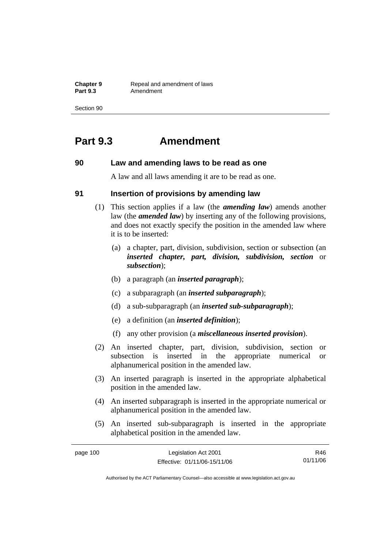**Chapter 9 Repeal and amendment of laws**<br>**Part 9.3 Amendment** Amendment

Section 90

## **Part 9.3 Amendment**

### **90 Law and amending laws to be read as one**

A law and all laws amending it are to be read as one.

### **91 Insertion of provisions by amending law**

- (1) This section applies if a law (the *amending law*) amends another law (the *amended law*) by inserting any of the following provisions, and does not exactly specify the position in the amended law where it is to be inserted:
	- (a) a chapter, part, division, subdivision, section or subsection (an *inserted chapter, part, division, subdivision, section* or *subsection*);
	- (b) a paragraph (an *inserted paragraph*);
	- (c) a subparagraph (an *inserted subparagraph*);
	- (d) a sub-subparagraph (an *inserted sub-subparagraph*);
	- (e) a definition (an *inserted definition*);
	- (f) any other provision (a *miscellaneous inserted provision*).
- (2) An inserted chapter, part, division, subdivision, section or subsection is inserted in the appropriate numerical or alphanumerical position in the amended law.
- (3) An inserted paragraph is inserted in the appropriate alphabetical position in the amended law.
- (4) An inserted subparagraph is inserted in the appropriate numerical or alphanumerical position in the amended law.
- (5) An inserted sub-subparagraph is inserted in the appropriate alphabetical position in the amended law.

| page 100 | Legislation Act 2001         | R46      |
|----------|------------------------------|----------|
|          | Effective: 01/11/06-15/11/06 | 01/11/06 |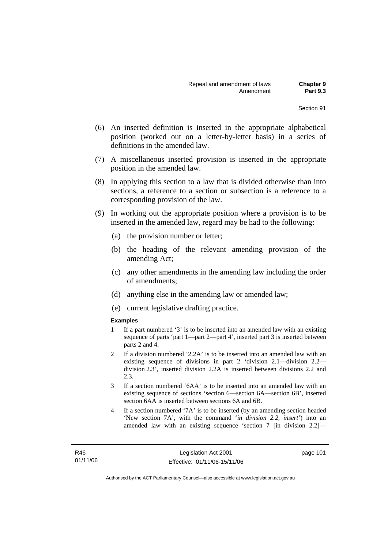- (6) An inserted definition is inserted in the appropriate alphabetical position (worked out on a letter-by-letter basis) in a series of definitions in the amended law.
- (7) A miscellaneous inserted provision is inserted in the appropriate position in the amended law.
- (8) In applying this section to a law that is divided otherwise than into sections, a reference to a section or subsection is a reference to a corresponding provision of the law.
- (9) In working out the appropriate position where a provision is to be inserted in the amended law, regard may be had to the following:
	- (a) the provision number or letter;
	- (b) the heading of the relevant amending provision of the amending Act;
	- (c) any other amendments in the amending law including the order of amendments;
	- (d) anything else in the amending law or amended law;
	- (e) current legislative drafting practice.

### **Examples**

- 1 If a part numbered '3' is to be inserted into an amended law with an existing sequence of parts 'part 1—part 2—part 4', inserted part 3 is inserted between parts 2 and 4.
- 2 If a division numbered '2.2A' is to be inserted into an amended law with an existing sequence of divisions in part 2 'division 2.1—division 2.2 division 2.3', inserted division 2.2A is inserted between divisions 2.2 and  $2.3$
- 3 If a section numbered '6AA' is to be inserted into an amended law with an existing sequence of sections 'section 6—section 6A—section 6B', inserted section 6AA is inserted between sections 6A and 6B.
- 4 If a section numbered '7A' is to be inserted (by an amending section headed 'New section 7A', with the command '*in division 2.2, insert*') into an amended law with an existing sequence 'section 7 [in division 2.2]—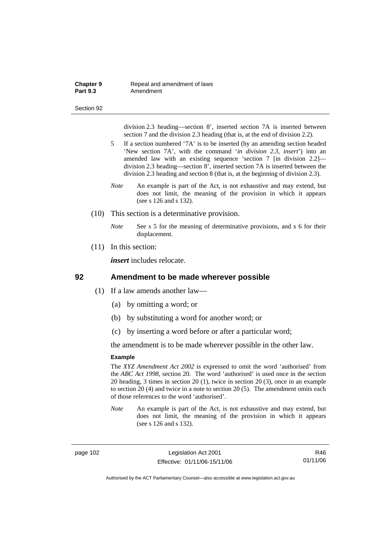#### **Chapter 9 Repeal and amendment of laws**<br>**Part 9.3 Amendment** Amendment

#### Section 92

division 2.3 heading—section 8', inserted section 7A is inserted between section 7 and the division 2.3 heading (that is, at the end of division 2.2).

- 5 If a section numbered '7A' is to be inserted (by an amending section headed 'New section 7A', with the command '*in division 2.3, insert*') into an amended law with an existing sequence 'section 7 [in division 2.2] division 2.3 heading—section 8', inserted section 7A is inserted between the division 2.3 heading and section 8 (that is, at the beginning of division 2.3).
- *Note* An example is part of the Act, is not exhaustive and may extend, but does not limit, the meaning of the provision in which it appears (see s 126 and s 132).
- (10) This section is a determinative provision.
	- *Note* See s 5 for the meaning of determinative provisions, and s 6 for their displacement.
- (11) In this section:

*insert* includes relocate.

### **92 Amendment to be made wherever possible**

- (1) If a law amends another law—
	- (a) by omitting a word; or
	- (b) by substituting a word for another word; or
	- (c) by inserting a word before or after a particular word;

the amendment is to be made wherever possible in the other law.

#### **Example**

The *XYZ Amendment Act 2002* is expressed to omit the word 'authorised' from the *ABC Act 1998*, section 20. The word 'authorised' is used once in the section 20 heading, 3 times in section 20 (1), twice in section 20 (3), once in an example to section 20 (4) and twice in a note to section 20 (5). The amendment omits each of those references to the word 'authorised'.

*Note* An example is part of the Act, is not exhaustive and may extend, but does not limit, the meaning of the provision in which it appears (see s 126 and s 132).

page 102 Legislation Act 2001 Effective: 01/11/06-15/11/06

R46 01/11/06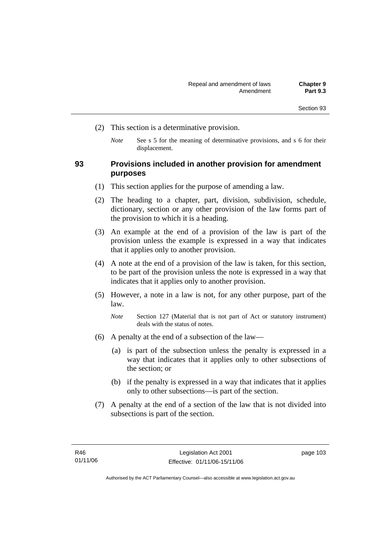- (2) This section is a determinative provision.
	- *Note* See s 5 for the meaning of determinative provisions, and s 6 for their displacement.

### **93 Provisions included in another provision for amendment purposes**

- (1) This section applies for the purpose of amending a law.
- (2) The heading to a chapter, part, division, subdivision, schedule, dictionary, section or any other provision of the law forms part of the provision to which it is a heading.
- (3) An example at the end of a provision of the law is part of the provision unless the example is expressed in a way that indicates that it applies only to another provision.
- (4) A note at the end of a provision of the law is taken, for this section, to be part of the provision unless the note is expressed in a way that indicates that it applies only to another provision.
- (5) However, a note in a law is not, for any other purpose, part of the law.

*Note* Section 127 (Material that is not part of Act or statutory instrument) deals with the status of notes.

- (6) A penalty at the end of a subsection of the law—
	- (a) is part of the subsection unless the penalty is expressed in a way that indicates that it applies only to other subsections of the section; or
	- (b) if the penalty is expressed in a way that indicates that it applies only to other subsections—is part of the section.
- (7) A penalty at the end of a section of the law that is not divided into subsections is part of the section.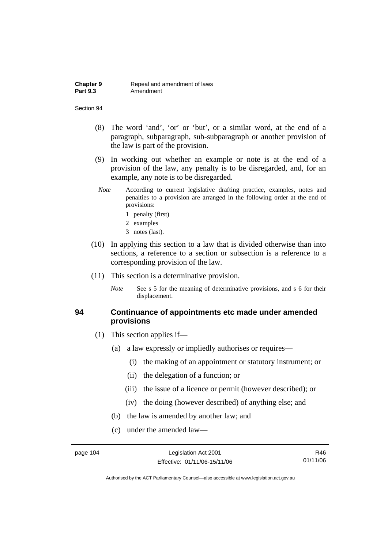- (8) The word 'and', 'or' or 'but', or a similar word, at the end of a paragraph, subparagraph, sub-subparagraph or another provision of the law is part of the provision.
- (9) In working out whether an example or note is at the end of a provision of the law, any penalty is to be disregarded, and, for an example, any note is to be disregarded.
- *Note* According to current legislative drafting practice, examples, notes and penalties to a provision are arranged in the following order at the end of provisions:
	- 1 penalty (first)
	- 2 examples
	- 3 notes (last).
- (10) In applying this section to a law that is divided otherwise than into sections, a reference to a section or subsection is a reference to a corresponding provision of the law.
- (11) This section is a determinative provision.
	- *Note* See s 5 for the meaning of determinative provisions, and s 6 for their displacement.

### **94 Continuance of appointments etc made under amended provisions**

- (1) This section applies if—
	- (a) a law expressly or impliedly authorises or requires—
		- (i) the making of an appointment or statutory instrument; or
		- (ii) the delegation of a function; or
		- (iii) the issue of a licence or permit (however described); or
		- (iv) the doing (however described) of anything else; and
	- (b) the law is amended by another law; and
	- (c) under the amended law—

R46 01/11/06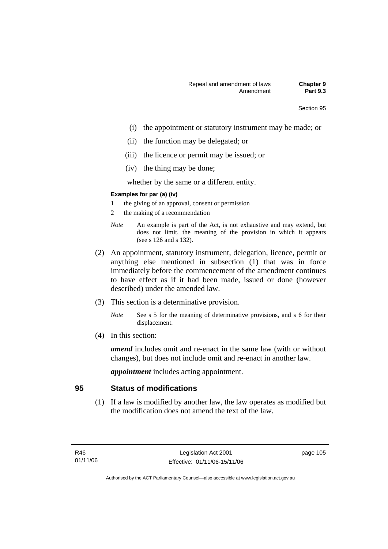- (i) the appointment or statutory instrument may be made; or
- (ii) the function may be delegated; or
- (iii) the licence or permit may be issued; or
- (iv) the thing may be done;

whether by the same or a different entity.

#### **Examples for par (a) (iv)**

- 1 the giving of an approval, consent or permission
- 2 the making of a recommendation
- *Note* An example is part of the Act, is not exhaustive and may extend, but does not limit, the meaning of the provision in which it appears (see s 126 and s 132).
- (2) An appointment, statutory instrument, delegation, licence, permit or anything else mentioned in subsection (1) that was in force immediately before the commencement of the amendment continues to have effect as if it had been made, issued or done (however described) under the amended law.
- (3) This section is a determinative provision.
	- *Note* See s 5 for the meaning of determinative provisions, and s 6 for their displacement.
- (4) In this section:

*amend* includes omit and re-enact in the same law (with or without changes), but does not include omit and re-enact in another law.

*appointment* includes acting appointment.

### **95 Status of modifications**

 (1) If a law is modified by another law, the law operates as modified but the modification does not amend the text of the law.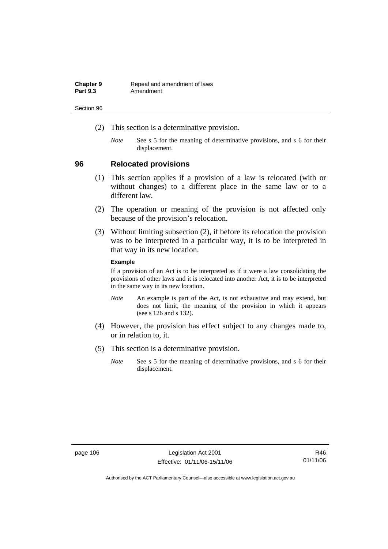| <b>Chapter 9</b> | Repeal and amendment of laws |
|------------------|------------------------------|
| <b>Part 9.3</b>  | Amendment                    |

- (2) This section is a determinative provision.
	- *Note* See s 5 for the meaning of determinative provisions, and s 6 for their displacement.

### **96 Relocated provisions**

- (1) This section applies if a provision of a law is relocated (with or without changes) to a different place in the same law or to a different law.
- (2) The operation or meaning of the provision is not affected only because of the provision's relocation.
- (3) Without limiting subsection (2), if before its relocation the provision was to be interpreted in a particular way, it is to be interpreted in that way in its new location.

### **Example**

If a provision of an Act is to be interpreted as if it were a law consolidating the provisions of other laws and it is relocated into another Act, it is to be interpreted in the same way in its new location.

- *Note* An example is part of the Act, is not exhaustive and may extend, but does not limit, the meaning of the provision in which it appears (see s 126 and s 132).
- (4) However, the provision has effect subject to any changes made to, or in relation to, it.
- (5) This section is a determinative provision.
	- *Note* See s 5 for the meaning of determinative provisions, and s 6 for their displacement.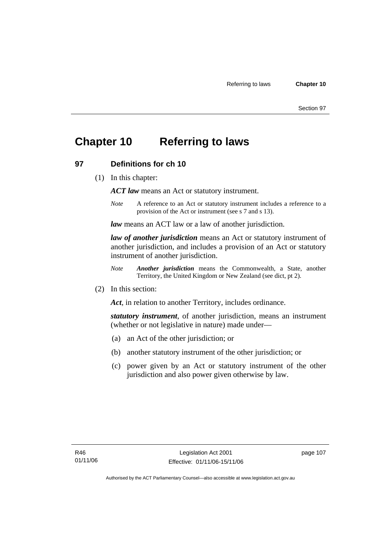## **Chapter 10 Referring to laws**

### **97 Definitions for ch 10**

(1) In this chapter:

*ACT law* means an Act or statutory instrument.

*Note* A reference to an Act or statutory instrument includes a reference to a provision of the Act or instrument (see s 7 and s 13).

*law* means an ACT law or a law of another jurisdiction.

*law of another jurisdiction* means an Act or statutory instrument of another jurisdiction, and includes a provision of an Act or statutory instrument of another jurisdiction.

- *Note Another jurisdiction* means the Commonwealth, a State, another Territory, the United Kingdom or New Zealand (see dict, pt 2).
- (2) In this section:

*Act*, in relation to another Territory, includes ordinance.

*statutory instrument*, of another jurisdiction, means an instrument (whether or not legislative in nature) made under—

- (a) an Act of the other jurisdiction; or
- (b) another statutory instrument of the other jurisdiction; or
- (c) power given by an Act or statutory instrument of the other jurisdiction and also power given otherwise by law.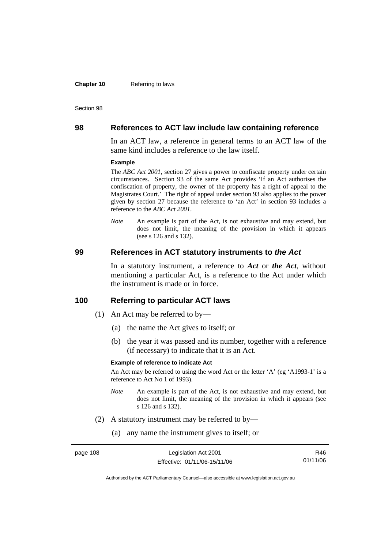#### **Chapter 10** Referring to laws

#### Section 98

### **98 References to ACT law include law containing reference**

In an ACT law, a reference in general terms to an ACT law of the same kind includes a reference to the law itself.

#### **Example**

The *ABC Act 2001*, section 27 gives a power to confiscate property under certain circumstances. Section 93 of the same Act provides 'If an Act authorises the confiscation of property, the owner of the property has a right of appeal to the Magistrates Court.' The right of appeal under section 93 also applies to the power given by section 27 because the reference to 'an Act' in section 93 includes a reference to the *ABC Act 2001*.

*Note* An example is part of the Act, is not exhaustive and may extend, but does not limit, the meaning of the provision in which it appears (see s 126 and s 132).

### **99 References in ACT statutory instruments to** *the Act*

In a statutory instrument, a reference to *Act* or *the Act*, without mentioning a particular Act, is a reference to the Act under which the instrument is made or in force.

### **100 Referring to particular ACT laws**

- (1) An Act may be referred to by—
	- (a) the name the Act gives to itself; or
	- (b) the year it was passed and its number, together with a reference (if necessary) to indicate that it is an Act.

#### **Example of reference to indicate Act**

An Act may be referred to using the word Act or the letter 'A' (eg 'A1993-1' is a reference to Act No 1 of 1993).

- *Note* An example is part of the Act, is not exhaustive and may extend, but does not limit, the meaning of the provision in which it appears (see s 126 and s 132).
- (2) A statutory instrument may be referred to by—
	- (a) any name the instrument gives to itself; or

| page 108 | Legislation Act 2001         | R46      |
|----------|------------------------------|----------|
|          | Effective: 01/11/06-15/11/06 | 01/11/06 |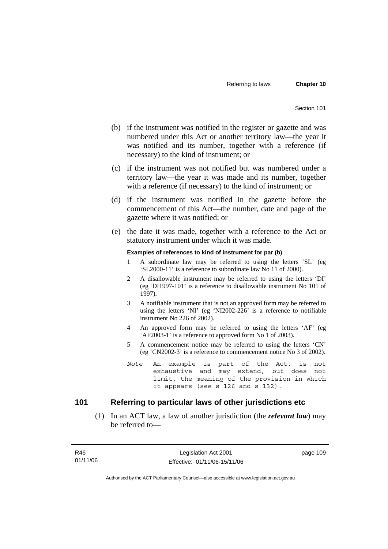- (b) if the instrument was notified in the register or gazette and was numbered under this Act or another territory law—the year it was notified and its number, together with a reference (if necessary) to the kind of instrument; or
- (c) if the instrument was not notified but was numbered under a territory law—the year it was made and its number, together with a reference (if necessary) to the kind of instrument; or
- (d) if the instrument was notified in the gazette before the commencement of this Act—the number, date and page of the gazette where it was notified; or
- (e) the date it was made, together with a reference to the Act or statutory instrument under which it was made.

#### **Examples of references to kind of instrument for par (b)**

- 1 A subordinate law may be referred to using the letters 'SL' (eg 'SL2000-11' is a reference to subordinate law No 11 of 2000).
- 2 A disallowable instrument may be referred to using the letters 'DI' (eg 'DI1997-101' is a reference to disallowable instrument No 101 of 1997).
- 3 A notifiable instrument that is not an approved form may be referred to using the letters 'NI' (eg 'NI2002-226' is a reference to notifiable instrument No 226 of 2002).
- 4 An approved form may be referred to using the letters 'AF' (eg 'AF2003-1' is a reference to approved form No 1 of 2003).
- 5 A commencement notice may be referred to using the letters 'CN' (eg 'CN2002-3' is a reference to commencement notice No 3 of 2002).
- *Note* An example is part of the Act, is not exhaustive and may extend, but does not limit, the meaning of the provision in which it appears (see s 126 and s 132).

### **101 Referring to particular laws of other jurisdictions etc**

 (1) In an ACT law, a law of another jurisdiction (the *relevant law*) may be referred to—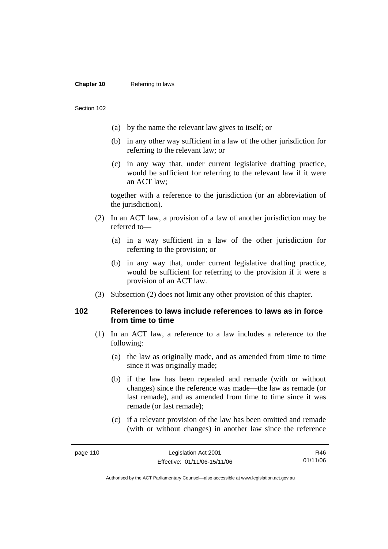#### **Chapter 10** Referring to laws

Section 102

- (a) by the name the relevant law gives to itself; or
- (b) in any other way sufficient in a law of the other jurisdiction for referring to the relevant law; or
- (c) in any way that, under current legislative drafting practice, would be sufficient for referring to the relevant law if it were an ACT law;

together with a reference to the jurisdiction (or an abbreviation of the jurisdiction).

- (2) In an ACT law, a provision of a law of another jurisdiction may be referred to—
	- (a) in a way sufficient in a law of the other jurisdiction for referring to the provision; or
	- (b) in any way that, under current legislative drafting practice, would be sufficient for referring to the provision if it were a provision of an ACT law.
- (3) Subsection (2) does not limit any other provision of this chapter.

### **102 References to laws include references to laws as in force from time to time**

- (1) In an ACT law, a reference to a law includes a reference to the following:
	- (a) the law as originally made, and as amended from time to time since it was originally made;
	- (b) if the law has been repealed and remade (with or without changes) since the reference was made—the law as remade (or last remade), and as amended from time to time since it was remade (or last remade);
	- (c) if a relevant provision of the law has been omitted and remade (with or without changes) in another law since the reference

R46 01/11/06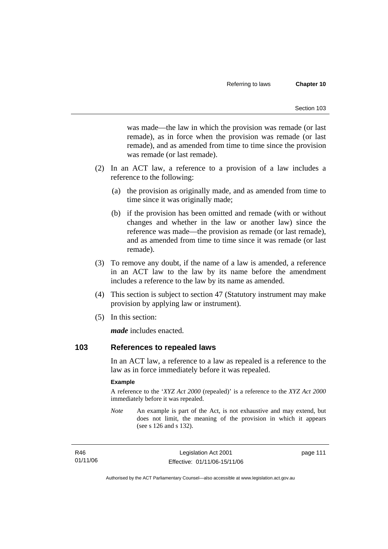was made—the law in which the provision was remade (or last remade), as in force when the provision was remade (or last remade), and as amended from time to time since the provision was remade (or last remade).

- (2) In an ACT law, a reference to a provision of a law includes a reference to the following:
	- (a) the provision as originally made, and as amended from time to time since it was originally made;
	- (b) if the provision has been omitted and remade (with or without changes and whether in the law or another law) since the reference was made—the provision as remade (or last remade), and as amended from time to time since it was remade (or last remade).
- (3) To remove any doubt, if the name of a law is amended, a reference in an ACT law to the law by its name before the amendment includes a reference to the law by its name as amended.
- (4) This section is subject to section 47 (Statutory instrument may make provision by applying law or instrument).
- (5) In this section:

*made* includes enacted.

### **103 References to repealed laws**

In an ACT law, a reference to a law as repealed is a reference to the law as in force immediately before it was repealed.

#### **Example**

A reference to the '*XYZ Act 2000* (repealed)' is a reference to the *XYZ Act 2000* immediately before it was repealed.

*Note* An example is part of the Act, is not exhaustive and may extend, but does not limit, the meaning of the provision in which it appears (see s 126 and s 132).

R46 01/11/06 page 111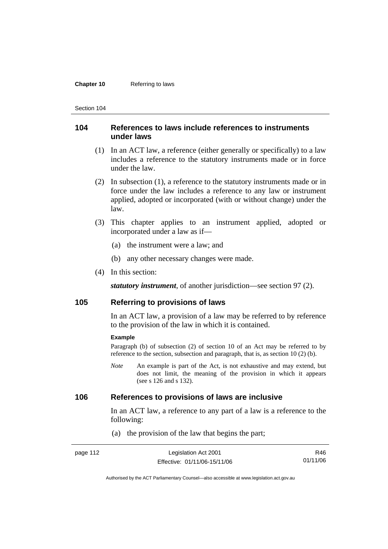#### **Chapter 10** Referring to laws

Section 104

### **104 References to laws include references to instruments under laws**

- (1) In an ACT law, a reference (either generally or specifically) to a law includes a reference to the statutory instruments made or in force under the law.
- (2) In subsection (1), a reference to the statutory instruments made or in force under the law includes a reference to any law or instrument applied, adopted or incorporated (with or without change) under the law.
- (3) This chapter applies to an instrument applied, adopted or incorporated under a law as if—
	- (a) the instrument were a law; and
	- (b) any other necessary changes were made.
- (4) In this section:

*statutory instrument*, of another jurisdiction—see section 97 (2).

### **105 Referring to provisions of laws**

In an ACT law, a provision of a law may be referred to by reference to the provision of the law in which it is contained.

#### **Example**

Paragraph (b) of subsection (2) of section 10 of an Act may be referred to by reference to the section, subsection and paragraph, that is, as section 10 (2) (b).

*Note* An example is part of the Act, is not exhaustive and may extend, but does not limit, the meaning of the provision in which it appears (see s 126 and s 132).

### **106 References to provisions of laws are inclusive**

In an ACT law, a reference to any part of a law is a reference to the following:

(a) the provision of the law that begins the part;

| page 112 | Legislation Act 2001         | R46      |
|----------|------------------------------|----------|
|          | Effective: 01/11/06-15/11/06 | 01/11/06 |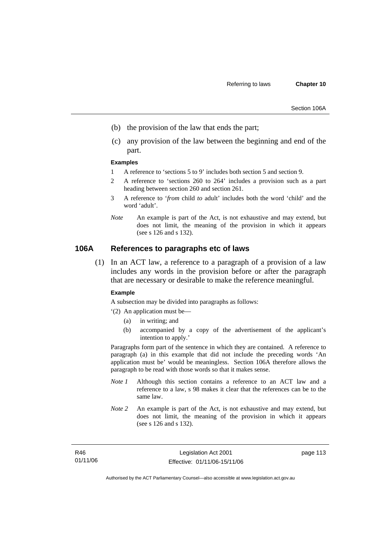- (b) the provision of the law that ends the part;
- (c) any provision of the law between the beginning and end of the part.

#### **Examples**

- 1 A reference to 'sections 5 to 9' includes both section 5 and section 9.
- 2 A reference to 'sections 260 to 264' includes a provision such as a part heading between section 260 and section 261.
- 3 A reference to '*from* child *to* adult' includes both the word 'child' and the word 'adult'.
- *Note* An example is part of the Act, is not exhaustive and may extend, but does not limit, the meaning of the provision in which it appears (see s 126 and s 132).

### **106A References to paragraphs etc of laws**

 (1) In an ACT law, a reference to a paragraph of a provision of a law includes any words in the provision before or after the paragraph that are necessary or desirable to make the reference meaningful.

#### **Example**

A subsection may be divided into paragraphs as follows:

'(2) An application must be—

- (a) in writing; and
- (b) accompanied by a copy of the advertisement of the applicant's intention to apply.'

Paragraphs form part of the sentence in which they are contained. A reference to paragraph (a) in this example that did not include the preceding words 'An application must be' would be meaningless. Section 106A therefore allows the paragraph to be read with those words so that it makes sense.

- *Note 1* Although this section contains a reference to an ACT law and a reference to a law, s 98 makes it clear that the references can be to the same law.
- *Note 2* An example is part of the Act, is not exhaustive and may extend, but does not limit, the meaning of the provision in which it appears (see s 126 and s 132).

R46 01/11/06 page 113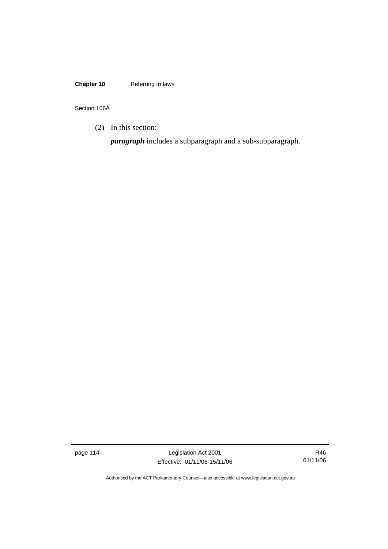### **Chapter 10** Referring to laws

Section 106A

(2) In this section:

*paragraph* includes a subparagraph and a sub-subparagraph.

page 114 Legislation Act 2001 Effective: 01/11/06-15/11/06

R46 01/11/06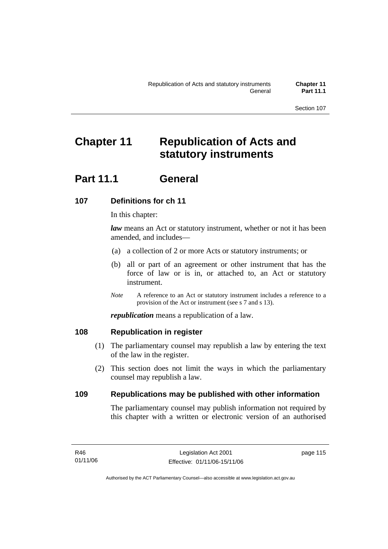## **Chapter 11 Republication of Acts and statutory instruments**

## **Part 11.1 General**

## **107 Definitions for ch 11**

In this chapter:

*law* means an Act or statutory instrument, whether or not it has been amended, and includes—

- (a) a collection of 2 or more Acts or statutory instruments; or
- (b) all or part of an agreement or other instrument that has the force of law or is in, or attached to, an Act or statutory instrument.
- *Note* A reference to an Act or statutory instrument includes a reference to a provision of the Act or instrument (see s 7 and s 13).

*republication* means a republication of a law.

### **108 Republication in register**

- (1) The parliamentary counsel may republish a law by entering the text of the law in the register.
- (2) This section does not limit the ways in which the parliamentary counsel may republish a law.

### **109 Republications may be published with other information**

The parliamentary counsel may publish information not required by this chapter with a written or electronic version of an authorised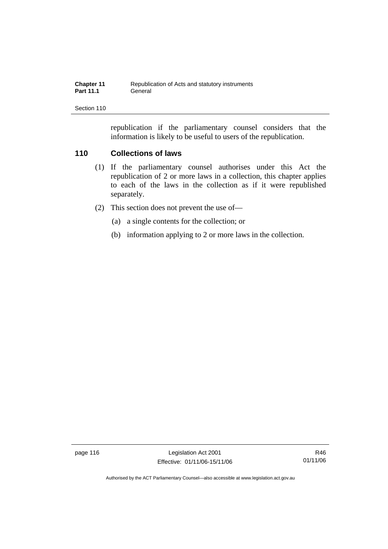| <b>Chapter 11</b> | Republication of Acts and statutory instruments |
|-------------------|-------------------------------------------------|
| <b>Part 11.1</b>  | General                                         |

republication if the parliamentary counsel considers that the information is likely to be useful to users of the republication.

### **110 Collections of laws**

- (1) If the parliamentary counsel authorises under this Act the republication of 2 or more laws in a collection, this chapter applies to each of the laws in the collection as if it were republished separately.
- (2) This section does not prevent the use of—
	- (a) a single contents for the collection; or
	- (b) information applying to 2 or more laws in the collection.

page 116 Legislation Act 2001 Effective: 01/11/06-15/11/06

R46 01/11/06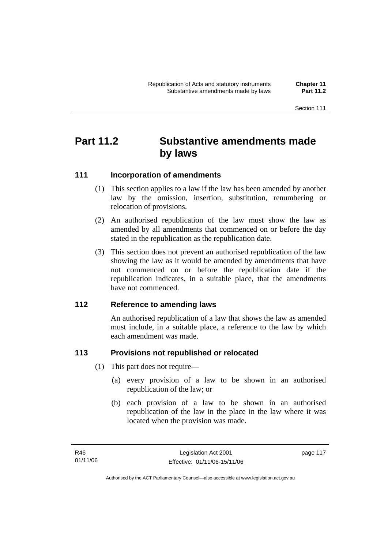## **Part 11.2 Substantive amendments made by laws**

### **111 Incorporation of amendments**

- (1) This section applies to a law if the law has been amended by another law by the omission, insertion, substitution, renumbering or relocation of provisions.
- (2) An authorised republication of the law must show the law as amended by all amendments that commenced on or before the day stated in the republication as the republication date.
- (3) This section does not prevent an authorised republication of the law showing the law as it would be amended by amendments that have not commenced on or before the republication date if the republication indicates, in a suitable place, that the amendments have not commenced.

### **112 Reference to amending laws**

An authorised republication of a law that shows the law as amended must include, in a suitable place, a reference to the law by which each amendment was made.

### **113 Provisions not republished or relocated**

- (1) This part does not require—
	- (a) every provision of a law to be shown in an authorised republication of the law; or
	- (b) each provision of a law to be shown in an authorised republication of the law in the place in the law where it was located when the provision was made.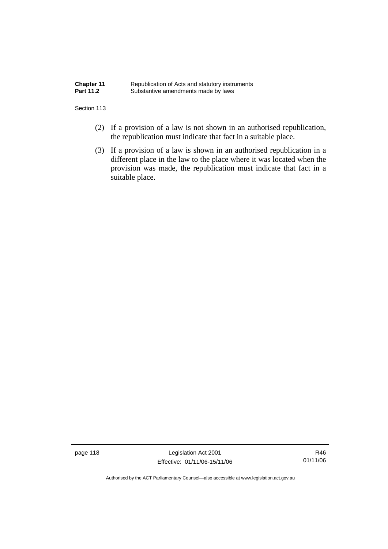| <b>Chapter 11</b> | Republication of Acts and statutory instruments |
|-------------------|-------------------------------------------------|
| <b>Part 11.2</b>  | Substantive amendments made by laws             |

- (2) If a provision of a law is not shown in an authorised republication, the republication must indicate that fact in a suitable place.
- (3) If a provision of a law is shown in an authorised republication in a different place in the law to the place where it was located when the provision was made, the republication must indicate that fact in a suitable place.

page 118 Legislation Act 2001 Effective: 01/11/06-15/11/06

R46 01/11/06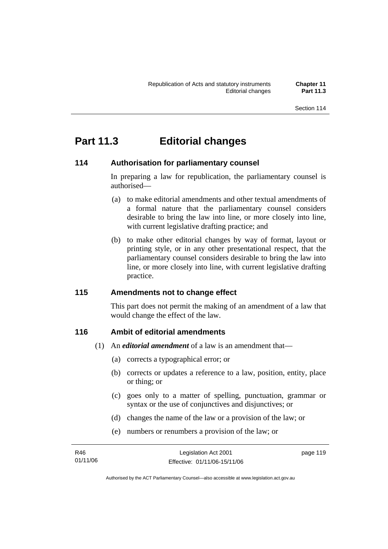## **Part 11.3 Editorial changes**

### **114 Authorisation for parliamentary counsel**

In preparing a law for republication, the parliamentary counsel is authorised—

- (a) to make editorial amendments and other textual amendments of a formal nature that the parliamentary counsel considers desirable to bring the law into line, or more closely into line, with current legislative drafting practice; and
- (b) to make other editorial changes by way of format, layout or printing style, or in any other presentational respect, that the parliamentary counsel considers desirable to bring the law into line, or more closely into line, with current legislative drafting practice.

### **115 Amendments not to change effect**

This part does not permit the making of an amendment of a law that would change the effect of the law.

### **116 Ambit of editorial amendments**

- (1) An *editorial amendment* of a law is an amendment that—
	- (a) corrects a typographical error; or
	- (b) corrects or updates a reference to a law, position, entity, place or thing; or
	- (c) goes only to a matter of spelling, punctuation, grammar or syntax or the use of conjunctives and disjunctives; or
	- (d) changes the name of the law or a provision of the law; or
	- (e) numbers or renumbers a provision of the law; or

| R46      | Legislation Act 2001         | page 119 |
|----------|------------------------------|----------|
| 01/11/06 | Effective: 01/11/06-15/11/06 |          |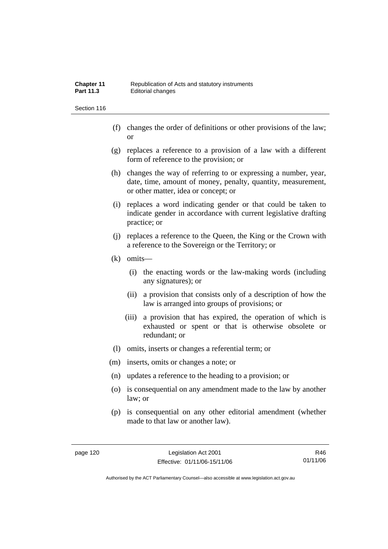| <b>Chapter 11</b> | Republication of Acts and statutory instruments |
|-------------------|-------------------------------------------------|
| <b>Part 11.3</b>  | Editorial changes                               |

- (f) changes the order of definitions or other provisions of the law; or
- (g) replaces a reference to a provision of a law with a different form of reference to the provision; or
- (h) changes the way of referring to or expressing a number, year, date, time, amount of money, penalty, quantity, measurement, or other matter, idea or concept; or
- (i) replaces a word indicating gender or that could be taken to indicate gender in accordance with current legislative drafting practice; or
- (j) replaces a reference to the Queen, the King or the Crown with a reference to the Sovereign or the Territory; or
- (k) omits—
	- (i) the enacting words or the law-making words (including any signatures); or
	- (ii) a provision that consists only of a description of how the law is arranged into groups of provisions; or
	- (iii) a provision that has expired, the operation of which is exhausted or spent or that is otherwise obsolete or redundant; or
- (l) omits, inserts or changes a referential term; or
- (m) inserts, omits or changes a note; or
- (n) updates a reference to the heading to a provision; or
- (o) is consequential on any amendment made to the law by another law; or
- (p) is consequential on any other editorial amendment (whether made to that law or another law).

R46 01/11/06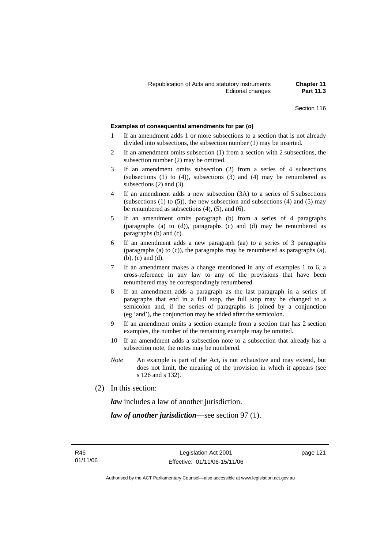#### **Examples of consequential amendments for par (o)**

- 1 If an amendment adds 1 or more subsections to a section that is not already divided into subsections, the subsection number (1) may be inserted.
- 2 If an amendment omits subsection (1) from a section with 2 subsections, the subsection number (2) may be omitted.
- 3 If an amendment omits subsection (2) from a series of 4 subsections (subsections  $(1)$  to  $(4)$ ), subsections  $(3)$  and  $(4)$  may be renumbered as subsections (2) and (3).
- 4 If an amendment adds a new subsection (3A) to a series of 5 subsections (subsections  $(1)$  to  $(5)$ ), the new subsection and subsections  $(4)$  and  $(5)$  may be renumbered as subsections (4), (5), and (6).
- 5 If an amendment omits paragraph (b) from a series of 4 paragraphs (paragraphs (a) to (d)), paragraphs (c) and (d) may be renumbered as paragraphs (b) and (c).
- 6 If an amendment adds a new paragraph (aa) to a series of 3 paragraphs (paragraphs (a) to (c)), the paragraphs may be renumbered as paragraphs (a), (b), (c) and (d).
- 7 If an amendment makes a change mentioned in any of examples 1 to 6, a cross-reference in any law to any of the provisions that have been renumbered may be correspondingly renumbered.
- 8 If an amendment adds a paragraph as the last paragraph in a series of paragraphs that end in a full stop, the full stop may be changed to a semicolon and, if the series of paragraphs is joined by a conjunction (eg 'and'), the conjunction may be added after the semicolon.
- 9 If an amendment omits a section example from a section that has 2 section examples, the number of the remaining example may be omitted.
- 10 If an amendment adds a subsection note to a subsection that already has a subsection note, the notes may be numbered.
- *Note* An example is part of the Act, is not exhaustive and may extend, but does not limit, the meaning of the provision in which it appears (see s 126 and s 132).
- (2) In this section:

*law* includes a law of another jurisdiction.

*law of another jurisdiction*—see section 97 (1).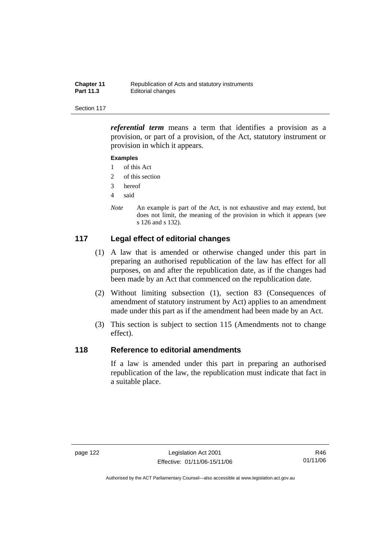| <b>Chapter 11</b> | Republication of Acts and statutory instruments |
|-------------------|-------------------------------------------------|
| <b>Part 11.3</b>  | Editorial changes                               |

*referential term* means a term that identifies a provision as a provision, or part of a provision, of the Act, statutory instrument or provision in which it appears.

#### **Examples**

- 1 of this Act
- 2 of this section
- 3 hereof
- 4 said
- *Note* An example is part of the Act, is not exhaustive and may extend, but does not limit, the meaning of the provision in which it appears (see s 126 and s 132).

### **117 Legal effect of editorial changes**

- (1) A law that is amended or otherwise changed under this part in preparing an authorised republication of the law has effect for all purposes, on and after the republication date, as if the changes had been made by an Act that commenced on the republication date.
- (2) Without limiting subsection (1), section 83 (Consequences of amendment of statutory instrument by Act) applies to an amendment made under this part as if the amendment had been made by an Act.
- (3) This section is subject to section 115 (Amendments not to change effect).

### **118 Reference to editorial amendments**

If a law is amended under this part in preparing an authorised republication of the law, the republication must indicate that fact in a suitable place.

R46 01/11/06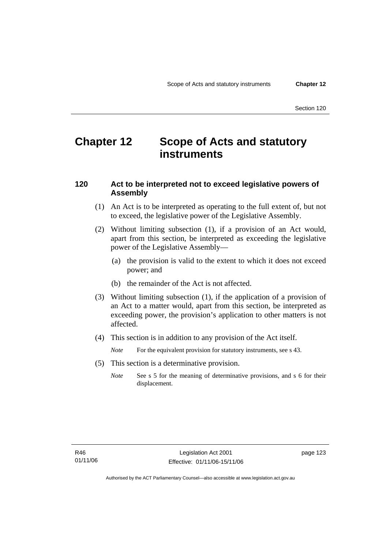## **Chapter 12 Scope of Acts and statutory instruments**

### **120 Act to be interpreted not to exceed legislative powers of Assembly**

- (1) An Act is to be interpreted as operating to the full extent of, but not to exceed, the legislative power of the Legislative Assembly.
- (2) Without limiting subsection (1), if a provision of an Act would, apart from this section, be interpreted as exceeding the legislative power of the Legislative Assembly—
	- (a) the provision is valid to the extent to which it does not exceed power; and
	- (b) the remainder of the Act is not affected.
- (3) Without limiting subsection (1), if the application of a provision of an Act to a matter would, apart from this section, be interpreted as exceeding power, the provision's application to other matters is not affected.
- (4) This section is in addition to any provision of the Act itself.

*Note* For the equivalent provision for statutory instruments, see s 43.

- (5) This section is a determinative provision.
	- *Note* See s 5 for the meaning of determinative provisions, and s 6 for their displacement.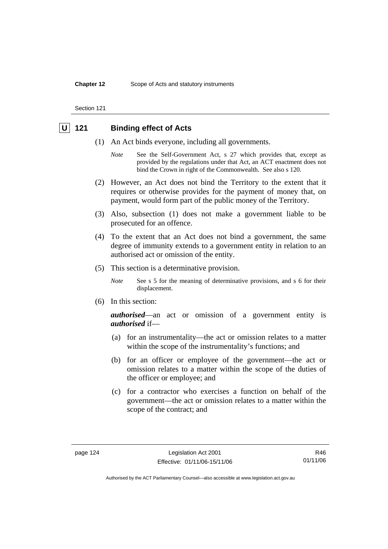#### **Chapter 12** Scope of Acts and statutory instruments

Section 121

### **U 121 Binding effect of Acts**

- (1) An Act binds everyone, including all governments.
	- *Note* See the Self-Government Act, s 27 which provides that, except as provided by the regulations under that Act, an ACT enactment does not bind the Crown in right of the Commonwealth. See also s 120.
- (2) However, an Act does not bind the Territory to the extent that it requires or otherwise provides for the payment of money that, on payment, would form part of the public money of the Territory.
- (3) Also, subsection (1) does not make a government liable to be prosecuted for an offence.
- (4) To the extent that an Act does not bind a government, the same degree of immunity extends to a government entity in relation to an authorised act or omission of the entity.
- (5) This section is a determinative provision.
	- *Note* See s 5 for the meaning of determinative provisions, and s 6 for their displacement.
- (6) In this section:

*authorised*—an act or omission of a government entity is *authorised* if—

- (a) for an instrumentality—the act or omission relates to a matter within the scope of the instrumentality's functions; and
- (b) for an officer or employee of the government—the act or omission relates to a matter within the scope of the duties of the officer or employee; and
- (c) for a contractor who exercises a function on behalf of the government—the act or omission relates to a matter within the scope of the contract; and

R46 01/11/06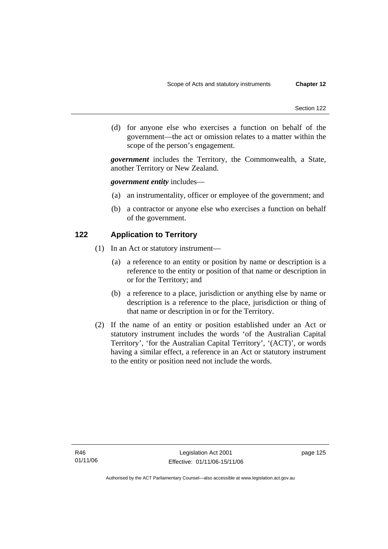(d) for anyone else who exercises a function on behalf of the government—the act or omission relates to a matter within the scope of the person's engagement.

*government* includes the Territory, the Commonwealth, a State, another Territory or New Zealand.

*government entity* includes—

- (a) an instrumentality, officer or employee of the government; and
- (b) a contractor or anyone else who exercises a function on behalf of the government.

### **122 Application to Territory**

- (1) In an Act or statutory instrument—
	- (a) a reference to an entity or position by name or description is a reference to the entity or position of that name or description in or for the Territory; and
	- (b) a reference to a place, jurisdiction or anything else by name or description is a reference to the place, jurisdiction or thing of that name or description in or for the Territory.
- (2) If the name of an entity or position established under an Act or statutory instrument includes the words 'of the Australian Capital Territory', 'for the Australian Capital Territory', '(ACT)', or words having a similar effect, a reference in an Act or statutory instrument to the entity or position need not include the words.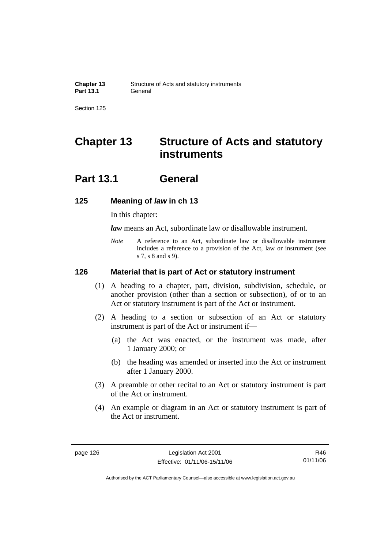# **Chapter 13 Structure of Acts and statutory instruments**

## **Part 13.1 General**

### **125 Meaning of** *law* **in ch 13**

In this chapter:

*law* means an Act, subordinate law or disallowable instrument.

*Note* A reference to an Act, subordinate law or disallowable instrument includes a reference to a provision of the Act, law or instrument (see s 7, s 8 and s 9).

### **126 Material that is part of Act or statutory instrument**

- (1) A heading to a chapter, part, division, subdivision, schedule, or another provision (other than a section or subsection), of or to an Act or statutory instrument is part of the Act or instrument.
- (2) A heading to a section or subsection of an Act or statutory instrument is part of the Act or instrument if—
	- (a) the Act was enacted, or the instrument was made, after 1 January 2000; or
	- (b) the heading was amended or inserted into the Act or instrument after 1 January 2000.
- (3) A preamble or other recital to an Act or statutory instrument is part of the Act or instrument.
- (4) An example or diagram in an Act or statutory instrument is part of the Act or instrument.

R46 01/11/06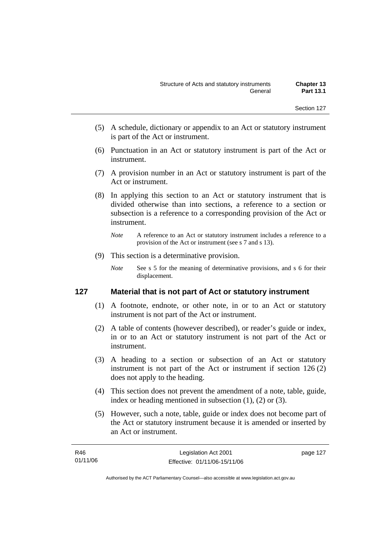- (5) A schedule, dictionary or appendix to an Act or statutory instrument is part of the Act or instrument.
- (6) Punctuation in an Act or statutory instrument is part of the Act or instrument.
- (7) A provision number in an Act or statutory instrument is part of the Act or instrument.
- (8) In applying this section to an Act or statutory instrument that is divided otherwise than into sections, a reference to a section or subsection is a reference to a corresponding provision of the Act or instrument.
	- *Note* A reference to an Act or statutory instrument includes a reference to a provision of the Act or instrument (see s 7 and s 13).
- (9) This section is a determinative provision.
	- *Note* See s 5 for the meaning of determinative provisions, and s 6 for their displacement.

### **127 Material that is not part of Act or statutory instrument**

- (1) A footnote, endnote, or other note, in or to an Act or statutory instrument is not part of the Act or instrument.
- (2) A table of contents (however described), or reader's guide or index, in or to an Act or statutory instrument is not part of the Act or instrument.
- (3) A heading to a section or subsection of an Act or statutory instrument is not part of the Act or instrument if section 126 (2) does not apply to the heading.
- (4) This section does not prevent the amendment of a note, table, guide, index or heading mentioned in subsection (1), (2) or (3).
- (5) However, such a note, table, guide or index does not become part of the Act or statutory instrument because it is amended or inserted by an Act or instrument.

| R46      | Legislation Act 2001         | page 127 |
|----------|------------------------------|----------|
| 01/11/06 | Effective: 01/11/06-15/11/06 |          |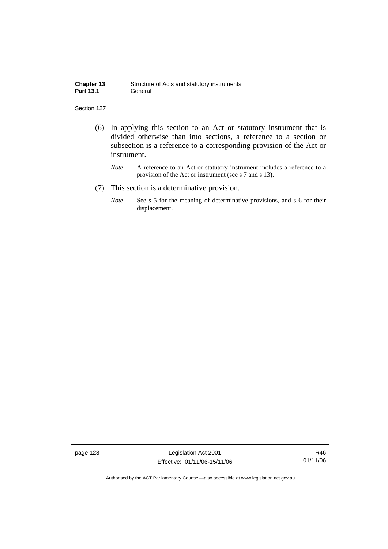| <b>Chapter 13</b> | Structure of Acts and statutory instruments |
|-------------------|---------------------------------------------|
| <b>Part 13.1</b>  | General                                     |

- (6) In applying this section to an Act or statutory instrument that is divided otherwise than into sections, a reference to a section or subsection is a reference to a corresponding provision of the Act or instrument.
	- *Note* A reference to an Act or statutory instrument includes a reference to a provision of the Act or instrument (see s 7 and s 13).
- (7) This section is a determinative provision.
	- *Note* See s 5 for the meaning of determinative provisions, and s 6 for their displacement.

page 128 Legislation Act 2001 Effective: 01/11/06-15/11/06

R46 01/11/06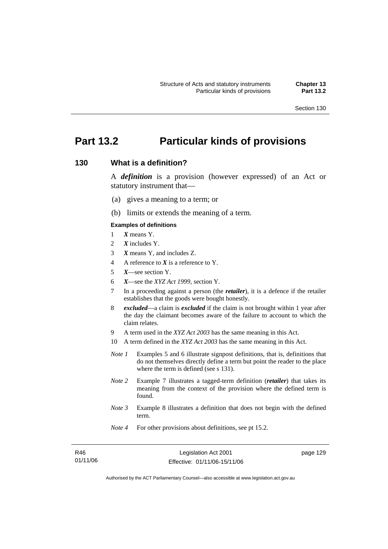# **Part 13.2 Particular kinds of provisions**

# **130 What is a definition?**

A *definition* is a provision (however expressed) of an Act or statutory instrument that—

- (a) gives a meaning to a term; or
- (b) limits or extends the meaning of a term.

#### **Examples of definitions**

- 1 *X* means Y.
- 2 *X* includes Y.
- 3 *X* means Y, and includes Z.
- 4 A reference to *X* is a reference to Y.
- 5 *X*—see section Y.
- 6 *X*—see the *XYZ Act 1999*, section Y.
- 7 In a proceeding against a person (the *retailer*), it is a defence if the retailer establishes that the goods were bought honestly.
- 8 *excluded*—a claim is *excluded* if the claim is not brought within 1 year after the day the claimant becomes aware of the failure to account to which the claim relates.
- 9 A term used in the *XYZ Act 2003* has the same meaning in this Act.
- 10 A term defined in the *XYZ Act 2003* has the same meaning in this Act.
- *Note 1* Examples 5 and 6 illustrate signpost definitions, that is, definitions that do not themselves directly define a term but point the reader to the place where the term is defined (see s 131).
- *Note 2* Example 7 illustrates a tagged-term definition (*retailer*) that takes its meaning from the context of the provision where the defined term is found.
- *Note 3* Example 8 illustrates a definition that does not begin with the defined term.
- *Note 4* For other provisions about definitions, see pt 15.2.

| R46      |  |
|----------|--|
| 01/11/06 |  |

page 129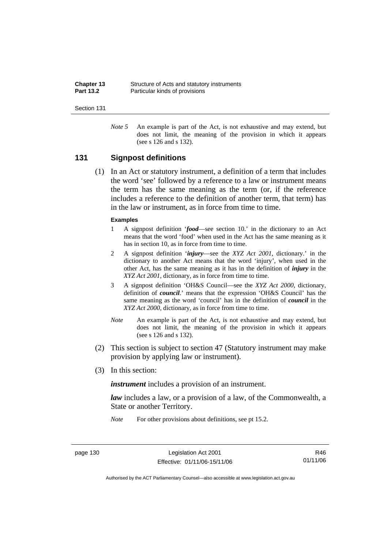| Chapter 13       | Structure of Acts and statutory instruments |
|------------------|---------------------------------------------|
| <b>Part 13.2</b> | Particular kinds of provisions              |

*Note 5* An example is part of the Act, is not exhaustive and may extend, but does not limit, the meaning of the provision in which it appears (see s 126 and s 132).

# **131 Signpost definitions**

 (1) In an Act or statutory instrument, a definition of a term that includes the word 'see' followed by a reference to a law or instrument means the term has the same meaning as the term (or, if the reference includes a reference to the definition of another term, that term) has in the law or instrument, as in force from time to time.

#### **Examples**

- 1 A signpost definition '*food*—see section 10.' in the dictionary to an Act means that the word 'food' when used in the Act has the same meaning as it has in section 10, as in force from time to time.
- 2 A signpost definition '*injury*—see the *XYZ Act 2001*, dictionary.' in the dictionary to another Act means that the word 'injury', when used in the other Act, has the same meaning as it has in the definition of *injury* in the *XYZ Act 2001*, dictionary, as in force from time to time.
- 3 A signpost definition 'OH&S Council—see the *XYZ Act 2000*, dictionary, definition of *council*.' means that the expression 'OH&S Council' has the same meaning as the word 'council' has in the definition of *council* in the *XYZ Act 2000*, dictionary, as in force from time to time.
- *Note* An example is part of the Act, is not exhaustive and may extend, but does not limit, the meaning of the provision in which it appears (see s 126 and s 132).
- (2) This section is subject to section 47 (Statutory instrument may make provision by applying law or instrument).
- (3) In this section:

*instrument* includes a provision of an instrument.

*law* includes a law, or a provision of a law, of the Commonwealth, a State or another Territory.

*Note* For other provisions about definitions, see pt 15.2.

page 130 Legislation Act 2001 Effective: 01/11/06-15/11/06

R46 01/11/06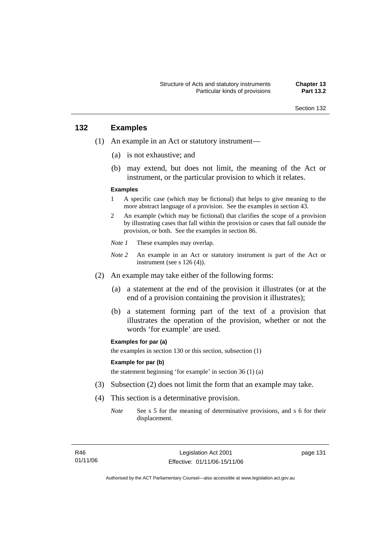# **132 Examples**

- (1) An example in an Act or statutory instrument—
	- (a) is not exhaustive; and
	- (b) may extend, but does not limit, the meaning of the Act or instrument, or the particular provision to which it relates.

#### **Examples**

- 1 A specific case (which may be fictional) that helps to give meaning to the more abstract language of a provision. See the examples in section 43.
- 2 An example (which may be fictional) that clarifies the scope of a provision by illustrating cases that fall within the provision or cases that fall outside the provision, or both. See the examples in section 86.
- *Note 1* These examples may overlap.
- *Note 2* An example in an Act or statutory instrument is part of the Act or instrument (see s 126 (4)).
- (2) An example may take either of the following forms:
	- (a) a statement at the end of the provision it illustrates (or at the end of a provision containing the provision it illustrates);
	- (b) a statement forming part of the text of a provision that illustrates the operation of the provision, whether or not the words 'for example' are used.

#### **Examples for par (a)**

the examples in section 130 or this section, subsection (1)

#### **Example for par (b)**

the statement beginning 'for example' in section 36 (1) (a)

- (3) Subsection (2) does not limit the form that an example may take.
- (4) This section is a determinative provision.
	- *Note* See s 5 for the meaning of determinative provisions, and s 6 for their displacement.

page 131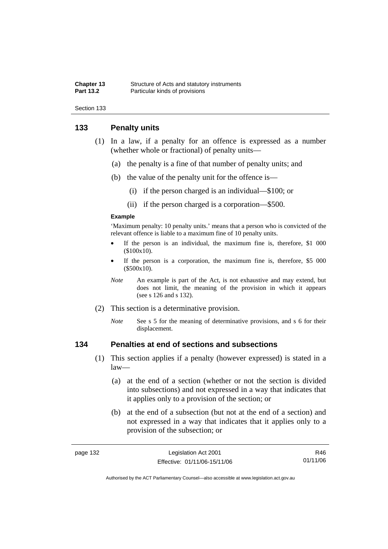| Chapter 13       | Structure of Acts and statutory instruments |
|------------------|---------------------------------------------|
| <b>Part 13.2</b> | Particular kinds of provisions              |

# **133 Penalty units**

- (1) In a law, if a penalty for an offence is expressed as a number (whether whole or fractional) of penalty units—
	- (a) the penalty is a fine of that number of penalty units; and
	- (b) the value of the penalty unit for the offence is—
		- (i) if the person charged is an individual—\$100; or
		- (ii) if the person charged is a corporation—\$500.

#### **Example**

'Maximum penalty: 10 penalty units.' means that a person who is convicted of the relevant offence is liable to a maximum fine of 10 penalty units.

- If the person is an individual, the maximum fine is, therefore,  $$1\ 000$ (\$100x10).
- If the person is a corporation, the maximum fine is, therefore, \$5 000 (\$500x10).
- *Note* An example is part of the Act, is not exhaustive and may extend, but does not limit, the meaning of the provision in which it appears (see s 126 and s 132).
- (2) This section is a determinative provision.
	- *Note* See s 5 for the meaning of determinative provisions, and s 6 for their displacement.

# **134 Penalties at end of sections and subsections**

- (1) This section applies if a penalty (however expressed) is stated in a law—
	- (a) at the end of a section (whether or not the section is divided into subsections) and not expressed in a way that indicates that it applies only to a provision of the section; or
	- (b) at the end of a subsection (but not at the end of a section) and not expressed in a way that indicates that it applies only to a provision of the subsection; or

| eade |  |
|------|--|
|------|--|

R46 01/11/06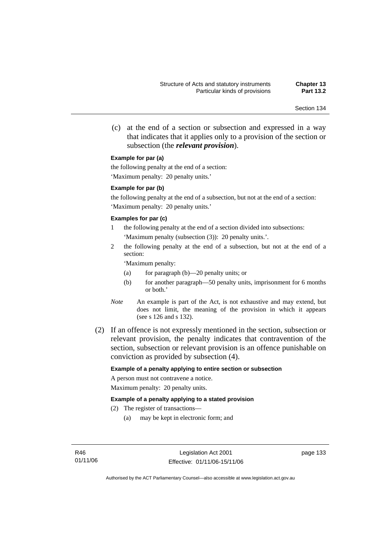(c) at the end of a section or subsection and expressed in a way that indicates that it applies only to a provision of the section or subsection (the *relevant provision*).

#### **Example for par (a)**

the following penalty at the end of a section: 'Maximum penalty: 20 penalty units.'

#### **Example for par (b)**

the following penalty at the end of a subsection, but not at the end of a section: 'Maximum penalty: 20 penalty units.'

#### **Examples for par (c)**

- 1 the following penalty at the end of a section divided into subsections: 'Maximum penalty (subsection (3)): 20 penalty units.'.
- 2 the following penalty at the end of a subsection, but not at the end of a section:

'Maximum penalty:

- (a) for paragraph (b)—20 penalty units; or
- (b) for another paragraph—50 penalty units, imprisonment for 6 months or both.'
- *Note* An example is part of the Act, is not exhaustive and may extend, but does not limit, the meaning of the provision in which it appears (see s 126 and s 132).
- (2) If an offence is not expressly mentioned in the section, subsection or relevant provision, the penalty indicates that contravention of the section, subsection or relevant provision is an offence punishable on conviction as provided by subsection (4).

#### **Example of a penalty applying to entire section or subsection**

A person must not contravene a notice. Maximum penalty: 20 penalty units.

#### **Example of a penalty applying to a stated provision**

- (2) The register of transactions—
	- (a) may be kept in electronic form; and

page 133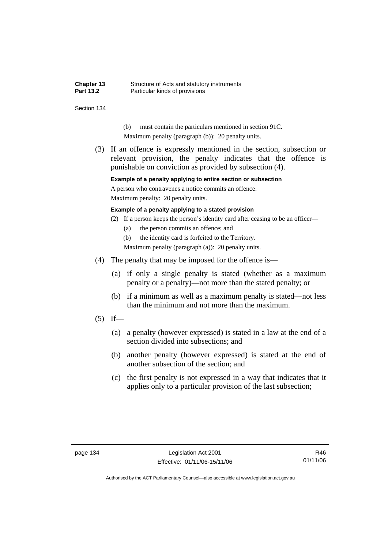| Chapter 13       | Structure of Acts and statutory instruments |
|------------------|---------------------------------------------|
| <b>Part 13.2</b> | Particular kinds of provisions              |

- (b) must contain the particulars mentioned in section 91C.
- Maximum penalty (paragraph (b)): 20 penalty units.
- (3) If an offence is expressly mentioned in the section, subsection or relevant provision, the penalty indicates that the offence is punishable on conviction as provided by subsection (4).

#### **Example of a penalty applying to entire section or subsection**

A person who contravenes a notice commits an offence.

Maximum penalty: 20 penalty units.

#### **Example of a penalty applying to a stated provision**

- (2) If a person keeps the person's identity card after ceasing to be an officer—
	- (a) the person commits an offence; and

(b) the identity card is forfeited to the Territory.

Maximum penalty (paragraph (a)): 20 penalty units.

- (4) The penalty that may be imposed for the offence is—
	- (a) if only a single penalty is stated (whether as a maximum penalty or a penalty)—not more than the stated penalty; or
	- (b) if a minimum as well as a maximum penalty is stated—not less than the minimum and not more than the maximum.
- $(5)$  If—
	- (a) a penalty (however expressed) is stated in a law at the end of a section divided into subsections; and
	- (b) another penalty (however expressed) is stated at the end of another subsection of the section; and
	- (c) the first penalty is not expressed in a way that indicates that it applies only to a particular provision of the last subsection;

R46 01/11/06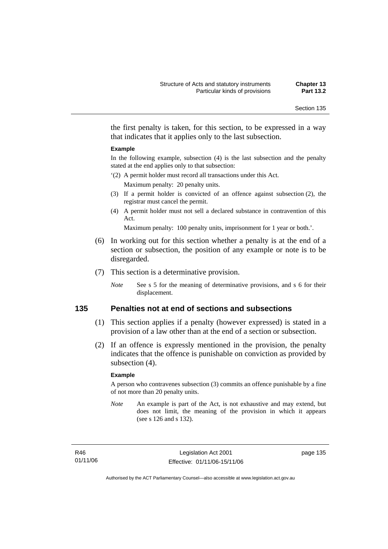the first penalty is taken, for this section, to be expressed in a way that indicates that it applies only to the last subsection.

#### **Example**

In the following example, subsection (4) is the last subsection and the penalty stated at the end applies only to that subsection:

- '(2) A permit holder must record all transactions under this Act. Maximum penalty: 20 penalty units.
- (3) If a permit holder is convicted of an offence against subsection (2), the registrar must cancel the permit.
- (4) A permit holder must not sell a declared substance in contravention of this Act.

Maximum penalty: 100 penalty units, imprisonment for 1 year or both.'.

- (6) In working out for this section whether a penalty is at the end of a section or subsection, the position of any example or note is to be disregarded.
- (7) This section is a determinative provision.
	- *Note* See s 5 for the meaning of determinative provisions, and s 6 for their displacement.

# **135 Penalties not at end of sections and subsections**

- (1) This section applies if a penalty (however expressed) is stated in a provision of a law other than at the end of a section or subsection.
- (2) If an offence is expressly mentioned in the provision, the penalty indicates that the offence is punishable on conviction as provided by subsection (4).

#### **Example**

A person who contravenes subsection (3) commits an offence punishable by a fine of not more than 20 penalty units.

*Note* An example is part of the Act, is not exhaustive and may extend, but does not limit, the meaning of the provision in which it appears (see s 126 and s 132).

R46 01/11/06 page 135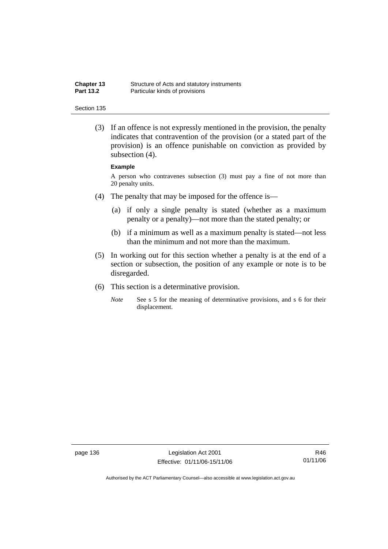| <b>Chapter 13</b> | Structure of Acts and statutory instruments |
|-------------------|---------------------------------------------|
| <b>Part 13.2</b>  | Particular kinds of provisions              |

 (3) If an offence is not expressly mentioned in the provision, the penalty indicates that contravention of the provision (or a stated part of the provision) is an offence punishable on conviction as provided by subsection (4).

#### **Example**

A person who contravenes subsection (3) must pay a fine of not more than 20 penalty units.

- (4) The penalty that may be imposed for the offence is—
	- (a) if only a single penalty is stated (whether as a maximum penalty or a penalty)—not more than the stated penalty; or
	- (b) if a minimum as well as a maximum penalty is stated—not less than the minimum and not more than the maximum.
- (5) In working out for this section whether a penalty is at the end of a section or subsection, the position of any example or note is to be disregarded.
- (6) This section is a determinative provision.
	- *Note* See s 5 for the meaning of determinative provisions, and s 6 for their displacement.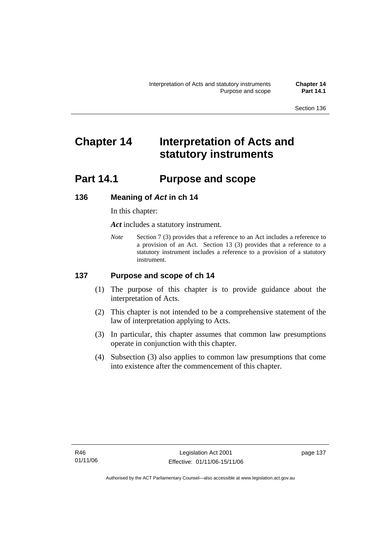# **Chapter 14 Interpretation of Acts and statutory instruments**

# **Part 14.1 Purpose and scope**

# **136 Meaning of** *Act* **in ch 14**

In this chapter:

*Act* includes a statutory instrument.

*Note* Section 7 (3) provides that a reference to an Act includes a reference to a provision of an Act. Section 13 (3) provides that a reference to a statutory instrument includes a reference to a provision of a statutory instrument.

# **137 Purpose and scope of ch 14**

- (1) The purpose of this chapter is to provide guidance about the interpretation of Acts.
- (2) This chapter is not intended to be a comprehensive statement of the law of interpretation applying to Acts.
- (3) In particular, this chapter assumes that common law presumptions operate in conjunction with this chapter.
- (4) Subsection (3) also applies to common law presumptions that come into existence after the commencement of this chapter.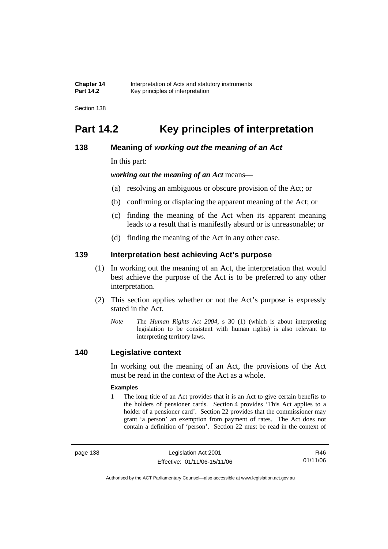**Chapter 14** Interpretation of Acts and statutory instruments<br>**Part 14.2** Key principles of interpretation **Part 14.2** Key principles of interpretation

Section 138

# **Part 14.2 Key principles of interpretation**

# **138 Meaning of** *working out the meaning of an Act*

In this part:

*working out the meaning of an Act* means—

- (a) resolving an ambiguous or obscure provision of the Act; or
- (b) confirming or displacing the apparent meaning of the Act; or
- (c) finding the meaning of the Act when its apparent meaning leads to a result that is manifestly absurd or is unreasonable; or
- (d) finding the meaning of the Act in any other case.

# **139 Interpretation best achieving Act's purpose**

- (1) In working out the meaning of an Act, the interpretation that would best achieve the purpose of the Act is to be preferred to any other interpretation.
- (2) This section applies whether or not the Act's purpose is expressly stated in the Act.
	- *Note T*he *Human Rights Act 2004*, s 30 (1) (which is about interpreting legislation to be consistent with human rights) is also relevant to interpreting territory laws.

# **140 Legislative context**

In working out the meaning of an Act, the provisions of the Act must be read in the context of the Act as a whole.

#### **Examples**

1 The long title of an Act provides that it is an Act to give certain benefits to the holders of pensioner cards. Section 4 provides 'This Act applies to a holder of a pensioner card'. Section 22 provides that the commissioner may grant 'a person' an exemption from payment of rates. The Act does not contain a definition of 'person'. Section 22 must be read in the context of

page 138 Legislation Act 2001 Effective: 01/11/06-15/11/06

R46 01/11/06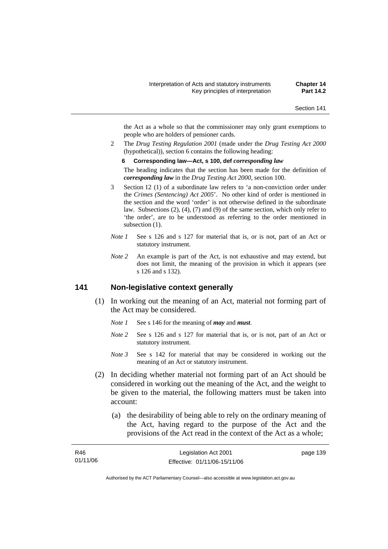the Act as a whole so that the commissioner may only grant exemptions to people who are holders of pensioner cards.

2 The *Drug Testing Regulation 2001* (made under the *Drug Testing Act 2000* (hypothetical)), section 6 contains the following heading:

#### **6 Corresponding law—Act, s 100, def** *corresponding law*

The heading indicates that the section has been made for the definition of *corresponding law* in the *Drug Testing Act 2000*, section 100.

- 3 Section 12 (1) of a subordinate law refers to 'a non-conviction order under the *Crimes (Sentencing) Act 2005*'. No other kind of order is mentioned in the section and the word 'order' is not otherwise defined in the subordinate law. Subsections (2), (4), (7) and (9) of the same section, which only refer to 'the order', are to be understood as referring to the order mentioned in subsection  $(1)$ .
- *Note 1* See s 126 and s 127 for material that is, or is not, part of an Act or statutory instrument.
- *Note 2* An example is part of the Act, is not exhaustive and may extend, but does not limit, the meaning of the provision in which it appears (see s 126 and s 132).

# **141 Non-legislative context generally**

- (1) In working out the meaning of an Act, material not forming part of the Act may be considered.
	- *Note 1* See s 146 for the meaning of *may* and *must*.
	- *Note* 2 See s 126 and s 127 for material that is, or is not, part of an Act or statutory instrument.
	- *Note 3* See s 142 for material that may be considered in working out the meaning of an Act or statutory instrument.
- (2) In deciding whether material not forming part of an Act should be considered in working out the meaning of the Act, and the weight to be given to the material, the following matters must be taken into account:
	- (a) the desirability of being able to rely on the ordinary meaning of the Act, having regard to the purpose of the Act and the provisions of the Act read in the context of the Act as a whole;

| R46      | Legislation Act 2001         | page 139 |
|----------|------------------------------|----------|
| 01/11/06 | Effective: 01/11/06-15/11/06 |          |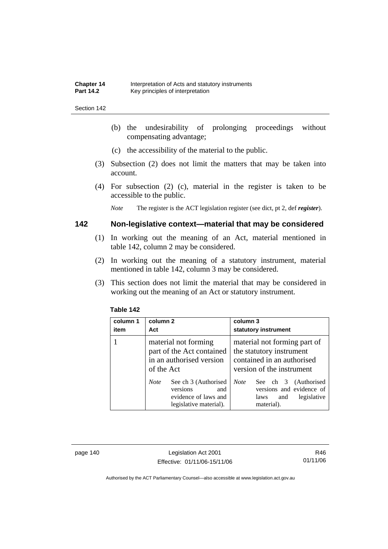- (b) the undesirability of prolonging proceedings without compensating advantage;
- (c) the accessibility of the material to the public.
- (3) Subsection (2) does not limit the matters that may be taken into account.
- (4) For subsection (2) (c), material in the register is taken to be accessible to the public.

*Note* The register is the ACT legislation register (see dict, pt 2, def *register*).

# **142 Non-legislative context—material that may be considered**

- (1) In working out the meaning of an Act, material mentioned in table 142, column 2 may be considered.
- (2) In working out the meaning of a statutory instrument, material mentioned in table 142, column 3 may be considered.
- (3) This section does not limit the material that may be considered in working out the meaning of an Act or statutory instrument.

| column 1<br>item | column 2<br>Act                                                                                          | column 3<br>statutory instrument                                                                                    |
|------------------|----------------------------------------------------------------------------------------------------------|---------------------------------------------------------------------------------------------------------------------|
|                  | material not forming<br>part of the Act contained<br>in an authorised version<br>of the Act              | material not forming part of<br>the statutory instrument<br>contained in an authorised<br>version of the instrument |
|                  | See ch 3 (Authorised<br><b>Note</b><br>versions<br>and<br>evidence of laws and<br>legislative material). | <b>Note</b><br>See ch 3 (Authorised<br>versions and evidence of<br>legislative<br>and<br>laws<br>material).         |

#### **Table 142**

page 140 Legislation Act 2001 Effective: 01/11/06-15/11/06

R46 01/11/06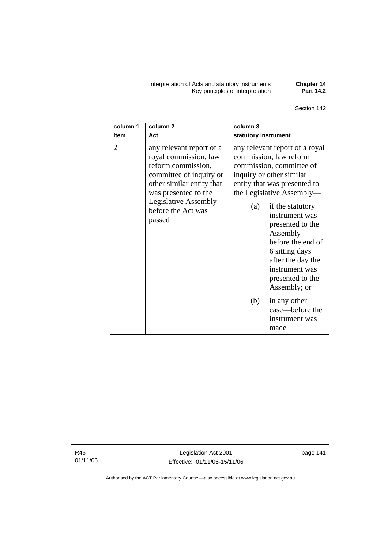Interpretation of Acts and statutory instruments **Chapter 14**  Key principles of interpretation **Part 14.2** 

Section 142

| column 1<br>item | column <sub>2</sub><br>Act                                                                                                                                                                                             | column 3<br>statutory instrument                                                                                                                                                                                                                                                                                                                                                                                                          |
|------------------|------------------------------------------------------------------------------------------------------------------------------------------------------------------------------------------------------------------------|-------------------------------------------------------------------------------------------------------------------------------------------------------------------------------------------------------------------------------------------------------------------------------------------------------------------------------------------------------------------------------------------------------------------------------------------|
| $\overline{2}$   | any relevant report of a<br>royal commission, law<br>reform commission,<br>committee of inquiry or<br>other similar entity that<br>was presented to the<br><b>Legislative Assembly</b><br>before the Act was<br>passed | any relevant report of a royal<br>commission, law reform<br>commission, committee of<br>inquiry or other similar<br>entity that was presented to<br>the Legislative Assembly—<br>if the statutory<br>(a)<br>instrument was<br>presented to the<br>Assently—<br>before the end of<br>6 sitting days<br>after the day the<br>instrument was<br>presented to the<br>Assembly; or<br>(b)<br>in any other<br>case—before the<br>instrument was |
|                  |                                                                                                                                                                                                                        | made                                                                                                                                                                                                                                                                                                                                                                                                                                      |

R46 01/11/06

Legislation Act 2001 Effective: 01/11/06-15/11/06 page 141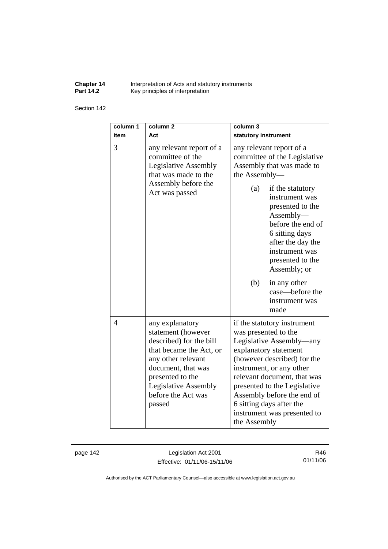**Chapter 14** Interpretation of Acts and statutory instruments **Part 14.2 Key principles of interpretation** 

#### Section 142

| column 1<br>item | column <sub>2</sub><br>Act                                                                                                                                                                                                 | column 3<br>statutory instrument                                                                                                                                                                                                                                                                                                            |
|------------------|----------------------------------------------------------------------------------------------------------------------------------------------------------------------------------------------------------------------------|---------------------------------------------------------------------------------------------------------------------------------------------------------------------------------------------------------------------------------------------------------------------------------------------------------------------------------------------|
| 3                | any relevant report of a<br>committee of the<br><b>Legislative Assembly</b><br>that was made to the<br>Assembly before the<br>Act was passed                                                                               | any relevant report of a<br>committee of the Legislative<br>Assembly that was made to<br>the Assembly-<br>(a)<br>if the statutory<br>instrument was<br>presented to the<br>Assembly-<br>before the end of<br>6 sitting days<br>after the day the<br>instrument was<br>presented to the<br>Assembly; or                                      |
|                  |                                                                                                                                                                                                                            | (b)<br>in any other<br>case—before the<br>instrument was<br>made                                                                                                                                                                                                                                                                            |
| $\overline{4}$   | any explanatory<br>statement (however<br>described) for the bill<br>that became the Act, or<br>any other relevant<br>document, that was<br>presented to the<br><b>Legislative Assembly</b><br>before the Act was<br>passed | if the statutory instrument<br>was presented to the<br>Legislative Assembly—any<br>explanatory statement<br>(however described) for the<br>instrument, or any other<br>relevant document, that was<br>presented to the Legislative<br>Assembly before the end of<br>6 sitting days after the<br>instrument was presented to<br>the Assembly |

page 142 Legislation Act 2001 Effective: 01/11/06-15/11/06

R46 01/11/06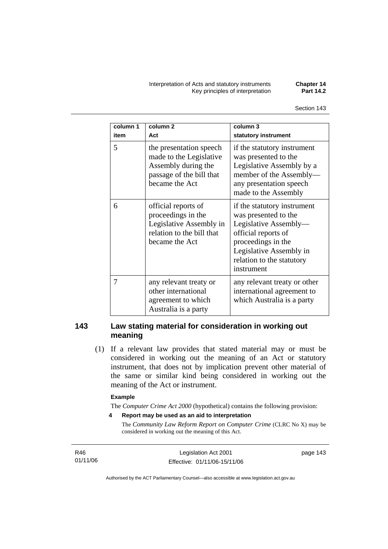Interpretation of Acts and statutory instruments **Chapter 14 Key principles of interpretation** 

| column 1<br>item | column <sub>2</sub><br>Act                                                                                              | column 3<br>statutory instrument                                                                                                                                                                |
|------------------|-------------------------------------------------------------------------------------------------------------------------|-------------------------------------------------------------------------------------------------------------------------------------------------------------------------------------------------|
| 5                | the presentation speech<br>made to the Legislative<br>Assembly during the<br>passage of the bill that<br>became the Act | if the statutory instrument<br>was presented to the<br>Legislative Assembly by a<br>member of the Assembly-<br>any presentation speech<br>made to the Assembly                                  |
| 6                | official reports of<br>proceedings in the<br>Legislative Assembly in<br>relation to the bill that<br>became the Act     | if the statutory instrument<br>was presented to the<br>Legislative Assembly-<br>official reports of<br>proceedings in the<br>Legislative Assembly in<br>relation to the statutory<br>instrument |
| 7                | any relevant treaty or<br>other international<br>agreement to which<br>Australia is a party                             | any relevant treaty or other<br>international agreement to<br>which Australia is a party                                                                                                        |

# **143 Law stating material for consideration in working out meaning**

 (1) If a relevant law provides that stated material may or must be considered in working out the meaning of an Act or statutory instrument, that does not by implication prevent other material of the same or similar kind being considered in working out the meaning of the Act or instrument.

#### **Example**

The *Computer Crime Act 2000* (hypothetical) contains the following provision:

**4 Report may be used as an aid to interpretation** 

The *Community Law Reform Report on Computer Crime* (CLRC No X) may be considered in working out the meaning of this Act.

R46 01/11/06 page 143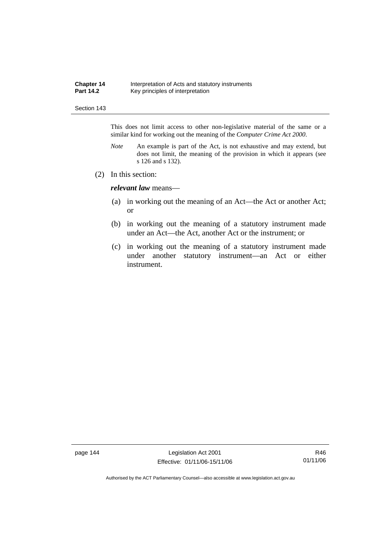| <b>Chapter 14</b> | Interpretation of Acts and statutory instruments |
|-------------------|--------------------------------------------------|
| <b>Part 14.2</b>  | Key principles of interpretation                 |

This does not limit access to other non-legislative material of the same or a similar kind for working out the meaning of the *Computer Crime Act 2000*.

- *Note* An example is part of the Act, is not exhaustive and may extend, but does not limit, the meaning of the provision in which it appears (see s 126 and s 132).
- (2) In this section:

*relevant law* means—

- (a) in working out the meaning of an Act—the Act or another Act; or
- (b) in working out the meaning of a statutory instrument made under an Act—the Act, another Act or the instrument; or
- (c) in working out the meaning of a statutory instrument made under another statutory instrument—an Act or either instrument.

page 144 Legislation Act 2001 Effective: 01/11/06-15/11/06

R46 01/11/06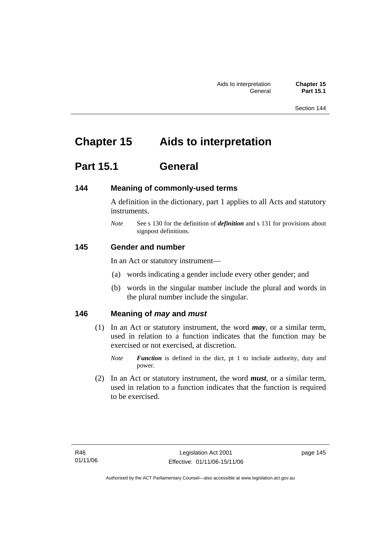# **Chapter 15 Aids to interpretation**

# **Part 15.1 General**

# **144 Meaning of commonly-used terms**

A definition in the dictionary, part 1 applies to all Acts and statutory instruments.

*Note* See s 130 for the definition of *definition* and s 131 for provisions about signpost definitions.

# **145 Gender and number**

In an Act or statutory instrument—

- (a) words indicating a gender include every other gender; and
- (b) words in the singular number include the plural and words in the plural number include the singular.

# **146 Meaning of** *may* **and** *must*

- (1) In an Act or statutory instrument, the word *may*, or a similar term, used in relation to a function indicates that the function may be exercised or not exercised, at discretion.
	- *Note Function* is defined in the dict, pt 1 to include authority, duty and power.
- (2) In an Act or statutory instrument, the word *must*, or a similar term, used in relation to a function indicates that the function is required to be exercised.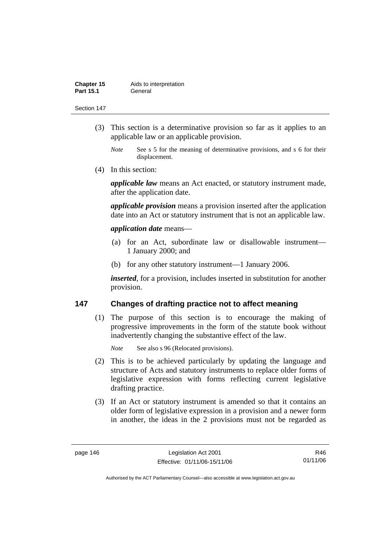| Chapter 15       | Aids to interpretation |
|------------------|------------------------|
| <b>Part 15.1</b> | General                |

- (3) This section is a determinative provision so far as it applies to an applicable law or an applicable provision.
	- *Note* See s 5 for the meaning of determinative provisions, and s 6 for their displacement.
- (4) In this section:

*applicable law* means an Act enacted, or statutory instrument made, after the application date.

*applicable provision* means a provision inserted after the application date into an Act or statutory instrument that is not an applicable law.

### *application date* means—

- (a) for an Act, subordinate law or disallowable instrument— 1 January 2000; and
- (b) for any other statutory instrument—1 January 2006.

*inserted*, for a provision, includes inserted in substitution for another provision.

# **147 Changes of drafting practice not to affect meaning**

 (1) The purpose of this section is to encourage the making of progressive improvements in the form of the statute book without inadvertently changing the substantive effect of the law.

*Note* See also s 96 (Relocated provisions).

- (2) This is to be achieved particularly by updating the language and structure of Acts and statutory instruments to replace older forms of legislative expression with forms reflecting current legislative drafting practice.
- (3) If an Act or statutory instrument is amended so that it contains an older form of legislative expression in a provision and a newer form in another, the ideas in the 2 provisions must not be regarded as

R46 01/11/06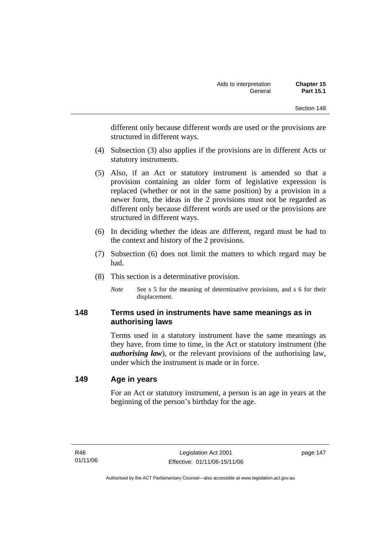different only because different words are used or the provisions are structured in different ways.

- (4) Subsection (3) also applies if the provisions are in different Acts or statutory instruments.
- (5) Also, if an Act or statutory instrument is amended so that a provision containing an older form of legislative expression is replaced (whether or not in the same position) by a provision in a newer form, the ideas in the 2 provisions must not be regarded as different only because different words are used or the provisions are structured in different ways.
- (6) In deciding whether the ideas are different, regard must be had to the context and history of the 2 provisions.
- (7) Subsection (6) does not limit the matters to which regard may be had.
- (8) This section is a determinative provision.
	- *Note* See s 5 for the meaning of determinative provisions, and s 6 for their displacement.

# **148 Terms used in instruments have same meanings as in authorising laws**

Terms used in a statutory instrument have the same meanings as they have, from time to time, in the Act or statutory instrument (the *authorising law*), or the relevant provisions of the authorising law, under which the instrument is made or in force.

# **149 Age in years**

For an Act or statutory instrument, a person is an age in years at the beginning of the person's birthday for the age.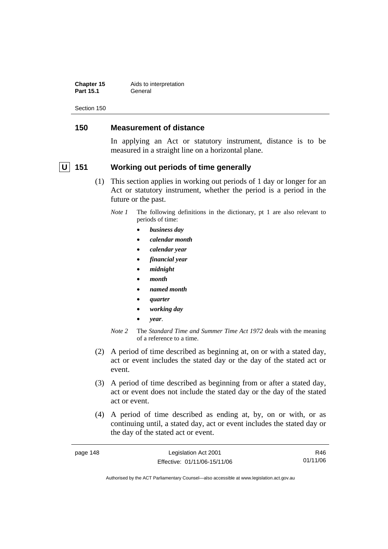**Chapter 15** Aids to interpretation Part 15.1 **General** 

Section 150

# **150 Measurement of distance**

In applying an Act or statutory instrument, distance is to be measured in a straight line on a horizontal plane.

# **U** 151 Working out periods of time generally

- (1) This section applies in working out periods of 1 day or longer for an Act or statutory instrument, whether the period is a period in the future or the past.
	- *Note 1* The following definitions in the dictionary, pt 1 are also relevant to periods of time:
		- *business day*
		- *calendar month*
		- *calendar year*
		- *financial year*
		- *midnight*
		- *month*
		- *named month*
		- *quarter*
		- *working day*
		- *year*.
	- *Note 2* The *Standard Time and Summer Time Act 1972* deals with the meaning of a reference to a time.
- (2) A period of time described as beginning at, on or with a stated day, act or event includes the stated day or the day of the stated act or event.
- (3) A period of time described as beginning from or after a stated day, act or event does not include the stated day or the day of the stated act or event.
- (4) A period of time described as ending at, by, on or with, or as continuing until, a stated day, act or event includes the stated day or the day of the stated act or event.

| page 148 | Legislation Act 2001         | R46      |
|----------|------------------------------|----------|
|          | Effective: 01/11/06-15/11/06 | 01/11/06 |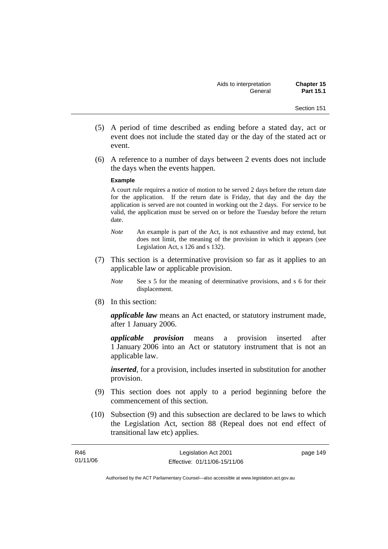- (5) A period of time described as ending before a stated day, act or event does not include the stated day or the day of the stated act or event.
- (6) A reference to a number of days between 2 events does not include the days when the events happen.

#### **Example**

A court rule requires a notice of motion to be served 2 days before the return date for the application. If the return date is Friday, that day and the day the application is served are not counted in working out the 2 days. For service to be valid, the application must be served on or before the Tuesday before the return date.

- *Note* An example is part of the Act, is not exhaustive and may extend, but does not limit, the meaning of the provision in which it appears (see Legislation Act, s 126 and s 132).
- (7) This section is a determinative provision so far as it applies to an applicable law or applicable provision.
	- *Note* See s 5 for the meaning of determinative provisions, and s 6 for their displacement.
- (8) In this section:

*applicable law* means an Act enacted, or statutory instrument made, after 1 January 2006.

*applicable provision* means a provision inserted after 1 January 2006 into an Act or statutory instrument that is not an applicable law.

*inserted*, for a provision, includes inserted in substitution for another provision.

- (9) This section does not apply to a period beginning before the commencement of this section.
- (10) Subsection (9) and this subsection are declared to be laws to which the Legislation Act, section 88 (Repeal does not end effect of transitional law etc) applies.

| R46      | Legislation Act 2001         | page 149 |
|----------|------------------------------|----------|
| 01/11/06 | Effective: 01/11/06-15/11/06 |          |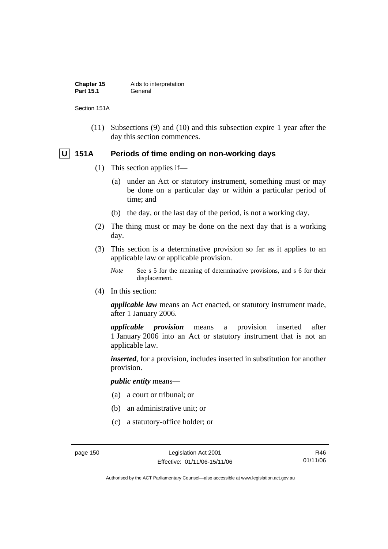| Chapter 15       | Aids to interpretation |
|------------------|------------------------|
| <b>Part 15.1</b> | General                |

Section 151A

 (11) Subsections (9) and (10) and this subsection expire 1 year after the day this section commences.

# **U** 151A Periods of time ending on non-working days

- (1) This section applies if—
	- (a) under an Act or statutory instrument, something must or may be done on a particular day or within a particular period of time; and
	- (b) the day, or the last day of the period, is not a working day.
- (2) The thing must or may be done on the next day that is a working day.
- (3) This section is a determinative provision so far as it applies to an applicable law or applicable provision.
	- *Note* See s 5 for the meaning of determinative provisions, and s 6 for their displacement.
- (4) In this section:

*applicable law* means an Act enacted, or statutory instrument made, after 1 January 2006.

*applicable provision* means a provision inserted after 1 January 2006 into an Act or statutory instrument that is not an applicable law.

*inserted*, for a provision, includes inserted in substitution for another provision.

*public entity* means—

- (a) a court or tribunal; or
- (b) an administrative unit; or
- (c) a statutory-office holder; or

R46 01/11/06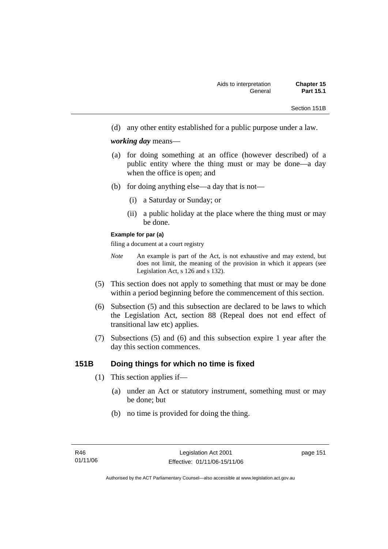Section 151B

(d) any other entity established for a public purpose under a law.

*working day* means—

- (a) for doing something at an office (however described) of a public entity where the thing must or may be done—a day when the office is open; and
- (b) for doing anything else—a day that is not—
	- (i) a Saturday or Sunday; or
	- (ii) a public holiday at the place where the thing must or may be done.

## **Example for par (a)**

filing a document at a court registry

- *Note* An example is part of the Act, is not exhaustive and may extend, but does not limit, the meaning of the provision in which it appears (see Legislation Act, s 126 and s 132).
- (5) This section does not apply to something that must or may be done within a period beginning before the commencement of this section.
- (6) Subsection (5) and this subsection are declared to be laws to which the Legislation Act, section 88 (Repeal does not end effect of transitional law etc) applies.
- (7) Subsections (5) and (6) and this subsection expire 1 year after the day this section commences.

# **151B Doing things for which no time is fixed**

- (1) This section applies if—
	- (a) under an Act or statutory instrument, something must or may be done; but
	- (b) no time is provided for doing the thing.

page 151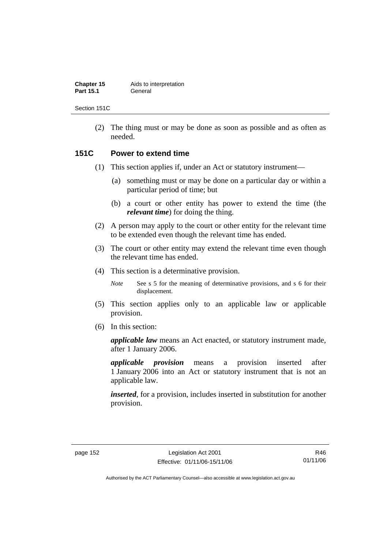| Chapter 15       | Aids to interpretation |
|------------------|------------------------|
| <b>Part 15.1</b> | General                |

Section 151C

 (2) The thing must or may be done as soon as possible and as often as needed.

# **151C Power to extend time**

- (1) This section applies if, under an Act or statutory instrument—
	- (a) something must or may be done on a particular day or within a particular period of time; but
	- (b) a court or other entity has power to extend the time (the *relevant time*) for doing the thing.
- (2) A person may apply to the court or other entity for the relevant time to be extended even though the relevant time has ended.
- (3) The court or other entity may extend the relevant time even though the relevant time has ended.
- (4) This section is a determinative provision.

*Note* See s 5 for the meaning of determinative provisions, and s 6 for their displacement.

- (5) This section applies only to an applicable law or applicable provision.
- (6) In this section:

*applicable law* means an Act enacted, or statutory instrument made, after 1 January 2006.

*applicable provision* means a provision inserted after 1 January 2006 into an Act or statutory instrument that is not an applicable law.

*inserted*, for a provision, includes inserted in substitution for another provision.

R46 01/11/06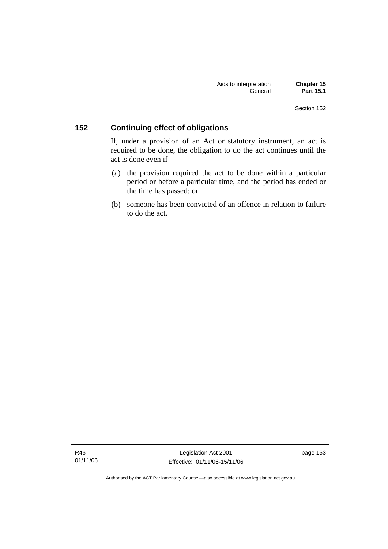| Aids to interpretation | <b>Chapter 15</b> |
|------------------------|-------------------|
| General                | <b>Part 15.1</b>  |

# **152 Continuing effect of obligations**

If, under a provision of an Act or statutory instrument, an act is required to be done, the obligation to do the act continues until the act is done even if—

- (a) the provision required the act to be done within a particular period or before a particular time, and the period has ended or the time has passed; or
- (b) someone has been convicted of an offence in relation to failure to do the act.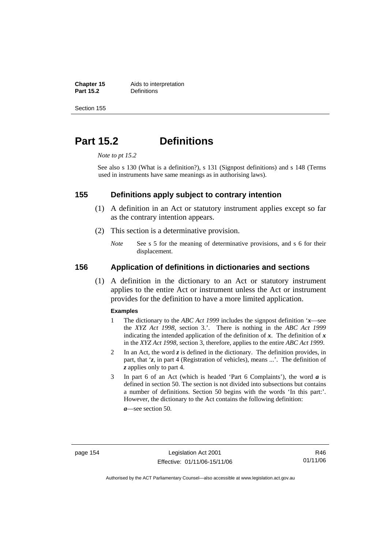**Chapter 15** Aids to interpretation<br>**Part 15.2 Definitions** 

**Definitions** 

Section 155

# **Part 15.2 Definitions**

*Note to pt 15.2* 

See also s 130 (What is a definition?), s 131 (Signpost definitions) and s 148 (Terms used in instruments have same meanings as in authorising laws).

# **155 Definitions apply subject to contrary intention**

- (1) A definition in an Act or statutory instrument applies except so far as the contrary intention appears.
- (2) This section is a determinative provision.
	- *Note* See s 5 for the meaning of determinative provisions, and s 6 for their displacement.

# **156 Application of definitions in dictionaries and sections**

 (1) A definition in the dictionary to an Act or statutory instrument applies to the entire Act or instrument unless the Act or instrument provides for the definition to have a more limited application.

#### **Examples**

- 1 The dictionary to the *ABC Act 1999* includes the signpost definition '*x*—see the *XYZ Act 1998*, section 3.'. There is nothing in the *ABC Act 1999* indicating the intended application of the definition of  $x$ . The definition of  $x$ in the *XYZ Act 1998*, section 3, therefore, applies to the entire *ABC Act 1999*.
- 2 In an Act, the word *z* is defined in the dictionary. The definition provides, in part, that '*z*, in part 4 (Registration of vehicles), means ...'. The definition of *z* applies only to part 4.
- 3 In part 6 of an Act (which is headed 'Part 6 Complaints'), the word *a* is defined in section 50. The section is not divided into subsections but contains a number of definitions. Section 50 begins with the words 'In this part:'. However, the dictionary to the Act contains the following definition:

*a*—see section 50.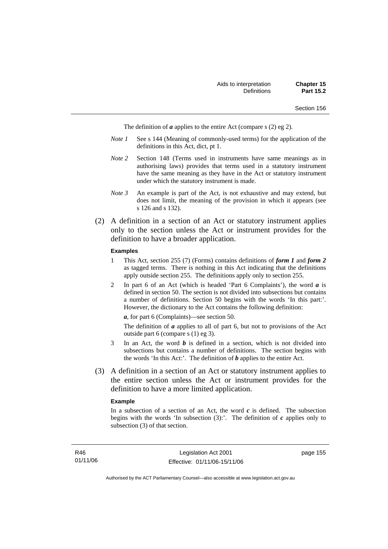The definition of *a* applies to the entire Act (compare s (2) eg 2).

- *Note 1* See s 144 (Meaning of commonly-used terms) for the application of the definitions in this Act, dict, pt 1.
- *Note 2* Section 148 (Terms used in instruments have same meanings as in authorising laws) provides that terms used in a statutory instrument have the same meaning as they have in the Act or statutory instrument under which the statutory instrument is made.
- *Note 3* An example is part of the Act, is not exhaustive and may extend, but does not limit, the meaning of the provision in which it appears (see s 126 and s 132).
- (2) A definition in a section of an Act or statutory instrument applies only to the section unless the Act or instrument provides for the definition to have a broader application.

#### **Examples**

- 1 This Act, section 255 (7) (Forms) contains definitions of *form 1* and *form 2* as tagged terms. There is nothing in this Act indicating that the definitions apply outside section 255. The definitions apply only to section 255.
- 2 In part 6 of an Act (which is headed 'Part 6 Complaints'), the word *a* is defined in section 50. The section is not divided into subsections but contains a number of definitions. Section 50 begins with the words 'In this part:'. However, the dictionary to the Act contains the following definition:

*a*, for part 6 (Complaints)—see section 50.

The definition of *a* applies to all of part 6, but not to provisions of the Act outside part 6 (compare s (1) eg 3).

- 3 In an Act, the word *b* is defined in a section, which is not divided into subsections but contains a number of definitions. The section begins with the words 'In this Act:'. The definition of *b* applies to the entire Act.
- (3) A definition in a section of an Act or statutory instrument applies to the entire section unless the Act or instrument provides for the definition to have a more limited application.

#### **Example**

In a subsection of a section of an Act, the word  $c$  is defined. The subsection begins with the words 'In subsection  $(3)$ :'. The definition of  $c$  applies only to subsection (3) of that section.

page 155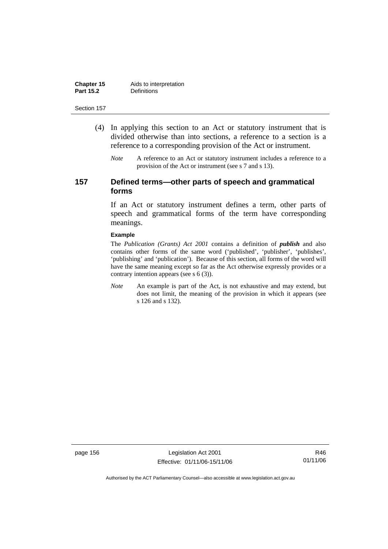| Chapter 15       | Aids to interpretation |
|------------------|------------------------|
| <b>Part 15.2</b> | <b>Definitions</b>     |

- (4) In applying this section to an Act or statutory instrument that is divided otherwise than into sections, a reference to a section is a reference to a corresponding provision of the Act or instrument.
	- *Note* A reference to an Act or statutory instrument includes a reference to a provision of the Act or instrument (see s 7 and s 13).

# **157 Defined terms—other parts of speech and grammatical forms**

If an Act or statutory instrument defines a term, other parts of speech and grammatical forms of the term have corresponding meanings.

#### **Example**

The *Publication (Grants) Act 2001* contains a definition of *publish* and also contains other forms of the same word ('published', 'publisher', 'publishes', 'publishing' and 'publication'). Because of this section, all forms of the word will have the same meaning except so far as the Act otherwise expressly provides or a contrary intention appears (see s 6 (3)).

*Note* An example is part of the Act, is not exhaustive and may extend, but does not limit, the meaning of the provision in which it appears (see s 126 and s 132).

page 156 Legislation Act 2001 Effective: 01/11/06-15/11/06

R46 01/11/06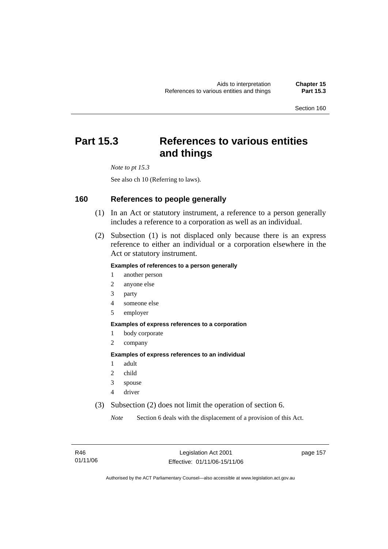# **Part 15.3 References to various entities and things**

*Note to pt 15.3* 

See also ch 10 (Referring to laws).

# **160 References to people generally**

- (1) In an Act or statutory instrument, a reference to a person generally includes a reference to a corporation as well as an individual.
- (2) Subsection (1) is not displaced only because there is an express reference to either an individual or a corporation elsewhere in the Act or statutory instrument.

#### **Examples of references to a person generally**

- 1 another person
- 2 anyone else
- 3 party
- 4 someone else
- 5 employer

#### **Examples of express references to a corporation**

- 1 body corporate
- 2 company

#### **Examples of express references to an individual**

- 1 adult
- 2 child
- 3 spouse
- 4 driver
- (3) Subsection (2) does not limit the operation of section 6.

*Note* Section 6 deals with the displacement of a provision of this Act.

page 157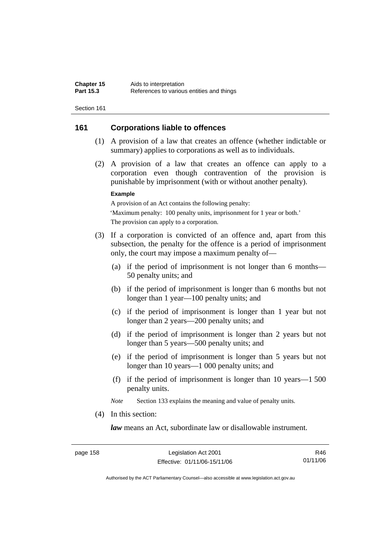# **161 Corporations liable to offences**

- (1) A provision of a law that creates an offence (whether indictable or summary) applies to corporations as well as to individuals.
- (2) A provision of a law that creates an offence can apply to a corporation even though contravention of the provision is punishable by imprisonment (with or without another penalty).

#### **Example**

A provision of an Act contains the following penalty: 'Maximum penalty: 100 penalty units, imprisonment for 1 year or both.' The provision can apply to a corporation.

- (3) If a corporation is convicted of an offence and, apart from this subsection, the penalty for the offence is a period of imprisonment only, the court may impose a maximum penalty of—
	- (a) if the period of imprisonment is not longer than 6 months— 50 penalty units; and
	- (b) if the period of imprisonment is longer than 6 months but not longer than 1 year—100 penalty units; and
	- (c) if the period of imprisonment is longer than 1 year but not longer than 2 years—200 penalty units; and
	- (d) if the period of imprisonment is longer than 2 years but not longer than 5 years—500 penalty units; and
	- (e) if the period of imprisonment is longer than 5 years but not longer than 10 years—1 000 penalty units; and
	- (f) if the period of imprisonment is longer than 10 years—1 500 penalty units.

*Note* Section 133 explains the meaning and value of penalty units.

(4) In this section:

*law* means an Act, subordinate law or disallowable instrument.

R46 01/11/06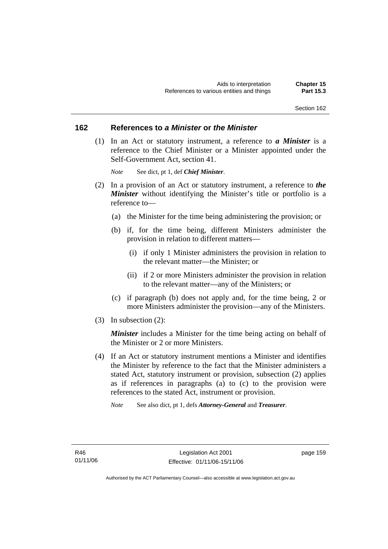# **162 References to** *a Minister* **or** *the Minister*

 (1) In an Act or statutory instrument, a reference to *a Minister* is a reference to the Chief Minister or a Minister appointed under the Self-Government Act, section 41.

*Note* See dict, pt 1, def *Chief Minister*.

- (2) In a provision of an Act or statutory instrument, a reference to *the Minister* without identifying the Minister's title or portfolio is a reference to—
	- (a) the Minister for the time being administering the provision; or
	- (b) if, for the time being, different Ministers administer the provision in relation to different matters—
		- (i) if only 1 Minister administers the provision in relation to the relevant matter—the Minister; or
		- (ii) if 2 or more Ministers administer the provision in relation to the relevant matter—any of the Ministers; or
	- (c) if paragraph (b) does not apply and, for the time being, 2 or more Ministers administer the provision—any of the Ministers.
- (3) In subsection (2):

*Minister* includes a Minister for the time being acting on behalf of the Minister or 2 or more Ministers.

- (4) If an Act or statutory instrument mentions a Minister and identifies the Minister by reference to the fact that the Minister administers a stated Act, statutory instrument or provision, subsection (2) applies as if references in paragraphs (a) to (c) to the provision were references to the stated Act, instrument or provision.
	- *Note* See also dict, pt 1, defs *Attorney-General* and *Treasurer*.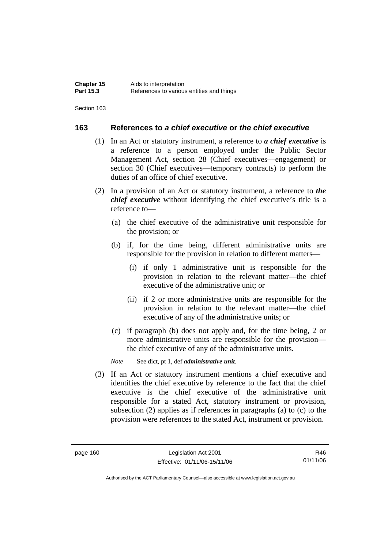## **163 References to** *a chief executive* **or** *the chief executive*

- (1) In an Act or statutory instrument, a reference to *a chief executive* is a reference to a person employed under the Public Sector Management Act, section 28 (Chief executives—engagement) or section 30 (Chief executives—temporary contracts) to perform the duties of an office of chief executive.
- (2) In a provision of an Act or statutory instrument, a reference to *the chief executive* without identifying the chief executive's title is a reference to—
	- (a) the chief executive of the administrative unit responsible for the provision; or
	- (b) if, for the time being, different administrative units are responsible for the provision in relation to different matters—
		- (i) if only 1 administrative unit is responsible for the provision in relation to the relevant matter—the chief executive of the administrative unit; or
		- (ii) if 2 or more administrative units are responsible for the provision in relation to the relevant matter—the chief executive of any of the administrative units; or
	- (c) if paragraph (b) does not apply and, for the time being, 2 or more administrative units are responsible for the provision the chief executive of any of the administrative units.

*Note* See dict, pt 1, def *administrative unit*.

 (3) If an Act or statutory instrument mentions a chief executive and identifies the chief executive by reference to the fact that the chief executive is the chief executive of the administrative unit responsible for a stated Act, statutory instrument or provision, subsection (2) applies as if references in paragraphs (a) to (c) to the provision were references to the stated Act, instrument or provision.

R46 01/11/06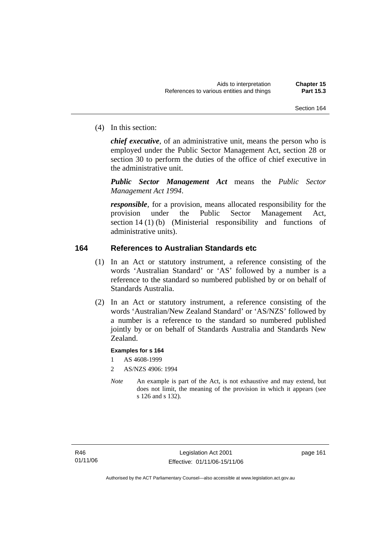(4) In this section:

*chief executive*, of an administrative unit, means the person who is employed under the Public Sector Management Act, section 28 or section 30 to perform the duties of the office of chief executive in the administrative unit.

*Public Sector Management Act* means the *Public Sector Management Act 1994*.

*responsible*, for a provision, means allocated responsibility for the provision under the Public Sector Management Act, section 14 (1) (b) (Ministerial responsibility and functions of administrative units).

# **164 References to Australian Standards etc**

- (1) In an Act or statutory instrument, a reference consisting of the words 'Australian Standard' or 'AS' followed by a number is a reference to the standard so numbered published by or on behalf of Standards Australia.
- (2) In an Act or statutory instrument, a reference consisting of the words 'Australian/New Zealand Standard' or 'AS/NZS' followed by a number is a reference to the standard so numbered published jointly by or on behalf of Standards Australia and Standards New Zealand.

## **Examples for s 164**

- 1 AS 4608-1999
- 2 AS/NZS 4906: 1994
- *Note* An example is part of the Act, is not exhaustive and may extend, but does not limit, the meaning of the provision in which it appears (see s 126 and s 132).

page 161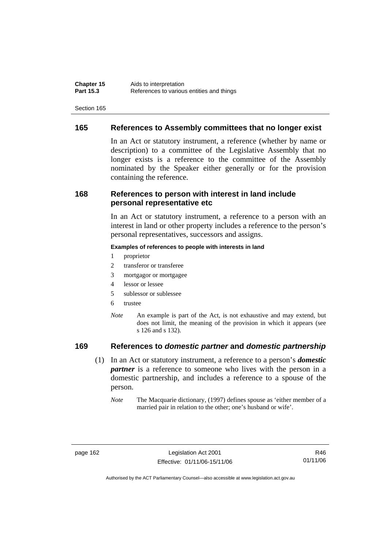# **165 References to Assembly committees that no longer exist**

In an Act or statutory instrument, a reference (whether by name or description) to a committee of the Legislative Assembly that no longer exists is a reference to the committee of the Assembly nominated by the Speaker either generally or for the provision containing the reference.

# **168 References to person with interest in land include personal representative etc**

In an Act or statutory instrument, a reference to a person with an interest in land or other property includes a reference to the person's personal representatives, successors and assigns.

#### **Examples of references to people with interests in land**

- 1 proprietor
- 2 transferor or transferee
- 3 mortgagor or mortgagee
- 4 lessor or lessee
- 5 sublessor or sublessee
- 6 trustee
- *Note* An example is part of the Act, is not exhaustive and may extend, but does not limit, the meaning of the provision in which it appears (see s 126 and s 132).

# **169 References to** *domestic partner* **and** *domestic partnership*

- (1) In an Act or statutory instrument, a reference to a person's *domestic partner* is a reference to someone who lives with the person in a domestic partnership, and includes a reference to a spouse of the person.
	- *Note* The Macquarie dictionary, (1997) defines spouse as 'either member of a married pair in relation to the other; one's husband or wife'.

R46 01/11/06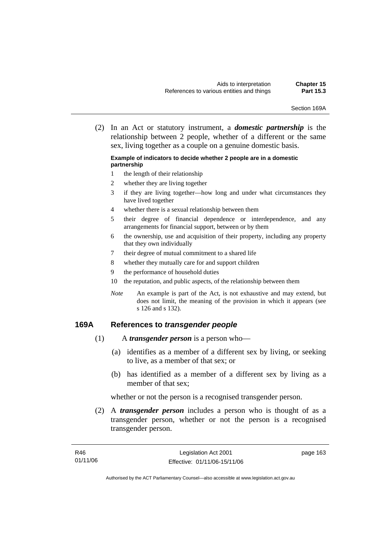Section 169A

 (2) In an Act or statutory instrument, a *domestic partnership* is the relationship between 2 people, whether of a different or the same sex, living together as a couple on a genuine domestic basis.

#### **Example of indicators to decide whether 2 people are in a domestic partnership**

- 1 the length of their relationship
- 2 whether they are living together
- 3 if they are living together—how long and under what circumstances they have lived together
- 4 whether there is a sexual relationship between them
- 5 their degree of financial dependence or interdependence, and any arrangements for financial support, between or by them
- 6 the ownership, use and acquisition of their property, including any property that they own individually
- 7 their degree of mutual commitment to a shared life
- 8 whether they mutually care for and support children
- 9 the performance of household duties
- 10 the reputation, and public aspects, of the relationship between them
- *Note* An example is part of the Act, is not exhaustive and may extend, but does not limit, the meaning of the provision in which it appears (see s 126 and s 132).

## **169A References to** *transgender people*

- (1) A *transgender person* is a person who—
	- (a) identifies as a member of a different sex by living, or seeking to live, as a member of that sex; or
	- (b) has identified as a member of a different sex by living as a member of that sex;

whether or not the person is a recognised transgender person.

 (2) A *transgender person* includes a person who is thought of as a transgender person, whether or not the person is a recognised transgender person.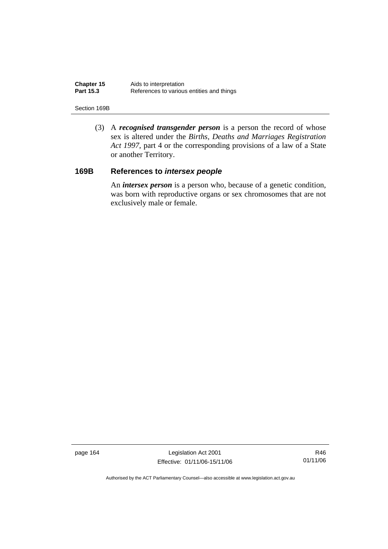| <b>Chapter 15</b> | Aids to interpretation                    |
|-------------------|-------------------------------------------|
| <b>Part 15.3</b>  | References to various entities and things |

#### Section 169B

 (3) A *recognised transgender person* is a person the record of whose sex is altered under the *Births, Deaths and Marriages Registration Act 1997*, part 4 or the corresponding provisions of a law of a State or another Territory.

# **169B References to** *intersex people*

 An *intersex person* is a person who, because of a genetic condition, was born with reproductive organs or sex chromosomes that are not exclusively male or female.

page 164 Legislation Act 2001 Effective: 01/11/06-15/11/06

R46 01/11/06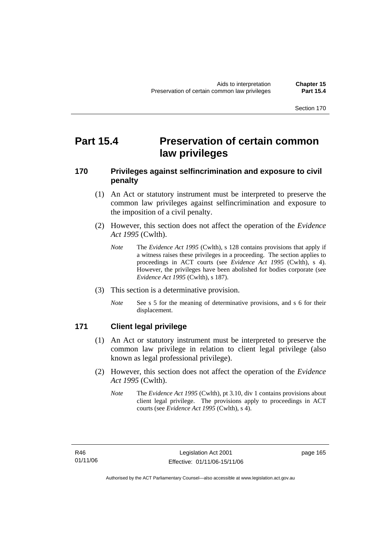# **Part 15.4 Preservation of certain common law privileges**

# **170 Privileges against selfincrimination and exposure to civil penalty**

- (1) An Act or statutory instrument must be interpreted to preserve the common law privileges against selfincrimination and exposure to the imposition of a civil penalty.
- (2) However, this section does not affect the operation of the *Evidence Act 1995* (Cwlth).
	- *Note* The *Evidence Act 1995* (Cwlth), s 128 contains provisions that apply if a witness raises these privileges in a proceeding. The section applies to proceedings in ACT courts (see *Evidence Act 1995* (Cwlth), s 4). However, the privileges have been abolished for bodies corporate (see *Evidence Act 1995* (Cwlth), s 187).
- (3) This section is a determinative provision.
	- *Note* See s 5 for the meaning of determinative provisions, and s 6 for their displacement.

# **171 Client legal privilege**

- (1) An Act or statutory instrument must be interpreted to preserve the common law privilege in relation to client legal privilege (also known as legal professional privilege).
- (2) However, this section does not affect the operation of the *Evidence Act 1995* (Cwlth).
	- *Note* The *Evidence Act 1995* (Cwlth), pt 3.10, div 1 contains provisions about client legal privilege. The provisions apply to proceedings in ACT courts (see *Evidence Act 1995* (Cwlth), s 4).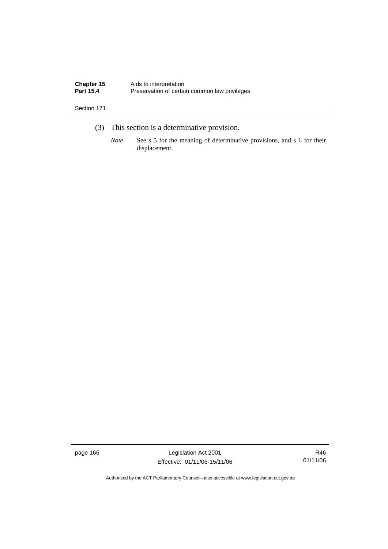| Chapter 15       | Aids to interpretation                        |
|------------------|-----------------------------------------------|
| <b>Part 15.4</b> | Preservation of certain common law privileges |

- (3) This section is a determinative provision.
	- *Note* See s 5 for the meaning of determinative provisions, and s 6 for their displacement.

page 166 Legislation Act 2001 Effective: 01/11/06-15/11/06

R46 01/11/06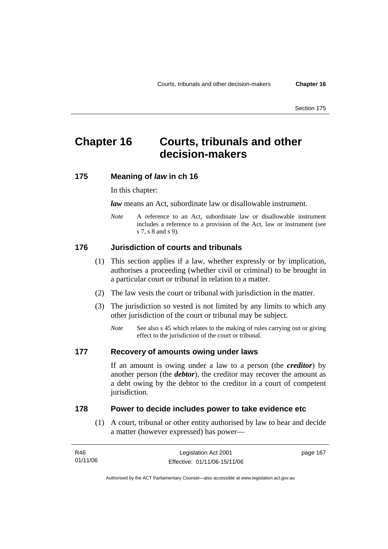# **Chapter 16 Courts, tribunals and other decision-makers**

#### **175 Meaning of** *law* **in ch 16**

#### In this chapter:

*law* means an Act, subordinate law or disallowable instrument.

*Note* A reference to an Act, subordinate law or disallowable instrument includes a reference to a provision of the Act, law or instrument (see s 7, s 8 and s 9).

#### **176 Jurisdiction of courts and tribunals**

- (1) This section applies if a law, whether expressly or by implication, authorises a proceeding (whether civil or criminal) to be brought in a particular court or tribunal in relation to a matter.
- (2) The law vests the court or tribunal with jurisdiction in the matter.
- (3) The jurisdiction so vested is not limited by any limits to which any other jurisdiction of the court or tribunal may be subject.
	- *Note* See also s 45 which relates to the making of rules carrying out or giving effect to the jurisdiction of the court or tribunal.

#### **177 Recovery of amounts owing under laws**

If an amount is owing under a law to a person (the *creditor*) by another person (the *debtor*), the creditor may recover the amount as a debt owing by the debtor to the creditor in a court of competent jurisdiction.

#### **178 Power to decide includes power to take evidence etc**

 (1) A court, tribunal or other entity authorised by law to hear and decide a matter (however expressed) has power—

| R46      | Legislation Act 2001         | page 167 |
|----------|------------------------------|----------|
| 01/11/06 | Effective: 01/11/06-15/11/06 |          |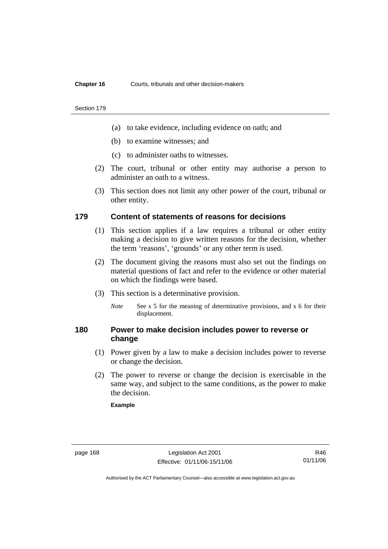#### **Chapter 16** Courts, tribunals and other decision-makers

#### Section 179

- (a) to take evidence, including evidence on oath; and
- (b) to examine witnesses; and
- (c) to administer oaths to witnesses.
- (2) The court, tribunal or other entity may authorise a person to administer an oath to a witness.
- (3) This section does not limit any other power of the court, tribunal or other entity.

#### **179 Content of statements of reasons for decisions**

- (1) This section applies if a law requires a tribunal or other entity making a decision to give written reasons for the decision, whether the term 'reasons', 'grounds' or any other term is used.
- (2) The document giving the reasons must also set out the findings on material questions of fact and refer to the evidence or other material on which the findings were based.
- (3) This section is a determinative provision.
	- *Note* See s 5 for the meaning of determinative provisions, and s 6 for their displacement.

### **180 Power to make decision includes power to reverse or change**

- (1) Power given by a law to make a decision includes power to reverse or change the decision.
- (2) The power to reverse or change the decision is exercisable in the same way, and subject to the same conditions, as the power to make the decision.

#### **Example**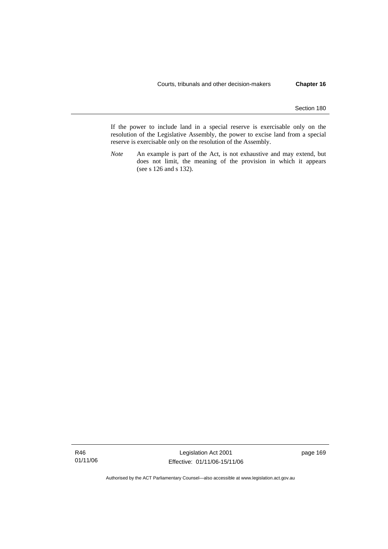If the power to include land in a special reserve is exercisable only on the resolution of the Legislative Assembly, the power to excise land from a special reserve is exercisable only on the resolution of the Assembly.

*Note* An example is part of the Act, is not exhaustive and may extend, but does not limit, the meaning of the provision in which it appears (see s 126 and s 132).

R46 01/11/06

Legislation Act 2001 Effective: 01/11/06-15/11/06 page 169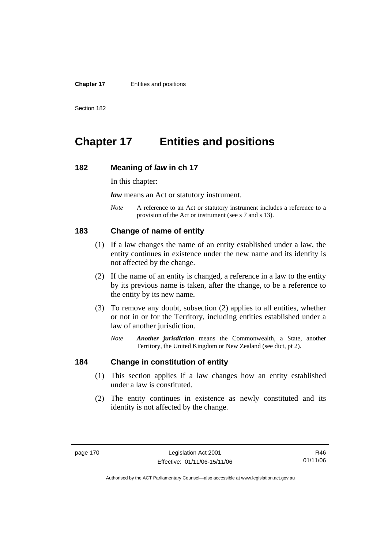#### **Chapter 17** Entities and positions

Section 182

# **Chapter 17 Entities and positions**

#### **182 Meaning of** *law* **in ch 17**

In this chapter:

*law* means an Act or statutory instrument.

*Note* A reference to an Act or statutory instrument includes a reference to a provision of the Act or instrument (see s 7 and s 13).

#### **183 Change of name of entity**

- (1) If a law changes the name of an entity established under a law, the entity continues in existence under the new name and its identity is not affected by the change.
- (2) If the name of an entity is changed, a reference in a law to the entity by its previous name is taken, after the change, to be a reference to the entity by its new name.
- (3) To remove any doubt, subsection (2) applies to all entities, whether or not in or for the Territory, including entities established under a law of another jurisdiction.
	- *Note Another jurisdiction* means the Commonwealth, a State, another Territory, the United Kingdom or New Zealand (see dict, pt 2).

# **184 Change in constitution of entity**

- (1) This section applies if a law changes how an entity established under a law is constituted.
- (2) The entity continues in existence as newly constituted and its identity is not affected by the change.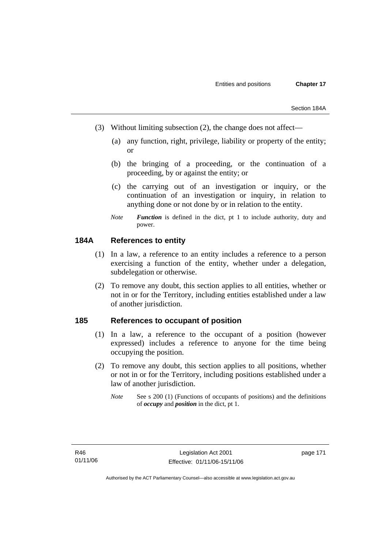- (3) Without limiting subsection (2), the change does not affect—
	- (a) any function, right, privilege, liability or property of the entity; or
	- (b) the bringing of a proceeding, or the continuation of a proceeding, by or against the entity; or
	- (c) the carrying out of an investigation or inquiry, or the continuation of an investigation or inquiry, in relation to anything done or not done by or in relation to the entity.
	- *Note Function* is defined in the dict, pt 1 to include authority, duty and power.

# **184A References to entity**

- (1) In a law, a reference to an entity includes a reference to a person exercising a function of the entity, whether under a delegation, subdelegation or otherwise.
- (2) To remove any doubt, this section applies to all entities, whether or not in or for the Territory, including entities established under a law of another jurisdiction.

### **185 References to occupant of position**

- (1) In a law, a reference to the occupant of a position (however expressed) includes a reference to anyone for the time being occupying the position.
- (2) To remove any doubt, this section applies to all positions, whether or not in or for the Territory, including positions established under a law of another jurisdiction.
	- *Note* See s 200 (1) (Functions of occupants of positions) and the definitions of *occupy* and *position* in the dict, pt 1.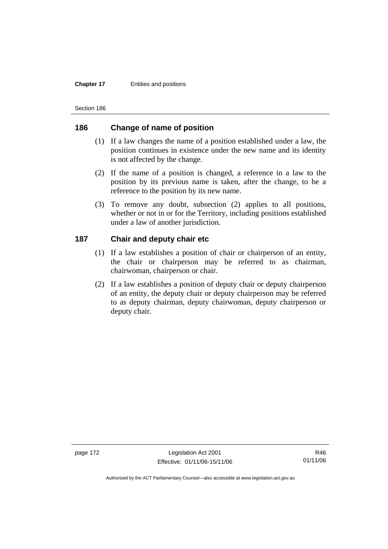#### **Chapter 17** Entities and positions

Section 186

# **186 Change of name of position**

- (1) If a law changes the name of a position established under a law, the position continues in existence under the new name and its identity is not affected by the change.
- (2) If the name of a position is changed, a reference in a law to the position by its previous name is taken, after the change, to be a reference to the position by its new name.
- (3) To remove any doubt, subsection (2) applies to all positions, whether or not in or for the Territory, including positions established under a law of another jurisdiction.

# **187 Chair and deputy chair etc**

- (1) If a law establishes a position of chair or chairperson of an entity, the chair or chairperson may be referred to as chairman, chairwoman, chairperson or chair.
- (2) If a law establishes a position of deputy chair or deputy chairperson of an entity, the deputy chair or deputy chairperson may be referred to as deputy chairman, deputy chairwoman, deputy chairperson or deputy chair.

page 172 Legislation Act 2001 Effective: 01/11/06-15/11/06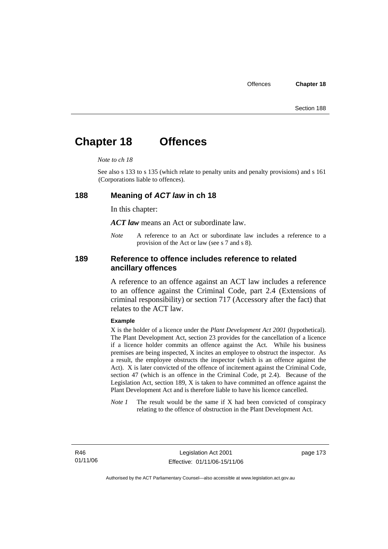# **Chapter 18 Offences**

#### *Note to ch 18*

See also s 133 to s 135 (which relate to penalty units and penalty provisions) and s 161 (Corporations liable to offences).

#### **188 Meaning of** *ACT law* **in ch 18**

In this chapter:

*ACT law* means an Act or subordinate law.

*Note* A reference to an Act or subordinate law includes a reference to a provision of the Act or law (see s 7 and s 8).

# **189 Reference to offence includes reference to related ancillary offences**

A reference to an offence against an ACT law includes a reference to an offence against the Criminal Code, part 2.4 (Extensions of criminal responsibility) or section 717 (Accessory after the fact) that relates to the ACT law.

#### **Example**

X is the holder of a licence under the *Plant Development Act 2001* (hypothetical). The Plant Development Act, section 23 provides for the cancellation of a licence if a licence holder commits an offence against the Act. While his business premises are being inspected, X incites an employee to obstruct the inspector. As a result, the employee obstructs the inspector (which is an offence against the Act). X is later convicted of the offence of incitement against the Criminal Code, section 47 (which is an offence in the Criminal Code, pt 2.4). Because of the Legislation Act, section 189, X is taken to have committed an offence against the Plant Development Act and is therefore liable to have his licence cancelled.

*Note 1* The result would be the same if X had been convicted of conspiracy relating to the offence of obstruction in the Plant Development Act.

R46 01/11/06 page 173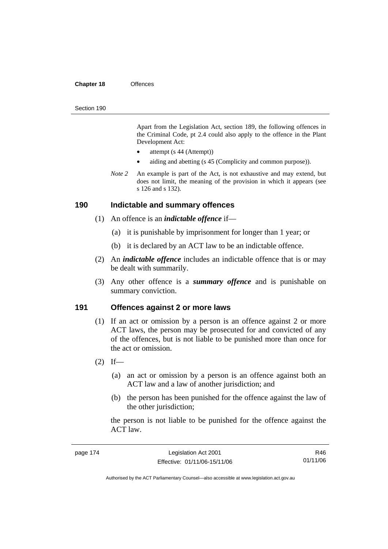#### **Chapter 18** Offences

#### Section 190

Apart from the Legislation Act, section 189, the following offences in the Criminal Code*,* pt 2.4 could also apply to the offence in the Plant Development Act:

- attempt (s 44 (Attempt))
- aiding and abetting (s 45 (Complicity and common purpose)).
- *Note* 2 An example is part of the Act, is not exhaustive and may extend, but does not limit, the meaning of the provision in which it appears (see s 126 and s 132).

#### **190 Indictable and summary offences**

- (1) An offence is an *indictable offence* if—
	- (a) it is punishable by imprisonment for longer than 1 year; or
	- (b) it is declared by an ACT law to be an indictable offence.
- (2) An *indictable offence* includes an indictable offence that is or may be dealt with summarily.
- (3) Any other offence is a *summary offence* and is punishable on summary conviction.

#### **191 Offences against 2 or more laws**

- (1) If an act or omission by a person is an offence against 2 or more ACT laws, the person may be prosecuted for and convicted of any of the offences, but is not liable to be punished more than once for the act or omission.
- $(2)$  If—
	- (a) an act or omission by a person is an offence against both an ACT law and a law of another jurisdiction; and
	- (b) the person has been punished for the offence against the law of the other jurisdiction;

the person is not liable to be punished for the offence against the ACT law.

| page 174 | Legislation Act 2001         | R46      |
|----------|------------------------------|----------|
|          | Effective: 01/11/06-15/11/06 | 01/11/06 |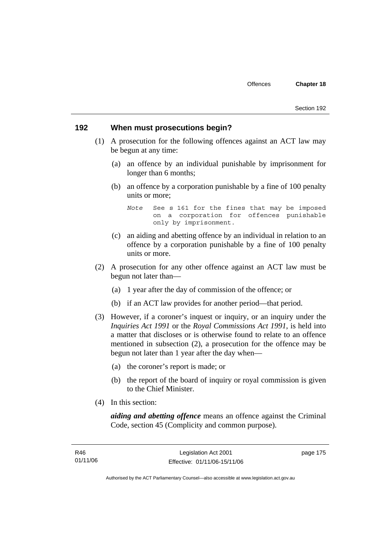#### **192 When must prosecutions begin?**

- (1) A prosecution for the following offences against an ACT law may be begun at any time:
	- (a) an offence by an individual punishable by imprisonment for longer than 6 months;
	- (b) an offence by a corporation punishable by a fine of 100 penalty units or more;

*Note* See s 161 for the fines that may be imposed on a corporation for offences punishable only by imprisonment.

- (c) an aiding and abetting offence by an individual in relation to an offence by a corporation punishable by a fine of 100 penalty units or more.
- (2) A prosecution for any other offence against an ACT law must be begun not later than—
	- (a) 1 year after the day of commission of the offence; or
	- (b) if an ACT law provides for another period—that period.
- (3) However, if a coroner's inquest or inquiry, or an inquiry under the *Inquiries Act 1991* or the *Royal Commissions Act 1991*, is held into a matter that discloses or is otherwise found to relate to an offence mentioned in subsection (2), a prosecution for the offence may be begun not later than 1 year after the day when—
	- (a) the coroner's report is made; or
	- (b) the report of the board of inquiry or royal commission is given to the Chief Minister.
- (4) In this section:

*aiding and abetting offence* means an offence against the Criminal Code, section 45 (Complicity and common purpose).

page 175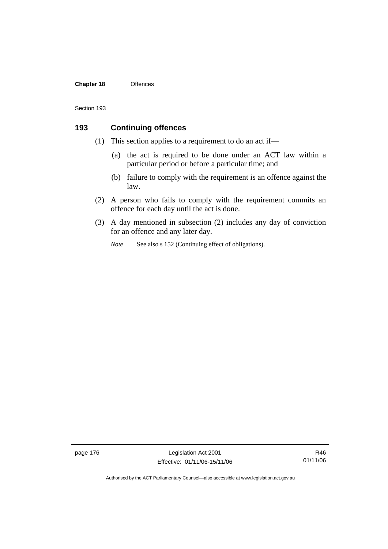#### **Chapter 18** Offences

#### Section 193

# **193 Continuing offences**

- (1) This section applies to a requirement to do an act if—
	- (a) the act is required to be done under an ACT law within a particular period or before a particular time; and
	- (b) failure to comply with the requirement is an offence against the law.
- (2) A person who fails to comply with the requirement commits an offence for each day until the act is done.
- (3) A day mentioned in subsection (2) includes any day of conviction for an offence and any later day.
	- *Note* See also s 152 (Continuing effect of obligations).

page 176 Legislation Act 2001 Effective: 01/11/06-15/11/06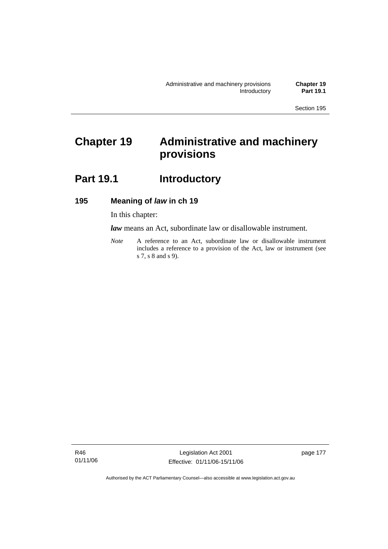# **Chapter 19 Administrative and machinery provisions**

# Part 19.1 **Introductory**

# **195 Meaning of** *law* **in ch 19**

In this chapter:

*law* means an Act, subordinate law or disallowable instrument.

*Note* A reference to an Act, subordinate law or disallowable instrument includes a reference to a provision of the Act, law or instrument (see s 7, s 8 and s 9).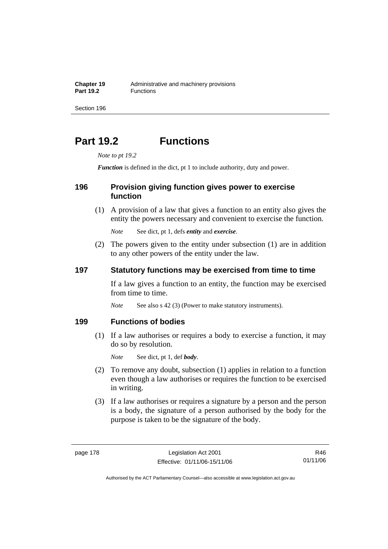**Chapter 19** Administrative and machinery provisions<br>**Part 19.2 Eunctions Part 19.2** Functions

Section 196

# **Part 19.2 Functions**

*Note to pt 19.2* 

*Function* is defined in the dict, pt 1 to include authority, duty and power.

# **196 Provision giving function gives power to exercise function**

 (1) A provision of a law that gives a function to an entity also gives the entity the powers necessary and convenient to exercise the function.

*Note* See dict, pt 1, defs *entity* and *exercise*.

 (2) The powers given to the entity under subsection (1) are in addition to any other powers of the entity under the law.

### **197 Statutory functions may be exercised from time to time**

If a law gives a function to an entity, the function may be exercised from time to time.

*Note* See also s 42 (3) (Power to make statutory instruments).

#### **199 Functions of bodies**

 (1) If a law authorises or requires a body to exercise a function, it may do so by resolution.

*Note* See dict, pt 1, def *body*.

- (2) To remove any doubt, subsection (1) applies in relation to a function even though a law authorises or requires the function to be exercised in writing.
- (3) If a law authorises or requires a signature by a person and the person is a body, the signature of a person authorised by the body for the purpose is taken to be the signature of the body.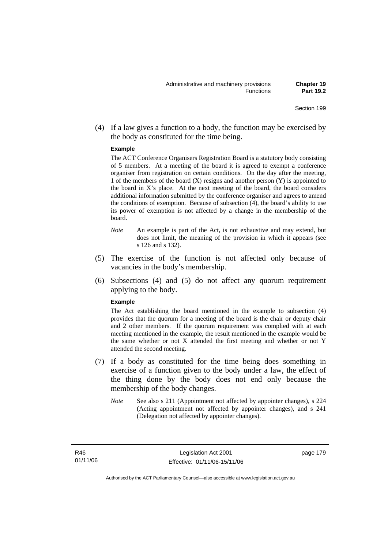(4) If a law gives a function to a body, the function may be exercised by the body as constituted for the time being.

#### **Example**

The ACT Conference Organisers Registration Board is a statutory body consisting of 5 members. At a meeting of the board it is agreed to exempt a conference organiser from registration on certain conditions. On the day after the meeting, 1 of the members of the board  $(X)$  resigns and another person  $(Y)$  is appointed to the board in  $X$ 's place. At the next meeting of the board, the board considers additional information submitted by the conference organiser and agrees to amend the conditions of exemption. Because of subsection (4), the board's ability to use its power of exemption is not affected by a change in the membership of the board.

- *Note* An example is part of the Act, is not exhaustive and may extend, but does not limit, the meaning of the provision in which it appears (see s 126 and s 132).
- (5) The exercise of the function is not affected only because of vacancies in the body's membership.
- (6) Subsections (4) and (5) do not affect any quorum requirement applying to the body.

#### **Example**

The Act establishing the board mentioned in the example to subsection (4) provides that the quorum for a meeting of the board is the chair or deputy chair and 2 other members. If the quorum requirement was complied with at each meeting mentioned in the example, the result mentioned in the example would be the same whether or not X attended the first meeting and whether or not Y attended the second meeting.

- (7) If a body as constituted for the time being does something in exercise of a function given to the body under a law, the effect of the thing done by the body does not end only because the membership of the body changes.
	- *Note* See also s 211 (Appointment not affected by appointer changes), s 224 (Acting appointment not affected by appointer changes), and s 241 (Delegation not affected by appointer changes).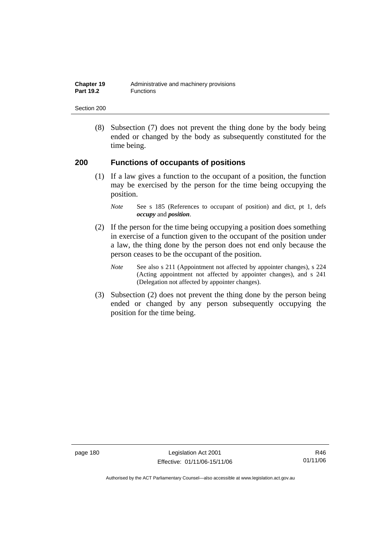| Chapter 19       | Administrative and machinery provisions |
|------------------|-----------------------------------------|
| <b>Part 19.2</b> | Functions                               |

 (8) Subsection (7) does not prevent the thing done by the body being ended or changed by the body as subsequently constituted for the time being.

### **200 Functions of occupants of positions**

 (1) If a law gives a function to the occupant of a position, the function may be exercised by the person for the time being occupying the position.

- (2) If the person for the time being occupying a position does something in exercise of a function given to the occupant of the position under a law, the thing done by the person does not end only because the person ceases to be the occupant of the position.
	- *Note* See also s 211 (Appointment not affected by appointer changes), s 224 (Acting appointment not affected by appointer changes), and s 241 (Delegation not affected by appointer changes).
- (3) Subsection (2) does not prevent the thing done by the person being ended or changed by any person subsequently occupying the position for the time being.

page 180 Legislation Act 2001 Effective: 01/11/06-15/11/06

*Note* See s 185 (References to occupant of position) and dict, pt 1, defs *occupy* and *position*.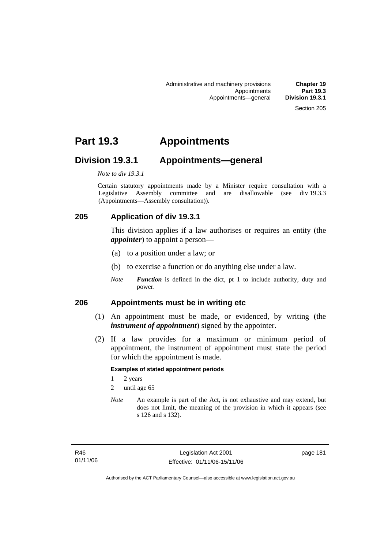# **Part 19.3 Appointments**

# **Division 19.3.1 Appointments—general**

*Note to div 19.3.1* 

Certain statutory appointments made by a Minister require consultation with a Legislative Assembly committee and are disallowable (see div 19.3.3 (Appointments—Assembly consultation)).

# **205 Application of div 19.3.1**

This division applies if a law authorises or requires an entity (the *appointer*) to appoint a person—

- (a) to a position under a law; or
- (b) to exercise a function or do anything else under a law.
- *Note Function* is defined in the dict, pt 1 to include authority, duty and power.

### **206 Appointments must be in writing etc**

- (1) An appointment must be made, or evidenced, by writing (the *instrument of appointment*) signed by the appointer.
- (2) If a law provides for a maximum or minimum period of appointment, the instrument of appointment must state the period for which the appointment is made.

#### **Examples of stated appointment periods**

- 1 2 years
- 2 until age 65
- *Note* An example is part of the Act, is not exhaustive and may extend, but does not limit, the meaning of the provision in which it appears (see s 126 and s 132).

page 181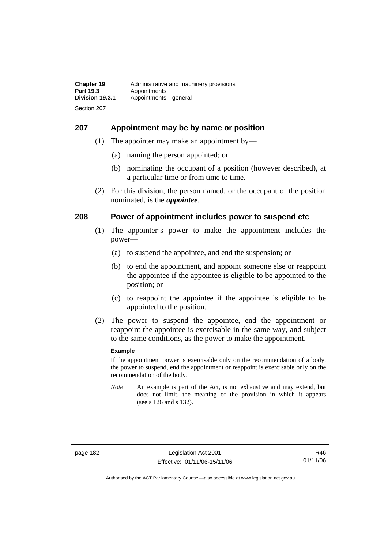#### **207 Appointment may be by name or position**

- (1) The appointer may make an appointment by—
	- (a) naming the person appointed; or
	- (b) nominating the occupant of a position (however described), at a particular time or from time to time.
- (2) For this division, the person named, or the occupant of the position nominated, is the *appointee*.

#### **208 Power of appointment includes power to suspend etc**

- (1) The appointer's power to make the appointment includes the power—
	- (a) to suspend the appointee, and end the suspension; or
	- (b) to end the appointment, and appoint someone else or reappoint the appointee if the appointee is eligible to be appointed to the position; or
	- (c) to reappoint the appointee if the appointee is eligible to be appointed to the position.
- (2) The power to suspend the appointee, end the appointment or reappoint the appointee is exercisable in the same way, and subject to the same conditions, as the power to make the appointment.

#### **Example**

If the appointment power is exercisable only on the recommendation of a body, the power to suspend, end the appointment or reappoint is exercisable only on the recommendation of the body.

*Note* An example is part of the Act, is not exhaustive and may extend, but does not limit, the meaning of the provision in which it appears (see s 126 and s 132).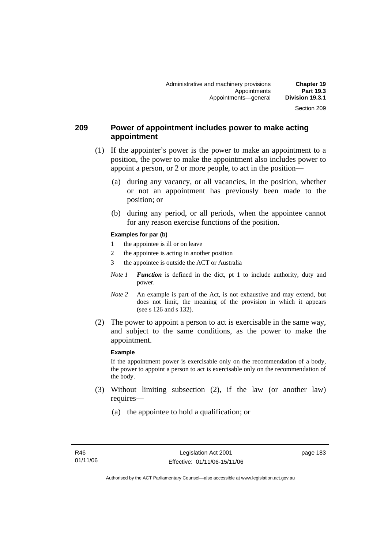### **209 Power of appointment includes power to make acting appointment**

- (1) If the appointer's power is the power to make an appointment to a position, the power to make the appointment also includes power to appoint a person, or 2 or more people, to act in the position—
	- (a) during any vacancy, or all vacancies, in the position, whether or not an appointment has previously been made to the position; or
	- (b) during any period, or all periods, when the appointee cannot for any reason exercise functions of the position.

#### **Examples for par (b)**

- 1 the appointee is ill or on leave
- 2 the appointee is acting in another position
- 3 the appointee is outside the ACT or Australia
- *Note 1 Function* is defined in the dict, pt 1 to include authority, duty and power.
- *Note* 2 An example is part of the Act, is not exhaustive and may extend, but does not limit, the meaning of the provision in which it appears (see s 126 and s 132).
- (2) The power to appoint a person to act is exercisable in the same way, and subject to the same conditions, as the power to make the appointment.

#### **Example**

If the appointment power is exercisable only on the recommendation of a body, the power to appoint a person to act is exercisable only on the recommendation of the body.

- (3) Without limiting subsection (2), if the law (or another law) requires—
	- (a) the appointee to hold a qualification; or

page 183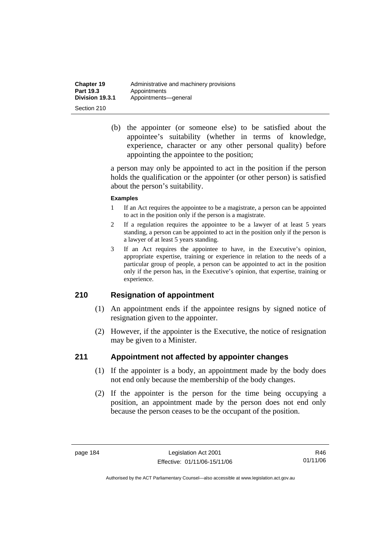| <b>Chapter 19</b> | Administrative and machinery provisions |
|-------------------|-----------------------------------------|
| <b>Part 19.3</b>  | Appointments                            |
| Division 19.3.1   | Appointments-qeneral                    |
| Section 210       |                                         |

 (b) the appointer (or someone else) to be satisfied about the appointee's suitability (whether in terms of knowledge, experience, character or any other personal quality) before appointing the appointee to the position;

a person may only be appointed to act in the position if the person holds the qualification or the appointer (or other person) is satisfied about the person's suitability.

#### **Examples**

- 1 If an Act requires the appointee to be a magistrate, a person can be appointed to act in the position only if the person is a magistrate.
- 2 If a regulation requires the appointee to be a lawyer of at least 5 years standing, a person can be appointed to act in the position only if the person is a lawyer of at least 5 years standing.
- 3 If an Act requires the appointee to have, in the Executive's opinion, appropriate expertise, training or experience in relation to the needs of a particular group of people, a person can be appointed to act in the position only if the person has, in the Executive's opinion, that expertise, training or experience.

### **210 Resignation of appointment**

- (1) An appointment ends if the appointee resigns by signed notice of resignation given to the appointer.
- (2) However, if the appointer is the Executive, the notice of resignation may be given to a Minister.

### **211 Appointment not affected by appointer changes**

- (1) If the appointer is a body, an appointment made by the body does not end only because the membership of the body changes.
- (2) If the appointer is the person for the time being occupying a position, an appointment made by the person does not end only because the person ceases to be the occupant of the position.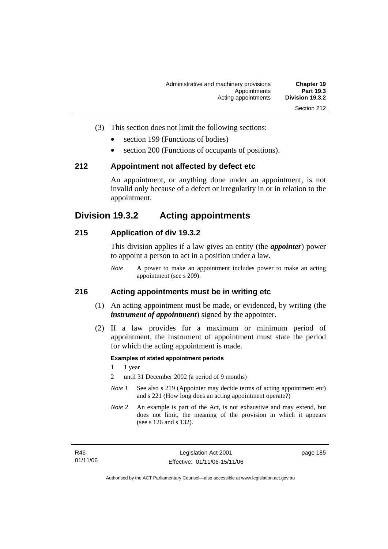- (3) This section does not limit the following sections:
	- section 199 (Functions of bodies)
	- section 200 (Functions of occupants of positions).

#### **212 Appointment not affected by defect etc**

An appointment, or anything done under an appointment, is not invalid only because of a defect or irregularity in or in relation to the appointment.

# **Division 19.3.2 Acting appointments**

### **215 Application of div 19.3.2**

This division applies if a law gives an entity (the *appointer*) power to appoint a person to act in a position under a law.

*Note* A power to make an appointment includes power to make an acting appointment (see s 209).

#### **216 Acting appointments must be in writing etc**

- (1) An acting appointment must be made, or evidenced, by writing (the *instrument of appointment*) signed by the appointer.
- (2) If a law provides for a maximum or minimum period of appointment, the instrument of appointment must state the period for which the acting appointment is made.

#### **Examples of stated appointment periods**

- 1 1 year
- 2 until 31 December 2002 (a period of 9 months)
- *Note 1* See also s 219 (Appointer may decide terms of acting appointment etc) and s 221 (How long does an acting appointment operate?)
- *Note 2* An example is part of the Act, is not exhaustive and may extend, but does not limit, the meaning of the provision in which it appears (see s 126 and s 132).

page 185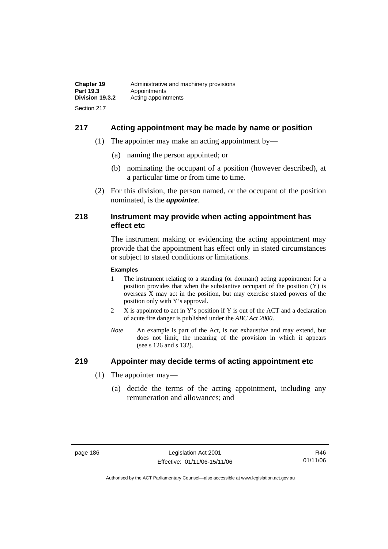# **217 Acting appointment may be made by name or position**

- (1) The appointer may make an acting appointment by—
	- (a) naming the person appointed; or
	- (b) nominating the occupant of a position (however described), at a particular time or from time to time.
- (2) For this division, the person named, or the occupant of the position nominated, is the *appointee*.

#### **218 Instrument may provide when acting appointment has effect etc**

The instrument making or evidencing the acting appointment may provide that the appointment has effect only in stated circumstances or subject to stated conditions or limitations.

#### **Examples**

- 1 The instrument relating to a standing (or dormant) acting appointment for a position provides that when the substantive occupant of the position (Y) is overseas X may act in the position, but may exercise stated powers of the position only with Y's approval.
- 2 X is appointed to act in Y's position if Y is out of the ACT and a declaration of acute fire danger is published under the *ABC Act 2000*.
- *Note* An example is part of the Act, is not exhaustive and may extend, but does not limit, the meaning of the provision in which it appears (see s 126 and s 132).

### **219 Appointer may decide terms of acting appointment etc**

- (1) The appointer may—
	- (a) decide the terms of the acting appointment, including any remuneration and allowances; and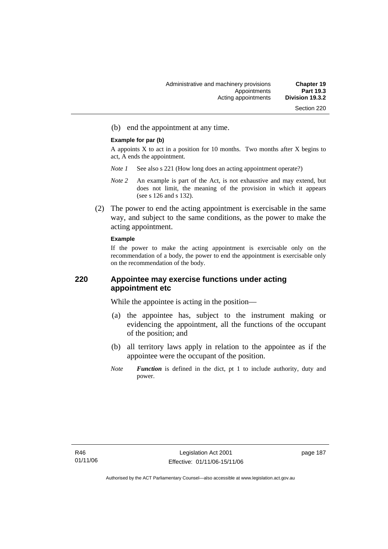(b) end the appointment at any time.

#### **Example for par (b)**

A appoints  $X$  to act in a position for 10 months. Two months after  $X$  begins to act, A ends the appointment.

- *Note 1* See also s 221 (How long does an acting appointment operate?)
- *Note 2* An example is part of the Act, is not exhaustive and may extend, but does not limit, the meaning of the provision in which it appears (see s 126 and s 132).
- (2) The power to end the acting appointment is exercisable in the same way, and subject to the same conditions, as the power to make the acting appointment.

#### **Example**

If the power to make the acting appointment is exercisable only on the recommendation of a body, the power to end the appointment is exercisable only on the recommendation of the body.

# **220 Appointee may exercise functions under acting appointment etc**

While the appointee is acting in the position—

- (a) the appointee has, subject to the instrument making or evidencing the appointment, all the functions of the occupant of the position; and
- (b) all territory laws apply in relation to the appointee as if the appointee were the occupant of the position.
- *Note Function* is defined in the dict, pt 1 to include authority, duty and power.

page 187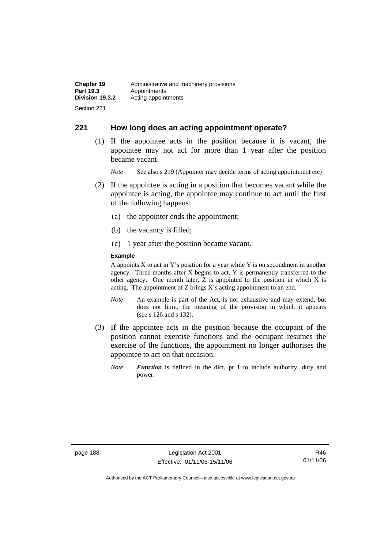# **221 How long does an acting appointment operate?**

 (1) If the appointee acts in the position because it is vacant, the appointee may not act for more than 1 year after the position became vacant.

*Note* See also s 219 (Appointer may decide terms of acting appointment etc)

- (2) If the appointee is acting in a position that becomes vacant while the appointee is acting, the appointee may continue to act until the first of the following happens:
	- (a) the appointer ends the appointment;
	- (b) the vacancy is filled;
	- (c) 1 year after the position became vacant.

#### **Example**

A appoints  $X$  to act in Y's position for a year while Y is on secondment in another agency. Three months after X begins to act, Y is permanently transferred to the other agency. One month later, Z is appointed to the position in which X is acting. The appointment of Z brings X's acting appointment to an end.

- *Note* An example is part of the Act, is not exhaustive and may extend, but does not limit, the meaning of the provision in which it appears (see s 126 and s 132).
- (3) If the appointee acts in the position because the occupant of the position cannot exercise functions and the occupant resumes the exercise of the functions, the appointment no longer authorises the appointee to act on that occasion.
	- *Note Function* is defined in the dict, pt 1 to include authority, duty and power.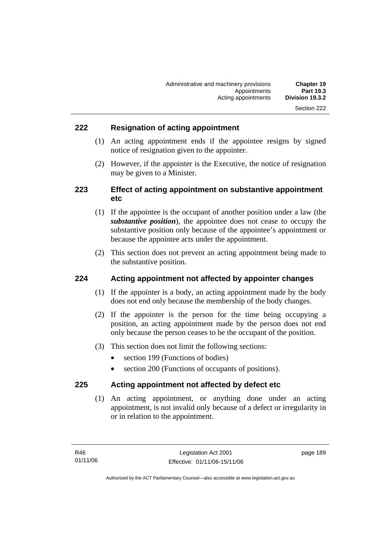# **222 Resignation of acting appointment**

- (1) An acting appointment ends if the appointee resigns by signed notice of resignation given to the appointer.
- (2) However, if the appointer is the Executive, the notice of resignation may be given to a Minister.

# **223 Effect of acting appointment on substantive appointment etc**

- (1) If the appointee is the occupant of another position under a law (the *substantive position*), the appointee does not cease to occupy the substantive position only because of the appointee's appointment or because the appointee acts under the appointment.
- (2) This section does not prevent an acting appointment being made to the substantive position.

### **224 Acting appointment not affected by appointer changes**

- (1) If the appointer is a body, an acting appointment made by the body does not end only because the membership of the body changes.
- (2) If the appointer is the person for the time being occupying a position, an acting appointment made by the person does not end only because the person ceases to be the occupant of the position.
- (3) This section does not limit the following sections:
	- section 199 (Functions of bodies)
	- section 200 (Functions of occupants of positions).

### **225 Acting appointment not affected by defect etc**

 (1) An acting appointment, or anything done under an acting appointment, is not invalid only because of a defect or irregularity in or in relation to the appointment.

page 189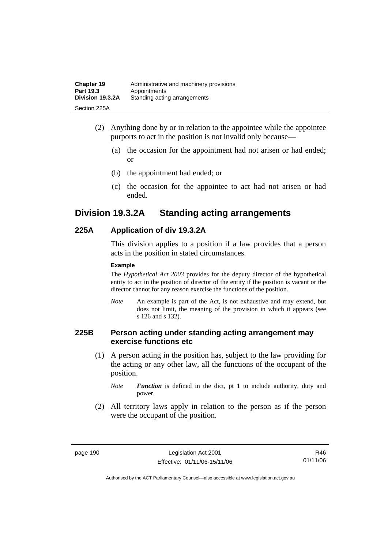| <b>Chapter 19</b> | Administrative and machinery provisions |
|-------------------|-----------------------------------------|
| Part 19.3         | Appointments                            |
| Division 19.3.2A  | Standing acting arrangements            |
| Section 225A      |                                         |

- (2) Anything done by or in relation to the appointee while the appointee purports to act in the position is not invalid only because—
	- (a) the occasion for the appointment had not arisen or had ended; or
	- (b) the appointment had ended; or
	- (c) the occasion for the appointee to act had not arisen or had ended.

# **Division 19.3.2A Standing acting arrangements**

# **225A Application of div 19.3.2A**

This division applies to a position if a law provides that a person acts in the position in stated circumstances.

#### **Example**

The *Hypothetical Act 2003* provides for the deputy director of the hypothetical entity to act in the position of director of the entity if the position is vacant or the director cannot for any reason exercise the functions of the position.

*Note* An example is part of the Act, is not exhaustive and may extend, but does not limit, the meaning of the provision in which it appears (see s 126 and s 132).

# **225B Person acting under standing acting arrangement may exercise functions etc**

 (1) A person acting in the position has, subject to the law providing for the acting or any other law, all the functions of the occupant of the position.

*Note Function* is defined in the dict, pt 1 to include authority, duty and power.

 (2) All territory laws apply in relation to the person as if the person were the occupant of the position.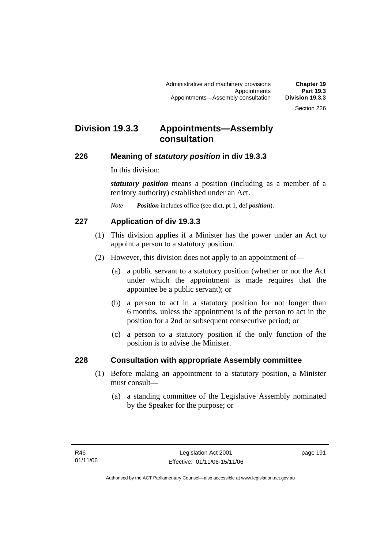# **Division 19.3.3 Appointments—Assembly consultation**

# **226 Meaning of** *statutory position* **in div 19.3.3**

In this division:

*statutory position* means a position (including as a member of a territory authority) established under an Act.

*Note Position* includes office (see dict, pt 1, def *position*).

# **227 Application of div 19.3.3**

- (1) This division applies if a Minister has the power under an Act to appoint a person to a statutory position.
- (2) However, this division does not apply to an appointment of—
	- (a) a public servant to a statutory position (whether or not the Act under which the appointment is made requires that the appointee be a public servant); or
	- (b) a person to act in a statutory position for not longer than 6 months, unless the appointment is of the person to act in the position for a 2nd or subsequent consecutive period; or
	- (c) a person to a statutory position if the only function of the position is to advise the Minister.

# **228 Consultation with appropriate Assembly committee**

- (1) Before making an appointment to a statutory position, a Minister must consult—
	- (a) a standing committee of the Legislative Assembly nominated by the Speaker for the purpose; or

page 191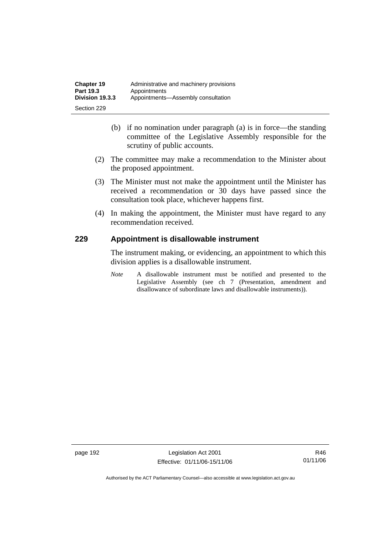- (b) if no nomination under paragraph (a) is in force—the standing committee of the Legislative Assembly responsible for the scrutiny of public accounts.
- (2) The committee may make a recommendation to the Minister about the proposed appointment.
- (3) The Minister must not make the appointment until the Minister has received a recommendation or 30 days have passed since the consultation took place, whichever happens first.
- (4) In making the appointment, the Minister must have regard to any recommendation received.

# **229 Appointment is disallowable instrument**

The instrument making, or evidencing, an appointment to which this division applies is a disallowable instrument.

*Note* A disallowable instrument must be notified and presented to the Legislative Assembly (see ch 7 (Presentation, amendment and disallowance of subordinate laws and disallowable instruments)).

page 192 Legislation Act 2001 Effective: 01/11/06-15/11/06

R46 01/11/06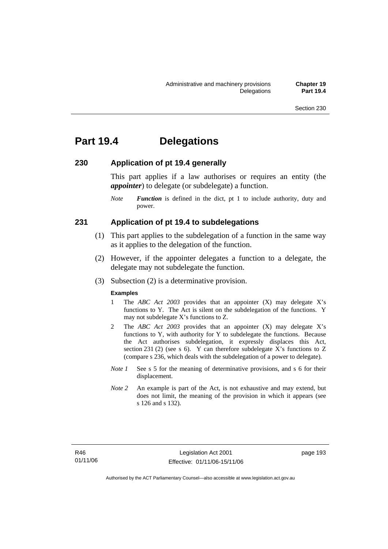# **Part 19.4 Delegations**

### **230 Application of pt 19.4 generally**

This part applies if a law authorises or requires an entity (the *appointer*) to delegate (or subdelegate) a function.

*Note Function* is defined in the dict, pt 1 to include authority, duty and power.

#### **231 Application of pt 19.4 to subdelegations**

- (1) This part applies to the subdelegation of a function in the same way as it applies to the delegation of the function.
- (2) However, if the appointer delegates a function to a delegate, the delegate may not subdelegate the function.
- (3) Subsection (2) is a determinative provision.

#### **Examples**

- 1 The *ABC Act 2003* provides that an appointer (X) may delegate X's functions to Y. The Act is silent on the subdelegation of the functions. Y may not subdelegate X's functions to Z.
- 2 The *ABC Act 2003* provides that an appointer (X) may delegate X's functions to Y, with authority for Y to subdelegate the functions. Because the Act authorises subdelegation, it expressly displaces this Act, section 231 (2) (see s 6). Y can therefore subdelegate X's functions to  $Z$ (compare s 236, which deals with the subdelegation of a power to delegate)*.*
- *Note 1* See s 5 for the meaning of determinative provisions, and s 6 for their displacement.
- *Note 2* An example is part of the Act, is not exhaustive and may extend, but does not limit, the meaning of the provision in which it appears (see s 126 and s 132).

page 193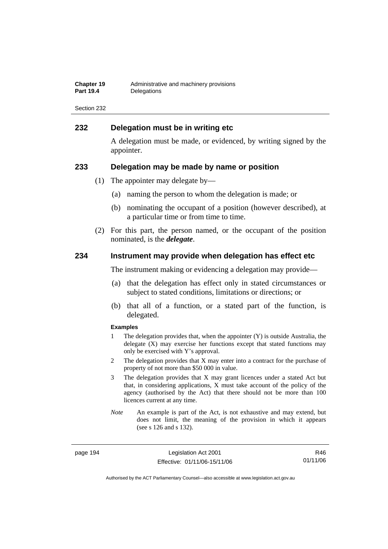| <b>Chapter 19</b> | Administrative and machinery provisions |
|-------------------|-----------------------------------------|
| <b>Part 19.4</b>  | Delegations                             |

### **232 Delegation must be in writing etc**

A delegation must be made, or evidenced, by writing signed by the appointer.

#### **233 Delegation may be made by name or position**

- (1) The appointer may delegate by—
	- (a) naming the person to whom the delegation is made; or
	- (b) nominating the occupant of a position (however described), at a particular time or from time to time.
- (2) For this part, the person named, or the occupant of the position nominated, is the *delegate*.

#### **234 Instrument may provide when delegation has effect etc**

The instrument making or evidencing a delegation may provide—

- (a) that the delegation has effect only in stated circumstances or subject to stated conditions, limitations or directions; or
- (b) that all of a function, or a stated part of the function, is delegated.

#### **Examples**

- 1 The delegation provides that, when the appointer (Y) is outside Australia, the delegate (X) may exercise her functions except that stated functions may only be exercised with Y's approval.
- 2 The delegation provides that X may enter into a contract for the purchase of property of not more than \$50 000 in value.
- 3 The delegation provides that X may grant licences under a stated Act but that, in considering applications, X must take account of the policy of the agency (authorised by the Act) that there should not be more than 100 licences current at any time.
- *Note* An example is part of the Act, is not exhaustive and may extend, but does not limit, the meaning of the provision in which it appears (see s 126 and s 132).

page 194 Legislation Act 2001 Effective: 01/11/06-15/11/06

R46 01/11/06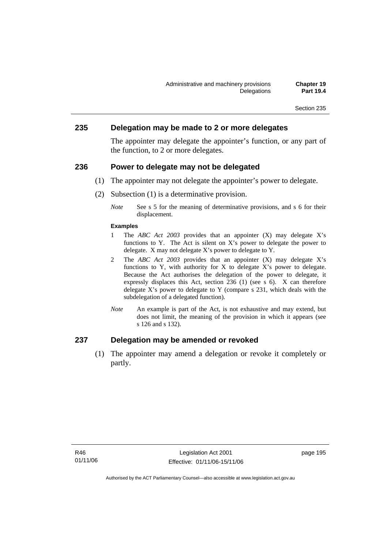#### **235 Delegation may be made to 2 or more delegates**

The appointer may delegate the appointer's function, or any part of the function, to 2 or more delegates.

#### **236 Power to delegate may not be delegated**

- (1) The appointer may not delegate the appointer's power to delegate.
- (2) Subsection (1) is a determinative provision.
	- *Note* See s 5 for the meaning of determinative provisions, and s 6 for their displacement.

#### **Examples**

- 1 The *ABC Act 2003* provides that an appointer (X) may delegate X's functions to Y. The Act is silent on X's power to delegate the power to delegate. X may not delegate X's power to delegate to Y.
- 2 The *ABC Act 2003* provides that an appointer (X) may delegate X's functions to Y, with authority for X to delegate X's power to delegate. Because the Act authorises the delegation of the power to delegate, it expressly displaces this Act, section 236 (1) (see s 6). X can therefore delegate  $X$ 's power to delegate to  $Y$  (compare s 231, which deals with the subdelegation of a delegated function)*.*
- *Note* An example is part of the Act, is not exhaustive and may extend, but does not limit, the meaning of the provision in which it appears (see s 126 and s 132).

# **237 Delegation may be amended or revoked**

 (1) The appointer may amend a delegation or revoke it completely or partly.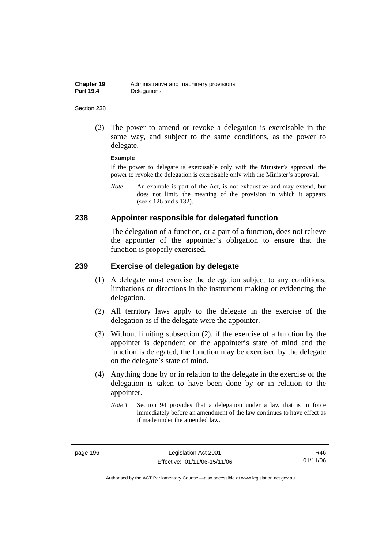(2) The power to amend or revoke a delegation is exercisable in the same way, and subject to the same conditions, as the power to delegate.

#### **Example**

If the power to delegate is exercisable only with the Minister's approval, the power to revoke the delegation is exercisable only with the Minister's approval.

*Note* An example is part of the Act, is not exhaustive and may extend, but does not limit, the meaning of the provision in which it appears (see s 126 and s 132).

#### **238 Appointer responsible for delegated function**

The delegation of a function, or a part of a function, does not relieve the appointer of the appointer's obligation to ensure that the function is properly exercised.

#### **239 Exercise of delegation by delegate**

- (1) A delegate must exercise the delegation subject to any conditions, limitations or directions in the instrument making or evidencing the delegation.
- (2) All territory laws apply to the delegate in the exercise of the delegation as if the delegate were the appointer.
- (3) Without limiting subsection (2), if the exercise of a function by the appointer is dependent on the appointer's state of mind and the function is delegated, the function may be exercised by the delegate on the delegate's state of mind.
- (4) Anything done by or in relation to the delegate in the exercise of the delegation is taken to have been done by or in relation to the appointer.
	- *Note 1* Section 94 provides that a delegation under a law that is in force immediately before an amendment of the law continues to have effect as if made under the amended law.

R46 01/11/06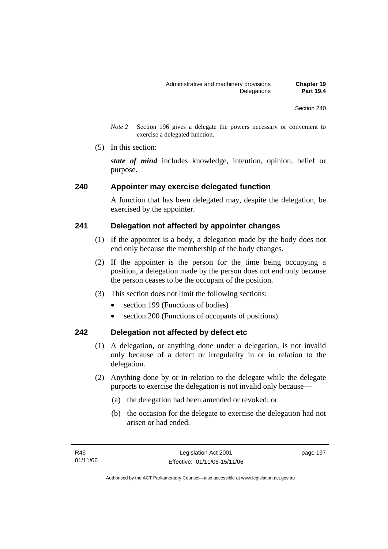*Note 2* Section 196 gives a delegate the powers necessary or convenient to exercise a delegated function.

(5) In this section:

*state of mind* includes knowledge, intention, opinion, belief or purpose.

#### **240 Appointer may exercise delegated function**

A function that has been delegated may, despite the delegation, be exercised by the appointer.

### **241 Delegation not affected by appointer changes**

- (1) If the appointer is a body, a delegation made by the body does not end only because the membership of the body changes.
- (2) If the appointer is the person for the time being occupying a position, a delegation made by the person does not end only because the person ceases to be the occupant of the position.
- (3) This section does not limit the following sections:
	- section 199 (Functions of bodies)
	- section 200 (Functions of occupants of positions).

### **242 Delegation not affected by defect etc**

- (1) A delegation, or anything done under a delegation, is not invalid only because of a defect or irregularity in or in relation to the delegation.
- (2) Anything done by or in relation to the delegate while the delegate purports to exercise the delegation is not invalid only because—
	- (a) the delegation had been amended or revoked; or
	- (b) the occasion for the delegate to exercise the delegation had not arisen or had ended.

page 197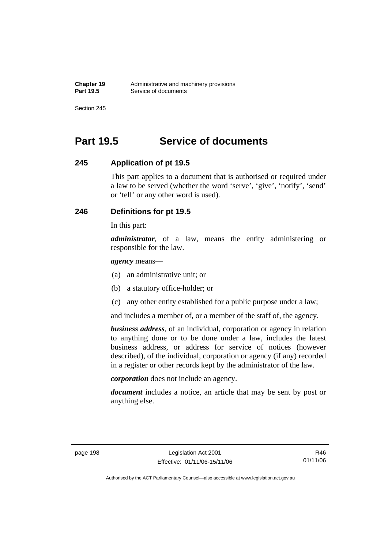# **Part 19.5 Service of documents**

# **245 Application of pt 19.5**

This part applies to a document that is authorised or required under a law to be served (whether the word 'serve', 'give', 'notify', 'send' or 'tell' or any other word is used).

# **246 Definitions for pt 19.5**

In this part:

*administrator*, of a law, means the entity administering or responsible for the law.

*agency* means—

- (a) an administrative unit; or
- (b) a statutory office-holder; or
- (c) any other entity established for a public purpose under a law;

and includes a member of, or a member of the staff of, the agency.

*business address*, of an individual, corporation or agency in relation to anything done or to be done under a law, includes the latest business address, or address for service of notices (however described), of the individual, corporation or agency (if any) recorded in a register or other records kept by the administrator of the law.

*corporation* does not include an agency.

*document* includes a notice, an article that may be sent by post or anything else.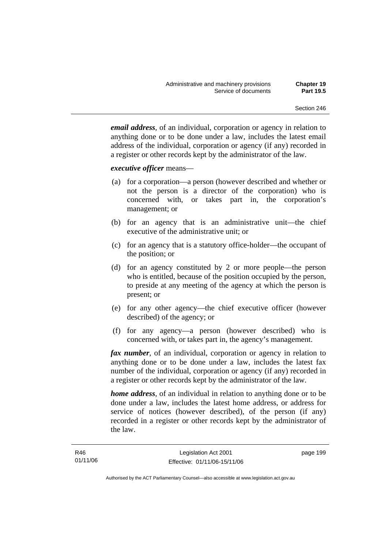*email address*, of an individual, corporation or agency in relation to anything done or to be done under a law, includes the latest email address of the individual, corporation or agency (if any) recorded in a register or other records kept by the administrator of the law.

#### *executive officer* means—

- (a) for a corporation—a person (however described and whether or not the person is a director of the corporation) who is concerned with, or takes part in, the corporation's management; or
- (b) for an agency that is an administrative unit—the chief executive of the administrative unit; or
- (c) for an agency that is a statutory office-holder—the occupant of the position; or
- (d) for an agency constituted by 2 or more people—the person who is entitled, because of the position occupied by the person, to preside at any meeting of the agency at which the person is present; or
- (e) for any other agency—the chief executive officer (however described) of the agency; or
- (f) for any agency—a person (however described) who is concerned with, or takes part in, the agency's management.

*fax number*, of an individual, corporation or agency in relation to anything done or to be done under a law, includes the latest fax number of the individual, corporation or agency (if any) recorded in a register or other records kept by the administrator of the law.

*home address*, of an individual in relation to anything done or to be done under a law, includes the latest home address, or address for service of notices (however described), of the person (if any) recorded in a register or other records kept by the administrator of the law.

page 199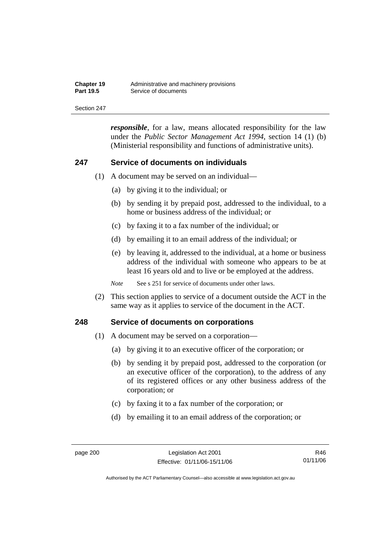| <b>Chapter 19</b> | Administrative and machinery provisions |
|-------------------|-----------------------------------------|
| <b>Part 19.5</b>  | Service of documents                    |

*responsible*, for a law, means allocated responsibility for the law under the *Public Sector Management Act 1994*, section 14 (1) (b) (Ministerial responsibility and functions of administrative units).

#### **247 Service of documents on individuals**

- (1) A document may be served on an individual—
	- (a) by giving it to the individual; or
	- (b) by sending it by prepaid post, addressed to the individual, to a home or business address of the individual; or
	- (c) by faxing it to a fax number of the individual; or
	- (d) by emailing it to an email address of the individual; or
	- (e) by leaving it, addressed to the individual, at a home or business address of the individual with someone who appears to be at least 16 years old and to live or be employed at the address.

*Note* See s 251 for service of documents under other laws.

 (2) This section applies to service of a document outside the ACT in the same way as it applies to service of the document in the ACT.

#### **248 Service of documents on corporations**

- (1) A document may be served on a corporation—
	- (a) by giving it to an executive officer of the corporation; or
	- (b) by sending it by prepaid post, addressed to the corporation (or an executive officer of the corporation), to the address of any of its registered offices or any other business address of the corporation; or
	- (c) by faxing it to a fax number of the corporation; or
	- (d) by emailing it to an email address of the corporation; or

R46 01/11/06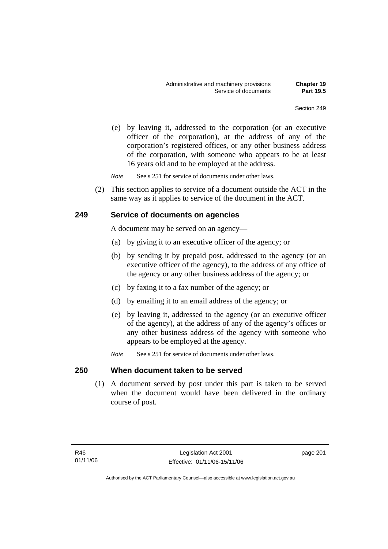(e) by leaving it, addressed to the corporation (or an executive officer of the corporation), at the address of any of the corporation's registered offices, or any other business address of the corporation, with someone who appears to be at least 16 years old and to be employed at the address.

*Note* See s 251 for service of documents under other laws.

 (2) This section applies to service of a document outside the ACT in the same way as it applies to service of the document in the ACT.

### **249 Service of documents on agencies**

A document may be served on an agency—

- (a) by giving it to an executive officer of the agency; or
- (b) by sending it by prepaid post, addressed to the agency (or an executive officer of the agency), to the address of any office of the agency or any other business address of the agency; or
- (c) by faxing it to a fax number of the agency; or
- (d) by emailing it to an email address of the agency; or
- (e) by leaving it, addressed to the agency (or an executive officer of the agency), at the address of any of the agency's offices or any other business address of the agency with someone who appears to be employed at the agency.
- *Note* See s 251 for service of documents under other laws.

### **250 When document taken to be served**

 (1) A document served by post under this part is taken to be served when the document would have been delivered in the ordinary course of post.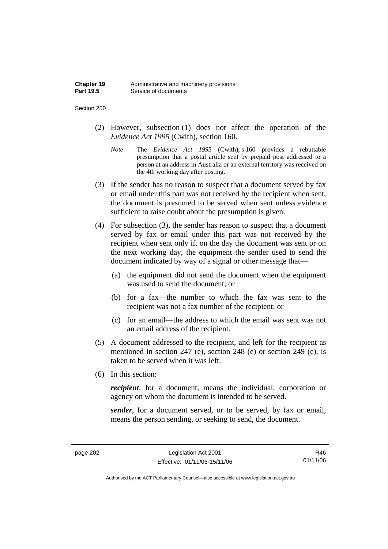| Chapter 19       | Administrative and machinery provisions |
|------------------|-----------------------------------------|
| <b>Part 19.5</b> | Service of documents                    |

#### Section 250

- (2) However, subsection (1) does not affect the operation of the *Evidence Act 1995* (Cwlth), section 160.
	- *Note* The *Evidence Act 1995* (Cwlth), s 160 provides a rebuttable presumption that a postal article sent by prepaid post addressed to a person at an address in Australia or an external territory was received on the 4th working day after posting.
- (3) If the sender has no reason to suspect that a document served by fax or email under this part was not received by the recipient when sent, the document is presumed to be served when sent unless evidence sufficient to raise doubt about the presumption is given.
- (4) For subsection (3), the sender has reason to suspect that a document served by fax or email under this part was not received by the recipient when sent only if, on the day the document was sent or on the next working day, the equipment the sender used to send the document indicated by way of a signal or other message that—
	- (a) the equipment did not send the document when the equipment was used to send the document; or
	- (b) for a fax—the number to which the fax was sent to the recipient was not a fax number of the recipient; or
	- (c) for an email—the address to which the email was sent was not an email address of the recipient.
- (5) A document addressed to the recipient, and left for the recipient as mentioned in section 247 (e), section 248 (e) or section 249 (e), is taken to be served when it was left.
- (6) In this section:

*recipient*, for a document, means the individual, corporation or agency on whom the document is intended to be served.

*sender*, for a document served, or to be served, by fax or email, means the person sending, or seeking to send, the document.

R46 01/11/06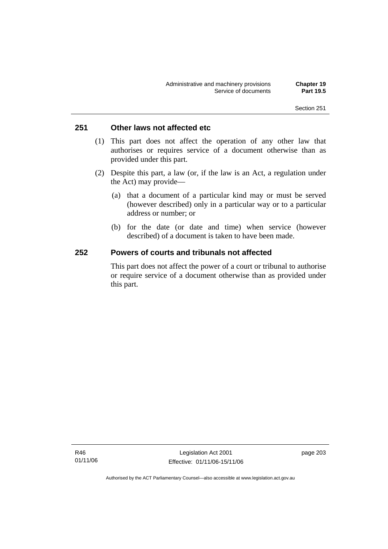# **251 Other laws not affected etc**

- (1) This part does not affect the operation of any other law that authorises or requires service of a document otherwise than as provided under this part.
- (2) Despite this part, a law (or, if the law is an Act, a regulation under the Act) may provide—
	- (a) that a document of a particular kind may or must be served (however described) only in a particular way or to a particular address or number; or
	- (b) for the date (or date and time) when service (however described) of a document is taken to have been made.

### **252 Powers of courts and tribunals not affected**

This part does not affect the power of a court or tribunal to authorise or require service of a document otherwise than as provided under this part.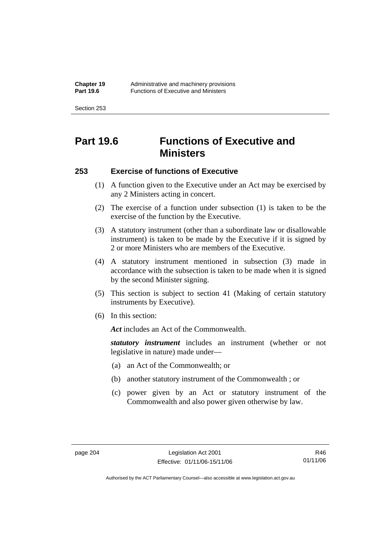Section 253

# **Part 19.6 Functions of Executive and Ministers**

# **253 Exercise of functions of Executive**

- (1) A function given to the Executive under an Act may be exercised by any 2 Ministers acting in concert.
- (2) The exercise of a function under subsection (1) is taken to be the exercise of the function by the Executive.
- (3) A statutory instrument (other than a subordinate law or disallowable instrument) is taken to be made by the Executive if it is signed by 2 or more Ministers who are members of the Executive.
- (4) A statutory instrument mentioned in subsection (3) made in accordance with the subsection is taken to be made when it is signed by the second Minister signing.
- (5) This section is subject to section 41 (Making of certain statutory instruments by Executive).
- (6) In this section:

Act includes an Act of the Commonwealth.

*statutory instrument* includes an instrument (whether or not legislative in nature) made under—

- (a) an Act of the Commonwealth; or
- (b) another statutory instrument of the Commonwealth ; or
- (c) power given by an Act or statutory instrument of the Commonwealth and also power given otherwise by law.

R46 01/11/06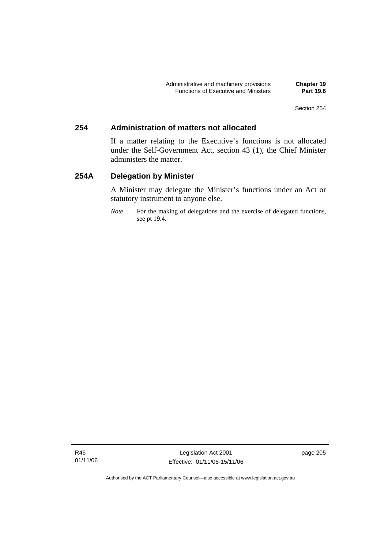# **254 Administration of matters not allocated**

If a matter relating to the Executive's functions is not allocated under the Self-Government Act, section 43 (1), the Chief Minister administers the matter.

# **254A Delegation by Minister**

A Minister may delegate the Minister's functions under an Act or statutory instrument to anyone else.

*Note* For the making of delegations and the exercise of delegated functions, see pt 19.4.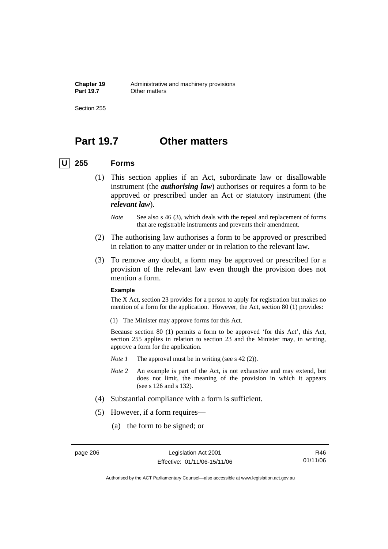**Chapter 19** Administrative and machinery provisions<br>**Part 19.7** Other matters **Other matters** 

Section 255

# **Part 19.7 Other matters**

### **U 255 Forms**

- (1) This section applies if an Act, subordinate law or disallowable instrument (the *authorising law*) authorises or requires a form to be approved or prescribed under an Act or statutory instrument (the *relevant law*).
	- *Note* See also s 46 (3), which deals with the repeal and replacement of forms that are registrable instruments and prevents their amendment.
- (2) The authorising law authorises a form to be approved or prescribed in relation to any matter under or in relation to the relevant law.
- (3) To remove any doubt, a form may be approved or prescribed for a provision of the relevant law even though the provision does not mention a form.

#### **Example**

The X Act, section 23 provides for a person to apply for registration but makes no mention of a form for the application. However, the Act, section 80 (1) provides:

(1) The Minister may approve forms for this Act.

Because section 80 (1) permits a form to be approved 'for this Act', this Act, section 255 applies in relation to section 23 and the Minister may, in writing, approve a form for the application.

- *Note 1* The approval must be in writing (see s 42 (2)).
- *Note 2* An example is part of the Act, is not exhaustive and may extend, but does not limit, the meaning of the provision in which it appears (see s 126 and s 132).
- (4) Substantial compliance with a form is sufficient.
- (5) However, if a form requires—
	- (a) the form to be signed; or

R46 01/11/06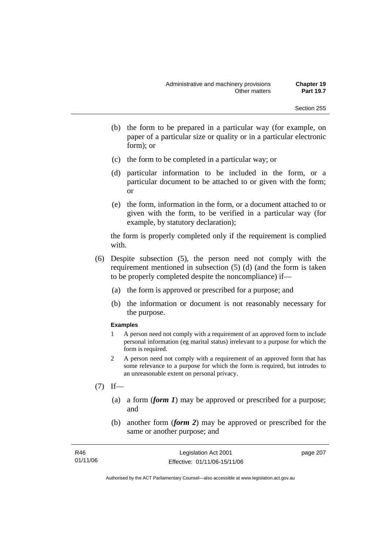- (b) the form to be prepared in a particular way (for example, on paper of a particular size or quality or in a particular electronic form); or
- (c) the form to be completed in a particular way; or
- (d) particular information to be included in the form, or a particular document to be attached to or given with the form; or
- (e) the form, information in the form, or a document attached to or given with the form, to be verified in a particular way (for example, by statutory declaration);

the form is properly completed only if the requirement is complied with.

- (6) Despite subsection (5), the person need not comply with the requirement mentioned in subsection (5) (d) (and the form is taken to be properly completed despite the noncompliance) if—
	- (a) the form is approved or prescribed for a purpose; and
	- (b) the information or document is not reasonably necessary for the purpose.

#### **Examples**

- 1 A person need not comply with a requirement of an approved form to include personal information (eg marital status) irrelevant to a purpose for which the form is required.
- 2 A person need not comply with a requirement of an approved form that has some relevance to a purpose for which the form is required, but intrudes to an unreasonable extent on personal privacy.
- $(7)$  If—
	- (a) a form (*form 1*) may be approved or prescribed for a purpose; and
	- (b) another form (*form 2*) may be approved or prescribed for the same or another purpose; and

| R46      | Legislation Act 2001         | page 207 |
|----------|------------------------------|----------|
| 01/11/06 | Effective: 01/11/06-15/11/06 |          |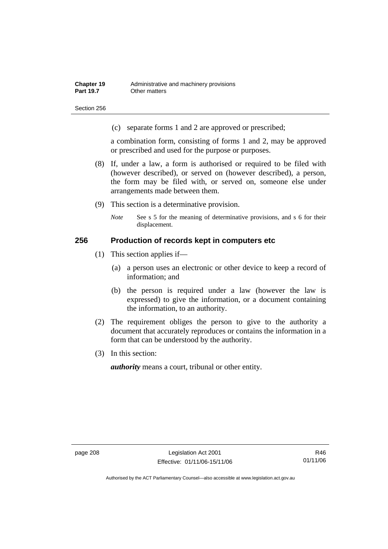Section 256

(c) separate forms 1 and 2 are approved or prescribed;

a combination form, consisting of forms 1 and 2, may be approved or prescribed and used for the purpose or purposes.

- (8) If, under a law, a form is authorised or required to be filed with (however described), or served on (however described), a person, the form may be filed with, or served on, someone else under arrangements made between them.
- (9) This section is a determinative provision.
	- *Note* See s 5 for the meaning of determinative provisions, and s 6 for their displacement.

### **256 Production of records kept in computers etc**

- (1) This section applies if—
	- (a) a person uses an electronic or other device to keep a record of information; and
	- (b) the person is required under a law (however the law is expressed) to give the information, or a document containing the information, to an authority.
- (2) The requirement obliges the person to give to the authority a document that accurately reproduces or contains the information in a form that can be understood by the authority.
- (3) In this section:

*authority* means a court, tribunal or other entity.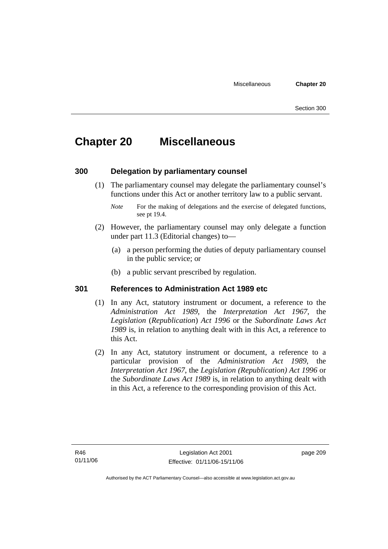# **Chapter 20 Miscellaneous**

# **300 Delegation by parliamentary counsel**

 (1) The parliamentary counsel may delegate the parliamentary counsel's functions under this Act or another territory law to a public servant.

- (2) However, the parliamentary counsel may only delegate a function under part 11.3 (Editorial changes) to—
	- (a) a person performing the duties of deputy parliamentary counsel in the public service; or
	- (b) a public servant prescribed by regulation.

### **301 References to Administration Act 1989 etc**

- (1) In any Act, statutory instrument or document, a reference to the *Administration Act 1989*, the *Interpretation Act 1967*, the *Legislation* (*Republication*) *Act 1996* or the *Subordinate Laws Act 1989* is, in relation to anything dealt with in this Act, a reference to this Act.
- (2) In any Act, statutory instrument or document, a reference to a particular provision of the *Administration Act 1989*, the *Interpretation Act 1967*, the *Legislation (Republication) Act 1996* or the *Subordinate Laws Act 1989* is, in relation to anything dealt with in this Act, a reference to the corresponding provision of this Act.

*Note* For the making of delegations and the exercise of delegated functions, see pt 19.4.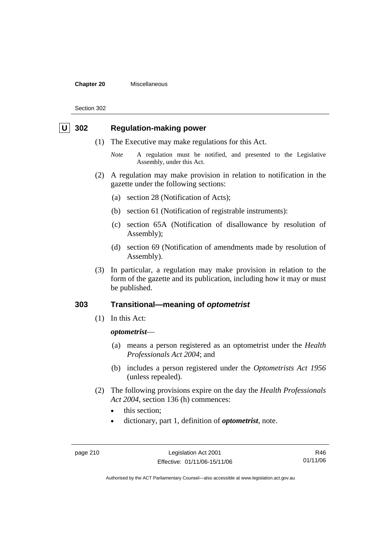#### **Chapter 20** Miscellaneous

Section 302

## **302** Regulation-making power

- (1) The Executive may make regulations for this Act.
	- *Note* A regulation must be notified, and presented to the Legislative Assembly, under this Act.
- (2) A regulation may make provision in relation to notification in the gazette under the following sections:
	- (a) section 28 (Notification of Acts);
	- (b) section 61 (Notification of registrable instruments):
	- (c) section 65A (Notification of disallowance by resolution of Assembly);
	- (d) section 69 (Notification of amendments made by resolution of Assembly).
- (3) In particular, a regulation may make provision in relation to the form of the gazette and its publication, including how it may or must be published.

# **303 Transitional—meaning of** *optometrist*

(1) In this Act:

#### *optometrist*—

- (a) means a person registered as an optometrist under the *Health Professionals Act 2004*; and
- (b) includes a person registered under the *Optometrists Act 1956* (unless repealed).
- (2) The following provisions expire on the day the *Health Professionals Act 2004*, section 136 (h) commences:
	- this section:
	- dictionary, part 1, definition of *optometrist*, note.

R46 01/11/06

Authorised by the ACT Parliamentary Counsel—also accessible at www.legislation.act.gov.au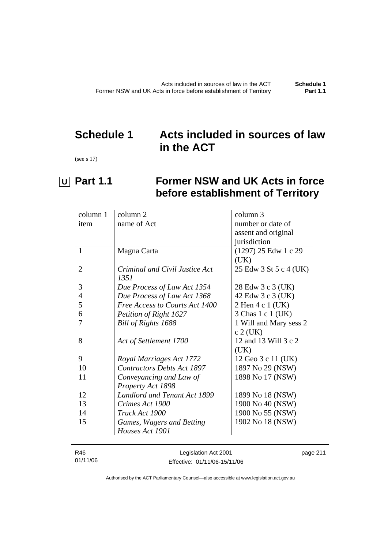# **Schedule 1 Acts included in sources of law in the ACT**

(see s 17)

 $\overline{a}$ 

# **U** Part 1.1 Former NSW and UK Acts in force **before establishment of Territory**

| column 1       | column 2                            | column 3               |
|----------------|-------------------------------------|------------------------|
| item           | name of Act                         | number or date of      |
|                |                                     | assent and original    |
|                |                                     | jurisdiction           |
| $\mathbf{1}$   | Magna Carta                         | $(1297)$ 25 Edw 1 c 29 |
|                |                                     | (UK)                   |
| 2              | Criminal and Civil Justice Act      | 25 Edw 3 St 5 c 4 (UK) |
|                | 1351                                |                        |
| 3              | Due Process of Law Act 1354         | 28 Edw 3 c 3 (UK)      |
| $\overline{4}$ | Due Process of Law Act 1368         | 42 Edw 3 c 3 (UK)      |
| 5              | Free Access to Courts Act 1400      | 2 Hen 4 c 1 (UK)       |
| 6              | Petition of Right 1627              | 3 Chas 1 c 1 (UK)      |
| 7              | Bill of Rights 1688                 | 1 Will and Mary sess 2 |
|                |                                     | $c 2$ (UK)             |
| 8              | Act of Settlement 1700              | 12 and 13 Will 3 c 2   |
|                |                                     | (UK)                   |
| 9              | Royal Marriages Act 1772            | 12 Geo 3 c 11 (UK)     |
| 10             | <b>Contractors Debts Act 1897</b>   | 1897 No 29 (NSW)       |
| 11             | Conveyancing and Law of             | 1898 No 17 (NSW)       |
|                | Property Act 1898                   |                        |
| 12             | <b>Landlord and Tenant Act 1899</b> | 1899 No 18 (NSW)       |
| 13             | Crimes Act 1900                     | 1900 No 40 (NSW)       |
| 14             | Truck Act 1900                      | 1900 No 55 (NSW)       |
| 15             | Games, Wagers and Betting           | 1902 No 18 (NSW)       |
|                | Houses Act 1901                     |                        |
|                |                                     |                        |

| R46      | Legislation Act 2001         | page 211 |
|----------|------------------------------|----------|
| 01/11/06 | Effective: 01/11/06-15/11/06 |          |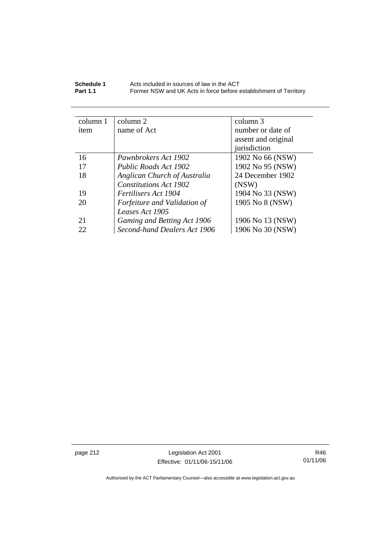| Schedule 1      | Acts included in sources of law in the ACT                        |
|-----------------|-------------------------------------------------------------------|
| <b>Part 1.1</b> | Former NSW and UK Acts in force before establishment of Territory |

| column 1 | column 2                     | column 3            |
|----------|------------------------------|---------------------|
| item     | name of Act                  | number or date of   |
|          |                              | assent and original |
|          |                              | jurisdiction        |
| 16       | Pawnbrokers Act 1902         | 1902 No 66 (NSW)    |
| 17       | Public Roads Act 1902        | 1902 No 95 (NSW)    |
| 18       | Anglican Church of Australia | 24 December 1902    |
|          | Constitutions Act 1902       | (NSW)               |
| 19       | Fertilisers Act 1904         | 1904 No 33 (NSW)    |
| 20       | Forfeiture and Validation of | 1905 No 8 (NSW)     |
|          | Leases Act 1905              |                     |
| 21       | Gaming and Betting Act 1906  | 1906 No 13 (NSW)    |
| 22       | Second-hand Dealers Act 1906 | 1906 No 30 (NSW)    |

page 212 Legislation Act 2001 Effective: 01/11/06-15/11/06

R46 01/11/06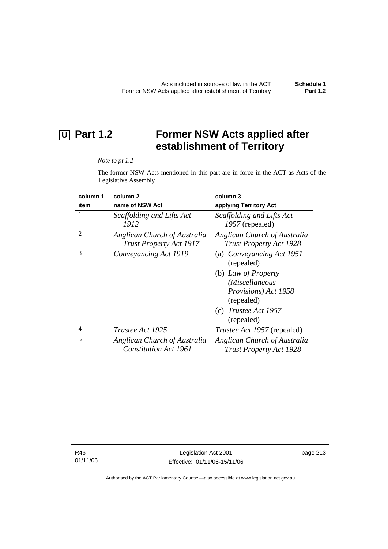# **U** Part 1.2 Former NSW Acts applied after **establishment of Territory**

#### *Note to pt 1.2*

The former NSW Acts mentioned in this part are in force in the ACT as Acts of the Legislative Assembly

| column 1       | column <sub>2</sub>                                            | column 3                                                       |
|----------------|----------------------------------------------------------------|----------------------------------------------------------------|
| item           | name of NSW Act                                                | applying Territory Act                                         |
|                | Scaffolding and Lifts Act<br>1912                              | Scaffolding and Lifts Act<br>1957 (repealed)                   |
| $\mathfrak{D}$ | Anglican Church of Australia<br><b>Trust Property Act 1917</b> | Anglican Church of Australia<br><b>Trust Property Act 1928</b> |
| 3              | Conveyancing Act 1919                                          | (a) Conveyancing Act 1951<br>(repealed)                        |
|                |                                                                | (b) Law of Property<br>(Miscellaneous                          |
|                |                                                                | Provisions) Act 1958<br>(repealed)                             |
|                |                                                                | (c) Trustee Act $1957$<br>(repealed)                           |
| $\overline{4}$ | <i>Trustee Act 1925</i>                                        | Trustee Act 1957 (repealed)                                    |
| 5              | Anglican Church of Australia<br><b>Constitution Act 1961</b>   | Anglican Church of Australia<br><b>Trust Property Act 1928</b> |

R46 01/11/06 page 213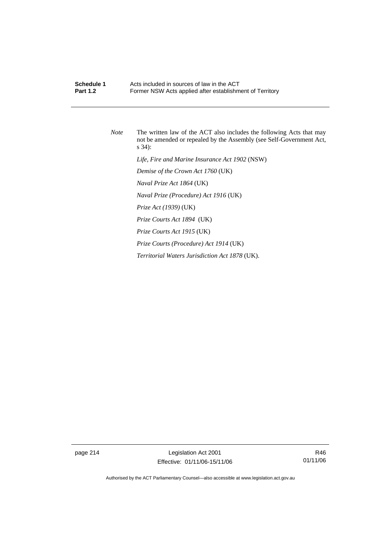# **Schedule 1 Acts included in sources of law in the ACT**<br>**Part 1.2 Example 5 Former NSW Acts applied after establishm** Former NSW Acts applied after establishment of Territory

*Note* The written law of the ACT also includes the following Acts that may not be amended or repealed by the Assembly (see Self-Government Act, s 34):  *Life, Fire and Marine Insurance Act 1902* (NSW)  *Demise of the Crown Act 1760* (UK)  *Naval Prize Act 1864* (UK)  *Naval Prize (Procedure) Act 1916* (UK)  *Prize Act (1939)* (UK)  *Prize Courts Act 1894* (UK)  *Prize Courts Act 1915* (UK)  *Prize Courts (Procedure) Act 1914* (UK)  *Territorial Waters Jurisdiction Act 1878* (UK).

page 214 Legislation Act 2001 Effective: 01/11/06-15/11/06

R46 01/11/06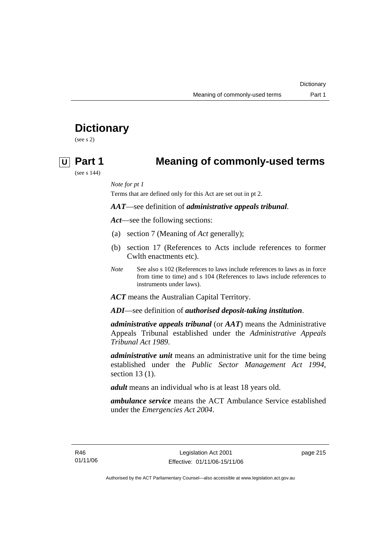# **Dictionary**

(see s 2)

# **U Part 1 Meaning of commonly-used terms**

(see s 144)

*Note for pt 1* 

Terms that are defined only for this Act are set out in pt 2.

*AAT*—see definition of *administrative appeals tribunal*.

*Act*—see the following sections:

- (a) section 7 (Meaning of *Act* generally);
- (b) section 17 (References to Acts include references to former Cwlth enactments etc).
- *Note* See also s 102 (References to laws include references to laws as in force from time to time) and s 104 (References to laws include references to instruments under laws).

*ACT* means the Australian Capital Territory.

*ADI*—see definition of *authorised deposit-taking institution*.

*administrative appeals tribunal* (or *AAT*) means the Administrative Appeals Tribunal established under the *Administrative Appeals Tribunal Act 1989*.

*administrative unit* means an administrative unit for the time being established under the *Public Sector Management Act 1994*, section 13 (1).

*adult* means an individual who is at least 18 years old.

*ambulance service* means the ACT Ambulance Service established under the *Emergencies Act 2004*.

page 215

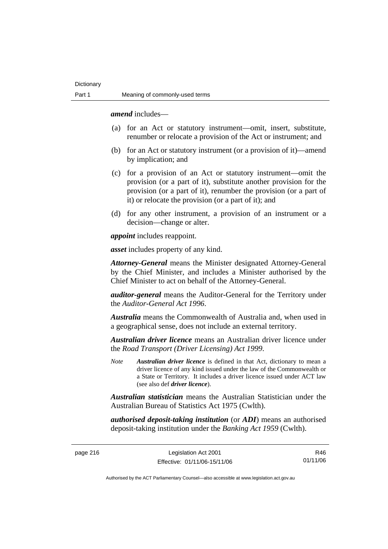*amend* includes—

- (a) for an Act or statutory instrument—omit, insert, substitute, renumber or relocate a provision of the Act or instrument; and
- (b) for an Act or statutory instrument (or a provision of it)—amend by implication; and
- (c) for a provision of an Act or statutory instrument—omit the provision (or a part of it), substitute another provision for the provision (or a part of it), renumber the provision (or a part of it) or relocate the provision (or a part of it); and
- (d) for any other instrument, a provision of an instrument or a decision—change or alter.

*appoint* includes reappoint.

*asset* includes property of any kind.

*Attorney-General* means the Minister designated Attorney-General by the Chief Minister, and includes a Minister authorised by the Chief Minister to act on behalf of the Attorney-General.

*auditor-general* means the Auditor-General for the Territory under the *Auditor-General Act 1996*.

*Australia* means the Commonwealth of Australia and, when used in a geographical sense, does not include an external territory.

*Australian driver licence* means an Australian driver licence under the *Road Transport (Driver Licensing) Act 1999*.

*Note Australian driver licence* is defined in that Act, dictionary to mean a driver licence of any kind issued under the law of the Commonwealth or a State or Territory. It includes a driver licence issued under ACT law (see also def *driver licence*).

*Australian statistician* means the Australian Statistician under the Australian Bureau of Statistics Act 1975 (Cwlth).

*authorised deposit-taking institution* (or *ADI*) means an authorised deposit-taking institution under the *Banking Act 1959* (Cwlth).

page 216 Legislation Act 2001 Effective: 01/11/06-15/11/06

R46 01/11/06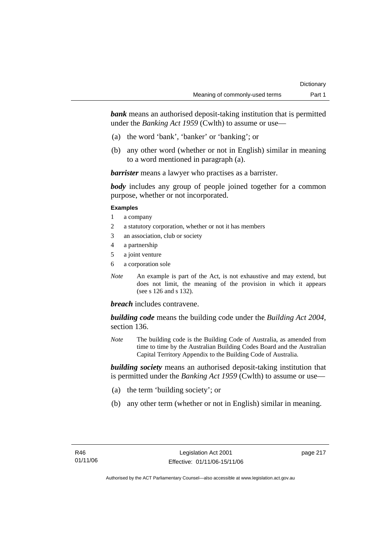*bank* means an authorised deposit-taking institution that is permitted under the *Banking Act 1959* (Cwlth) to assume or use—

- (a) the word 'bank', 'banker' or 'banking'; or
- (b) any other word (whether or not in English) similar in meaning to a word mentioned in paragraph (a).

*barrister* means a lawyer who practises as a barrister.

*body* includes any group of people joined together for a common purpose, whether or not incorporated.

#### **Examples**

- 1 a company
- 2 a statutory corporation, whether or not it has members
- 3 an association, club or society
- 4 a partnership
- 5 a joint venture
- 6 a corporation sole
- *Note* An example is part of the Act, is not exhaustive and may extend, but does not limit, the meaning of the provision in which it appears (see s 126 and s 132).

#### *breach* includes contravene.

*building code* means the building code under the *Building Act 2004*, section 136.

*Note* The building code is the Building Code of Australia, as amended from time to time by the Australian Building Codes Board and the Australian Capital Territory Appendix to the Building Code of Australia.

*building society* means an authorised deposit-taking institution that is permitted under the *Banking Act 1959* (Cwlth) to assume or use—

- (a) the term 'building society'; or
- (b) any other term (whether or not in English) similar in meaning.

page 217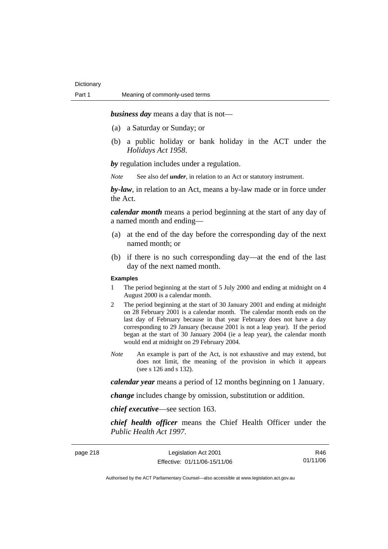*business day* means a day that is not—

- (a) a Saturday or Sunday; or
- (b) a public holiday or bank holiday in the ACT under the *Holidays Act 1958*.

*by* regulation includes under a regulation.

*Note* See also def *under*, in relation to an Act or statutory instrument.

*by-law*, in relation to an Act, means a by-law made or in force under the Act.

*calendar month* means a period beginning at the start of any day of a named month and ending—

- (a) at the end of the day before the corresponding day of the next named month; or
- (b) if there is no such corresponding day—at the end of the last day of the next named month.

#### **Examples**

- 1 The period beginning at the start of 5 July 2000 and ending at midnight on 4 August 2000 is a calendar month.
- 2 The period beginning at the start of 30 January 2001 and ending at midnight on 28 February 2001 is a calendar month. The calendar month ends on the last day of February because in that year February does not have a day corresponding to 29 January (because 2001 is not a leap year). If the period began at the start of 30 January 2004 (ie a leap year), the calendar month would end at midnight on 29 February 2004.
- *Note* An example is part of the Act, is not exhaustive and may extend, but does not limit, the meaning of the provision in which it appears (see s 126 and s 132).

*calendar year* means a period of 12 months beginning on 1 January.

*change* includes change by omission, substitution or addition.

*chief executive*—see section 163.

*chief health officer* means the Chief Health Officer under the *Public Health Act 1997*.

| page 218 |  |  |  |
|----------|--|--|--|
|----------|--|--|--|

page 218 Legislation Act 2001 Effective: 01/11/06-15/11/06

R46 01/11/06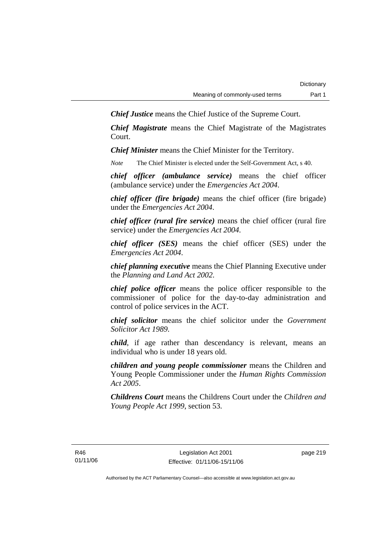*Chief Justice* means the Chief Justice of the Supreme Court.

*Chief Magistrate* means the Chief Magistrate of the Magistrates Court.

*Chief Minister* means the Chief Minister for the Territory.

*Note* The Chief Minister is elected under the Self-Government Act, s 40.

*chief officer (ambulance service)* means the chief officer (ambulance service) under the *Emergencies Act 2004*.

*chief officer (fire brigade)* means the chief officer (fire brigade) under the *Emergencies Act 2004*.

*chief officer (rural fire service)* means the chief officer (rural fire service) under the *Emergencies Act 2004*.

*chief officer (SES)* means the chief officer (SES) under the *Emergencies Act 2004*.

*chief planning executive* means the Chief Planning Executive under the *Planning and Land Act 2002*.

*chief police officer* means the police officer responsible to the commissioner of police for the day-to-day administration and control of police services in the ACT.

*chief solicitor* means the chief solicitor under the *Government Solicitor Act 1989*.

*child*, if age rather than descendancy is relevant, means an individual who is under 18 years old.

*children and young people commissioner* means the Children and Young People Commissioner under the *Human Rights Commission Act 2005*.

*Childrens Court* means the Childrens Court under the *Children and Young People Act 1999*, section 53.

page 219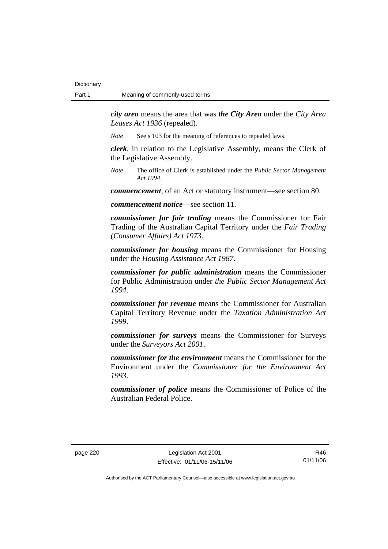*city area* means the area that was *the City Area* under the *City Area Leases Act 1936* (repealed).

*Note* See s 103 for the meaning of references to repealed laws.

*clerk*, in relation to the Legislative Assembly, means the Clerk of the Legislative Assembly.

*Note* The office of Clerk is established under the *Public Sector Management Act 1994*.

*commencement*, of an Act or statutory instrument—see section 80.

*commencement notice*—see section 11.

*commissioner for fair trading* means the Commissioner for Fair Trading of the Australian Capital Territory under the *Fair Trading (Consumer Affairs) Act 1973*.

*commissioner for housing* means the Commissioner for Housing under the *Housing Assistance Act 1987*.

*commissioner for public administration* means the Commissioner for Public Administration under *the Public Sector Management Act 1994*.

*commissioner for revenue* means the Commissioner for Australian Capital Territory Revenue under the *Taxation Administration Act 1999*.

*commissioner for surveys* means the Commissioner for Surveys under the *Surveyors Act 2001*.

*commissioner for the environment* means the Commissioner for the Environment under the *Commissioner for the Environment Act 1993.* 

*commissioner of police* means the Commissioner of Police of the Australian Federal Police.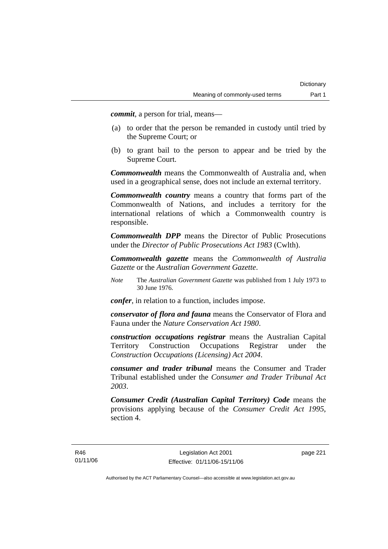*commit*, a person for trial, means—

- (a) to order that the person be remanded in custody until tried by the Supreme Court; or
- (b) to grant bail to the person to appear and be tried by the Supreme Court.

*Commonwealth* means the Commonwealth of Australia and, when used in a geographical sense, does not include an external territory.

*Commonwealth country* means a country that forms part of the Commonwealth of Nations, and includes a territory for the international relations of which a Commonwealth country is responsible.

*Commonwealth DPP* means the Director of Public Prosecutions under the *Director of Public Prosecutions Act 1983* (Cwlth).

*Commonwealth gazette* means the *Commonwealth of Australia Gazette* or the *Australian Government Gazette*.

*Note* The *Australian Government Gazette* was published from 1 July 1973 to 30 June 1976.

*confer*, in relation to a function, includes impose.

*conservator of flora and fauna* means the Conservator of Flora and Fauna under the *Nature Conservation Act 1980*.

*construction occupations registrar* means the Australian Capital Territory Construction Occupations Registrar under the *Construction Occupations (Licensing) Act 2004*.

*consumer and trader tribunal* means the Consumer and Trader Tribunal established under the *Consumer and Trader Tribunal Act 2003*.

*Consumer Credit (Australian Capital Territory) Code* means the provisions applying because of the *Consumer Credit Act 1995*, section 4.

page 221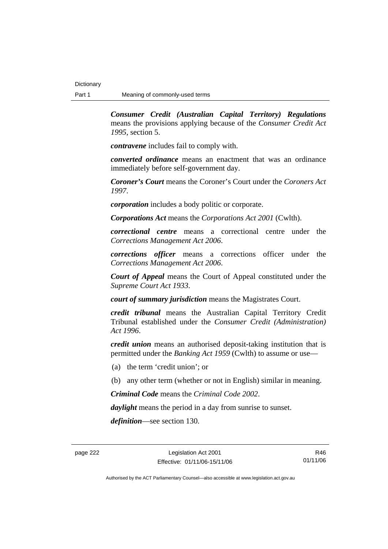*Consumer Credit (Australian Capital Territory) Regulations* means the provisions applying because of the *Consumer Credit Act 1995*, section 5.

*contravene* includes fail to comply with.

*converted ordinance* means an enactment that was an ordinance immediately before self-government day.

*Coroner's Court* means the Coroner's Court under the *Coroners Act 1997*.

*corporation* includes a body politic or corporate.

*Corporations Act* means the *Corporations Act 2001* (Cwlth).

*correctional centre* means a correctional centre under the *Corrections Management Act 2006*.

*corrections officer* means a corrections officer under the *Corrections Management Act 2006*.

*Court of Appeal* means the Court of Appeal constituted under the *Supreme Court Act 1933*.

*court of summary jurisdiction* means the Magistrates Court.

*credit tribunal* means the Australian Capital Territory Credit Tribunal established under the *Consumer Credit (Administration) Act 1996*.

*credit union* means an authorised deposit-taking institution that is permitted under the *Banking Act 1959* (Cwlth) to assume or use—

- (a) the term 'credit union'; or
- (b) any other term (whether or not in English) similar in meaning.

*Criminal Code* means the *Criminal Code 2002*.

*daylight* means the period in a day from sunrise to sunset.

*definition*—see section 130.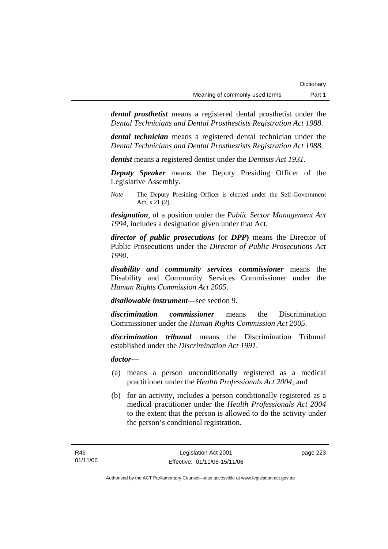*dental prosthetist* means a registered dental prosthetist under the *Dental Technicians and Dental Prosthestists Registration Act 1988*.

*dental technician* means a registered dental technician under the *Dental Technicians and Dental Prosthestists Registration Act 1988*.

*dentist* means a registered dentist under the *Dentists Act 1931*.

*Deputy Speaker* means the Deputy Presiding Officer of the Legislative Assembly.

*Note* The Deputy Presiding Officer is elected under the Self-Government Act, s 21 (2).

*designation*, of a position under the *Public Sector Management Act 1994*, includes a designation given under that Act.

*director of public prosecutions* **(**or *DPP***)** means the Director of Public Prosecutions under the *Director of Public Prosecutions Act 1990*.

*disability and community services commissioner* means the Disability and Community Services Commissioner under the *Human Rights Commission Act 2005*.

*disallowable instrument*—see section 9.

*discrimination commissioner* means the Discrimination Commissioner under the *Human Rights Commission Act 2005*.

*discrimination tribunal* means the Discrimination Tribunal established under the *Discrimination Act 1991*.

*doctor*—

- (a) means a person unconditionally registered as a medical practitioner under the *Health Professionals Act 2004*; and
- (b) for an activity, includes a person conditionally registered as a medical practitioner under the *Health Professionals Act 2004*  to the extent that the person is allowed to do the activity under the person's conditional registration.

page 223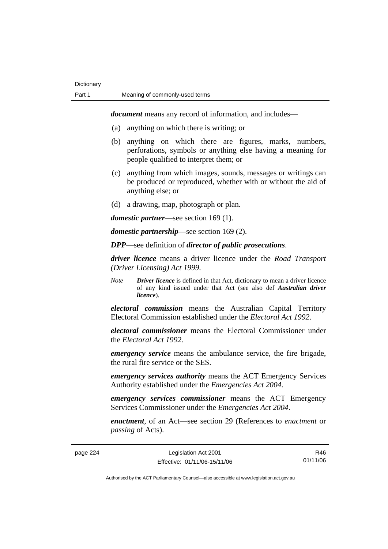*document* means any record of information, and includes—

- (a) anything on which there is writing; or
- (b) anything on which there are figures, marks, numbers, perforations, symbols or anything else having a meaning for people qualified to interpret them; or
- (c) anything from which images, sounds, messages or writings can be produced or reproduced, whether with or without the aid of anything else; or
- (d) a drawing, map, photograph or plan.

*domestic partner*—see section 169 (1).

*domestic partnership*—see section 169 (2).

*DPP*—see definition of *director of public prosecutions*.

*driver licence* means a driver licence under the *Road Transport (Driver Licensing) Act 1999*.

*Note Driver licence* is defined in that Act, dictionary to mean a driver licence of any kind issued under that Act (see also def *Australian driver licence*).

*electoral commission* means the Australian Capital Territory Electoral Commission established under the *Electoral Act 1992*.

*electoral commissioner* means the Electoral Commissioner under the *Electoral Act 1992*.

*emergency service* means the ambulance service, the fire brigade, the rural fire service or the SES.

*emergency services authority* means the ACT Emergency Services Authority established under the *Emergencies Act 2004*.

*emergency services commissioner* means the ACT Emergency Services Commissioner under the *Emergencies Act 2004*.

*enactment*, of an Act—see section 29 (References to *enactment* or *passing* of Acts).

| page 224 |  |
|----------|--|
|----------|--|

Legislation Act 2001 Effective: 01/11/06-15/11/06

R46 01/11/06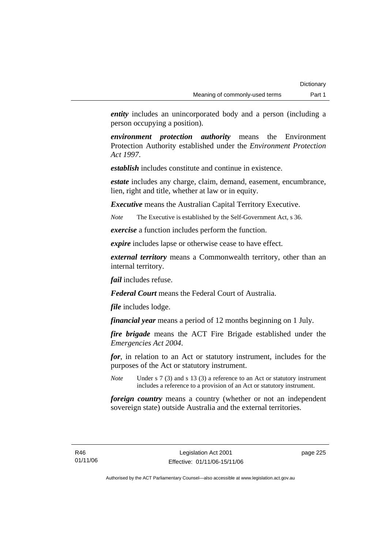*entity* includes an unincorporated body and a person (including a person occupying a position).

*environment protection authority* means the Environment Protection Authority established under the *Environment Protection Act 1997*.

*establish* includes constitute and continue in existence.

*estate* includes any charge, claim, demand, easement, encumbrance, lien, right and title, whether at law or in equity.

*Executive* means the Australian Capital Territory Executive.

*Note* The Executive is established by the Self-Government Act, s 36.

*exercise* a function includes perform the function.

*expire* includes lapse or otherwise cease to have effect.

*external territory* means a Commonwealth territory, other than an internal territory.

*fail* includes refuse.

*Federal Court* means the Federal Court of Australia.

*file* includes lodge.

*financial year* means a period of 12 months beginning on 1 July.

*fire brigade* means the ACT Fire Brigade established under the *Emergencies Act 2004*.

*for*, in relation to an Act or statutory instrument, includes for the purposes of the Act or statutory instrument.

*Note* Under s 7 (3) and s 13 (3) a reference to an Act or statutory instrument includes a reference to a provision of an Act or statutory instrument.

*foreign country* means a country (whether or not an independent sovereign state) outside Australia and the external territories.

page 225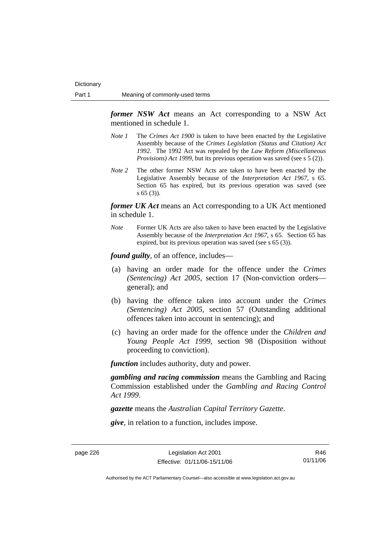*former NSW Act* means an Act corresponding to a NSW Act mentioned in schedule 1.

- *Note 1* The *Crimes Act 1900* is taken to have been enacted by the Legislative Assembly because of the *Crimes Legislation (Status and Citation) Act 1992*. The 1992 Act was repealed by the *Law Reform (Miscellaneous Provisions) Act 1999*, but its previous operation was saved (see s 5 (2)).
- *Note 2* The other former NSW Acts are taken to have been enacted by the Legislative Assembly because of the *Interpretation Act 1967*, s 65. Section 65 has expired, but its previous operation was saved (see s 65 (3)).

*former UK Act* means an Act corresponding to a UK Act mentioned in schedule 1.

*Note* Former UK Acts are also taken to have been enacted by the Legislative Assembly because of the *Interpretation Act 1967*, s 65. Section 65 has expired, but its previous operation was saved (see s 65 (3)).

*found guilty*, of an offence, includes—

- (a) having an order made for the offence under the *Crimes (Sentencing) Act 2005*, section 17 (Non-conviction orders general); and
- (b) having the offence taken into account under the *Crimes (Sentencing) Act 2005*, section 57 (Outstanding additional offences taken into account in sentencing); and
- (c) having an order made for the offence under the *Children and Young People Act 1999*, section 98 (Disposition without proceeding to conviction).

*function* includes authority, duty and power.

*gambling and racing commission* means the Gambling and Racing Commission established under the *Gambling and Racing Control Act 1999*.

*gazette* means the *Australian Capital Territory Gazette*.

*give*, in relation to a function, includes impose.

page 226 Legislation Act 2001 Effective: 01/11/06-15/11/06

R46 01/11/06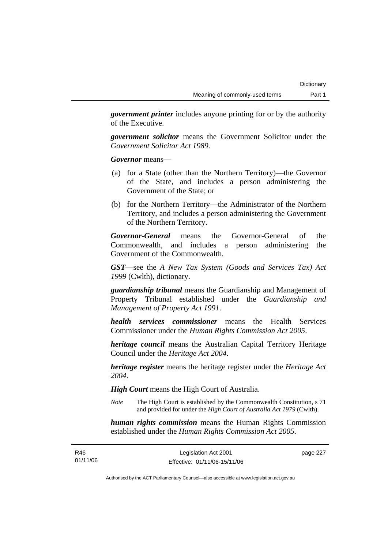*government printer* includes anyone printing for or by the authority of the Executive.

*government solicitor* means the Government Solicitor under the *Government Solicitor Act 1989*.

*Governor* means—

- (a) for a State (other than the Northern Territory)—the Governor of the State, and includes a person administering the Government of the State; or
- (b) for the Northern Territory—the Administrator of the Northern Territory, and includes a person administering the Government of the Northern Territory.

*Governor-General* means the Governor-General of the Commonwealth, and includes a person administering the Government of the Commonwealth.

*GST*—see the *A New Tax System (Goods and Services Tax) Act 1999* (Cwlth), dictionary.

*guardianship tribunal* means the Guardianship and Management of Property Tribunal established under the *Guardianship and Management of Property Act 1991*.

*health services commissioner* means the Health Services Commissioner under the *Human Rights Commission Act 2005*.

*heritage council* means the Australian Capital Territory Heritage Council under the *Heritage Act 2004*.

*heritage register* means the heritage register under the *Heritage Act 2004*.

*High Court* means the High Court of Australia.

*Note* The High Court is established by the Commonwealth Constitution, s 71 and provided for under the *High Court of Australia Act 1979* (Cwlth).

*human rights commission* means the Human Rights Commission established under the *Human Rights Commission Act 2005*.

| R46      | Legislation Act 2001         | page 227 |
|----------|------------------------------|----------|
| 01/11/06 | Effective: 01/11/06-15/11/06 |          |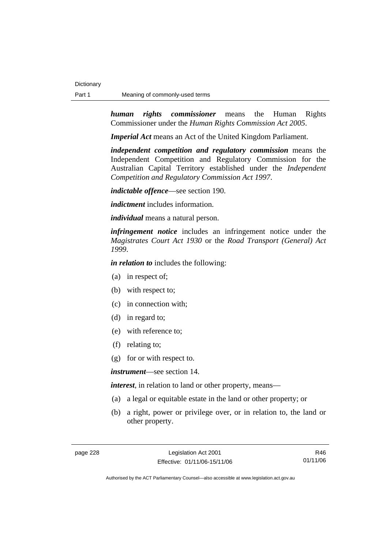*human rights commissioner* means the Human Rights Commissioner under the *Human Rights Commission Act 2005*.

*Imperial Act* means an Act of the United Kingdom Parliament.

*independent competition and regulatory commission* means the Independent Competition and Regulatory Commission for the Australian Capital Territory established under the *Independent Competition and Regulatory Commission Act 1997*.

*indictable offence*—see section 190.

*indictment* includes information.

*individual* means a natural person.

*infringement notice* includes an infringement notice under the *Magistrates Court Act 1930* or the *Road Transport (General) Act 1999*.

*in relation to* includes the following:

- (a) in respect of;
- (b) with respect to;
- (c) in connection with;
- (d) in regard to;
- (e) with reference to;
- (f) relating to;
- (g) for or with respect to.

*instrument*—see section 14.

*interest*, in relation to land or other property, means—

- (a) a legal or equitable estate in the land or other property; or
- (b) a right, power or privilege over, or in relation to, the land or other property.

R46 01/11/06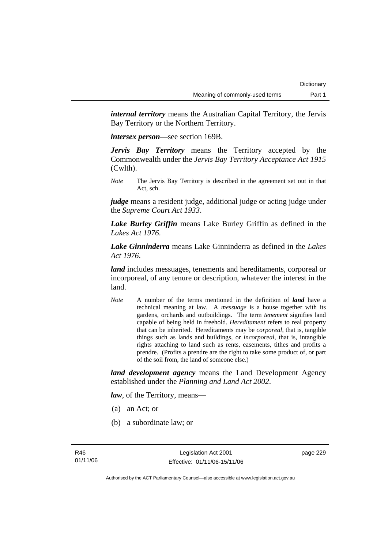*internal territory* means the Australian Capital Territory, the Jervis Bay Territory or the Northern Territory.

*intersex person*—see section 169B.

*Jervis Bay Territory* means the Territory accepted by the Commonwealth under the *Jervis Bay Territory Acceptance Act 1915* (Cwlth).

*Note* The Jervis Bay Territory is described in the agreement set out in that Act, sch.

*judge* means a resident judge, additional judge or acting judge under the *Supreme Court Act 1933*.

*Lake Burley Griffin* means Lake Burley Griffin as defined in the *Lakes Act 1976*.

*Lake Ginninderra* means Lake Ginninderra as defined in the *Lakes Act 1976*.

*land* includes messuages, tenements and hereditaments, corporeal or incorporeal, of any tenure or description, whatever the interest in the land.

*Note* A number of the terms mentioned in the definition of *land* have a technical meaning at law. A *messuage* is a house together with its gardens, orchards and outbuildings. The term *tenement* signifies land capable of being held in freehold. *Hereditament* refers to real property that can be inherited. Hereditaments may be *corporeal*, that is, tangible things such as lands and buildings, or *incorporeal*, that is, intangible rights attaching to land such as rents, easements, tithes and profits a prendre. (Profits a prendre are the right to take some product of, or part of the soil from, the land of someone else.)

*land development agency* means the Land Development Agency established under the *Planning and Land Act 2002*.

*law*, of the Territory, means—

- (a) an Act; or
- (b) a subordinate law; or

page 229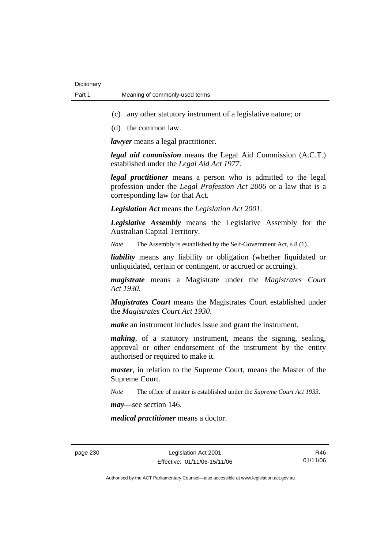- (c) any other statutory instrument of a legislative nature; or
- (d) the common law.

*lawyer* means a legal practitioner.

*legal aid commission* means the Legal Aid Commission (A.C.T.) established under the *Legal Aid Act 1977*.

*legal practitioner* means a person who is admitted to the legal profession under the *Legal Profession Act 2006* or a law that is a corresponding law for that Act.

*Legislation Act* means the *Legislation Act 2001*.

*Legislative Assembly* means the Legislative Assembly for the Australian Capital Territory.

*Note* The Assembly is established by the Self-Government Act, s 8 (1).

*liability* means any liability or obligation (whether liquidated or unliquidated, certain or contingent, or accrued or accruing).

*magistrate* means a Magistrate under the *Magistrates Court Act 1930*.

*Magistrates Court* means the Magistrates Court established under the *Magistrates Court Act 1930*.

*make* an instrument includes issue and grant the instrument.

*making*, of a statutory instrument, means the signing, sealing, approval or other endorsement of the instrument by the entity authorised or required to make it.

*master*, in relation to the Supreme Court, means the Master of the Supreme Court.

*Note* The office of master is established under the *Supreme Court Act 1933*.

*may*—see section 146.

*medical practitioner* means a doctor.

page 230 Legislation Act 2001 Effective: 01/11/06-15/11/06

R46 01/11/06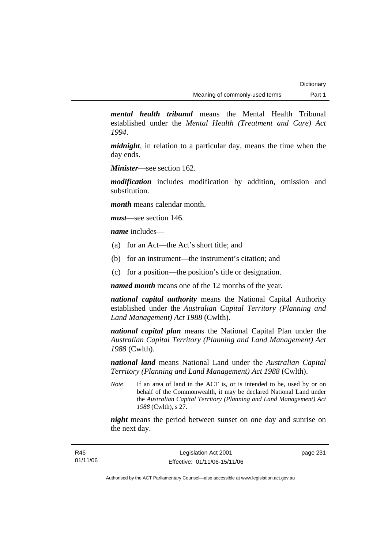*mental health tribunal* means the Mental Health Tribunal established under the *Mental Health (Treatment and Care) Act 1994*.

*midnight*, in relation to a particular day, means the time when the day ends.

*Minister*—see section 162.

*modification* includes modification by addition, omission and substitution.

*month* means calendar month.

*must*—see section 146.

*name* includes—

- (a) for an Act—the Act's short title; and
- (b) for an instrument—the instrument's citation; and
- (c) for a position—the position's title or designation.

*named month* means one of the 12 months of the year.

*national capital authority* means the National Capital Authority established under the *Australian Capital Territory (Planning and Land Management) Act 1988* (Cwlth).

*national capital plan* means the National Capital Plan under the *Australian Capital Territory (Planning and Land Management) Act 1988* (Cwlth).

*national land* means National Land under the *Australian Capital Territory (Planning and Land Management) Act 1988* (Cwlth).

*Note* If an area of land in the ACT is, or is intended to be, used by or on behalf of the Commonwealth, it may be declared National Land under the *Australian Capital Territory (Planning and Land Management) Act 1988* (Cwlth), s 27.

*night* means the period between sunset on one day and sunrise on the next day.

page 231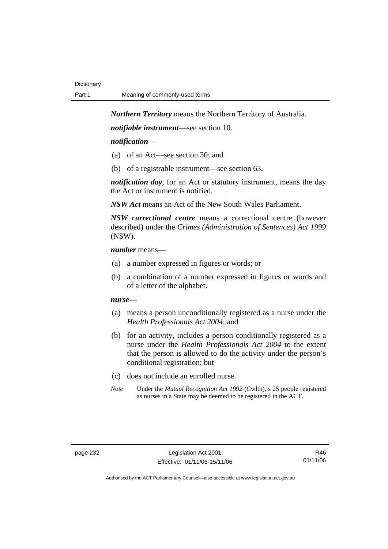*Northern Territory* means the Northern Territory of Australia.

*notifiable instrument*—see section 10.

#### *notification*—

- (a) of an Act—see section 30; and
- (b) of a registrable instrument—see section 63.

*notification day*, for an Act or statutory instrument, means the day the Act or instrument is notified.

*NSW Act* means an Act of the New South Wales Parliament.

*NSW correctional centre* means a correctional centre (however described) under the *Crimes (Administration of Sentences) Act 1999* (NSW).

#### *number* means—

- (a) a number expressed in figures or words; or
- (b) a combination of a number expressed in figures or words and of a letter of the alphabet.

#### *nurse***—**

- (a) means a person unconditionally registered as a nurse under the *Health Professionals Act 2004*; and
- (b) for an activity, includes a person conditionally registered as a nurse under the *Health Professionals Act 2004* to the extent that the person is allowed to do the activity under the person's conditional registration; but
- (c) does not include an enrolled nurse.
- *Note* Under the *Mutual Recognition Act 1992* (Cwlth), s 25 people registered as nurses in a State may be deemed to be registered in the ACT.

R46 01/11/06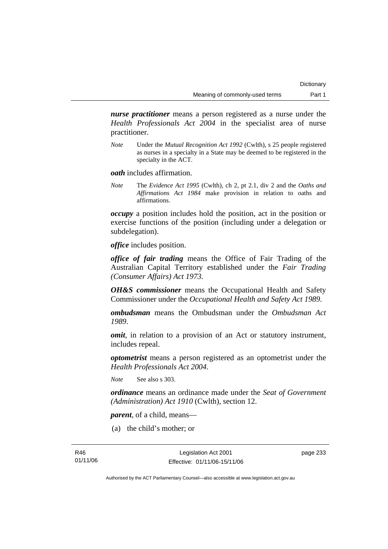*nurse practitioner* means a person registered as a nurse under the *Health Professionals Act 2004* in the specialist area of nurse practitioner.

*Note* Under the *Mutual Recognition Act 1992* (Cwlth), s 25 people registered as nurses in a specialty in a State may be deemed to be registered in the specialty in the ACT.

*oath* includes affirmation.

*Note* The *Evidence Act 1995* (Cwlth), ch 2, pt 2.1, div 2 and the *Oaths and Affirmations Act 1984* make provision in relation to oaths and affirmations.

*occupy* a position includes hold the position, act in the position or exercise functions of the position (including under a delegation or subdelegation).

*office* includes position.

*office of fair trading* means the Office of Fair Trading of the Australian Capital Territory established under the *Fair Trading (Consumer Affairs) Act 1973*.

*OH&S commissioner* means the Occupational Health and Safety Commissioner under the *Occupational Health and Safety Act 1989*.

*ombudsman* means the Ombudsman under the *Ombudsman Act 1989*.

*omit*, in relation to a provision of an Act or statutory instrument, includes repeal.

*optometrist* means a person registered as an optometrist under the *Health Professionals Act 2004*.

*Note* See also s 303.

*ordinance* means an ordinance made under the *Seat of Government (Administration) Act 1910* (Cwlth), section 12.

*parent*, of a child, means—

(a) the child's mother; or

page 233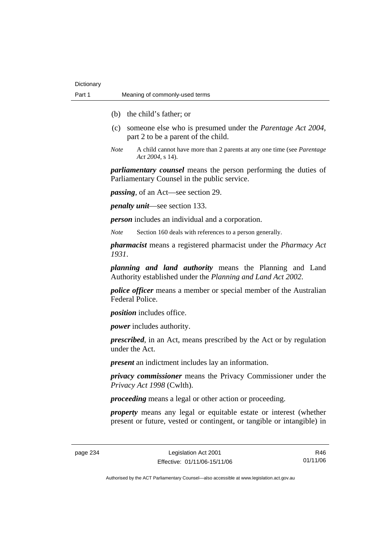- (b) the child's father; or
- (c) someone else who is presumed under the *Parentage Act 2004*, part 2 to be a parent of the child.
- *Note* A child cannot have more than 2 parents at any one time (see *Parentage Act 2004*, s 14).

*parliamentary counsel* means the person performing the duties of Parliamentary Counsel in the public service.

*passing*, of an Act—see section 29.

*penalty unit*—see section 133.

*person* includes an individual and a corporation.

*Note* Section 160 deals with references to a person generally.

*pharmacist* means a registered pharmacist under the *Pharmacy Act 1931*.

*planning and land authority* means the Planning and Land Authority established under the *Planning and Land Act 2002*.

*police officer* means a member or special member of the Australian Federal Police.

*position* includes office.

*power* includes authority.

*prescribed*, in an Act, means prescribed by the Act or by regulation under the Act.

*present* an indictment includes lay an information.

*privacy commissioner* means the Privacy Commissioner under the *Privacy Act 1998* (Cwlth).

*proceeding* means a legal or other action or proceeding.

*property* means any legal or equitable estate or interest (whether present or future, vested or contingent, or tangible or intangible) in

page 234 Legislation Act 2001 Effective: 01/11/06-15/11/06

R46 01/11/06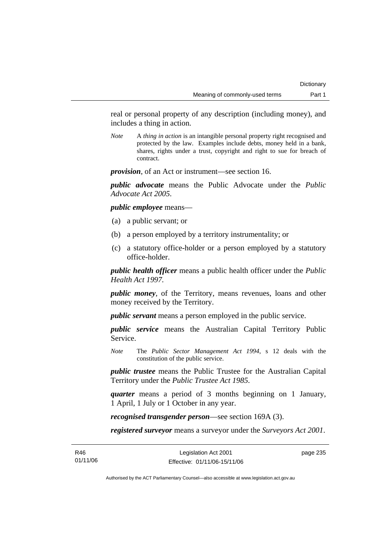real or personal property of any description (including money), and includes a thing in action.

*Note* A *thing in action* is an intangible personal property right recognised and protected by the law. Examples include debts, money held in a bank, shares, rights under a trust, copyright and right to sue for breach of contract.

*provision*, of an Act or instrument—see section 16.

*public advocate* means the Public Advocate under the *Public Advocate Act 2005*.

*public employee* means—

- (a) a public servant; or
- (b) a person employed by a territory instrumentality; or
- (c) a statutory office-holder or a person employed by a statutory office-holder.

*public health officer* means a public health officer under the *Public Health Act 1997.*

*public money*, of the Territory, means revenues, loans and other money received by the Territory.

*public servant* means a person employed in the public service.

*public service* means the Australian Capital Territory Public Service.

*Note* The *Public Sector Management Act 1994*, s 12 deals with the constitution of the public service.

*public trustee* means the Public Trustee for the Australian Capital Territory under the *Public Trustee Act 1985*.

*quarter* means a period of 3 months beginning on 1 January, 1 April, 1 July or 1 October in any year.

*recognised transgender person*—see section 169A (3).

*registered surveyor* means a surveyor under the *Surveyors Act 2001*.

page 235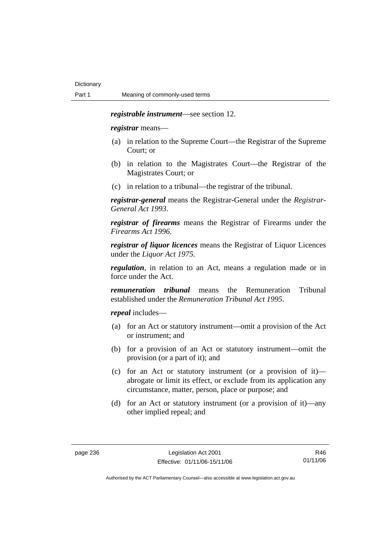#### *registrable instrument*—see section 12.

*registrar* means—

- (a) in relation to the Supreme Court—the Registrar of the Supreme Court; or
- (b) in relation to the Magistrates Court—the Registrar of the Magistrates Court; or
- (c) in relation to a tribunal—the registrar of the tribunal.

*registrar-general* means the Registrar-General under the *Registrar-General Act 1993*.

*registrar of firearms* means the Registrar of Firearms under the *Firearms Act 1996*.

*registrar of liquor licences* means the Registrar of Liquor Licences under the *Liquor Act 1975*.

*regulation*, in relation to an Act, means a regulation made or in force under the Act.

*remuneration tribunal* means the Remuneration Tribunal established under the *Remuneration Tribunal Act 1995*.

*repeal* includes—

- (a) for an Act or statutory instrument—omit a provision of the Act or instrument; and
- (b) for a provision of an Act or statutory instrument—omit the provision (or a part of it); and
- (c) for an Act or statutory instrument (or a provision of it) abrogate or limit its effect, or exclude from its application any circumstance, matter, person, place or purpose; and
- (d) for an Act or statutory instrument (or a provision of it)—any other implied repeal; and

R46 01/11/06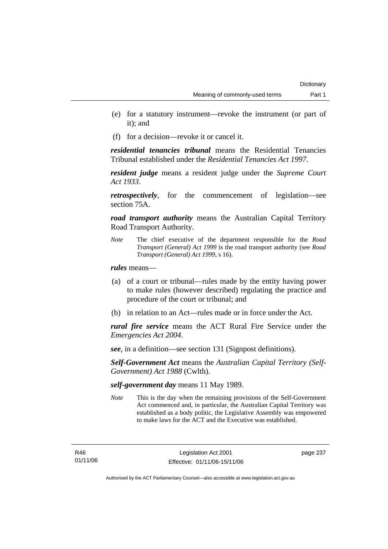- (e) for a statutory instrument—revoke the instrument (or part of it); and
- (f) for a decision—revoke it or cancel it.

*residential tenancies tribunal* means the Residential Tenancies Tribunal established under the *Residential Tenancies Act 1997*.

*resident judge* means a resident judge under the *Supreme Court Act 1933*.

*retrospectively*, for the commencement of legislation—see section 75A.

*road transport authority* means the Australian Capital Territory Road Transport Authority.

*Note* The chief executive of the department responsible for the *Road Transport (General) Act 1999* is the road transport authority (see *Road Transport (General) Act 1999*, s 16).

*rules* means—

- (a) of a court or tribunal—rules made by the entity having power to make rules (however described) regulating the practice and procedure of the court or tribunal; and
- (b) in relation to an Act—rules made or in force under the Act.

*rural fire service* means the ACT Rural Fire Service under the *Emergencies Act 2004*.

*see*, in a definition—see section 131 (Signpost definitions).

*Self-Government Act* means the *Australian Capital Territory (Self-Government) Act 1988* (Cwlth).

*self-government day* means 11 May 1989.

*Note* This is the day when the remaining provisions of the Self-Government Act commenced and, in particular, the Australian Capital Territory was established as a body politic, the Legislative Assembly was empowered to make laws for the ACT and the Executive was established.

R46 01/11/06 page 237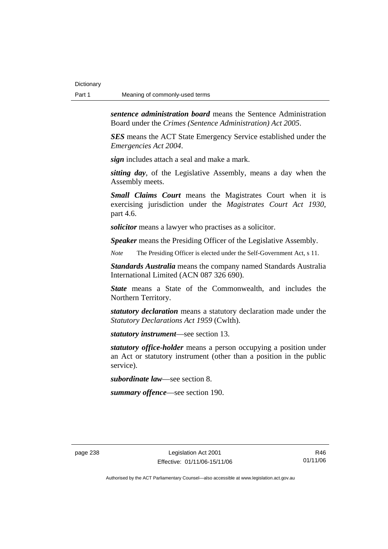*sentence administration board* means the Sentence Administration Board under the *Crimes (Sentence Administration) Act 2005*.

*SES* means the ACT State Emergency Service established under the *Emergencies Act 2004*.

*sign* includes attach a seal and make a mark.

*sitting day*, of the Legislative Assembly, means a day when the Assembly meets.

*Small Claims Court* means the Magistrates Court when it is exercising jurisdiction under the *Magistrates Court Act 1930*, part 4.6.

*solicitor* means a lawyer who practises as a solicitor.

*Speaker* means the Presiding Officer of the Legislative Assembly.

*Note* The Presiding Officer is elected under the Self-Government Act, s 11.

*Standards Australia* means the company named Standards Australia International Limited (ACN 087 326 690).

*State* means a State of the Commonwealth, and includes the Northern Territory.

*statutory declaration* means a statutory declaration made under the *Statutory Declarations Act 1959* (Cwlth).

*statutory instrument*—see section 13.

*statutory office-holder* means a person occupying a position under an Act or statutory instrument (other than a position in the public service).

*subordinate law*—see section 8.

*summary offence*—see section 190.

R46 01/11/06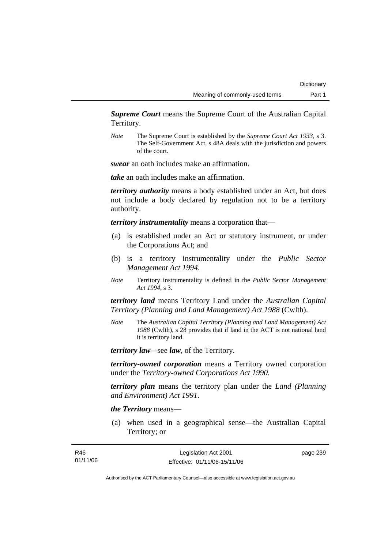*Supreme Court* means the Supreme Court of the Australian Capital Territory.

*Note* The Supreme Court is established by the *Supreme Court Act 1933*, s 3. The Self-Government Act, s 48A deals with the jurisdiction and powers of the court.

*swear* an oath includes make an affirmation.

*take* an oath includes make an affirmation.

*territory authority* means a body established under an Act, but does not include a body declared by regulation not to be a territory authority.

*territory instrumentality* means a corporation that—

- (a) is established under an Act or statutory instrument, or under the Corporations Act; and
- (b) is a territory instrumentality under the *Public Sector Management Act 1994*.
- *Note* Territory instrumentality is defined in the *Public Sector Management Act 1994*, s 3.

*territory land* means Territory Land under the *Australian Capital Territory (Planning and Land Management) Act 1988* (Cwlth).

*Note* The *Australian Capital Territory (Planning and Land Management) Act 1988* (Cwlth), s 28 provides that if land in the ACT is not national land it is territory land.

*territory law—*see *law*, of the Territory.

*territory-owned corporation* means a Territory owned corporation under the *Territory-owned Corporations Act 1990*.

*territory plan* means the territory plan under the *Land (Planning and Environment) Act 1991*.

# *the Territory* means—

 (a) when used in a geographical sense—the Australian Capital Territory; or

| R46      | Legislation Act 2001         | page 239 |
|----------|------------------------------|----------|
| 01/11/06 | Effective: 01/11/06-15/11/06 |          |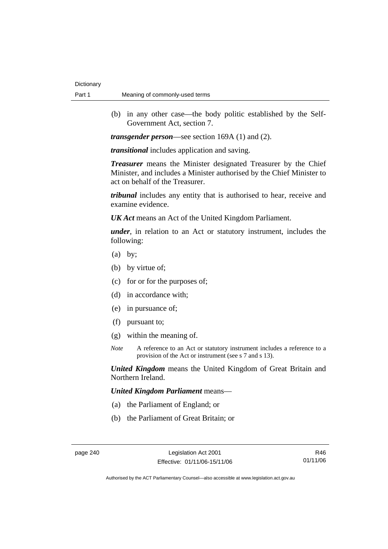(b) in any other case—the body politic established by the Self-Government Act, section 7.

*transgender person*—see section 169A (1) and (2).

*transitional* includes application and saving.

*Treasurer* means the Minister designated Treasurer by the Chief Minister, and includes a Minister authorised by the Chief Minister to act on behalf of the Treasurer.

*tribunal* includes any entity that is authorised to hear, receive and examine evidence.

*UK Act* means an Act of the United Kingdom Parliament.

*under*, in relation to an Act or statutory instrument, includes the following:

- (a) by;
- (b) by virtue of;
- (c) for or for the purposes of;
- (d) in accordance with;
- (e) in pursuance of;
- (f) pursuant to;
- (g) within the meaning of.
- *Note* A reference to an Act or statutory instrument includes a reference to a provision of the Act or instrument (see s 7 and s 13).

*United Kingdom* means the United Kingdom of Great Britain and Northern Ireland.

*United Kingdom Parliament* means—

- (a) the Parliament of England; or
- (b) the Parliament of Great Britain; or

R46 01/11/06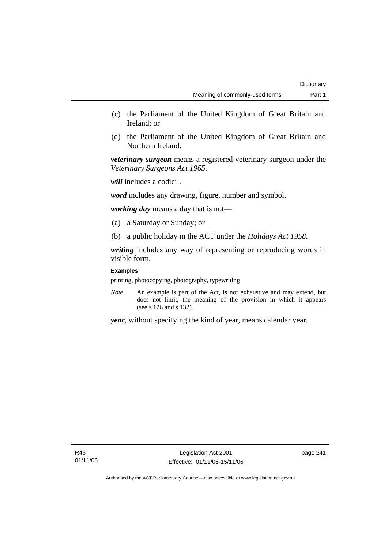- (c) the Parliament of the United Kingdom of Great Britain and Ireland; or
- (d) the Parliament of the United Kingdom of Great Britain and Northern Ireland.

*veterinary surgeon* means a registered veterinary surgeon under the *Veterinary Surgeons Act 1965*.

*will* includes a codicil.

*word* includes any drawing, figure, number and symbol.

*working day* means a day that is not—

- (a) a Saturday or Sunday; or
- (b) a public holiday in the ACT under the *Holidays Act 1958*.

*writing* includes any way of representing or reproducing words in visible form.

## **Examples**

printing, photocopying, photography, typewriting

*Note* An example is part of the Act, is not exhaustive and may extend, but does not limit, the meaning of the provision in which it appears (see s 126 and s 132).

*year*, without specifying the kind of year, means calendar year.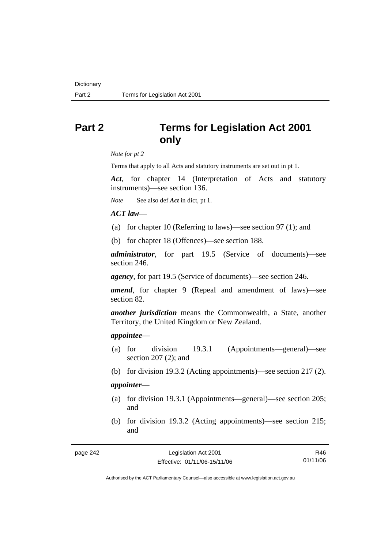# **Part 2 Terms for Legislation Act 2001 only**

*Note for pt 2* 

Terms that apply to all Acts and statutory instruments are set out in pt 1.

*Act*, for chapter 14 (Interpretation of Acts and statutory instruments)—see section 136.

*Note* See also def *Act* in dict, pt 1.

## *ACT law*—

- (a) for chapter 10 (Referring to laws)—see section 97 (1); and
- (b) for chapter 18 (Offences)—see section 188.

*administrator*, for part 19.5 (Service of documents)—see section 246.

*agency*, for part 19.5 (Service of documents)—see section 246.

*amend*, for chapter 9 (Repeal and amendment of laws)—see section 82.

*another jurisdiction* means the Commonwealth, a State, another Territory, the United Kingdom or New Zealand.

#### *appointee*—

- (a) for division 19.3.1 (Appointments—general)—see section 207 (2); and
- (b) for division 19.3.2 (Acting appointments)—see section 217 (2).

## *appointer*—

- (a) for division 19.3.1 (Appointments—general)—see section 205; and
- (b) for division 19.3.2 (Acting appointments)—see section 215; and

| page 242 |  |
|----------|--|
|----------|--|

R46 01/11/06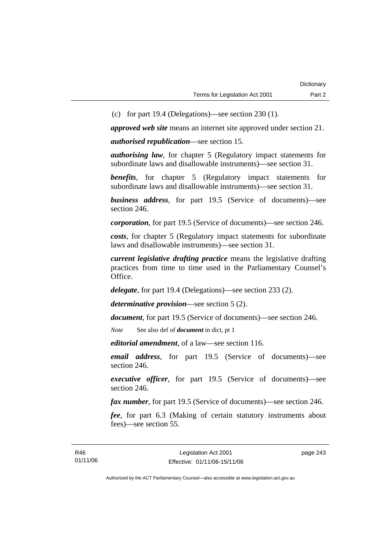(c) for part 19.4 (Delegations)—see section 230 (1).

*approved web site* means an internet site approved under section 21.

*authorised republication*—see section 15.

*authorising law*, for chapter 5 (Regulatory impact statements for subordinate laws and disallowable instruments)—see section 31.

*benefits*, for chapter 5 (Regulatory impact statements for subordinate laws and disallowable instruments)—see section 31.

*business address*, for part 19.5 (Service of documents)—see section 246.

*corporation*, for part 19.5 (Service of documents)—see section 246.

*costs*, for chapter 5 (Regulatory impact statements for subordinate laws and disallowable instruments)—see section 31.

*current legislative drafting practice* means the legislative drafting practices from time to time used in the Parliamentary Counsel's Office.

*delegate*, for part 19.4 (Delegations)—see section 233 (2).

*determinative provision*—see section 5 (2).

*document*, for part 19.5 (Service of documents)—see section 246.

*Note* See also def of *document* in dict, pt 1

*editorial amendment*, of a law—see section 116.

*email address*, for part 19.5 (Service of documents)—see section 246.

*executive officer*, for part 19.5 (Service of documents)—see section 246.

*fax number*, for part 19.5 (Service of documents)—see section 246.

*fee*, for part 6.3 (Making of certain statutory instruments about fees)—see section 55.

page 243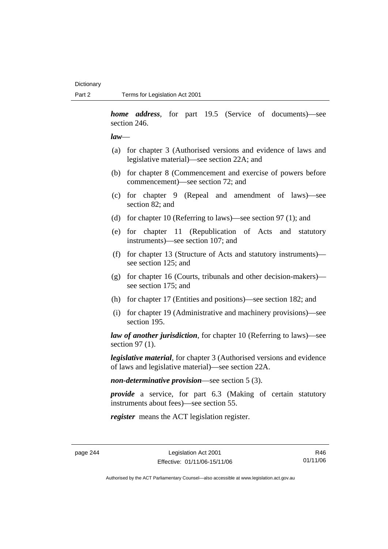*home address*, for part 19.5 (Service of documents)—see section 246.

#### *law*—

- (a) for chapter 3 (Authorised versions and evidence of laws and legislative material)—see section 22A; and
- (b) for chapter 8 (Commencement and exercise of powers before commencement)—see section 72; and
- (c) for chapter 9 (Repeal and amendment of laws)—see section 82; and
- (d) for chapter 10 (Referring to laws)—see section 97 (1); and
- (e) for chapter 11 (Republication of Acts and statutory instruments)—see section 107; and
- (f) for chapter 13 (Structure of Acts and statutory instruments) see section 125; and
- (g) for chapter 16 (Courts, tribunals and other decision-makers) see section 175; and
- (h) for chapter 17 (Entities and positions)—see section 182; and
- (i) for chapter 19 (Administrative and machinery provisions)—see section 195.

*law of another jurisdiction*, for chapter 10 (Referring to laws)—see section 97 (1).

*legislative material*, for chapter 3 (Authorised versions and evidence of laws and legislative material)—see section 22A.

*non-determinative provision*—see section 5 (3).

*provide* a service, for part 6.3 (Making of certain statutory instruments about fees)—see section 55.

*register* means the ACT legislation register.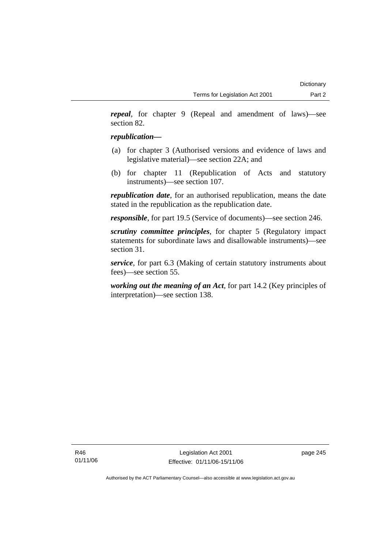*repeal*, for chapter 9 (Repeal and amendment of laws)—see section 82.

# *republication—*

- (a) for chapter 3 (Authorised versions and evidence of laws and legislative material)—see section 22A; and
- (b) for chapter 11 (Republication of Acts and statutory instruments)—see section 107.

*republication date*, for an authorised republication, means the date stated in the republication as the republication date.

*responsible*, for part 19.5 (Service of documents)—see section 246.

*scrutiny committee principles*, for chapter 5 (Regulatory impact statements for subordinate laws and disallowable instruments)—see section 31.

*service*, for part 6.3 (Making of certain statutory instruments about fees)—see section 55.

*working out the meaning of an Act*, for part 14.2 (Key principles of interpretation)—see section 138.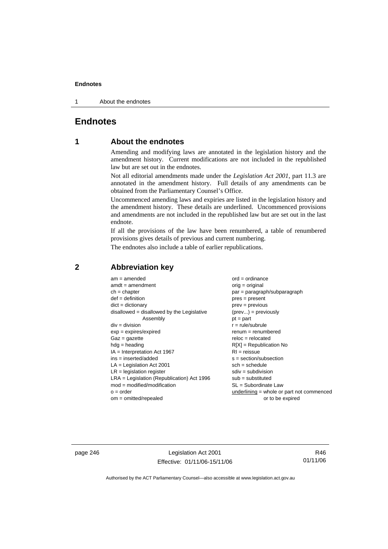1 About the endnotes

# **Endnotes**

# **1 About the endnotes**

Amending and modifying laws are annotated in the legislation history and the amendment history. Current modifications are not included in the republished law but are set out in the endnotes.

Not all editorial amendments made under the *Legislation Act 2001*, part 11.3 are annotated in the amendment history. Full details of any amendments can be obtained from the Parliamentary Counsel's Office.

Uncommenced amending laws and expiries are listed in the legislation history and the amendment history. These details are underlined. Uncommenced provisions and amendments are not included in the republished law but are set out in the last endnote.

If all the provisions of the law have been renumbered, a table of renumbered provisions gives details of previous and current numbering.

The endnotes also include a table of earlier republications.

| $am = amended$                               | $ord = ordinance$                         |
|----------------------------------------------|-------------------------------------------|
| $amdt = amendment$                           | $orig = original$                         |
| $ch = chapter$                               | par = paragraph/subparagraph              |
| $def = definition$                           | $pres = present$                          |
| $dict = dictionary$                          | $prev = previous$                         |
| disallowed = disallowed by the Legislative   | $(\text{prev}) = \text{previously}$       |
| Assembly                                     | $pt = part$                               |
| $div = division$                             | $r = rule/subrule$                        |
| $exp = expires/expired$                      | $remum = renumbered$                      |
| $Gaz = gazette$                              | $reloc = relocated$                       |
| $hdg =$ heading                              | $R[X]$ = Republication No                 |
| $IA = Interpretation Act 1967$               | $RI = reissue$                            |
| $ins = inserted/added$                       | $s = section/subsection$                  |
| $LA =$ Legislation Act 2001                  | $sch = schedule$                          |
| $LR =$ legislation register                  | $sdiv = subdivision$                      |
| $LRA =$ Legislation (Republication) Act 1996 | $sub = substituted$                       |
| $mod = modified/modification$                | $SL = Subordinate$ Law                    |
| $o = order$                                  | underlining = whole or part not commenced |
| $om = omitted/repealed$                      | or to be expired                          |
|                                              |                                           |

# **2 Abbreviation key**

page 246 Legislation Act 2001 Effective: 01/11/06-15/11/06

R46 01/11/06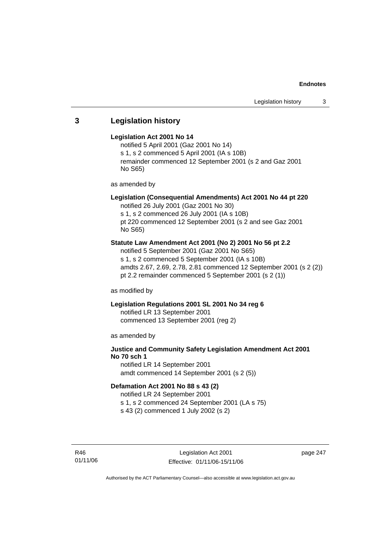# **3 Legislation history**

#### **Legislation Act 2001 No 14**

notified 5 April 2001 (Gaz 2001 No 14) s 1, s 2 commenced 5 April 2001 (IA s 10B) remainder commenced 12 September 2001 (s 2 and Gaz 2001 No S65)

as amended by

# **Legislation (Consequential Amendments) Act 2001 No 44 pt 220**

notified 26 July 2001 (Gaz 2001 No 30) s 1, s 2 commenced 26 July 2001 (IA s 10B) pt 220 commenced 12 September 2001 (s 2 and see Gaz 2001

No S65)

## **Statute Law Amendment Act 2001 (No 2) 2001 No 56 pt 2.2**

notified 5 September 2001 (Gaz 2001 No S65) s 1, s 2 commenced 5 September 2001 (IA s 10B) amdts 2.67, 2.69, 2.78, 2.81 commenced 12 September 2001 (s 2 (2)) pt 2.2 remainder commenced 5 September 2001 (s 2 (1))

as modified by

## **Legislation Regulations 2001 SL 2001 No 34 reg 6**

notified LR 13 September 2001 commenced 13 September 2001 (reg 2)

as amended by

# **Justice and Community Safety Legislation Amendment Act 2001 No 70 sch 1**

notified LR 14 September 2001 amdt commenced 14 September 2001 (s 2 (5))

# **Defamation Act 2001 No 88 s 43 (2)**

notified LR 24 September 2001 s 1, s 2 commenced 24 September 2001 (LA s 75)

s 43 (2) commenced 1 July 2002 (s 2)

R46 01/11/06 page 247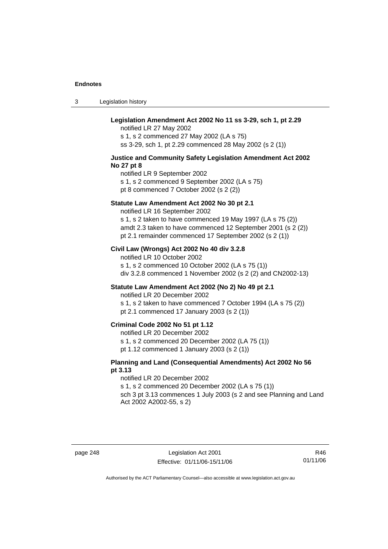3 Legislation history

# **Legislation Amendment Act 2002 No 11 ss 3-29, sch 1, pt 2.29**

notified LR 27 May 2002 s 1, s 2 commenced 27 May 2002 (LA s 75) ss 3-29, sch 1, pt 2.29 commenced 28 May 2002 (s 2 (1))

## **Justice and Community Safety Legislation Amendment Act 2002 No 27 pt 8**

notified LR 9 September 2002 s 1, s 2 commenced 9 September 2002 (LA s 75) pt 8 commenced 7 October 2002 (s 2 (2))

#### **Statute Law Amendment Act 2002 No 30 pt 2.1**

notified LR 16 September 2002 s 1, s 2 taken to have commenced 19 May 1997 (LA s 75 (2)) amdt 2.3 taken to have commenced 12 September 2001 (s 2 (2)) pt 2.1 remainder commenced 17 September 2002 (s 2 (1))

#### **Civil Law (Wrongs) Act 2002 No 40 div 3.2.8**

notified LR 10 October 2002 s 1, s 2 commenced 10 October 2002 (LA s 75 (1)) div 3.2.8 commenced 1 November 2002 (s 2 (2) and CN2002-13)

## **Statute Law Amendment Act 2002 (No 2) No 49 pt 2.1**

notified LR 20 December 2002

s 1, s 2 taken to have commenced 7 October 1994 (LA s 75 (2)) pt 2.1 commenced 17 January 2003 (s 2 (1))

## **Criminal Code 2002 No 51 pt 1.12**

notified LR 20 December 2002

s 1, s 2 commenced 20 December 2002 (LA 75 (1))

pt 1.12 commenced 1 January 2003 (s 2 (1))

## **Planning and Land (Consequential Amendments) Act 2002 No 56 pt 3.13**

#### notified LR 20 December 2002

s 1, s 2 commenced 20 December 2002 (LA s 75 (1))

sch 3 pt 3.13 commences 1 July 2003 (s 2 and see Planning and Land Act 2002 A2002-55, s 2)

R46 01/11/06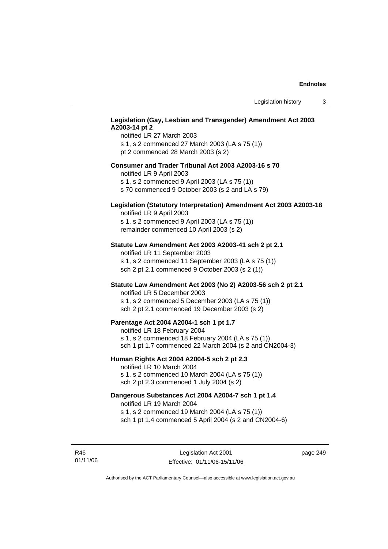## **Legislation (Gay, Lesbian and Transgender) Amendment Act 2003 A2003-14 pt 2**

notified LR 27 March 2003 s 1, s 2 commenced 27 March 2003 (LA s 75 (1)) pt 2 commenced 28 March 2003 (s 2)

## **Consumer and Trader Tribunal Act 2003 A2003-16 s 70**

notified LR 9 April 2003

s 1, s 2 commenced 9 April 2003 (LA s 75 (1))

s 70 commenced 9 October 2003 (s 2 and LA s 79)

# **Legislation (Statutory Interpretation) Amendment Act 2003 A2003-18**

notified LR 9 April 2003 s 1, s 2 commenced 9 April 2003 (LA s 75 (1)) remainder commenced 10 April 2003 (s 2)

## **Statute Law Amendment Act 2003 A2003-41 sch 2 pt 2.1**

notified LR 11 September 2003 s 1, s 2 commenced 11 September 2003 (LA s 75 (1)) sch 2 pt 2.1 commenced 9 October 2003 (s 2 (1))

## **Statute Law Amendment Act 2003 (No 2) A2003-56 sch 2 pt 2.1**

notified LR 5 December 2003 s 1, s 2 commenced 5 December 2003 (LA s 75 (1)) sch 2 pt 2.1 commenced 19 December 2003 (s 2)

### **Parentage Act 2004 A2004-1 sch 1 pt 1.7**

notified LR 18 February 2004 s 1, s 2 commenced 18 February 2004 (LA s 75 (1)) sch 1 pt 1.7 commenced 22 March 2004 (s 2 and CN2004-3)

#### **Human Rights Act 2004 A2004-5 sch 2 pt 2.3**

notified LR 10 March 2004 s 1, s 2 commenced 10 March 2004 (LA s 75 (1)) sch 2 pt 2.3 commenced 1 July 2004 (s 2)

## **Dangerous Substances Act 2004 A2004-7 sch 1 pt 1.4**

notified LR 19 March 2004 s 1, s 2 commenced 19 March 2004 (LA s 75 (1)) sch 1 pt 1.4 commenced 5 April 2004 (s 2 and CN2004-6)

R46 01/11/06 page 249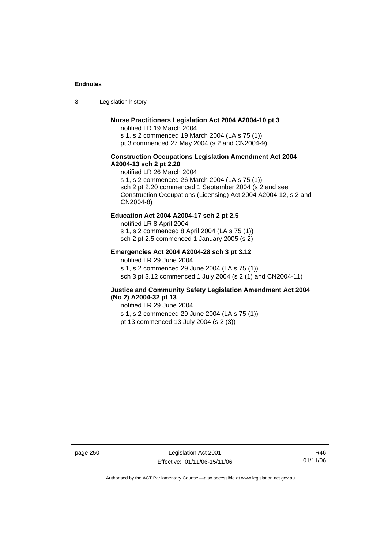3 Legislation history

## **Nurse Practitioners Legislation Act 2004 A2004-10 pt 3**

notified LR 19 March 2004 s 1, s 2 commenced 19 March 2004 (LA s 75 (1)) pt 3 commenced 27 May 2004 (s 2 and CN2004-9)

## **Construction Occupations Legislation Amendment Act 2004 A2004-13 sch 2 pt 2.20**

notified LR 26 March 2004 s 1, s 2 commenced 26 March 2004 (LA s 75 (1)) sch 2 pt 2.20 commenced 1 September 2004 (s 2 and see Construction Occupations (Licensing) Act 2004 A2004-12, s 2 and CN2004-8)

# **Education Act 2004 A2004-17 sch 2 pt 2.5**

notified LR 8 April 2004 s 1, s 2 commenced 8 April 2004 (LA s 75 (1)) sch 2 pt 2.5 commenced 1 January 2005 (s 2)

## **Emergencies Act 2004 A2004-28 sch 3 pt 3.12**

notified LR 29 June 2004

s 1, s 2 commenced 29 June 2004 (LA s 75 (1)) sch 3 pt 3.12 commenced 1 July 2004 (s 2 (1) and CN2004-11)

## **Justice and Community Safety Legislation Amendment Act 2004 (No 2) A2004-32 pt 13**

notified LR 29 June 2004 s 1, s 2 commenced 29 June 2004 (LA s 75 (1)) pt 13 commenced 13 July 2004 (s 2 (3))

page 250 Legislation Act 2001 Effective: 01/11/06-15/11/06

R46 01/11/06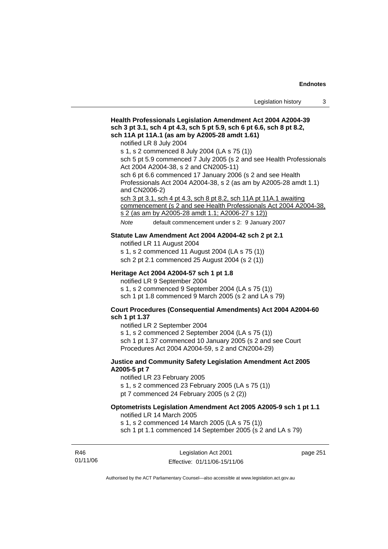# **Health Professionals Legislation Amendment Act 2004 A2004-39 sch 3 pt 3.1, sch 4 pt 4.3, sch 5 pt 5.9, sch 6 pt 6.6, sch 8 pt 8.2, sch 11A pt 11A.1 (as am by A2005-28 amdt 1.61)**  notified LR 8 July 2004

s 1, s 2 commenced 8 July 2004 (LA s 75 (1))

sch 5 pt 5.9 commenced 7 July 2005 (s 2 and see Health Professionals Act 2004 A2004-38, s 2 and CN2005-11)

sch 6 pt 6.6 commenced 17 January 2006 (s 2 and see Health Professionals Act 2004 A2004-38, s 2 (as am by A2005-28 amdt 1.1) and CN2006-2)

sch 3 pt 3.1, sch 4 pt 4.3, sch 8 pt 8.2, sch 11A pt 11A.1 awaiting commencement (s 2 and see Health Professionals Act 2004 A2004-38, s 2 (as am by A2005-28 amdt 1.1; A2006-27 s 12))

*Note* default commencement under s 2: 9 January 2007

#### **Statute Law Amendment Act 2004 A2004-42 sch 2 pt 2.1**

notified LR 11 August 2004

s 1, s 2 commenced 11 August 2004 (LA s 75 (1)) sch 2 pt 2.1 commenced 25 August 2004 (s 2 (1))

#### **Heritage Act 2004 A2004-57 sch 1 pt 1.8**

notified LR 9 September 2004

s 1, s 2 commenced 9 September 2004 (LA s 75 (1))

sch 1 pt 1.8 commenced 9 March 2005 (s 2 and LA s 79)

## **Court Procedures (Consequential Amendments) Act 2004 A2004-60 sch 1 pt 1.37**

notified LR 2 September 2004

s 1, s 2 commenced 2 September 2004 (LA s 75 (1))

sch 1 pt 1.37 commenced 10 January 2005 (s 2 and see Court Procedures Act 2004 A2004-59, s 2 and CN2004-29)

## **Justice and Community Safety Legislation Amendment Act 2005 A2005-5 pt 7**

notified LR 23 February 2005

s 1, s 2 commenced 23 February 2005 (LA s 75 (1))

pt 7 commenced 24 February 2005 (s 2 (2))

# **Optometrists Legislation Amendment Act 2005 A2005-9 sch 1 pt 1.1**

notified LR 14 March 2005

s 1, s 2 commenced 14 March 2005 (LA s 75 (1))

sch 1 pt 1.1 commenced 14 September 2005 (s 2 and LA s 79)

R46 01/11/06

Legislation Act 2001 Effective: 01/11/06-15/11/06 page 251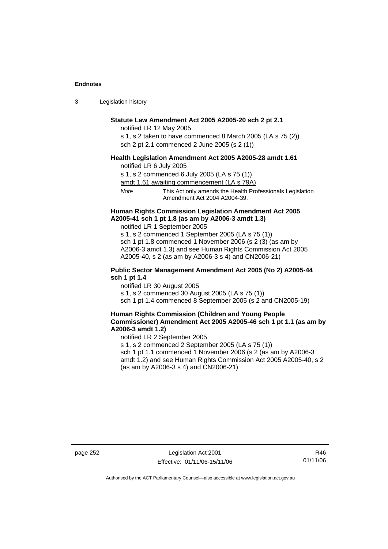3 Legislation history

## **Statute Law Amendment Act 2005 A2005-20 sch 2 pt 2.1**

notified LR 12 May 2005

s 1, s 2 taken to have commenced 8 March 2005 (LA s 75 (2)) sch 2 pt 2.1 commenced 2 June 2005 (s 2 (1))

#### **Health Legislation Amendment Act 2005 A2005-28 amdt 1.61**

notified LR 6 July 2005

s 1, s 2 commenced 6 July 2005 (LA s 75 (1))

amdt 1.61 awaiting commencement (LA s 79A)

*Note* This Act only amends the Health Professionals Legislation Amendment Act 2004 A2004-39.

## **Human Rights Commission Legislation Amendment Act 2005 A2005-41 sch 1 pt 1.8 (as am by A2006-3 amdt 1.3)**

notified LR 1 September 2005

s 1, s 2 commenced 1 September 2005 (LA s 75 (1)) sch 1 pt 1.8 commenced 1 November 2006 (s 2 (3) (as am by A2006-3 amdt 1.3) and see Human Rights Commission Act 2005 A2005-40, s 2 (as am by A2006-3 s 4) and CN2006-21)

## **Public Sector Management Amendment Act 2005 (No 2) A2005-44 sch 1 pt 1.4**

notified LR 30 August 2005

s 1, s 2 commenced 30 August 2005 (LA s 75 (1))

sch 1 pt 1.4 commenced 8 September 2005 (s 2 and CN2005-19)

## **Human Rights Commission (Children and Young People Commissioner) Amendment Act 2005 A2005-46 sch 1 pt 1.1 (as am by A2006-3 amdt 1.2)**

notified LR 2 September 2005

s 1, s 2 commenced 2 September 2005 (LA s 75 (1)) sch 1 pt 1.1 commenced 1 November 2006 (s 2 (as am by A2006-3

amdt 1.2) and see Human Rights Commission Act 2005 A2005-40, s 2 (as am by A2006-3 s 4) and CN2006-21)

page 252 Legislation Act 2001 Effective: 01/11/06-15/11/06

R46 01/11/06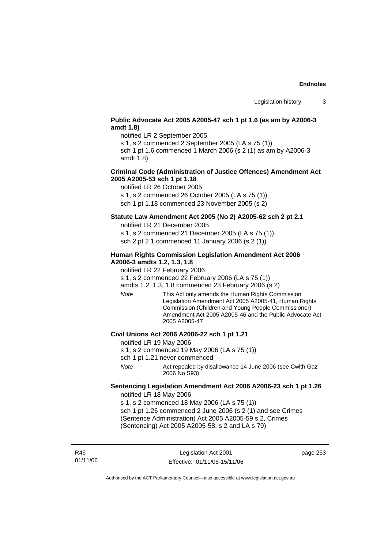## **Public Advocate Act 2005 A2005-47 sch 1 pt 1.6 (as am by A2006-3 amdt 1.8)**

notified LR 2 September 2005

s 1, s 2 commenced 2 September 2005 (LA s 75 (1))

sch 1 pt 1.6 commenced 1 March 2006 (s 2 (1) as am by A2006-3 amdt 1.8)

## **Criminal Code (Administration of Justice Offences) Amendment Act 2005 A2005-53 sch 1 pt 1.18**

notified LR 26 October 2005

s 1, s 2 commenced 26 October 2005 (LA s 75 (1))

sch 1 pt 1.18 commenced 23 November 2005 (s 2)

# **Statute Law Amendment Act 2005 (No 2) A2005-62 sch 2 pt 2.1**

notified LR 21 December 2005

s 1, s 2 commenced 21 December 2005 (LA s 75 (1)) sch 2 pt 2.1 commenced 11 January 2006 (s 2 (1))

## **Human Rights Commission Legislation Amendment Act 2006 A2006-3 amdts 1.2, 1.3, 1.8**

notified LR 22 February 2006

s 1, s 2 commenced 22 February 2006 (LA s 75 (1))

amdts 1.2, 1.3, 1.8 commenced 23 February 2006 (s 2)

*Note* This Act only amends the Human Rights Commission Legislation Amendment Act 2005 A2005-41, Human Rights Commission (Children and Young People Commissioner) Amendment Act 2005 A2005-46 and the Public Advocate Act 2005 A2005-47

## **Civil Unions Act 2006 A2006-22 sch 1 pt 1.21**

notified LR 19 May 2006

- s 1, s 2 commenced 19 May 2006 (LA s 75 (1))
- sch 1 pt 1.21 never commenced
- *Note* Act repealed by disallowance 14 June 2006 (see Cwlth Gaz 2006 No S93)

# **Sentencing Legislation Amendment Act 2006 A2006-23 sch 1 pt 1.26**

notified LR 18 May 2006

s 1, s 2 commenced 18 May 2006 (LA s 75 (1)) sch 1 pt 1.26 commenced 2 June 2006 (s 2 (1) and see Crimes (Sentence Administration) Act 2005 A2005-59 s 2, Crimes (Sentencing) Act 2005 A2005-58, s 2 and LA s 79)

R46 01/11/06

Legislation Act 2001 Effective: 01/11/06-15/11/06 page 253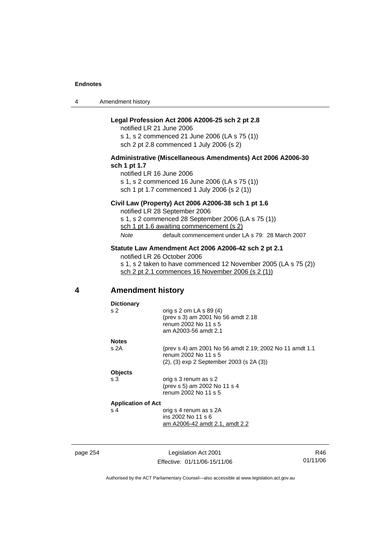4 Amendment history

## **Legal Profession Act 2006 A2006-25 sch 2 pt 2.8**

notified LR 21 June 2006 s 1, s 2 commenced 21 June 2006 (LA s 75 (1)) sch 2 pt 2.8 commenced 1 July 2006 (s 2)

## **Administrative (Miscellaneous Amendments) Act 2006 A2006-30 sch 1 pt 1.7**

notified LR 16 June 2006 s 1, s 2 commenced 16 June 2006 (LA s 75 (1)) sch 1 pt 1.7 commenced 1 July 2006 (s 2 (1))

### **Civil Law (Property) Act 2006 A2006-38 sch 1 pt 1.6**

notified LR 28 September 2006 s 1, s 2 commenced 28 September 2006 (LA s 75 (1)) sch 1 pt 1.6 awaiting commencement (s 2)

*Note* default commencement under LA s 79: 28 March 2007

## **Statute Law Amendment Act 2006 A2006-42 sch 2 pt 2.1**

notified LR 26 October 2006 s 1, s 2 taken to have commenced 12 November 2005 (LA s 75 (2)) sch 2 pt 2.1 commences 16 November 2006 (s 2 (1))

# **4 Amendment history**

| <b>Dictionary</b>         |                                                         |
|---------------------------|---------------------------------------------------------|
| s <sub>2</sub>            | orig s $2$ om LA s $89(4)$                              |
|                           | (prev s 3) am 2001 No 56 amdt 2.18                      |
|                           | renum 2002 No 11 s 5                                    |
|                           | am A2003-56 amdt 2.1                                    |
| <b>Notes</b>              |                                                         |
| s 2A                      | (prev s 4) am 2001 No 56 amdt 2.19; 2002 No 11 amdt 1.1 |
|                           | renum 2002 No 11 s 5                                    |
|                           | $(2)$ , $(3)$ exp 2 September 2003 (s 2A $(3)$ )        |
| <b>Objects</b>            |                                                         |
| s 3                       | orig s 3 renum as s 2                                   |
|                           | (prev s 5) am 2002 No 11 s 4                            |
|                           | renum 2002 No 11 s 5                                    |
| <b>Application of Act</b> |                                                         |
| s 4                       | orig s 4 renum as s 2A                                  |
|                           | ins 2002 No 11 s 6                                      |
|                           | am A2006-42 amdt 2.1, amdt 2.2                          |
|                           |                                                         |
|                           |                                                         |

page 254 Legislation Act 2001 Effective: 01/11/06-15/11/06

R46 01/11/06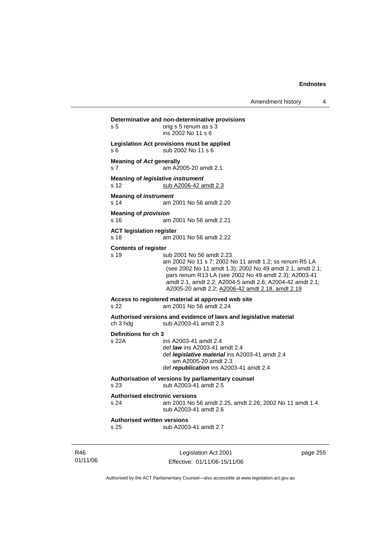Amendment history 4

```
Legislation Act 2001 
                                                              page 255 
Determinative and non-determinative provisions 
s 5 b orig s 5 renum as s 3
                  ins 2002 No 11 s 6 
Legislation Act provisions must be applied 
s 6 sub 2002 No 11 s 6 
Meaning of Act generally 
s 7 am A2005-20 amdt 2.1 
Meaning of legislative instrument
s 12 sub A2006-42 amdt 2.3
Meaning of instrument 
s 14 am 2001 No 56 amdt 2.20 
Meaning of provision 
s 16 am 2001 No 56 amdt 2.21 
ACT legislation register 
s 18 am 2001 No 56 amdt 2.22 
Contents of register 
s 19 sub 2001 No 56 amdt 2.23 
                  am 2002 No 11 s 7; 2002 No 11 amdt 1.2; ss renum R5 LA 
                  (see 2002 No 11 amdt 1.3); 2002 No 49 amdt 2.1, amdt 2.1; 
                  pars renum R13 LA (see 2002 No 49 amdt 2.3); A2003-41 
                  amdt 2.1, amdt 2.2; A2004-5 amdt 2.6; A2004-42 amdt 2.1; 
                  A2005-20 amdt 2.2; A2006-42 amdt 2.18, amdt 2.19
Access to registered material at approved web site 
s 22 am 2001 No 56 amdt 2.24 
Authorised versions and evidence of laws and legislative material 
ch 3 hdg sub A2003-41 amdt 2.3 
Definitions for ch 3 
                 ins A2003-41 amdt 2.4
                  def law ins A2003-41 amdt 2.4 
                  def legislative material ins A2003-41 amdt 2.4 
                     am A2005-20 amdt 2.3 
                  def republication ins A2003-41 amdt 2.4 
Authorisation of versions by parliamentary counsel 
s 23 sub A2003-41 amdt 2.5 
Authorised electronic versions 
s 24 am 2001 No 56 amdt 2.25, amdt 2.26; 2002 No 11 amdt 1.4 
                  sub A2003-41 amdt 2.6 
Authorised written versions 
s 25 sub A2003-41 amdt 2.7
```
Authorised by the ACT Parliamentary Counsel—also accessible at www.legislation.act.gov.au

Effective: 01/11/06-15/11/06

R46 01/11/06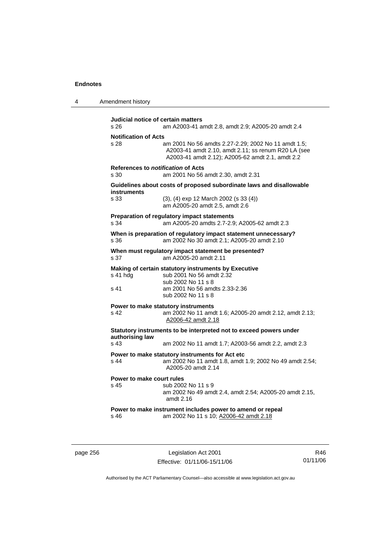| 4 | Amendment history |
|---|-------------------|
|---|-------------------|

| Judicial notice of certain matters<br>s 26 | am A2003-41 amdt 2.8, amdt 2.9; A2005-20 amdt 2.4                                                                                                              |
|--------------------------------------------|----------------------------------------------------------------------------------------------------------------------------------------------------------------|
| <b>Notification of Acts</b><br>s 28        | am 2001 No 56 amdts 2.27-2.29; 2002 No 11 amdt 1.5;<br>A2003-41 amdt 2.10, amdt 2.11; ss renum R20 LA (see<br>A2003-41 amdt 2.12); A2005-62 amdt 2.1, amdt 2.2 |
| References to notification of Acts<br>s 30 | am 2001 No 56 amdt 2.30, amdt 2.31                                                                                                                             |
| instruments                                | Guidelines about costs of proposed subordinate laws and disallowable                                                                                           |
| s 33                                       | (3), (4) exp 12 March 2002 (s 33 (4))<br>am A2005-20 amdt 2.5, amdt 2.6                                                                                        |
| s 34                                       | Preparation of regulatory impact statements<br>am A2005-20 amdts 2.7-2.9; A2005-62 amdt 2.3                                                                    |
| s 36                                       | When is preparation of regulatory impact statement unnecessary?<br>am 2002 No 30 amdt 2.1; A2005-20 amdt 2.10                                                  |
| s 37                                       | When must regulatory impact statement be presented?<br>am A2005-20 amdt 2.11                                                                                   |
| s 41 hdg<br>s 41                           | Making of certain statutory instruments by Executive<br>sub 2001 No 56 amdt 2.32<br>sub 2002 No 11 s 8<br>am 2001 No 56 amdts 2.33-2.36<br>sub 2002 No 11 s 8  |
| s 42                                       | Power to make statutory instruments<br>am 2002 No 11 amdt 1.6; A2005-20 amdt 2.12, amdt 2.13;<br>A2006-42 amdt 2.18                                            |
| authorising law                            | Statutory instruments to be interpreted not to exceed powers under                                                                                             |
| s <sub>43</sub>                            | am 2002 No 11 amdt 1.7; A2003-56 amdt 2.2, amdt 2.3                                                                                                            |
| s 44                                       | Power to make statutory instruments for Act etc<br>am 2002 No 11 amdt 1.8, amdt 1.9; 2002 No 49 amdt 2.54;<br>A2005-20 amdt 2.14                               |
| Power to make court rules<br>s 45          | sub 2002 No 11 s 9<br>am 2002 No 49 amdt 2.4, amdt 2.54; A2005-20 amdt 2.15,<br>amdt 2.16                                                                      |
| s 46                                       | Power to make instrument includes power to amend or repeal<br>am 2002 No 11 s 10; A2006-42 amdt 2.18                                                           |

page 256 Legislation Act 2001 Effective: 01/11/06-15/11/06

R46 01/11/06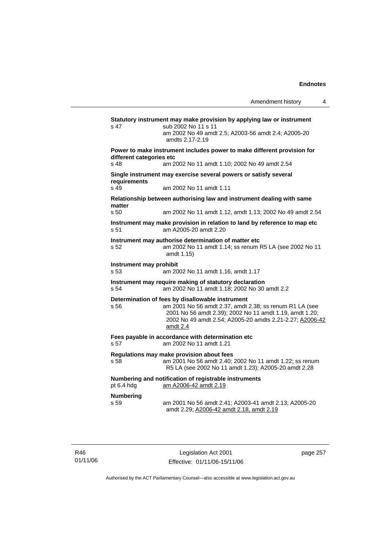**Statutory instrument may make provision by applying law or instrument**  s 47 sub 2002 No 11 s 11 am 2002 No 49 amdt 2.5; A2003-56 amdt 2.4; A2005-20 amdts 2.17-2.19 **Power to make instrument includes power to make different provision for different categories etc**  s 48 am 2002 No 11 amdt 1.10; 2002 No 49 amdt 2.54 **Single instrument may exercise several powers or satisfy several requirements**  s 49 am 2002 No 11 amdt 1.11 **Relationship between authorising law and instrument dealing with same matter**  s 50 am 2002 No 11 amdt 1.12, amdt 1.13; 2002 No 49 amdt 2.54 **Instrument may make provision in relation to land by reference to map etc**  s 51 am A2005-20 amdt 2.20 **Instrument may authorise determination of matter etc**  s 52 am 2002 No 11 amdt 1.14; ss renum R5 LA (see 2002 No 11 amdt 1.15) **Instrument may prohibit**  s 53 am 2002 No 11 amdt 1.16, amdt 1.17 **Instrument may require making of statutory declaration**  s 54 am 2002 No 11 amdt 1.18; 2002 No 30 amdt 2.2 **Determination of fees by disallowable instrument**  s 56 am 2001 No 56 amdt 2.37, amdt 2.38; ss renum R1 LA (see 2001 No 56 amdt 2.39); 2002 No 11 amdt 1.19, amdt 1.20; 2002 No 49 amdt 2.54; A2005-20 amdts 2.21-2.27; A2006-42 amdt 2.4 **Fees payable in accordance with determination etc**  s 57 am 2002 No 11 amdt 1.21 **Regulations may make provision about fees**  s 58 am 2001 No 56 amdt 2.40; 2002 No 11 amdt 1.22; ss renum R5 LA (see 2002 No 11 amdt 1.23); A2005-20 amdt 2.28 **Numbering and notification of registrable instruments**  pt 6.4 hdg am A2006-42 amdt 2.19 **Numbering**  s 59 am 2001 No 56 amdt 2.41; A2003-41 amdt 2.13; A2005-20 amdt 2.29; A2006-42 amdt 2.18, amdt 2.19

R46 01/11/06

Legislation Act 2001 Effective: 01/11/06-15/11/06 page 257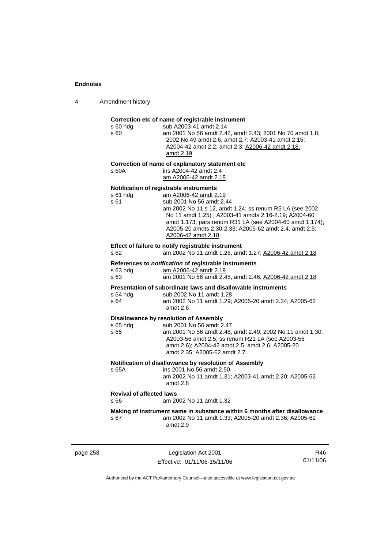| 4 | Amendment history |
|---|-------------------|
|---|-------------------|

# **Correction etc of name of registrable instrument**

| s 60 hdg<br>s 60                        | Correction etc or name or registrable instrument<br>sub A2003-41 amdt 2.14<br>am 2001 No 56 amdt 2.42, amdt 2.43; 2001 No 70 amdt 1.8;<br>2002 No 49 amdt 2.6, amdt 2.7; A2003-41 amdt 2.15;<br>A2004-42 amdt 2.2, amdt 2.3; A2006-42 amdt 2.18,<br>amdt 2.19                                                                                               |
|-----------------------------------------|-------------------------------------------------------------------------------------------------------------------------------------------------------------------------------------------------------------------------------------------------------------------------------------------------------------------------------------------------------------|
| s 60A                                   | Correction of name of explanatory statement etc<br>ins A2004-42 amdt 2.4<br>am A2006-42 amdt 2.18                                                                                                                                                                                                                                                           |
| s 61 hdg<br>s 61                        | Notification of registrable instruments<br>am A2006-42 amdt 2.19<br>sub 2001 No 56 amdt 2.44<br>am 2002 No 11 s 12, amdt 1.24; ss renum R5 LA (see 2002<br>No 11 amdt 1.25); A2003-41 amdts 2.16-2.19; A2004-60<br>amdt 1.173; pars renum R31 LA (see A2004-60 amdt 1.174);<br>A2005-20 amdts 2.30-2.33; A2005-62 amdt 2.4, amdt 2.5;<br>A2006-42 amdt 2.18 |
| s 62                                    | Effect of failure to notify registrable instrument<br>am 2002 No 11 amdt 1.26, amdt 1.27; A2006-42 amdt 2.18                                                                                                                                                                                                                                                |
| s 63 hdg<br>s <sub>63</sub>             | References to notification of registrable instruments<br>am A2006-42 amdt 2.19<br>am 2001 No 56 amdt 2.45, amdt 2.46; A2006-42 amdt 2.18                                                                                                                                                                                                                    |
| s 64 hdg<br>s 64                        | Presentation of subordinate laws and disallowable instruments<br>sub 2002 No 11 amdt 1.28<br>am 2002 No 11 amdt 1.29; A2005-20 amdt 2.34; A2005-62<br>amdt 2.6                                                                                                                                                                                              |
| s 65 hdg<br>s 65                        | <b>Disallowance by resolution of Assembly</b><br>sub 2001 No 56 amdt 2.47<br>am 2001 No 56 amdt 2.48, amdt 2.49; 2002 No 11 amdt 1.30;<br>A2003-56 amdt 2.5; ss renum R21 LA (see A2003-56<br>amdt 2.6); A2004-42 amdt 2.5, amdt 2.6; A2005-20<br>amdt 2.35; A2005-62 amdt 2.7                                                                              |
| s 65A                                   | Notification of disallowance by resolution of Assembly<br>ins 2001 No 56 amdt 2.50<br>am 2002 No 11 amdt 1.31; A2003-41 amdt 2.20; A2005-62<br>amdt 2.8                                                                                                                                                                                                     |
| <b>Revival of affected laws</b><br>s 66 | am 2002 No 11 amdt 1.32                                                                                                                                                                                                                                                                                                                                     |
| s 67                                    | Making of instrument same in substance within 6 months after disallowance<br>am 2002 No 11 amdt 1.33; A2005-20 amdt 2.36; A2005-62<br>amdt 2.9                                                                                                                                                                                                              |

page 258 Legislation Act 2001 Effective: 01/11/06-15/11/06

R46 01/11/06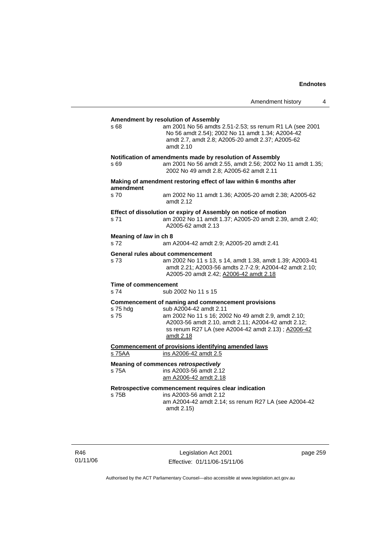|                                          |                                                                                                                                                                                                                                                               | Amendment history | 4 |
|------------------------------------------|---------------------------------------------------------------------------------------------------------------------------------------------------------------------------------------------------------------------------------------------------------------|-------------------|---|
| s 68                                     | <b>Amendment by resolution of Assembly</b><br>am 2001 No 56 amdts 2.51-2.53; ss renum R1 LA (see 2001<br>No 56 amdt 2.54); 2002 No 11 amdt 1.34; A2004-42<br>amdt 2.7, amdt 2.8; A2005-20 amdt 2.37; A2005-62<br>amdt 2.10                                    |                   |   |
| s 69                                     | Notification of amendments made by resolution of Assembly<br>am 2001 No 56 amdt 2.55, amdt 2.56; 2002 No 11 amdt 1.35;<br>2002 No 49 amdt 2.8; A2005-62 amdt 2.11                                                                                             |                   |   |
| amendment                                | Making of amendment restoring effect of law within 6 months after                                                                                                                                                                                             |                   |   |
| s 70                                     | am 2002 No 11 amdt 1.36; A2005-20 amdt 2.38; A2005-62<br>amdt 2.12                                                                                                                                                                                            |                   |   |
| s 71                                     | Effect of dissolution or expiry of Assembly on notice of motion<br>am 2002 No 11 amdt 1.37; A2005-20 amdt 2.39, amdt 2.40;<br>A2005-62 amdt 2.13                                                                                                              |                   |   |
| Meaning of law in ch 8<br>s 72           | am A2004-42 amdt 2.9; A2005-20 amdt 2.41                                                                                                                                                                                                                      |                   |   |
| General rules about commencement<br>s 73 | am 2002 No 11 s 13, s 14, amdt 1.38, amdt 1.39; A2003-41<br>amdt 2.21; A2003-56 amdts 2.7-2.9; A2004-42 amdt 2.10;<br>A2005-20 amdt 2.42; A2006-42 amdt 2.18                                                                                                  |                   |   |
| Time of commencement<br>s 74             | sub 2002 No 11 s 15                                                                                                                                                                                                                                           |                   |   |
| s 75 hdg<br>s 75                         | Commencement of naming and commencement provisions<br>sub A2004-42 amdt 2.11<br>am 2002 No 11 s 16; 2002 No 49 amdt 2.9, amdt 2.10;<br>A2003-56 amdt 2.10, amdt 2.11; A2004-42 amdt 2.12;<br>ss renum R27 LA (see A2004-42 amdt 2.13) ; A2006-42<br>amdt 2.18 |                   |   |
| s 75AA                                   | <b>Commencement of provisions identifying amended laws</b><br>ins A2006-42 amdt 2.5                                                                                                                                                                           |                   |   |
| s 75A                                    | Meaning of commences retrospectively<br>ins A2003-56 amdt 2.12<br>am A2006-42 amdt 2.18                                                                                                                                                                       |                   |   |
| s 75B                                    | Retrospective commencement requires clear indication<br>ins A2003-56 amdt 2.12<br>am A2004-42 amdt 2.14; ss renum R27 LA (see A2004-42<br>amdt 2.15)                                                                                                          |                   |   |

R46 01/11/06

Legislation Act 2001 Effective: 01/11/06-15/11/06 page 259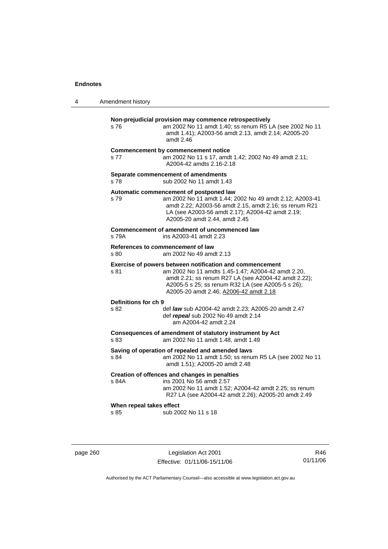| 4 | Amendment history |
|---|-------------------|
|---|-------------------|

#### **Non-prejudicial provision may commence retrospectively**

s 76 am 2002 No 11 amdt 1.40; ss renum R5 LA (see 2002 No 11 amdt 1.41); A2003-56 amdt 2.13, amdt 2.14; A2005-20 amdt 2.46

#### **Commencement by commencement notice**

s 77 am 2002 No 11 s 17, amdt 1.42; 2002 No 49 amdt 2.11; A2004-42 amdts 2.16-2.18

## **Separate commencement of amendments**

s 78 sub 2002 No 11 amdt 1.43

#### **Automatic commencement of postponed law**

s 79 am 2002 No 11 amdt 1.44; 2002 No 49 amdt 2.12; A2003-41 amdt 2.22; A2003-56 amdt 2.15, amdt 2.16; ss renum R21 LA (see A2003-56 amdt 2.17); A2004-42 amdt 2.19; A2005-20 amdt 2.44, amdt 2.45

#### **Commencement of amendment of uncommenced law**  s 79A ins A2003-41 amdt 2.23

**References to** *commencement* **of law** 

s 80 am 2002 No 49 amdt 2.13

#### **Exercise of powers between notification and commencement**

s 81 am 2002 No 11 amdts 1.45-1.47; A2004-42 amdt 2.20, amdt 2.21; ss renum R27 LA (see A2004-42 amdt 2.22); A2005-5 s 25; ss renum R32 LA (see A2005-5 s 26); A2005-20 amdt 2.46; A2006-42 amdt 2.18

## **Definitions for ch 9**

s 82 def *law* sub A2004-42 amdt 2.23; A2005-20 amdt 2.47 def *repeal* sub 2002 No 49 amdt 2.14 am A2004-42 amdt 2.24

**Consequences of amendment of statutory instrument by Act**  s 83 am 2002 No 11 amdt 1.48, amdt 1.49

#### **Saving of operation of repealed and amended laws**

s 84 am 2002 No 11 amdt 1.50; ss renum R5 LA (see 2002 No 11 amdt 1.51); A2005-20 amdt 2.48

# **Creation of offences and changes in penalties**

ins 2001 No 56 amdt 2.57 am 2002 No 11 amdt 1.52; A2004-42 amdt 2.25; ss renum R27 LA (see A2004-42 amdt 2.26); A2005-20 amdt 2.49

#### **When repeal takes effect**

s 85 sub 2002 No 11 s 18

page 260 Legislation Act 2001 Effective: 01/11/06-15/11/06

R46 01/11/06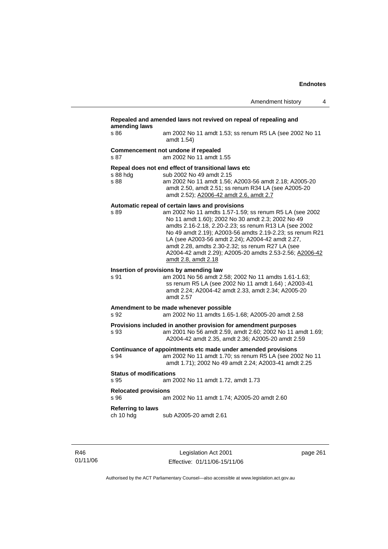## **Repealed and amended laws not revived on repeal of repealing and amending laws**  s 86 am 2002 No 11 amdt 1.53; ss renum R5 LA (see 2002 No 11 amdt 1.54) **Commencement not undone if repealed**  s 87 am 2002 No 11 amdt 1.55 **Repeal does not end effect of transitional laws etc**  s 88 hdg sub 2002 No 49 amdt 2.15<br>s 88 sam 2002 No 11 amdt 1.56: s 88 am 2002 No 11 amdt 1.56; A2003-56 amdt 2.18; A2005-20 amdt 2.50, amdt 2.51; ss renum R34 LA (see A2005-20 amdt 2.52); A2006-42 amdt 2.6, amdt 2.7 **Automatic repeal of certain laws and provisions**  s 89 am 2002 No 11 amdts 1.57-1.59; ss renum R5 LA (see 2002 No 11 amdt 1.60); 2002 No 30 amdt 2.3; 2002 No 49 amdts 2.16-2.18, 2.20-2.23; ss renum R13 LA (see 2002 No 49 amdt 2.19); A2003-56 amdts 2.19-2.23; ss renum R21 LA (see A2003-56 amdt 2.24); A2004-42 amdt 2.27, amdt 2.28, amdts 2.30-2.32; ss renum R27 LA (see A2004-42 amdt 2.29); A2005-20 amdts 2.53-2.56; A2006-42 amdt 2.8, amdt 2.18 **Insertion of provisions by amending law**  s 91 am 2001 No 56 amdt 2.58; 2002 No 11 amdts 1.61-1.63; ss renum R5 LA (see 2002 No 11 amdt 1.64) ; A2003-41 amdt 2.24; A2004-42 amdt 2.33, amdt 2.34; A2005-20 amdt 2.57 **Amendment to be made whenever possible**  s 92 am 2002 No 11 amdts 1.65-1.68; A2005-20 amdt 2.58 **Provisions included in another provision for amendment purposes**  s 93 am 2001 No 56 amdt 2.59, amdt 2.60; 2002 No 11 amdt 1.69; A2004-42 amdt 2.35, amdt 2.36; A2005-20 amdt 2.59 **Continuance of appointments etc made under amended provisions**  s 94 am 2002 No 11 amdt 1.70; ss renum R5 LA (see 2002 No 11 amdt 1.71); 2002 No 49 amdt 2.24; A2003-41 amdt 2.25 **Status of modifications**  s 95 am 2002 No 11 amdt 1.72, amdt 1.73 **Relocated provisions**  s 96 am 2002 No 11 amdt 1.74; A2005-20 amdt 2.60 **Referring to laws**  ch 10 hdg sub A2005-20 amdt 2.61

R46 01/11/06

Legislation Act 2001 Effective: 01/11/06-15/11/06 page 261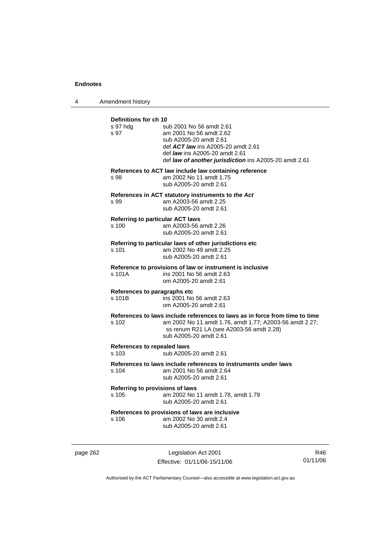4 Amendment history

| Definitions for ch 10<br>s 97 hda<br>s 97   | sub 2001 No 56 amdt 2.61<br>am 2001 No 56 amdt 2.62<br>sub A2005-20 amdt 2.61<br>def <b>ACT law</b> ins A2005-20 amdt 2.61<br>def law ins A2005-20 amdt 2.61<br>def law of another jurisdiction ins A2005-20 amdt 2.61 |
|---------------------------------------------|------------------------------------------------------------------------------------------------------------------------------------------------------------------------------------------------------------------------|
| s 98                                        | References to ACT law include law containing reference<br>am 2002 No 11 amdt 1.75<br>sub A2005-20 amdt 2.61                                                                                                            |
| s 99                                        | References in ACT statutory instruments to the Act<br>am A2003-56 amdt 2.25<br>sub A2005-20 amdt 2.61                                                                                                                  |
| s 100                                       | <b>Referring to particular ACT laws</b><br>am A2003-56 amdt 2.26<br>sub A2005-20 amdt 2.61                                                                                                                             |
| s 101                                       | Referring to particular laws of other jurisdictions etc<br>am 2002 No 49 amdt 2.25<br>sub A2005-20 amdt 2.61                                                                                                           |
| s 101A                                      | Reference to provisions of law or instrument is inclusive<br>ins 2001 No 56 amdt 2.63<br>om A2005-20 amdt 2.61                                                                                                         |
| References to paragraphs etc<br>s 101B      | ins 2001 No 56 amdt 2.63<br>om A2005-20 amdt 2.61                                                                                                                                                                      |
| s 102                                       | References to laws include references to laws as in force from time to time<br>am 2002 No 11 amdt 1.76, amdt 1.77; A2003-56 amdt 2.27;<br>ss renum R21 LA (see A2003-56 amdt 2.28)<br>sub A2005-20 amdt 2.61           |
| <b>References to repealed laws</b><br>s 103 | sub A2005-20 amdt 2.61                                                                                                                                                                                                 |
| s 104                                       | References to laws include references to instruments under laws<br>am 2001 No 56 amdt 2.64<br>sub A2005-20 amdt 2.61                                                                                                   |
| s 105                                       | Referring to provisions of laws<br>am 2002 No 11 amdt 1.78, amdt 1.79<br>sub A2005-20 amdt 2.61                                                                                                                        |
| s 106                                       | References to provisions of laws are inclusive<br>am 2002 No 30 amdt 2.4<br>sub A2005-20 amdt 2.61                                                                                                                     |

page 262 Legislation Act 2001 Effective: 01/11/06-15/11/06

R46 01/11/06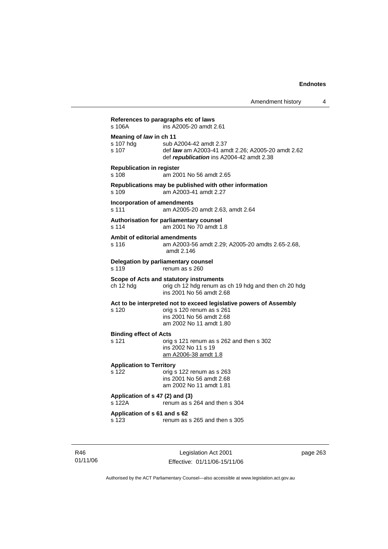|                                               | References to paragraphs etc of laws                                                                                                                   |
|-----------------------------------------------|--------------------------------------------------------------------------------------------------------------------------------------------------------|
| s 106A                                        | ins A2005-20 amdt 2.61                                                                                                                                 |
| Meaning of law in ch 11<br>s 107 hda<br>s 107 | sub A2004-42 amdt 2.37<br>def law am A2003-41 amdt 2.26; A2005-20 amdt 2.62<br>def republication ins A2004-42 amdt 2.38                                |
| <b>Republication in register</b><br>s 108     | am 2001 No 56 amdt 2.65                                                                                                                                |
| s 109                                         | Republications may be published with other information<br>am A2003-41 amdt 2.27                                                                        |
| s 111                                         | <b>Incorporation of amendments</b><br>am A2005-20 amdt 2.63, amdt 2.64                                                                                 |
| s 114                                         | Authorisation for parliamentary counsel<br>am 2001 No 70 amdt 1.8                                                                                      |
| s 116                                         | Ambit of editorial amendments<br>am A2003-56 amdt 2.29; A2005-20 amdts 2.65-2.68,<br>amdt 2.146                                                        |
| s 119                                         | Delegation by parliamentary counsel<br>renum as s 260                                                                                                  |
| ch 12 hdg                                     | Scope of Acts and statutory instruments<br>orig ch 12 hdg renum as ch 19 hdg and then ch 20 hdg<br>ins 2001 No 56 amdt 2.68                            |
| s 120                                         | Act to be interpreted not to exceed legislative powers of Assembly<br>orig s 120 renum as s 261<br>ins 2001 No 56 amdt 2.68<br>am 2002 No 11 amdt 1.80 |
| <b>Binding effect of Acts</b><br>s 121        | orig s 121 renum as s 262 and then s 302<br>ins 2002 No 11 s 19<br>am A2006-38 amdt 1.8                                                                |
| <b>Application to Territory</b><br>s 122      | orig s 122 renum as s 263<br>ins 2001 No 56 amdt 2.68<br>am 2002 No 11 amdt 1.81                                                                       |
| Application of s 47 (2) and (3)<br>s 122A     | renum as s 264 and then s 304                                                                                                                          |
| Application of s 61 and s 62<br>s 123         | renum as s 265 and then s 305                                                                                                                          |

R46 01/11/06

Legislation Act 2001 Effective: 01/11/06-15/11/06 page 263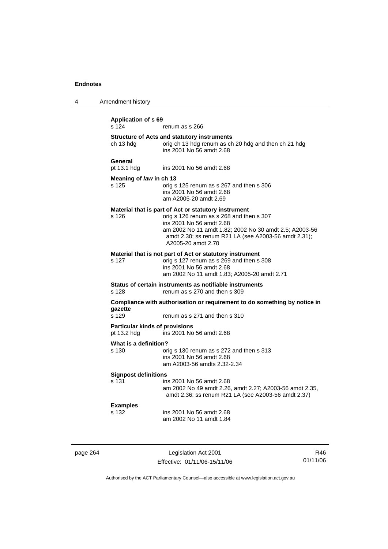| 4 | Amendment history                                    |                                                                                                                                                                                                                                                                      |  |
|---|------------------------------------------------------|----------------------------------------------------------------------------------------------------------------------------------------------------------------------------------------------------------------------------------------------------------------------|--|
|   | <b>Application of s 69</b><br>s 124                  | renum as s 266                                                                                                                                                                                                                                                       |  |
|   | ch 13 hdg                                            | <b>Structure of Acts and statutory instruments</b><br>orig ch 13 hdg renum as ch 20 hdg and then ch 21 hdg<br>ins 2001 No 56 amdt 2.68                                                                                                                               |  |
|   | General<br>pt 13.1 hdg                               | ins 2001 No 56 amdt 2.68                                                                                                                                                                                                                                             |  |
|   | Meaning of law in ch 13<br>s 125                     | orig s 125 renum as s 267 and then s 306<br>ins 2001 No 56 amdt 2.68<br>am A2005-20 amdt 2.69                                                                                                                                                                        |  |
|   | s 126                                                | Material that is part of Act or statutory instrument<br>orig s 126 renum as s 268 and then s 307<br>ins 2001 No 56 amdt 2.68<br>am 2002 No 11 amdt 1.82; 2002 No 30 amdt 2.5; A2003-56<br>amdt 2.30; ss renum R21 LA (see A2003-56 amdt 2.31);<br>A2005-20 amdt 2.70 |  |
|   | s 127                                                | Material that is not part of Act or statutory instrument<br>orig s 127 renum as s 269 and then s 308<br>ins 2001 No 56 amdt 2.68<br>am 2002 No 11 amdt 1.83; A2005-20 amdt 2.71                                                                                      |  |
|   | s 128                                                | Status of certain instruments as notifiable instruments<br>renum as s 270 and then s 309                                                                                                                                                                             |  |
|   | qazette<br>s 129                                     | Compliance with authorisation or requirement to do something by notice in<br>renum as s 271 and then s 310                                                                                                                                                           |  |
|   | <b>Particular kinds of provisions</b><br>pt 13.2 hdg | ins 2001 No 56 amdt 2.68                                                                                                                                                                                                                                             |  |
|   | What is a definition?<br>s 130                       | orig s 130 renum as s 272 and then s 313<br>ins 2001 No 56 amdt 2.68<br>am A2003-56 amdts 2.32-2.34                                                                                                                                                                  |  |
|   | <b>Signpost definitions</b><br>s 131                 | ins 2001 No 56 amdt 2.68<br>am 2002 No 49 amdt 2.26, amdt 2.27; A2003-56 amdt 2.35,<br>amdt 2.36; ss renum R21 LA (see A2003-56 amdt 2.37)                                                                                                                           |  |
|   | <b>Examples</b><br>s 132                             | ins 2001 No 56 amdt 2.68<br>am 2002 No 11 amdt 1.84                                                                                                                                                                                                                  |  |
|   |                                                      |                                                                                                                                                                                                                                                                      |  |

page 264 Legislation Act 2001 Effective: 01/11/06-15/11/06

R46 01/11/06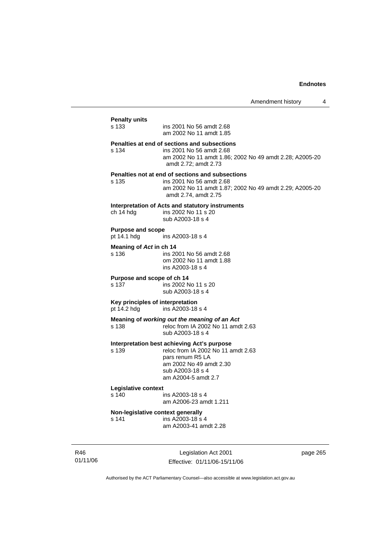# **Penalty units**  ins 2001 No 56 amdt 2.68 am 2002 No 11 amdt 1.85 **Penalties at end of sections and subsections**  s 134 ins 2001 No 56 amdt 2.68 am 2002 No 11 amdt 1.86; 2002 No 49 amdt 2.28; A2005-20 amdt 2.72; amdt 2.73 **Penalties not at end of sections and subsections**  ins 2001 No 56 amdt 2.68 am 2002 No 11 amdt 1.87; 2002 No 49 amdt 2.29; A2005-20 amdt 2.74, amdt 2.75 **Interpretation of Acts and statutory instruments**<br>
ch 14 hdg ins 2002 No 11 s 20 ins 2002 No 11 s 20 sub A2003-18 s 4 **Purpose and scope**  pt 14.1 hdg ins A2003-18 s 4 **Meaning of** *Act* **in ch 14**  s 136 ins 2001 No 56 amdt 2.68 om 2002 No 11 amdt 1.88 ins A2003-18 s 4 **Purpose and scope of ch 14**  s 137 ins 2002 No 11 s 20 sub A2003-18 s 4 **Key principles of interpretation**  pt 14.2 hdg ins A2003-18 s 4 **Meaning of** *working out the meaning of an Act* s 138 reloc from IA 2002 No 11 amdt 2.63 sub A2003-18 s 4 **Interpretation best achieving Act's purpose**  s 139 reloc from IA 2002 No 11 amdt 2.63 pars renum R5 LA am 2002 No 49 amdt 2.30 sub A2003-18 s 4 am A2004-5 amdt 2.7 **Legislative context**  s 140 ins A2003-18 s 4 am A2006-23 amdt 1.211 **Non-legislative context generally**  s 141 ins A2003-18 s 4 am A2003-41 amdt 2.28

R46 01/11/06

Legislation Act 2001 Effective: 01/11/06-15/11/06 page 265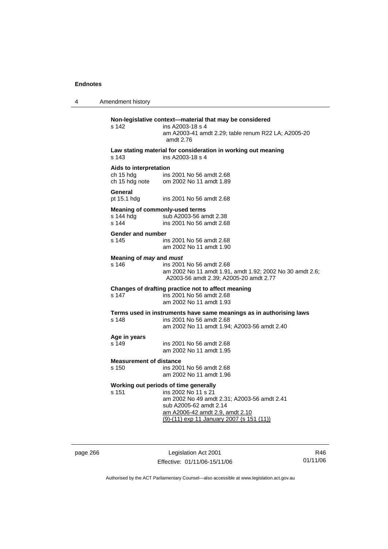4 Amendment history

# **Non-legislative context—material that may be considered**  s 142 ins A2003-18 s 4 am A2003-41 amdt 2.29; table renum R22 LA; A2005-20 amdt 2.76 **Law stating material for consideration in working out meaning**  s 143 ins A2003-18 s 4 **Aids to interpretation**  ch 15 hdg ins 2001 No 56 amdt 2.68<br>ch 15 hdg note om 2002 No 11 amdt 1.89 om 2002 No 11 amdt 1.89 **General**  pt 15.1 hdg ins 2001 No 56 amdt 2.68 **Meaning of commonly-used terms**  s 144 hdg sub A2003-56 amdt 2.38 s 144 ins 2001 No 56 amdt 2.68 **Gender and number**  s 145 ins 2001 No 56 amdt 2.68 am 2002 No 11 amdt 1.90 **Meaning of** *may* **and** *must* s 146 ins 2001 No 56 amdt 2.68 am 2002 No 11 amdt 1.91, amdt 1.92; 2002 No 30 amdt 2.6; A2003-56 amdt 2.39; A2005-20 amdt 2.77 **Changes of drafting practice not to affect meaning**  ins 2001 No 56 amdt 2.68 am 2002 No 11 amdt 1.93 **Terms used in instruments have same meanings as in authorising laws**  s 148 ins 2001 No 56 amdt 2.68 am 2002 No 11 amdt 1.94; A2003-56 amdt 2.40 **Age in years**  s 149 ins 2001 No 56 amdt 2.68 am 2002 No 11 amdt 1.95 **Measurement of distance**<br>s 150 ins 200 ins 2001 No 56 amdt 2.68 am 2002 No 11 amdt 1.96 **Working out periods of time generally**  s 151 ins 2002 No 11 s 21 am 2002 No 49 amdt 2.31; A2003-56 amdt 2.41 sub A2005-62 amdt 2.14 am A2006-42 amdt 2.9, amdt 2.10 (9)-(11) exp 11 January 2007 (s 151 (11))

page 266 Legislation Act 2001 Effective: 01/11/06-15/11/06

R46 01/11/06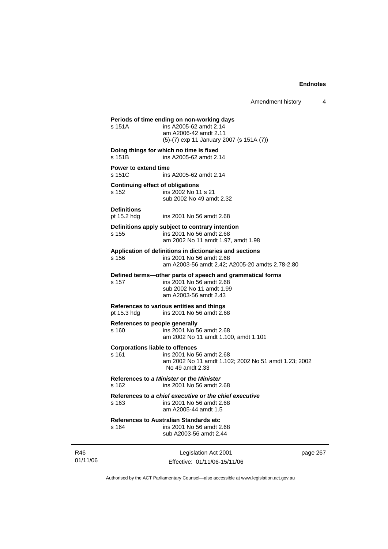**Periods of time ending on non-working days**  s 151A ins A2005-62 amdt 2.14 am A2006-42 amdt 2.11 (5)-(7) exp 11 January 2007 (s 151A (7)) **Doing things for which no time is fixed**  s 151B ins A2005-62 amdt 2.14 **Power to extend time**  s 151C ins A2005-62 amdt 2.14 **Continuing effect of obligations**  s 152 ins 2002 No 11 s 21 sub 2002 No 49 amdt 2.32 **Definitions**  pt 15.2 hdg ins 2001 No 56 amdt 2.68 **Definitions apply subject to contrary intention**  s 155 ins 2001 No 56 amdt 2.68 am 2002 No 11 amdt 1.97, amdt 1.98 **Application of definitions in dictionaries and sections**  s 156 ins 2001 No 56 amdt 2.68 am A2003-56 amdt 2.42; A2005-20 amdts 2.78-2.80 **Defined terms—other parts of speech and grammatical forms**  ins 2001 No 56 amdt 2.68 sub 2002 No 11 amdt 1.99 am A2003-56 amdt 2.43 **References to various entities and things**  pt 15.3 hdg ins 2001 No 56 amdt 2.68 **References to people generally**  s 160 ins 2001 No 56 amdt 2.68 am 2002 No 11 amdt 1.100, amdt 1.101 **Corporations liable to offences**  s 161 ins 2001 No 56 amdt 2.68 am 2002 No 11 amdt 1.102; 2002 No 51 amdt 1.23; 2002 No 49 amdt 2.33 **References to** *a Minister* **or** *the Minister* s 162 ins 2001 No 56 amdt 2.68 **References to** *a chief executive* **or** *the chief executive* s 163 ins 2001 No 56 amdt 2.68 am A2005-44 amdt 1.5 **References to Australian Standards etc**  s 164 ins 2001 No 56 amdt 2.68 sub A2003-56 amdt 2.44

R46 01/11/06

Legislation Act 2001 Effective: 01/11/06-15/11/06 page 267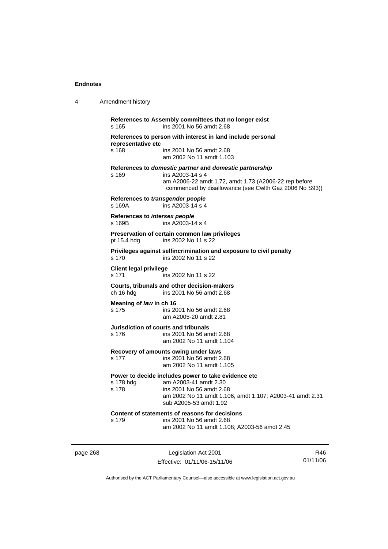| 4 | Amendment history                                                                                                                                                                                                    |
|---|----------------------------------------------------------------------------------------------------------------------------------------------------------------------------------------------------------------------|
|   | References to Assembly committees that no longer exist<br>ins 2001 No 56 amdt 2.68<br>s 165                                                                                                                          |
|   | References to person with interest in land include personal<br>representative etc<br>s 168<br>ins 2001 No 56 amdt 2.68<br>am 2002 No 11 amdt 1.103                                                                   |
|   | References to domestic partner and domestic partnership<br>ins A2003-14 s 4<br>s 169<br>am A2006-22 amdt 1.72, amdt 1.73 (A2006-22 rep before<br>commenced by disallowance (see Cwlth Gaz 2006 No S93))              |
|   | References to transgender people<br>s 169A<br>ins A2003-14 s 4                                                                                                                                                       |
|   | References to intersex people<br>s 169B<br>ins A2003-14 s 4                                                                                                                                                          |
|   | Preservation of certain common law privileges<br>pt 15.4 hdg<br>ins 2002 No 11 s 22                                                                                                                                  |
|   | Privileges against selfincrimination and exposure to civil penalty<br>s 170<br>ins 2002 No 11 s 22                                                                                                                   |
|   | <b>Client legal privilege</b><br>s 171<br>ins 2002 No 11 s 22                                                                                                                                                        |
|   | Courts, tribunals and other decision-makers<br>ins 2001 No 56 amdt 2.68<br>ch 16 hdg                                                                                                                                 |
|   | Meaning of law in ch 16<br>s 175<br>ins 2001 No 56 amdt 2.68<br>am A2005-20 amdt 2.81                                                                                                                                |
|   | Jurisdiction of courts and tribunals<br>s 176<br>ins 2001 No 56 amdt 2.68<br>am 2002 No 11 amdt 1.104                                                                                                                |
|   | Recovery of amounts owing under laws<br>s 177<br>ins 2001 No 56 amdt 2.68<br>am 2002 No 11 amdt 1.105                                                                                                                |
|   | Power to decide includes power to take evidence etc<br>s 178 hdg<br>am A2003-41 amdt 2.30<br>s 178<br>ins 2001 No 56 amdt 2.68<br>am 2002 No 11 amdt 1.106, amdt 1.107; A2003-41 amdt 2.31<br>sub A2005-53 amdt 1.92 |
|   | Content of statements of reasons for decisions<br>s 179<br>ins 2001 No 56 amdt 2.68<br>am 2002 No 11 amdt 1.108; A2003-56 amdt 2.45                                                                                  |

page 268 Legislation Act 2001 Effective: 01/11/06-15/11/06

R46 01/11/06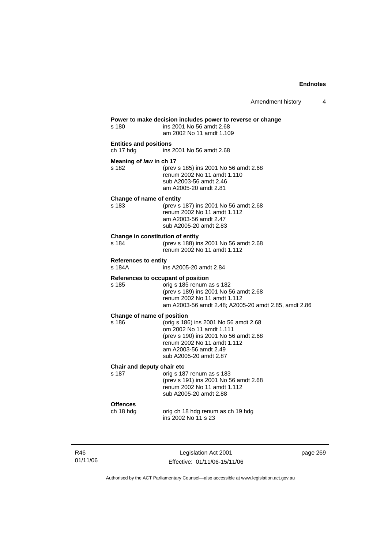| s 180                                      | Power to make decision includes power to reverse or change<br>ins 2001 No 56 amdt 2.68<br>am 2002 No 11 amdt 1.109                                                                              |
|--------------------------------------------|-------------------------------------------------------------------------------------------------------------------------------------------------------------------------------------------------|
| <b>Entities and positions</b><br>ch 17 hdg | ins 2001 No 56 amdt 2.68                                                                                                                                                                        |
| Meaning of law in ch 17<br>s 182           | (prev s 185) ins 2001 No 56 amdt 2.68<br>renum 2002 No 11 amdt 1.110<br>sub A2003-56 amdt 2.46<br>am A2005-20 amdt 2.81                                                                         |
| Change of name of entity<br>s 183          | (prev s 187) ins 2001 No 56 amdt 2.68<br>renum 2002 No 11 amdt 1.112<br>am A2003-56 amdt 2.47<br>sub A2005-20 amdt 2.83                                                                         |
| Change in constitution of entity<br>s 184  | (prev s 188) ins 2001 No 56 amdt 2.68<br>renum 2002 No 11 amdt 1.112                                                                                                                            |
| <b>References to entity</b><br>s 184A      | ins A2005-20 amdt 2.84                                                                                                                                                                          |
| s 185                                      | References to occupant of position<br>orig s 185 renum as s 182<br>(prev s 189) ins 2001 No 56 amdt 2.68<br>renum 2002 No 11 amdt 1.112<br>am A2003-56 amdt 2.48; A2005-20 amdt 2.85, amdt 2.86 |
| Change of name of position<br>s 186        | (orig s 186) ins 2001 No 56 amdt 2.68<br>om 2002 No 11 amdt 1.111<br>(prev s 190) ins 2001 No 56 amdt 2.68<br>renum 2002 No 11 amdt 1.112<br>am A2003-56 amdt 2.49<br>sub A2005-20 amdt 2.87    |
| Chair and deputy chair etc<br>s 187        | orig s 187 renum as s 183<br>(prev s 191) ins 2001 No 56 amdt 2.68<br>renum 2002 No 11 amdt 1.112<br>sub A2005-20 amdt 2.88                                                                     |
| <b>Offences</b><br>ch 18 hdg               | orig ch 18 hdg renum as ch 19 hdg<br>ins 2002 No 11 s 23                                                                                                                                        |

R46 01/11/06

Legislation Act 2001 Effective: 01/11/06-15/11/06 page 269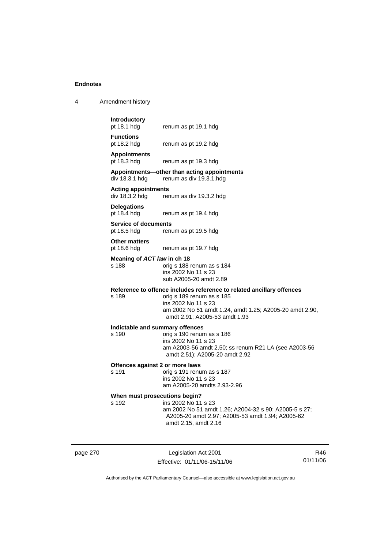| $\boldsymbol{\Lambda}$ | Amendment history |  |
|------------------------|-------------------|--|
|------------------------|-------------------|--|

**Introductory** 

**Functions**  pt 18.2 hdg renum as pt 19.2 hdg

**Appointments** 

renum as pt 19.3 hdg

#### **Appointments—other than acting appointments**  div 18.3.1 hdg renum as div 19.3.1.hdg

renum as pt 19.1 hdg

**Acting appointments** 

renum as div 19.3.2 hdg

**Delegations**  pt 18.4 hdg renum as pt 19.4 hdg

**Service of documents**  pt 18.5 hdg renum as pt 19.5 hdg

**Other matters** 

pt 18.6 hdg renum as pt 19.7 hdg

**Meaning of** *ACT law* **in ch 18** 

s 188 orig s 188 renum as s 184 ins 2002 No 11 s 23 sub A2005-20 amdt 2.89

# **Reference to offence includes reference to related ancillary offences**

orig s 189 renum as s 185 ins 2002 No 11 s 23 am 2002 No 51 amdt 1.24, amdt 1.25; A2005-20 amdt 2.90, amdt 2.91; A2005-53 amdt 1.93

#### **Indictable and summary offences**

s 190 orig s 190 renum as s 186 ins 2002 No 11 s 23 am A2003-56 amdt 2.50; ss renum R21 LA (see A2003-56 amdt 2.51); A2005-20 amdt 2.92

#### **Offences against 2 or more laws**

s 191 orig s 191 renum as s 187 ins 2002 No 11 s 23 am A2005-20 amdts 2.93-2.96

# **When must prosecutions begin?**<br>s 192 **ins 2002** No 11

ins 2002 No 11 s 23 am 2002 No 51 amdt 1.26; A2004-32 s 90; A2005-5 s 27; A2005-20 amdt 2.97; A2005-53 amdt 1.94; A2005-62 amdt 2.15, amdt 2.16

page 270 Legislation Act 2001 Effective: 01/11/06-15/11/06

R46 01/11/06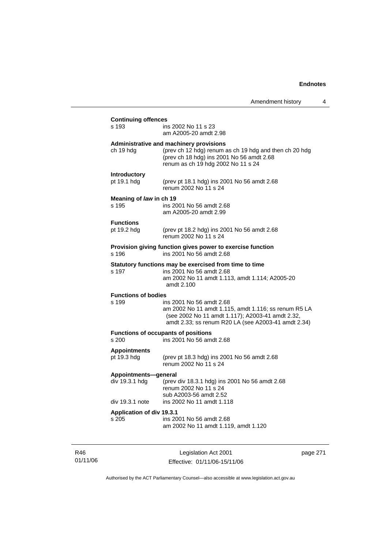| <b>Continuing offences</b>                                                      |                                                                                                                                                                                             |  |  |  |
|---------------------------------------------------------------------------------|---------------------------------------------------------------------------------------------------------------------------------------------------------------------------------------------|--|--|--|
| s 193                                                                           | ins 2002 No 11 s 23                                                                                                                                                                         |  |  |  |
|                                                                                 | am A2005-20 amdt 2.98                                                                                                                                                                       |  |  |  |
| ch 19 hdg                                                                       | Administrative and machinery provisions<br>(prev ch 12 hdg) renum as ch 19 hdg and then ch 20 hdg<br>(prev ch 18 hdg) ins 2001 No 56 amdt 2.68<br>renum as ch 19 hdg 2002 No 11 s 24        |  |  |  |
| Introductory                                                                    |                                                                                                                                                                                             |  |  |  |
| pt 19.1 hdg                                                                     | (prev pt 18.1 hdg) ins 2001 No 56 amdt 2.68<br>renum 2002 No 11 s 24                                                                                                                        |  |  |  |
| Meaning of law in ch 19                                                         |                                                                                                                                                                                             |  |  |  |
| s 195                                                                           | ins 2001 No 56 amdt 2.68<br>am A2005-20 amdt 2.99                                                                                                                                           |  |  |  |
| <b>Functions</b>                                                                |                                                                                                                                                                                             |  |  |  |
| pt 19.2 hdg                                                                     | (prev pt 18.2 hdg) ins 2001 No 56 amdt 2.68<br>renum 2002 No 11 s 24                                                                                                                        |  |  |  |
|                                                                                 | Provision giving function gives power to exercise function                                                                                                                                  |  |  |  |
| s 196                                                                           | ins 2001 No 56 amdt 2.68                                                                                                                                                                    |  |  |  |
|                                                                                 | Statutory functions may be exercised from time to time                                                                                                                                      |  |  |  |
| s 197                                                                           | ins 2001 No 56 amdt 2.68<br>am 2002 No 11 amdt 1.113, amdt 1.114; A2005-20<br>amdt 2.100                                                                                                    |  |  |  |
| <b>Functions of bodies</b>                                                      |                                                                                                                                                                                             |  |  |  |
| s 199                                                                           | ins 2001 No 56 amdt 2.68<br>am 2002 No 11 amdt 1.115, amdt 1.116; ss renum R5 LA<br>(see 2002 No 11 amdt 1.117); A2003-41 amdt 2.32,<br>amdt 2.33; ss renum R20 LA (see A2003-41 amdt 2.34) |  |  |  |
| <b>Functions of occupants of positions</b><br>ins 2001 No 56 amdt 2.68<br>s 200 |                                                                                                                                                                                             |  |  |  |
| <b>Appointments</b>                                                             |                                                                                                                                                                                             |  |  |  |
| pt 19.3 hdg                                                                     | (prev pt 18.3 hdg) ins 2001 No 56 amdt 2.68<br>renum 2002 No 11 s 24                                                                                                                        |  |  |  |
| Appointments-general                                                            |                                                                                                                                                                                             |  |  |  |
| div 19.3.1 hdg                                                                  | (prev div 18.3.1 hdg) ins 2001 No 56 amdt 2.68<br>renum 2002 No 11 s 24<br>sub A2003-56 amdt 2.52                                                                                           |  |  |  |
| div 19.3.1 note                                                                 | ins 2002 No 11 amdt 1.118                                                                                                                                                                   |  |  |  |
| Application of div 19.3.1                                                       |                                                                                                                                                                                             |  |  |  |
| s 205                                                                           | ins 2001 No 56 amdt 2.68<br>am 2002 No 11 amdt 1.119, amdt 1.120                                                                                                                            |  |  |  |
|                                                                                 |                                                                                                                                                                                             |  |  |  |

R46 01/11/06

Legislation Act 2001 Effective: 01/11/06-15/11/06 page 271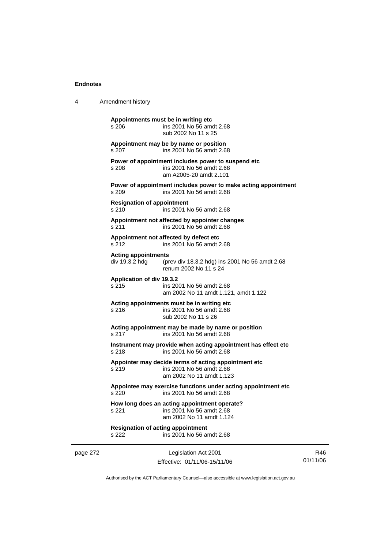| 4 | Amendment history |
|---|-------------------|
|---|-------------------|

page 272 Legislation Act 2001 **Appointments must be in writing etc**  s 206 ins 2001 No 56 amdt 2.68 sub 2002 No 11 s 25 **Appointment may be by name or position**  s 207 ins 2001 No 56 amdt 2.68 **Power of appointment includes power to suspend etc**  s 208 ins 2001 No 56 amdt 2.68 am A2005-20 amdt 2.101 **Power of appointment includes power to make acting appointment**  s 209 ins 2001 No 56 amdt 2.68 **Resignation of appointment**  s 210 ins 2001 No 56 amdt 2.68 **Appointment not affected by appointer changes**  s 211 ins 2001 No 56 amdt 2.68 **Appointment not affected by defect etc**  s 212 ins 2001 No 56 amdt 2.68 **Acting appointments**  (prev div 18.3.2 hdg) ins 2001 No 56 amdt 2.68 renum 2002 No 11 s 24 **Application of div 19.3.2**  ins 2001 No 56 amdt 2.68 am 2002 No 11 amdt 1.121, amdt 1.122 **Acting appointments must be in writing etc**  s 216 ins 2001 No 56 amdt 2.68 sub 2002 No 11 s 26 **Acting appointment may be made by name or position**  s 217 ins 2001 No 56 amdt 2.68 **Instrument may provide when acting appointment has effect etc**  s 218 ins 2001 No 56 amdt 2.68 **Appointer may decide terms of acting appointment etc**  s 219 ins 2001 No 56 amdt 2.68 am 2002 No 11 amdt 1.123 **Appointee may exercise functions under acting appointment etc**  s 220 ins 2001 No 56 amdt 2.68 **How long does an acting appointment operate?**  s 221 ins 2001 No 56 amdt 2.68 am 2002 No 11 amdt 1.124 **Resignation of acting appointment**  s 222 ins 2001 No 56 amdt 2.68

Effective: 01/11/06-15/11/06

R46 01/11/06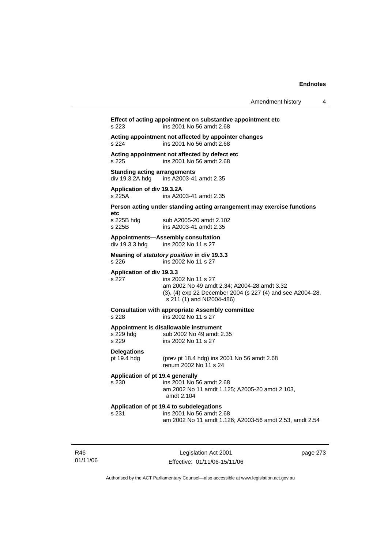### **Effect of acting appointment on substantive appointment etc**  s 223 ins 2001 No 56 amdt 2.68

**Acting appointment not affected by appointer changes**  s 224 ins 2001 No 56 amdt 2.68

**Acting appointment not affected by defect etc** 

s 225 ins 2001 No 56 amdt 2.68

**Standing acting arrangements** 

div 19.3.2A hdg ins A2003-41 amdt 2.35

**Application of div 19.3.2A** 

ins A2003-41 amdt 2.35

### **Person acting under standing acting arrangement may exercise functions**

**etc** 

sub A2005-20 amdt 2.102 s 225B ins A2003-41 amdt 2.35

#### **Appointments—Assembly consultation**

div 19.3.3 hdg ins 2002 No 11 s 27

**Meaning of** *statutory position* **in div 19.3.3**  s 226 ins 2002 No 11 s 27

**Application of div 19.3.3** 

s 227 ins 2002 No 11 s 27 am 2002 No 49 amdt 2.34; A2004-28 amdt 3.32 (3), (4) exp 22 December 2004 (s 227 (4) and see A2004-28, s 211 (1) and NI2004-486)

### **Consultation with appropriate Assembly committee**

s 228 ins 2002 No 11 s 27

#### **Appointment is disallowable instrument**

s 229 hdg sub 2002 No 49 amdt 2.35<br>s 229 s ins 2002 No 11 s 27 ins 2002 No 11 s 27

**Delegations** 

pt 19.4 hdg (prev pt 18.4 hdg) ins 2001 No 56 amdt 2.68 renum 2002 No 11 s 24

### **Application of pt 19.4 generally**  s 230 ins 2001 No 56 amdt 2.68 am 2002 No 11 amdt 1.125; A2005-20 amdt 2.103, amdt 2.104

#### **Application of pt 19.4 to subdelegations**  s 231 ins 2001 No 56 amdt 2.68 am 2002 No 11 amdt 1.126; A2003-56 amdt 2.53, amdt 2.54

R46 01/11/06

Legislation Act 2001 Effective: 01/11/06-15/11/06 page 273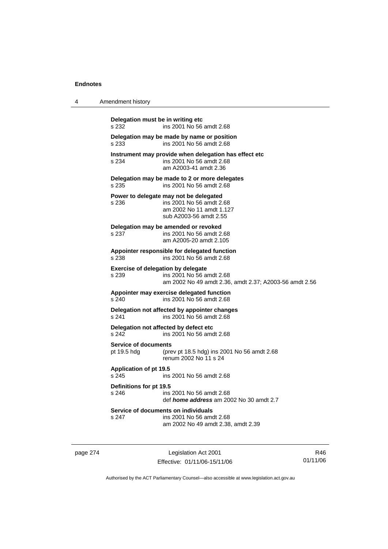| 4 | Amendment history                                                                                                                        |
|---|------------------------------------------------------------------------------------------------------------------------------------------|
|   | Delegation must be in writing etc<br>ins 2001 No 56 amdt 2.68<br>s 232                                                                   |
|   | Delegation may be made by name or position<br>ins 2001 No 56 amdt 2.68<br>s 233                                                          |
|   | Instrument may provide when delegation has effect etc<br>ins 2001 No 56 amdt 2.68<br>s 234<br>am A2003-41 amdt 2.36                      |
|   | Delegation may be made to 2 or more delegates<br>ins 2001 No 56 amdt 2.68<br>s 235                                                       |
|   | Power to delegate may not be delegated<br>ins 2001 No 56 amdt 2.68<br>s 236<br>am 2002 No 11 amdt 1.127<br>sub A2003-56 amdt 2.55        |
|   | Delegation may be amended or revoked<br>ins 2001 No 56 amdt 2.68<br>s 237<br>am A2005-20 amdt 2.105                                      |
|   | Appointer responsible for delegated function<br>ins 2001 No 56 amdt 2.68<br>s 238                                                        |
|   | <b>Exercise of delegation by delegate</b><br>s 239<br>ins 2001 No 56 amdt 2.68<br>am 2002 No 49 amdt 2.36, amdt 2.37; A2003-56 amdt 2.56 |
|   | Appointer may exercise delegated function<br>ins 2001 No 56 amdt 2.68<br>s 240                                                           |
|   | Delegation not affected by appointer changes<br>s 241<br>ins 2001 No 56 amdt 2.68                                                        |
|   | Delegation not affected by defect etc<br>s 242<br>ins 2001 No 56 amdt 2.68                                                               |
|   | <b>Service of documents</b><br>pt 19.5 hdg<br>(prev pt 18.5 hdg) ins 2001 No 56 amdt 2.68<br>renum 2002 No 11 s 24                       |
|   | <b>Application of pt 19.5</b><br>s 245<br>ins 2001 No 56 amdt 2.68                                                                       |
|   | Definitions for pt 19.5<br>s 246<br>ins 2001 No 56 amdt 2.68<br>def <i>home address</i> am 2002 No 30 amdt 2.7                           |
|   | Service of documents on individuals<br>s 247<br>ins 2001 No 56 amdt 2.68<br>am 2002 No 49 amdt 2.38, amdt 2.39                           |

page 274 Legislation Act 2001 Effective: 01/11/06-15/11/06

R46 01/11/06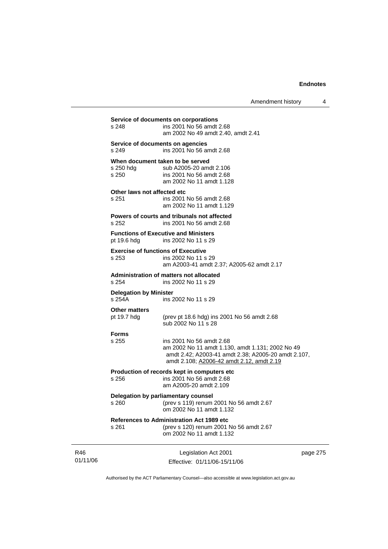| Amendment history |  |
|-------------------|--|
|-------------------|--|

|                 | s 248                                                                   | Service of documents on corporations<br>ins 2001 No 56 amdt 2.68<br>am 2002 No 49 amdt 2.40, amdt 2.41                                                                           |          |  |
|-----------------|-------------------------------------------------------------------------|----------------------------------------------------------------------------------------------------------------------------------------------------------------------------------|----------|--|
|                 | s 249                                                                   | Service of documents on agencies<br>ins 2001 No 56 amdt 2.68                                                                                                                     |          |  |
|                 | s 250 hdg<br>s 250                                                      | When document taken to be served<br>sub A2005-20 amdt 2.106<br>ins 2001 No 56 amdt 2.68<br>am 2002 No 11 amdt 1.128                                                              |          |  |
|                 | Other laws not affected etc<br>s 251                                    | ins 2001 No 56 amdt 2.68<br>am 2002 No 11 amdt 1.129                                                                                                                             |          |  |
|                 | s 252                                                                   | Powers of courts and tribunals not affected<br>ins 2001 No 56 amdt 2.68                                                                                                          |          |  |
|                 | pt 19.6 hdg                                                             | <b>Functions of Executive and Ministers</b><br>ins 2002 No 11 s 29                                                                                                               |          |  |
|                 | <b>Exercise of functions of Executive</b><br>s 253                      | ins 2002 No 11 s 29<br>am A2003-41 amdt 2.37; A2005-62 amdt 2.17                                                                                                                 |          |  |
|                 | Administration of matters not allocated<br>s 254<br>ins 2002 No 11 s 29 |                                                                                                                                                                                  |          |  |
|                 | <b>Delegation by Minister</b><br>s 254A                                 | ins 2002 No 11 s 29                                                                                                                                                              |          |  |
|                 | <b>Other matters</b><br>pt 19.7 hdg                                     | (prev pt 18.6 hdg) ins 2001 No 56 amdt 2.68<br>sub 2002 No 11 s 28                                                                                                               |          |  |
|                 | <b>Forms</b><br>s 255                                                   | ins 2001 No 56 amdt 2.68<br>am 2002 No 11 amdt 1.130, amdt 1.131; 2002 No 49<br>amdt 2.42; A2003-41 amdt 2.38; A2005-20 amdt 2.107,<br>amdt 2.108; A2006-42 amdt 2.12, amdt 2.19 |          |  |
|                 | s 256                                                                   | Production of records kept in computers etc<br>ins 2001 No 56 amdt 2.68<br>am A2005-20 amdt 2.109                                                                                |          |  |
|                 | s 260                                                                   | Delegation by parliamentary counsel<br>(prev s 119) renum 2001 No 56 amdt 2.67<br>om 2002 No 11 amdt 1.132                                                                       |          |  |
|                 | s 261                                                                   | <b>References to Administration Act 1989 etc</b><br>(prev s 120) renum 2001 No 56 amdt 2.67<br>om 2002 No 11 amdt 1.132                                                          |          |  |
| R46<br>01/11/06 |                                                                         | Legislation Act 2001<br>Effective: 01/11/06-15/11/06                                                                                                                             | page 275 |  |

Authorised by the ACT Parliamentary Counsel—also accessible at www.legislation.act.gov.au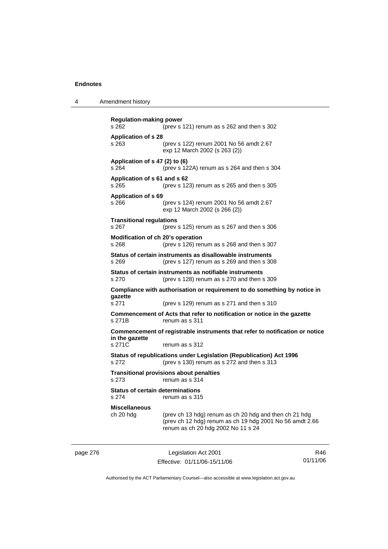| Amendment history<br>4 |  |
|------------------------|--|
|------------------------|--|

```
Regulation-making power 
s 262 (prev s 121) renum as s 262 and then s 302 
Application of s 28 
s 263 (prev s 122) renum 2001 No 56 amdt 2.67 
                  exp 12 March 2002 (s 263 (2)) 
Application of s 47 (2) to (6) 
s 264 (prev s 122A) renum as s 264 and then s 304 
Application of s 61 and s 62 
s 265 (prev s 123) renum as s 265 and then s 305 
Application of s 69 
s 266 (prev s 124) renum 2001 No 56 amdt 2.67 
                  exp 12 March 2002 (s 266 (2)) 
Transitional regulations 
s 267 (prev s 125) renum as s 267 and then s 306 
Modification of ch 20's operation 
s 268 (prev s 126) renum as s 268 and then s 307 
Status of certain instruments as disallowable instruments 
s 269 (prev s 127) renum as s 269 and then s 308 
Status of certain instruments as notifiable instruments 
s 270 (prev s 128) renum as s 270 and then s 309 
Compliance with authorisation or requirement to do something by notice in 
gazette 
s 271 (prev s 129) renum as s 271 and then s 310 
Commencement of Acts that refer to notification or notice in the gazette 
s 271B renum as s 311 
Commencement of registrable instruments that refer to notification or notice 
in the gazette 
s 271C renum as s 312
Status of republications under Legislation (Republication) Act 1996 
s 272 (prev s 130) renum as s 272 and then s 313 
Transitional provisions about penalties
s 273 renum as s 314 
Status of certain determinations 
s 274 renum as s 315 
Miscellaneous 
                 (prev ch 13 hdg) renum as ch 20 hdg and then ch 21 hdg
                  (prev ch 12 hdg) renum as ch 19 hdg 2001 No 56 amdt 2.66 
                  renum as ch 20 hdg 2002 No 11 s 24
```
page 276 Legislation Act 2001 Effective: 01/11/06-15/11/06

R46 01/11/06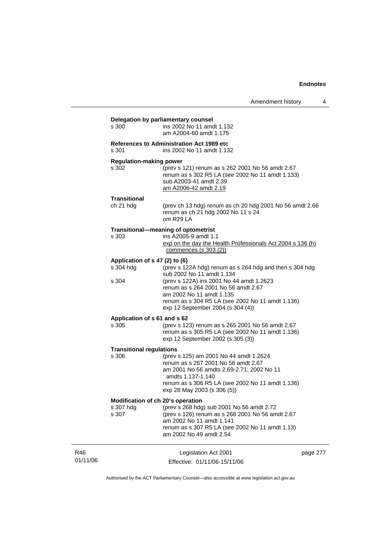|                 | s 300                                                   | Delegation by parliamentary counsel<br>ins 2002 No 11 amdt 1.132<br>am A2004-60 amdt 1.175                                                                                                                                         |          |
|-----------------|---------------------------------------------------------|------------------------------------------------------------------------------------------------------------------------------------------------------------------------------------------------------------------------------------|----------|
|                 | s 301                                                   | <b>References to Administration Act 1989 etc</b><br>ins 2002 No 11 amdt 1.132                                                                                                                                                      |          |
|                 | <b>Regulation-making power</b><br>s 302                 | (prev s 121) renum as s 262 2001 No 56 amdt 2.67<br>renum as s 302 R5 LA (see 2002 No 11 amdt 1.133)<br>sub A2003-41 amdt 2.39<br>am A2006-42 amdt 2.19                                                                            |          |
|                 | Transitional<br>ch 21 hdg                               | (prev ch 13 hdg) renum as ch 20 hdg 2001 No 56 amdt 2.66<br>renum as ch 21 hdg 2002 No 11 s 24<br>om R29 LA                                                                                                                        |          |
|                 | s 303                                                   | Transitional-meaning of optometrist<br>ins A2005-9 amdt 1.1<br>exp on the day the Health Professionals Act 2004 s 136 (h)<br>commences (s $303(2)$ )                                                                               |          |
|                 | Application of s 47 (2) to (6)<br>s 304 hdg             | (prev s 122A hdg) renum as s 264 hdg and then s 304 hdg<br>sub 2002 No 11 amdt 1.134                                                                                                                                               |          |
|                 | s 304                                                   | (prev s 122A) ins 2001 No 44 amdt 1.2623<br>renum as s 264 2001 No 56 amdt 2.67<br>am 2002 No 11 amdt 1.135<br>renum as s 304 R5 LA (see 2002 No 11 amdt 1.136)<br>exp 12 September 2004 (s 304 (4))                               |          |
|                 | Application of s 61 and s 62<br>s 305                   | (prev s 123) renum as s 265 2001 No 56 amdt 2.67<br>renum as s 305 R5 LA (see 2002 No 11 amdt 1.136)<br>exp 12 September 2002 (s 305 (3))                                                                                          |          |
|                 | <b>Transitional regulations</b><br>s 306                | (prev s 125) am 2001 No 44 amdt 1.2624<br>renum as s 267 2001 No 56 amdt 2.67<br>am 2001 No 56 amdts 2.69-2.71; 2002 No 11<br>amdts 1.137-1.140<br>renum as s 306 R5 LA (see 2002 No 11 amdt 1.136)<br>exp 28 May 2003 (s 306 (5)) |          |
|                 | Modification of ch 20's operation<br>s 307 hdg<br>s 307 | (prev s 268 hdg) sub 2001 No 56 amdt 2.72<br>(prev s 126) renum as s 268 2001 No 56 amdt 2.67<br>am 2002 No 11 amdt 1.141<br>renum as s 307 R5 LA (see 2002 No 11 amdt 1.13)<br>am 2002 No 49 amdt 2.54                            |          |
| R46<br>01/11/06 |                                                         | Legislation Act 2001<br>Effective: 01/11/06-15/11/06                                                                                                                                                                               | page 277 |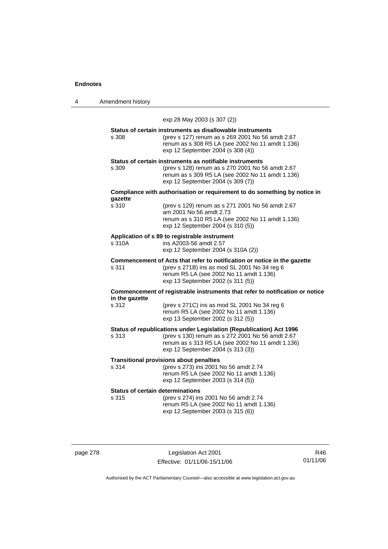| 4 | Amendment history |
|---|-------------------|
|---|-------------------|

exp 28 May 2003 (s 307 (2))

|       | Status of certain instruments as disallowable instruments |
|-------|-----------------------------------------------------------|
| s 308 | (prev s 127) renum as s 269 2001 No 56 amdt 2.67          |
|       | renum as s 308 R5 LA (see 2002 No 11 amdt 1.136)          |
|       | exp 12 September 2004 (s 308 (4))                         |
|       |                                                           |

### **Status of certain instruments as notifiable instruments**

s 309 (prev s 128) renum as s 270 2001 No 56 amdt 2.67 renum as s 309 R5 LA (see 2002 No 11 amdt 1.136) exp 12 September 2004 (s 309 (7))

#### **Compliance with authorisation or requirement to do something by notice in gazette**  s 310 (prev s 129) renum as s 271 2001 No 56 amdt 2.67

| s 310. | (prev s 129) renum as s 271 2001 No 56 amdt 2.67 |
|--------|--------------------------------------------------|
|        | am 2001 No 56 amdt 2.73                          |
|        | renum as s 310 R5 LA (see 2002 No 11 amdt 1.136) |
|        | exp 12 September 2004 (s 310 (5))                |
|        |                                                  |

### **Application of s 89 to registrable instrument**

| s 310A | ins A2003-56 amdt 2.57             |
|--------|------------------------------------|
|        | exp 12 September 2004 (s 310A (2)) |

**Commencement of Acts that refer to notification or notice in the gazette**<br>s 311 (prev s 271B) ins as mod SL 2001 No 34 reg 6 (prev s 271B) ins as mod SL 2001 No 34 reg  $6$  renum R5 LA (see 2002 No 11 amdt 1.136) exp 13 September 2002 (s 311 (5))

**Commencement of registrable instruments that refer to notification or notice in the gazette** 

| s 312 | (prev s 271C) ins as mod SL 2001 No 34 reg 6 |
|-------|----------------------------------------------|
|       | renum R5 LA (see 2002 No 11 amdt 1.136)      |
|       | exp 13 September 2002 (s 312 (5))            |

**Status of republications under Legislation (Republication) Act 1996** s 313 (prev s 130) renum as s 272 2001 No 56 amdt 2.67

| s 313 | (prev s 130) renum as s 272 2001 No 56 amdt 2.67 |
|-------|--------------------------------------------------|
|       | renum as s 313 R5 LA (see 2002 No 11 amdt 1.136) |
|       | exp 12 September 2004 (s 313 (3))                |
|       |                                                  |

#### **Transitional provisions about penalties**

| s 314 | (prev s 273) ins 2001 No 56 amdt 2.74   |
|-------|-----------------------------------------|
|       | renum R5 LA (see 2002 No 11 amdt 1.136) |
|       | exp 12 September 2003 (s 314 (5))       |

### **Status of certain determinations**

| s 315 | (prev s 274) ins 2001 No 56 amdt 2.74   |
|-------|-----------------------------------------|
|       | renum R5 LA (see 2002 No 11 amdt 1.136) |
|       | exp 12 September 2003 (s 315 (6))       |

page 278 Legislation Act 2001 Effective: 01/11/06-15/11/06

R46 01/11/06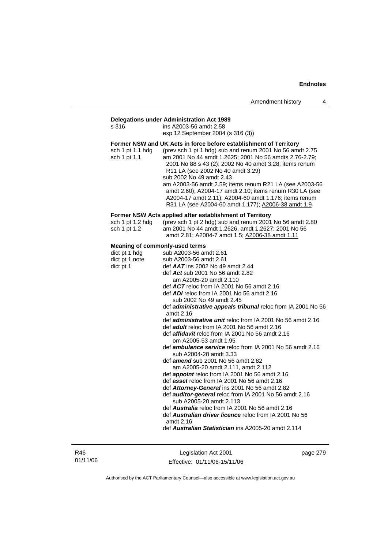### **Delegations under Administration Act 1989**

| s 316                                                                                 | ins A2003-56 amdt 2.58<br>exp 12 September 2004 (s 316 (3))                                                                                                                                                                                                                                                                                                                                                                                                                                                                                                                                                                                                                                                                                                                                                                                                                                                                                                                                                                                                                                                                                                                    |
|---------------------------------------------------------------------------------------|--------------------------------------------------------------------------------------------------------------------------------------------------------------------------------------------------------------------------------------------------------------------------------------------------------------------------------------------------------------------------------------------------------------------------------------------------------------------------------------------------------------------------------------------------------------------------------------------------------------------------------------------------------------------------------------------------------------------------------------------------------------------------------------------------------------------------------------------------------------------------------------------------------------------------------------------------------------------------------------------------------------------------------------------------------------------------------------------------------------------------------------------------------------------------------|
| sch 1 pt 1.1 hdg<br>sch 1 pt 1.1                                                      | Former NSW and UK Acts in force before establishment of Territory<br>(prev sch 1 pt 1 hdg) sub and renum 2001 No 56 amdt 2.75<br>am 2001 No 44 amdt 1.2625; 2001 No 56 amdts 2.76-2.79;<br>2001 No 88 s 43 (2); 2002 No 40 amdt 3.28; items renum<br>R11 LA (see 2002 No 40 amdt 3.29)<br>sub 2002 No 49 amdt 2.43<br>am A2003-56 amdt 2.59; items renum R21 LA (see A2003-56<br>amdt 2.60); A2004-17 amdt 2.10; items renum R30 LA (see<br>A2004-17 amdt 2.11); A2004-60 amdt 1.176; items renum<br>R31 LA (see A2004-60 amdt 1.177); A2006-38 amdt 1.9                                                                                                                                                                                                                                                                                                                                                                                                                                                                                                                                                                                                                       |
| sch 1 pt 1.2 hdg<br>sch 1 pt 1.2                                                      | Former NSW Acts applied after establishment of Territory<br>(prev sch 1 pt 2 hdg) sub and renum 2001 No 56 amdt 2.80<br>am 2001 No 44 amdt 1.2626, amdt 1.2627; 2001 No 56<br>amdt 2.81; A2004-7 amdt 1.5; A2006-38 amdt 1.11                                                                                                                                                                                                                                                                                                                                                                                                                                                                                                                                                                                                                                                                                                                                                                                                                                                                                                                                                  |
| <b>Meaning of commonly-used terms</b><br>dict pt 1 hdg<br>dict pt 1 note<br>dict pt 1 | sub A2003-56 amdt 2.61<br>sub A2003-56 amdt 2.61<br>def $AAT$ ins 2002 No 49 amdt 2.44<br>def Act sub 2001 No 56 amdt 2.82<br>am A2005-20 amdt 2.110<br>def $ACT$ reloc from IA 2001 No 56 amdt 2.16<br>def ADI reloc from IA 2001 No 56 amdt 2.16<br>sub 2002 No 49 amdt 2.45<br>def <i>administrative appeals tribunal</i> reloc from IA 2001 No 56<br>amdt 2.16<br>def administrative unit reloc from IA 2001 No 56 amdt 2.16<br>def <i>adult</i> reloc from IA 2001 No 56 amdt 2.16<br>def affidavit reloc from IA 2001 No 56 amdt 2.16<br>om A2005-53 amdt 1.95<br>def ambulance service reloc from IA 2001 No 56 amdt 2.16<br>sub A2004-28 amdt 3.33<br>def amend sub 2001 No 56 amdt 2.82<br>am A2005-20 amdt 2.111, amdt 2.112<br>def appoint reloc from IA 2001 No 56 amdt 2.16<br>def asset reloc from IA 2001 No 56 amdt 2.16<br>def Attorney-General ins 2001 No 56 amdt 2.82<br>def auditor-general reloc from IA 2001 No 56 amdt 2.16<br>sub A2005-20 amdt 2.113<br>def <b>Australia</b> reloc from IA 2001 No 56 amdt 2.16<br>def <b>Australian driver licence</b> reloc from IA 2001 No 56<br>amdt 2.16<br>def Australian Statistician ins A2005-20 amdt 2.114 |

R46 01/11/06

Legislation Act 2001 Effective: 01/11/06-15/11/06 page 279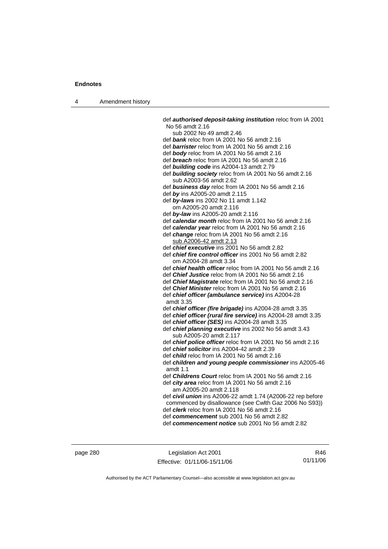4 Amendment history

 def *authorised deposit-taking institution* reloc from IA 2001 No 56 amdt 2.16 sub 2002 No 49 amdt 2.46 def *bank* reloc from IA 2001 No 56 amdt 2.16 def *barrister* reloc from IA 2001 No 56 amdt 2.16 def *body* reloc from IA 2001 No 56 amdt 2.16 def *breach* reloc from IA 2001 No 56 amdt 2.16 def *building code* ins A2004-13 amdt 2.79 def *building society* reloc from IA 2001 No 56 amdt 2.16 sub A2003-56 amdt 2.62 def *business day* reloc from IA 2001 No 56 amdt 2.16 def *by* ins A2005-20 amdt 2.115 def *by-laws* ins 2002 No 11 amdt 1.142 om A2005-20 amdt 2.116 def *by-law* ins A2005-20 amdt 2.116 def *calendar month* reloc from IA 2001 No 56 amdt 2.16 def *calendar year* reloc from IA 2001 No 56 amdt 2.16 def *change* reloc from IA 2001 No 56 amdt 2.16 sub A2006-42 amdt 2.13 def *chief executive* ins 2001 No 56 amdt 2.82 def *chief fire control officer* ins 2001 No 56 amdt 2.82 om A2004-28 amdt 3.34 def *chief health officer* reloc from IA 2001 No 56 amdt 2.16 def *Chief Justice* reloc from IA 2001 No 56 amdt 2.16 def *Chief Magistrate* reloc from IA 2001 No 56 amdt 2.16 def *Chief Minister* reloc from IA 2001 No 56 amdt 2.16 def *chief officer (ambulance service)* ins A2004-28 amdt 3.35 def *chief officer (fire brigade)* ins A2004-28 amdt 3.35 def *chief officer (rural fire service)* ins A2004-28 amdt 3.35 def *chief officer (SES)* ins A2004-28 amdt 3.35 def *chief planning executive* ins 2002 No 56 amdt 3.43 sub A2005-20 amdt 2.117 def *chief police officer* reloc from IA 2001 No 56 amdt 2.16 def *chief solicitor* ins A2004-42 amdt 2.39 def *child* reloc from IA 2001 No 56 amdt 2.16 def *children and young people commissioner* ins A2005-46 amdt 1.1 def *Childrens Court* reloc from IA 2001 No 56 amdt 2.16 def *city area* reloc from IA 2001 No 56 amdt 2.16 am A2005-20 amdt 2.118 def *civil union* ins A2006-22 amdt 1.74 (A2006-22 rep before commenced by disallowance (see Cwlth Gaz 2006 No S93)) def *clerk* reloc from IA 2001 No 56 amdt 2.16 def *commencement* sub 2001 No 56 amdt 2.82

def *commencement notice* sub 2001 No 56 amdt 2.82

page 280 Legislation Act 2001 Effective: 01/11/06-15/11/06

R46 01/11/06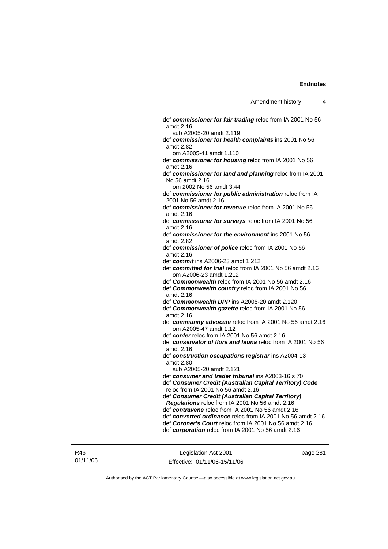def *commissioner for fair trading* reloc from IA 2001 No 56 amdt 2.16 sub A2005-20 amdt 2.119 def *commissioner for health complaints* ins 2001 No 56 amdt 2.82 om A2005-41 amdt 1.110 def *commissioner for housing* reloc from IA 2001 No 56 amdt 2.16 def *commissioner for land and planning* reloc from IA 2001 No 56 amdt 2.16 om 2002 No 56 amdt 3.44 def *commissioner for public administration* reloc from IA 2001 No 56 amdt 2.16 def *commissioner for revenue* reloc from IA 2001 No 56 amdt 2.16 def *commissioner for surveys* reloc from IA 2001 No 56 amdt 2.16 def *commissioner for the environment* ins 2001 No 56 amdt 2.82 def *commissioner of police* reloc from IA 2001 No 56 amdt 2.16 def *commit* ins A2006-23 amdt 1.212 def *committed for trial* reloc from IA 2001 No 56 amdt 2.16 om A2006-23 amdt 1.212 def *Commonwealth* reloc from IA 2001 No 56 amdt 2.16 def *Commonwealth country* reloc from IA 2001 No 56 amdt 2.16 def *Commonwealth DPP* ins A2005-20 amdt 2.120 def *Commonwealth gazette* reloc from IA 2001 No 56 amdt 2.16 def *community advocate* reloc from IA 2001 No 56 amdt 2.16 om A2005-47 amdt 1.12 def *confer* reloc from IA 2001 No 56 amdt 2.16 def *conservator of flora and fauna* reloc from IA 2001 No 56 amdt 2.16 def *construction occupations registrar* ins A2004-13 amdt 2.80 sub A2005-20 amdt 2.121 def *consumer and trader tribunal* ins A2003-16 s 70 def *Consumer Credit (Australian Capital Territory) Code* reloc from IA 2001 No 56 amdt 2.16 def *Consumer Credit (Australian Capital Territory) Regulations* reloc from IA 2001 No 56 amdt 2.16 def *contravene* reloc from IA 2001 No 56 amdt 2.16 def *converted ordinance* reloc from IA 2001 No 56 amdt 2.16 def *Coroner's Court* reloc from IA 2001 No 56 amdt 2.16 def *corporation* reloc from IA 2001 No 56 amdt 2.16

R46 01/11/06

Legislation Act 2001 Effective: 01/11/06-15/11/06 page 281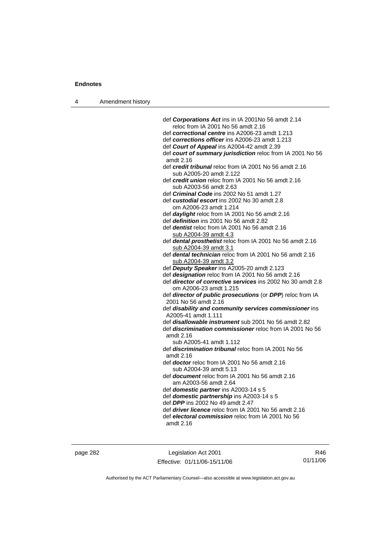|  | Amendment history |  |
|--|-------------------|--|
|--|-------------------|--|

| def Corporations Act ins in IA 2001No 56 amdt 2.14                                         |
|--------------------------------------------------------------------------------------------|
| reloc from IA 2001 No 56 amdt 2.16                                                         |
| def correctional centre ins A2006-23 amdt 1.213                                            |
| def corrections officer ins A2006-23 amdt 1.213                                            |
| def Court of Appeal ins A2004-42 amdt 2.39                                                 |
| def court of summary jurisdiction reloc from IA 2001 No 56                                 |
| amdt 2.16                                                                                  |
| def credit tribunal reloc from IA 2001 No 56 amdt 2.16                                     |
| sub A2005-20 amdt 2.122                                                                    |
| def credit union reloc from IA 2001 No 56 amdt 2.16                                        |
| sub A2003-56 amdt 2.63                                                                     |
| def Criminal Code ins 2002 No 51 amdt 1.27<br>def custodial escort ins 2002 No 30 amdt 2.8 |
| om A2006-23 amdt 1.214                                                                     |
| def daylight reloc from IA 2001 No 56 amdt 2.16                                            |
| def definition ins 2001 No 56 amdt 2.82                                                    |
| def <i>dentist</i> reloc from IA 2001 No 56 amdt 2.16                                      |
| sub A2004-39 amdt 4.3                                                                      |
| def dental prosthetist reloc from IA 2001 No 56 amdt 2.16                                  |
| sub A2004-39 amdt 3.1                                                                      |
| def dental technician reloc from IA 2001 No 56 amdt 2.16                                   |
| sub A2004-39 amdt 3.2                                                                      |
| def Deputy Speaker ins A2005-20 amdt 2.123                                                 |
| def designation reloc from IA 2001 No 56 amdt 2.16                                         |
| def director of corrective services ins 2002 No 30 amdt 2.8                                |
| om A2006-23 amdt 1.215                                                                     |
| def director of public prosecutions (or DPP) reloc from IA                                 |
| 2001 No 56 amdt 2.16                                                                       |
| def disability and community services commissioner ins<br>A2005-41 amdt 1.111              |
| def <i>disallowable instrument</i> sub 2001 No 56 amdt 2.82                                |
| def <i>discrimination commissioner</i> reloc from IA 2001 No 56<br>amdt 2.16               |
| sub A2005-41 amdt 1.112                                                                    |
| def <i>discrimination tribunal</i> reloc from IA 2001 No 56<br>amdt 2.16                   |
| def doctor reloc from IA 2001 No 56 amdt 2.16<br>sub A2004-39 amdt 5.13                    |
| def document reloc from IA 2001 No 56 amdt 2.16<br>am A2003-56 amdt 2.64                   |
| def domestic partner ins A2003-14 s 5                                                      |
| def domestic partnership ins A2003-14 s 5                                                  |
| def DPP ins 2002 No 49 amdt 2.47                                                           |
| def <i>driver licence</i> reloc from IA 2001 No 56 amdt 2.16                               |
| def electoral commission reloc from IA 2001 No 56<br>amdt 2.16                             |
|                                                                                            |

page 282 Legislation Act 2001 Effective: 01/11/06-15/11/06

R46 01/11/06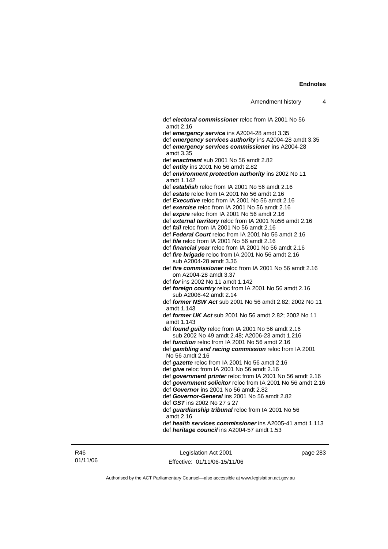def *electoral commissioner* reloc from IA 2001 No 56 amdt 2.16 def *emergency service* ins A2004-28 amdt 3.35 def *emergency services authority* ins A2004-28 amdt 3.35 def *emergency services commissioner* ins A2004-28 amdt 3.35 def *enactment* sub 2001 No 56 amdt 2.82 def *entity* ins 2001 No 56 amdt 2.82 def *environment protection authority* ins 2002 No 11 amdt 1.142 def *establish* reloc from IA 2001 No 56 amdt 2.16 def *estate* reloc from IA 2001 No 56 amdt 2.16 def *Executive* reloc from IA 2001 No 56 amdt 2.16 def *exercise* reloc from IA 2001 No 56 amdt 2.16 def *expire* reloc from IA 2001 No 56 amdt 2.16 def *external territory* reloc from IA 2001 No56 amdt 2.16 def *fail* reloc from IA 2001 No 56 amdt 2.16 def *Federal Court* reloc from IA 2001 No 56 amdt 2.16 def *file* reloc from IA 2001 No 56 amdt 2.16 def *financial year* reloc from IA 2001 No 56 amdt 2.16 def *fire brigade* reloc from IA 2001 No 56 amdt 2.16 sub A2004-28 amdt 3.36 def *fire commissioner* reloc from IA 2001 No 56 amdt 2.16 om A2004-28 amdt 3.37 def *for* ins 2002 No 11 amdt 1.142 def *foreign country* reloc from IA 2001 No 56 amdt 2.16 sub A2006-42 amdt 2.14 def *former NSW Act* sub 2001 No 56 amdt 2.82; 2002 No 11 amdt 1.143 def *former UK Act* sub 2001 No 56 amdt 2.82; 2002 No 11 amdt 1.143 def *found guilty* reloc from IA 2001 No 56 amdt 2.16 sub 2002 No 49 amdt 2.48; A2006-23 amdt 1.216 def *function* reloc from IA 2001 No 56 amdt 2.16 def *gambling and racing commission* reloc from IA 2001 No 56 amdt 2.16 def *gazette* reloc from IA 2001 No 56 amdt 2.16 def *give* reloc from IA 2001 No 56 amdt 2.16 def *government printer* reloc from IA 2001 No 56 amdt 2.16 def *government solicitor* reloc from IA 2001 No 56 amdt 2.16 def *Governor* ins 2001 No 56 amdt 2.82 def *Governor-General* ins 2001 No 56 amdt 2.82 def *GST* ins 2002 No 27 s 27 def *guardianship tribunal* reloc from IA 2001 No 56 amdt 2.16 def *health services commissioner* ins A2005-41 amdt 1.113 def *heritage council* ins A2004-57 amdt 1.53

R46 01/11/06

Legislation Act 2001 Effective: 01/11/06-15/11/06 page 283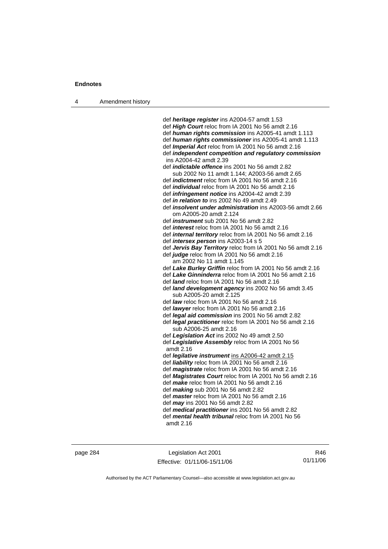4 Amendment history

 def *heritage register* ins A2004-57 amdt 1.53 def *High Court* reloc from IA 2001 No 56 amdt 2.16 def *human rights commission* ins A2005-41 amdt 1.113 def *human rights commissioner* ins A2005-41 amdt 1.113 def *Imperial Act* reloc from IA 2001 No 56 amdt 2.16 def *independent competition and regulatory commission*  ins A2004-42 amdt 2.39 def *indictable offence* ins 2001 No 56 amdt 2.82 sub 2002 No 11 amdt 1.144; A2003-56 amdt 2.65 def *indictment* reloc from IA 2001 No 56 amdt 2.16 def *individual* reloc from IA 2001 No 56 amdt 2.16 def *infringement notice* ins A2004-42 amdt 2.39 def *in relation to* ins 2002 No 49 amdt 2.49 def *insolvent under administration* ins A2003-56 amdt 2.66 om A2005-20 amdt 2.124 def *instrument* sub 2001 No 56 amdt 2.82 def *interest* reloc from IA 2001 No 56 amdt 2.16 def *internal territory* reloc from IA 2001 No 56 amdt 2.16 def *intersex person* ins A2003-14 s 5 def *Jervis Bay Territory* reloc from IA 2001 No 56 amdt 2.16 def *judge* reloc from IA 2001 No 56 amdt 2.16 am 2002 No 11 amdt 1.145 def *Lake Burley Griffin* reloc from IA 2001 No 56 amdt 2.16 def *Lake Ginninderra* reloc from IA 2001 No 56 amdt 2.16 def *land* reloc from IA 2001 No 56 amdt 2.16 def *land development agency* ins 2002 No 56 amdt 3.45 sub A2005-20 amdt 2.125 def *law* reloc from IA 2001 No 56 amdt 2.16 def *lawyer* reloc from IA 2001 No 56 amdt 2.16 def *legal aid commission* ins 2001 No 56 amdt 2.82 def *legal practitioner* reloc from IA 2001 No 56 amdt 2.16 sub A2006-25 amdt 2.16 def *Legislation Act* ins 2002 No 49 amdt 2.50 def *Legislative Assembly* reloc from IA 2001 No 56 amdt 2.16 def *legilative instrument* ins A2006-42 amdt 2.15 def *liability* reloc from IA 2001 No 56 amdt 2.16 def *magistrate* reloc from IA 2001 No 56 amdt 2.16 def *Magistrates Court* reloc from IA 2001 No 56 amdt 2.16 def *make* reloc from IA 2001 No 56 amdt 2.16 def *making* sub 2001 No 56 amdt 2.82 def *master* reloc from IA 2001 No 56 amdt 2.16 def *may* ins 2001 No 56 amdt 2.82 def *medical practitioner* ins 2001 No 56 amdt 2.82 def *mental health tribunal* reloc from IA 2001 No 56

amdt 2.16

page 284 Legislation Act 2001 Effective: 01/11/06-15/11/06

R46 01/11/06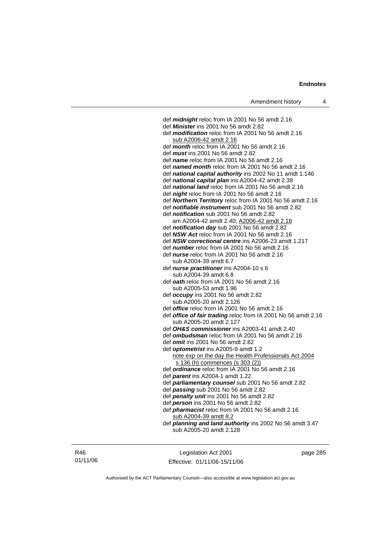def *midnight* reloc from IA 2001 No 56 amdt 2.16 def *Minister* ins 2001 No 56 amdt 2.82 def *modification* reloc from IA 2001 No 56 amdt 2.16 sub A2006-42 amdt 2.16 def *month* reloc from IA 2001 No 56 amdt 2.16 def *must* ins 2001 No 56 amdt 2.82 def *name* reloc from IA 2001 No 56 amdt 2.16 def *named month* reloc from IA 2001 No 56 amdt 2.16 def *national capital authority* ins 2002 No 11 amdt 1.146 def *national capital plan* ins A2004-42 amdt 2.39 def *national land* reloc from IA 2001 No 56 amdt 2.16 def *night* reloc from IA 2001 No 56 amdt 2.16 def *Northern Territory* reloc from IA 2001 No 56 amdt 2.16 def *notifiable instrument* sub 2001 No 56 amdt 2.82 def *notification* sub 2001 No 56 amdt 2.82 am A2004-42 amdt 2.40; A2006-42 amdt 2.18 def *notification day* sub 2001 No 56 amdt 2.82 def *NSW Act* reloc from IA 2001 No 56 amdt 2.16 def *NSW correctional centre* ins A2006-23 amdt 1.217 def *number* reloc from IA 2001 No 56 amdt 2.16 def *nurse* reloc from IA 2001 No 56 amdt 2.16 sub A2004-39 amdt 6.7 def *nurse practitioner* ins A2004-10 s 6 sub A2004-39 amdt 6.8 def *oath* reloc from IA 2001 No 56 amdt 2.16 sub A2005-53 amdt 1.96 def *occupy* ins 2001 No 56 amdt 2.82 sub A2005-20 amdt 2.126 def *office* reloc from IA 2001 No 56 amdt 2.16 def *office of fair trading* reloc from IA 2001 No 56 amdt 2.16 sub A2005-20 amdt 2.127 def *OH&S commissioner* ins A2003-41 amdt 2.40 def *ombudsman* reloc from IA 2001 No 56 amdt 2.16 def *omit* ins 2001 No 56 amdt 2.82 def *optometrist* ins A2005-9 amdt 1.2 note exp on the day the Health Professionals Act 2004 s 136 (h) commences (s 303 (2)) def *ordinance* reloc from IA 2001 No 56 amdt 2.16 def *parent* ins A2004-1 amdt 1.22 def *parliamentary counsel* sub 2001 No 56 amdt 2.82 def *passing* sub 2001 No 56 amdt 2.82 def *penalty unit* ins 2001 No 56 amdt 2.82 def *person* ins 2001 No 56 amdt 2.82 def *pharmacist* reloc from IA 2001 No 56 amdt 2.16 sub A2004-39 amdt 8.2 def *planning and land authority* ins 2002 No 56 amdt 3.47 sub A2005-20 amdt 2.128

R46 01/11/06

Legislation Act 2001 Effective: 01/11/06-15/11/06 page 285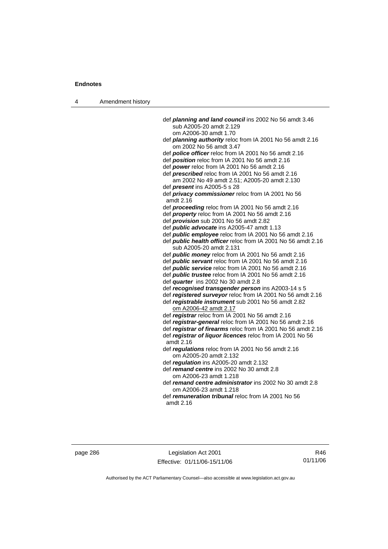4 Amendment history

| def planning and land council ins 2002 No 56 amdt 3.46                                            |
|---------------------------------------------------------------------------------------------------|
| sub A2005-20 amdt 2.129                                                                           |
| om A2006-30 amdt 1.70                                                                             |
| def planning authority reloc from IA 2001 No 56 amdt 2.16<br>om 2002 No 56 amdt 3.47              |
| def police officer reloc from IA 2001 No 56 amdt 2.16                                             |
| def position reloc from IA 2001 No 56 amdt 2.16                                                   |
| def power reloc from IA 2001 No 56 amdt 2.16                                                      |
| def prescribed reloc from IA 2001 No 56 amdt 2.16<br>am 2002 No 49 amdt 2.51; A2005-20 amdt 2.130 |
| def <i>present</i> ins A2005-5 s 28                                                               |
| def privacy commissioner reloc from IA 2001 No 56<br>amdt 2.16                                    |
| def proceeding reloc from IA 2001 No 56 amdt 2.16                                                 |
| def <i>property</i> reloc from IA 2001 No 56 amdt 2.16                                            |
| def <i>provision</i> sub 2001 No 56 amdt 2.82                                                     |
| def <i>public advocate</i> ins A2005-47 amdt 1.13                                                 |
| def public employee reloc from IA 2001 No 56 amdt 2.16                                            |
| def public health officer reloc from IA 2001 No 56 amdt 2.16<br>sub A2005-20 amdt 2.131           |
| def public money reloc from IA 2001 No 56 amdt 2.16                                               |
| def public servant reloc from IA 2001 No 56 amdt 2.16                                             |
| def public service reloc from IA 2001 No 56 amdt 2.16                                             |
| def <i>public trustee</i> reloc from IA 2001 No 56 amdt 2.16                                      |
| def quarter ins 2002 No 30 amdt 2.8                                                               |
| def recognised transgender person ins A2003-14 s 5                                                |
| def registered surveyor reloc from IA 2001 No 56 amdt 2.16                                        |
| def registrable instrument sub 2001 No 56 amdt 2.82<br>om A2006-42 amdt 2.17                      |
| def registrar reloc from IA 2001 No 56 amdt 2.16                                                  |
| def registrar-general reloc from IA 2001 No 56 amdt 2.16                                          |
| def registrar of firearms reloc from IA 2001 No 56 amdt 2.16                                      |
| def registrar of liquor licences reloc from IA 2001 No 56<br>amdt 2.16                            |
| def regulations reloc from IA 2001 No 56 amdt 2.16<br>om A2005-20 amdt 2.132                      |
| def regulation ins A2005-20 amdt 2.132                                                            |
| def remand centre ins 2002 No 30 amdt 2.8<br>om A2006-23 amdt 1.218                               |
| def remand centre administrator ins 2002 No 30 amdt 2.8<br>om A2006-23 amdt 1.218                 |
| def <i>remuneration tribunal</i> reloc from IA 2001 No 56<br>amdt 2.16                            |

page 286 Legislation Act 2001 Effective: 01/11/06-15/11/06

R46 01/11/06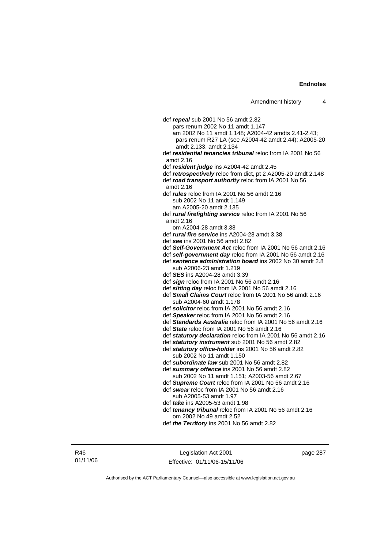def *repeal* sub 2001 No 56 amdt 2.82 pars renum 2002 No 11 amdt 1.147 am 2002 No 11 amdt 1.148; A2004-42 amdts 2.41-2.43; pars renum R27 LA (see A2004-42 amdt 2.44); A2005-20 amdt 2.133, amdt 2.134 def *residential tenancies tribunal* reloc from IA 2001 No 56 amdt 2.16 def *resident judge* ins A2004-42 amdt 2.45 def *retrospectively* reloc from dict, pt 2 A2005-20 amdt 2.148 def *road transport authority* reloc from IA 2001 No 56 amdt 2.16 def *rules* reloc from IA 2001 No 56 amdt 2.16 sub 2002 No 11 amdt 1.149 am A2005-20 amdt 2.135 def *rural firefighting service* reloc from IA 2001 No 56 amdt 2.16 om A2004-28 amdt 3.38 def *rural fire service* ins A2004-28 amdt 3.38 def *see* ins 2001 No 56 amdt 2.82 def *Self-Government Act* reloc from IA 2001 No 56 amdt 2.16 def *self-government day* reloc from IA 2001 No 56 amdt 2.16 def *sentence administration board* ins 2002 No 30 amdt 2.8 sub A2006-23 amdt 1.219 def *SES* ins A2004-28 amdt 3.39 def *sign* reloc from IA 2001 No 56 amdt 2.16 def *sitting day* reloc from IA 2001 No 56 amdt 2.16 def *Small Claims Court* reloc from IA 2001 No 56 amdt 2.16 sub A2004-60 amdt 1.178 def *solicitor* reloc from IA 2001 No 56 amdt 2.16 def *Speaker* reloc from IA 2001 No 56 amdt 2.16 def *Standards Australia* reloc from IA 2001 No 56 amdt 2.16 def *State* reloc from IA 2001 No 56 amdt 2.16 def *statutory declaration* reloc from IA 2001 No 56 amdt 2.16 def *statutory instrument* sub 2001 No 56 amdt 2.82 def *statutory office-holder* ins 2001 No 56 amdt 2.82 sub 2002 No 11 amdt 1.150 def *subordinate law* sub 2001 No 56 amdt 2.82 def *summary offence* ins 2001 No 56 amdt 2.82 sub 2002 No 11 amdt 1.151; A2003-56 amdt 2.67 def *Supreme Court* reloc from IA 2001 No 56 amdt 2.16 def *swear* reloc from IA 2001 No 56 amdt 2.16 sub A2005-53 amdt 1.97 def *take* ins A2005-53 amdt 1.98 def *tenancy tribunal* reloc from IA 2001 No 56 amdt 2.16 om 2002 No 49 amdt 2.52 def *the Territory* ins 2001 No 56 amdt 2.82

R46 01/11/06

Legislation Act 2001 Effective: 01/11/06-15/11/06 page 287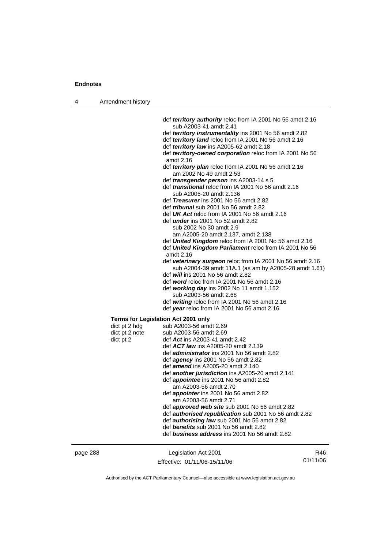| 4 | Amendment history |                                                                          |
|---|-------------------|--------------------------------------------------------------------------|
|   |                   | def territory authority reloc from IA 2001 No 56 amdt 2.16               |
|   |                   | sub A2003-41 amdt 2.41                                                   |
|   |                   | def territory instrumentality ins 2001 No 56 amdt 2.82                   |
|   |                   | def territory land reloc from IA 2001 No 56 amdt 2.16                    |
|   |                   | def territory law ins A2005-62 amdt 2.18                                 |
|   |                   | def territory-owned corporation reloc from IA 2001 No 56                 |
|   |                   | amdt 2.16                                                                |
|   |                   | def territory plan reloc from IA 2001 No 56 amdt 2.16                    |
|   |                   | am 2002 No 49 amdt 2.53                                                  |
|   |                   | def transgender person ins A2003-14 s 5                                  |
|   |                   | def <i>transitional</i> reloc from IA 2001 No 56 amdt 2.16               |
|   |                   | sub A2005-20 amdt 2.136                                                  |
|   |                   | def <i>Treasurer</i> ins 2001 No 56 amdt 2.82                            |
|   |                   | def <i>tribunal</i> sub 2001 No 56 amdt 2.82                             |
|   |                   | def UK Act reloc from IA 2001 No 56 amdt 2.16                            |
|   |                   | def <i>under</i> ins 2001 No 52 amdt 2.82                                |
|   |                   | sub 2002 No 30 amdt 2.9                                                  |
|   |                   | am A2005-20 amdt 2.137, amdt 2.138                                       |
|   |                   | def United Kingdom reloc from IA 2001 No 56 amdt 2.16                    |
|   |                   | def United Kingdom Parliament reloc from IA 2001 No 56<br>amdt 2.16      |
|   |                   | def veterinary surgeon reloc from IA 2001 No 56 amdt 2.16                |
|   |                   | sub A2004-39 amdt 11A.1 (as am by A2005-28 amdt 1.61)                    |
|   |                   | def will ins 2001 No 56 amdt 2.82                                        |
|   |                   | def word reloc from IA 2001 No 56 amdt 2.16                              |
|   |                   | def working day ins 2002 No 11 amdt 1.152                                |
|   |                   | sub A2003-56 amdt 2.68<br>def writing reloc from IA 2001 No 56 amdt 2.16 |
|   |                   | def year reloc from IA 2001 No 56 amdt 2.16                              |
|   |                   |                                                                          |
|   |                   | <b>Terms for Legislation Act 2001 only</b>                               |
|   | dict pt 2 hdg     | sub A2003-56 amdt 2.69                                                   |
|   | dict pt 2 note    | sub A2003-56 amdt 2.69                                                   |
|   | dict pt 2         | def Act ins A2003-41 amdt 2.42                                           |
|   |                   | def ACT law ins A2005-20 amdt 2.139                                      |
|   |                   | def administrator ins 2001 No 56 amdt 2.82                               |
|   |                   | def <i>agency</i> ins 2001 No 56 amdt 2.82                               |
|   |                   | def amend ins A2005-20 amdt 2.140                                        |
|   |                   | def another jurisdiction ins A2005-20 amdt 2.141                         |
|   |                   | def <i>appointee</i> ins 2001 No 56 amdt 2.82<br>am A2003-56 amdt 2.70   |
|   |                   | def <i>appointer</i> ins 2001 No 56 amdt 2.82                            |
|   |                   | am A2003-56 amdt 2.71                                                    |
|   |                   | def approved web site sub 2001 No 56 amdt 2.82                           |
|   |                   | def <b>authorised republication</b> sub 2001 No 56 amdt 2.82             |
|   |                   | def <i>authorising law</i> sub 2001 No 56 amdt 2.82                      |
|   |                   | def benefits sub 2001 No 56 amdt 2.82                                    |
|   |                   | def business address ins 2001 No 56 amdt 2.82                            |

page 288 Legislation Act 2001 Effective: 01/11/06-15/11/06

R46 01/11/06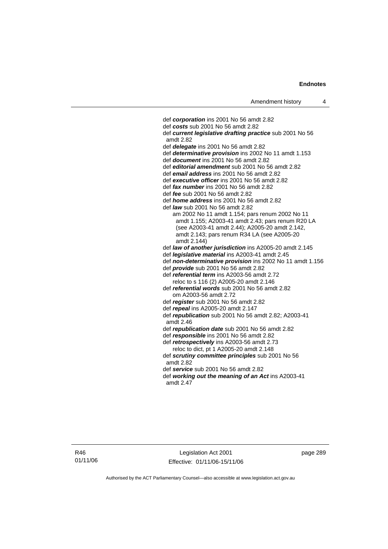def *corporation* ins 2001 No 56 amdt 2.82 def *costs* sub 2001 No 56 amdt 2.82 def *current legislative drafting practice* sub 2001 No 56 amdt 2.82 def *delegate* ins 2001 No 56 amdt 2.82 def *determinative provision* ins 2002 No 11 amdt 1.153 def *document* ins 2001 No 56 amdt 2.82 def *editorial amendment* sub 2001 No 56 amdt 2.82 def *email address* ins 2001 No 56 amdt 2.82 def *executive officer* ins 2001 No 56 amdt 2.82 def *fax number* ins 2001 No 56 amdt 2.82 def *fee* sub 2001 No 56 amdt 2.82 def *home address* ins 2001 No 56 amdt 2.82 def *law* sub 2001 No 56 amdt 2.82 am 2002 No 11 amdt 1.154; pars renum 2002 No 11 amdt 1.155; A2003-41 amdt 2.43; pars renum R20 LA (see A2003-41 amdt 2.44); A2005-20 amdt 2.142, amdt 2.143; pars renum R34 LA (see A2005-20 amdt 2.144) def *law of another jurisdiction* ins A2005-20 amdt 2.145 def *legislative material* ins A2003-41 amdt 2.45 def *non-determinative provision* ins 2002 No 11 amdt 1.156 def *provide* sub 2001 No 56 amdt 2.82 def *referential term* ins A2003-56 amdt 2.72 reloc to s 116 (2) A2005-20 amdt 2.146 def *referential words* sub 2001 No 56 amdt 2.82 om A2003-56 amdt 2.72 def *register* sub 2001 No 56 amdt 2.82 def *repeal* ins A2005-20 amdt 2.147 def *republication* sub 2001 No 56 amdt 2.82; A2003-41 amdt 2.46 def *republication date* sub 2001 No 56 amdt 2.82 def *responsible* ins 2001 No 56 amdt 2.82 def *retrospectively* ins A2003-56 amdt 2.73 reloc to dict, pt 1 A2005-20 amdt 2.148 def *scrutiny committee principles* sub 2001 No 56 amdt 2.82 def *service* sub 2001 No 56 amdt 2.82 def *working out the meaning of an Act* ins A2003-41 amdt 2.47

R46 01/11/06

Legislation Act 2001 Effective: 01/11/06-15/11/06 page 289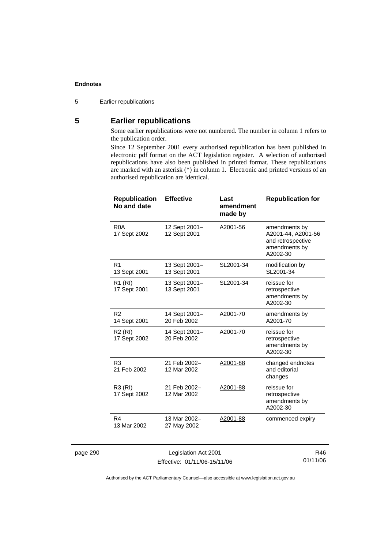5 Earlier republications

### **5 Earlier republications**

Some earlier republications were not numbered. The number in column 1 refers to the publication order.

Since 12 September 2001 every authorised republication has been published in electronic pdf format on the ACT legislation register. A selection of authorised republications have also been published in printed format. These republications are marked with an asterisk (\*) in column 1. Electronic and printed versions of an authorised republication are identical.

| <b>Republication</b><br>No and date | <b>Effective</b>              | Last<br>amendment<br>made by | <b>Republication for</b>                                                              |
|-------------------------------------|-------------------------------|------------------------------|---------------------------------------------------------------------------------------|
| R <sub>0</sub> A<br>17 Sept 2002    | 12 Sept 2001-<br>12 Sept 2001 | A2001-56                     | amendments by<br>A2001-44, A2001-56<br>and retrospective<br>amendments by<br>A2002-30 |
| R <sub>1</sub><br>13 Sept 2001      | 13 Sept 2001-<br>13 Sept 2001 | SL2001-34                    | modification by<br>SL2001-34                                                          |
| R1 (RI)<br>17 Sept 2001             | 13 Sept 2001-<br>13 Sept 2001 | SL2001-34                    | reissue for<br>retrospective<br>amendments by<br>A2002-30                             |
| R <sub>2</sub><br>14 Sept 2001      | 14 Sept 2001-<br>20 Feb 2002  | A2001-70                     | amendments by<br>A2001-70                                                             |
| R <sub>2</sub> (RI)<br>17 Sept 2002 | 14 Sept 2001-<br>20 Feb 2002  | A2001-70                     | reissue for<br>retrospective<br>amendments by<br>A2002-30                             |
| R <sub>3</sub><br>21 Feb 2002       | 21 Feb 2002-<br>12 Mar 2002   | A2001-88                     | changed endnotes<br>and editorial<br>changes                                          |
| R3 (RI)<br>17 Sept 2002             | 21 Feb 2002-<br>12 Mar 2002   | A2001-88                     | reissue for<br>retrospective<br>amendments by<br>A2002-30                             |
| R4<br>13 Mar 2002                   | 13 Mar 2002-<br>27 May 2002   | A2001-88                     | commenced expiry                                                                      |
|                                     |                               |                              |                                                                                       |

page 290 Legislation Act 2001 Effective: 01/11/06-15/11/06

R46 01/11/06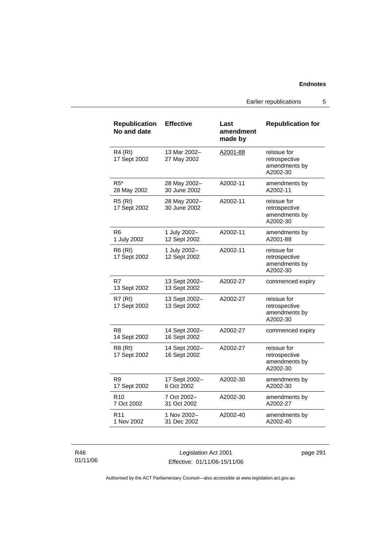Earlier republications 5

| <b>Republication</b><br>No and date | <b>Effective</b>              | Last<br>amendment<br>made by | <b>Republication for</b>                                  |
|-------------------------------------|-------------------------------|------------------------------|-----------------------------------------------------------|
| <b>R4 (RI)</b><br>17 Sept 2002      | 13 Mar 2002-<br>27 May 2002   | A2001-88                     | reissue for<br>retrospective<br>amendments by<br>A2002-30 |
| $R5^*$<br>28 May 2002               | 28 May 2002-<br>30 June 2002  | A2002-11                     | amendments by<br>A2002-11                                 |
| <b>R5 (RI)</b><br>17 Sept 2002      | 28 May 2002-<br>30 June 2002  | A2002-11                     | reissue for<br>retrospective<br>amendments by<br>A2002-30 |
| R6<br>1 July 2002                   | 1 July 2002-<br>12 Sept 2002  | A2002-11                     | amendments by<br>A2001-88                                 |
| <b>R6 (RI)</b><br>17 Sept 2002      | 1 July 2002-<br>12 Sept 2002  | A2002-11                     | reissue for<br>retrospective<br>amendments by<br>A2002-30 |
| R7<br>13 Sept 2002                  | 13 Sept 2002-<br>13 Sept 2002 | A2002-27                     | commenced expiry                                          |
| <b>R7 (RI)</b><br>17 Sept 2002      | 13 Sept 2002-<br>13 Sept 2002 | A2002-27                     | reissue for<br>retrospective<br>amendments by<br>A2002-30 |
| R8<br>14 Sept 2002                  | 14 Sept 2002-<br>16 Sept 2002 | A2002-27                     | commenced expiry                                          |
| R8 (RI)<br>17 Sept 2002             | 14 Sept 2002-<br>16 Sept 2002 | A2002-27                     | reissue for<br>retrospective<br>amendments by<br>A2002-30 |
| R9<br>17 Sept 2002                  | 17 Sept 2002-<br>6 Oct 2002   | A2002-30                     | amendments by<br>A2002-30                                 |
| R <sub>10</sub><br>7 Oct 2002       | 7 Oct 2002-<br>31 Oct 2002    | A2002-30                     | amendments by<br>A2002-27                                 |
| R <sub>11</sub><br>1 Nov 2002       | 1 Nov 2002-<br>31 Dec 2002    | A2002-40                     | amendments by<br>A2002-40                                 |

R46 01/11/06

Legislation Act 2001 Effective: 01/11/06-15/11/06 page 291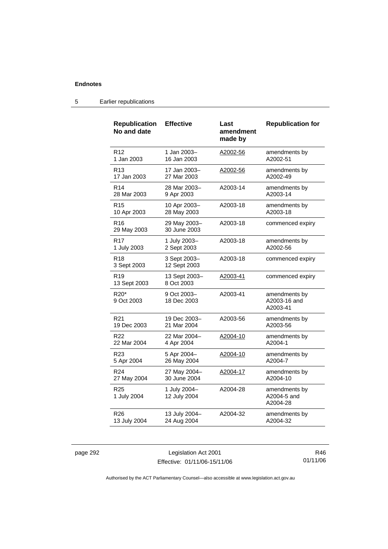| <b>Republication</b><br>No and date        | <b>Effective</b>             | Last<br>amendment<br>made by | <b>Republication for</b>                  |
|--------------------------------------------|------------------------------|------------------------------|-------------------------------------------|
| R <sub>12</sub>                            | 1 Jan 2003-                  | A2002-56                     | amendments by                             |
| 1 Jan 2003                                 | 16 Jan 2003                  |                              | A2002-51                                  |
| R <sub>13</sub>                            | 17 Jan 2003-                 | A2002-56                     | amendments by                             |
| 17 Jan 2003                                | 27 Mar 2003                  |                              | A2002-49                                  |
| R <sub>14</sub>                            | 28 Mar 2003-                 | A2003-14                     | amendments by                             |
| 28 Mar 2003                                | 9 Apr 2003                   |                              | A2003-14                                  |
| R <sub>15</sub>                            | 10 Apr 2003-                 | A2003-18                     | amendments by                             |
| 10 Apr 2003                                | 28 May 2003                  |                              | A2003-18                                  |
| R <sub>16</sub><br>29 May 2003             | 29 May 2003-<br>30 June 2003 | A2003-18                     | commenced expiry                          |
| R <sub>17</sub>                            | 1 July 2003-                 | A2003-18                     | amendments by                             |
| 1 July 2003                                | 2 Sept 2003                  |                              | A2002-56                                  |
| <b>R18</b><br>3 Sept 2003                  | 3 Sept 2003-<br>12 Sept 2003 | A2003-18                     | commenced expiry                          |
| R <sub>19</sub><br>13 Sept 2003            | 13 Sept 2003-<br>8 Oct 2003  | A2003-41                     | commenced expiry                          |
| R <sub>20</sub> <sup>*</sup><br>9 Oct 2003 | 9 Oct 2003-<br>18 Dec 2003   | A2003-41                     | amendments by<br>A2003-16 and<br>A2003-41 |
| R <sub>21</sub>                            | 19 Dec 2003-                 | A2003-56                     | amendments by                             |
| 19 Dec 2003                                | 21 Mar 2004                  |                              | A2003-56                                  |
| R <sub>22</sub>                            | 22 Mar 2004-                 | A2004-10                     | amendments by                             |
| 22 Mar 2004                                | 4 Apr 2004                   |                              | A2004-1                                   |
| R <sub>23</sub>                            | 5 Apr 2004-                  | A2004-10                     | amendments by                             |
| 5 Apr 2004                                 | 26 May 2004                  |                              | A2004-7                                   |
| R <sub>24</sub>                            | 27 May 2004-                 | A2004-17                     | amendments by                             |
| 27 May 2004                                | 30 June 2004                 |                              | A2004-10                                  |
| R <sub>25</sub><br>1 July 2004             | 1 July 2004-<br>12 July 2004 | A2004-28                     | amendments by<br>A2004-5 and<br>A2004-28  |
| R <sub>26</sub>                            | 13 July 2004-                | A2004-32                     | amendments by                             |
| 13 July 2004                               | 24 Aug 2004                  |                              | A2004-32                                  |

### 5 Earlier republications

page 292 Legislation Act 2001 Effective: 01/11/06-15/11/06

R46 01/11/06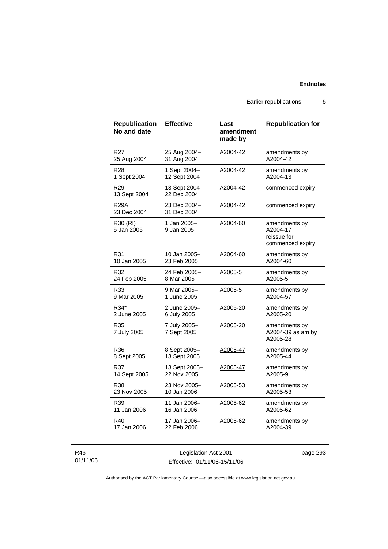Earlier republications 5

| <b>Republication</b><br>No and date | <b>Effective</b>             | Last<br>amendment<br>made by | <b>Republication for</b>                                     |
|-------------------------------------|------------------------------|------------------------------|--------------------------------------------------------------|
| R <sub>27</sub>                     | 25 Aug 2004-                 | A2004-42                     | amendments by                                                |
| 25 Aug 2004                         | 31 Aug 2004                  |                              | A2004-42                                                     |
| <b>R28</b>                          | 1 Sept 2004-                 | A2004-42                     | amendments by                                                |
| 1 Sept 2004                         | 12 Sept 2004                 |                              | A2004-13                                                     |
| R <sub>29</sub><br>13 Sept 2004     | 13 Sept 2004-<br>22 Dec 2004 | A2004-42                     | commenced expiry                                             |
| <b>R29A</b><br>23 Dec 2004          | 23 Dec 2004-<br>31 Dec 2004  | A2004-42                     | commenced expiry                                             |
| R30 (RI)<br>5 Jan 2005              | 1 Jan 2005-<br>9 Jan 2005    | A2004-60                     | amendments by<br>A2004-17<br>reissue for<br>commenced expiry |
| R31                                 | 10 Jan 2005-                 | A2004-60                     | amendments by                                                |
| 10 Jan 2005                         | 23 Feb 2005                  |                              | A2004-60                                                     |
| R32                                 | 24 Feb 2005-                 | A2005-5                      | amendments by                                                |
| 24 Feb 2005                         | 8 Mar 2005                   |                              | A2005-5                                                      |
| R33                                 | 9 Mar 2005–                  | A2005-5                      | amendments by                                                |
| 9 Mar 2005                          | 1 June 2005                  |                              | A2004-57                                                     |
| R34*                                | 2 June 2005-                 | A2005-20                     | amendments by                                                |
| 2 June 2005                         | 6 July 2005                  |                              | A2005-20                                                     |
| R35<br>7 July 2005                  | 7 July 2005-<br>7 Sept 2005  | A2005-20                     | amendments by<br>A2004-39 as am by<br>A2005-28               |
| R36                                 | 8 Sept 2005-                 | A2005-47                     | amendments by                                                |
| 8 Sept 2005                         | 13 Sept 2005                 |                              | A2005-44                                                     |
| R37                                 | 13 Sept 2005-                | A2005-47                     | amendments by                                                |
| 14 Sept 2005                        | 22 Nov 2005                  |                              | A2005-9                                                      |
| R38                                 | 23 Nov 2005-                 | A2005-53                     | amendments by                                                |
| 23 Nov 2005                         | 10 Jan 2006                  |                              | A2005-53                                                     |
| R39                                 | 11 Jan 2006-                 | A2005-62                     | amendments by                                                |
| 11 Jan 2006                         | 16 Jan 2006                  |                              | A2005-62                                                     |
| R40                                 | 17 Jan 2006-                 | A2005-62                     | amendments by                                                |
| 17 Jan 2006                         | 22 Feb 2006                  |                              | A2004-39                                                     |

### R46 01/11/06

Legislation Act 2001 Effective: 01/11/06-15/11/06 page 293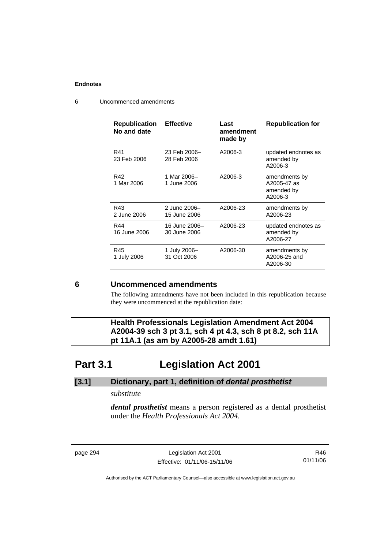| <b>Republication</b><br>No and date | <b>Effective</b>              | Last<br>amendment<br>made by | <b>Republication for</b>                              |
|-------------------------------------|-------------------------------|------------------------------|-------------------------------------------------------|
| R41<br>23 Feb 2006                  | 23 Feb 2006-<br>28 Feb 2006   | A2006-3                      | updated endnotes as<br>amended by<br>A2006-3          |
| R42<br>1 Mar 2006                   | 1 Mar 2006-<br>1 June 2006    | A2006-3                      | amendments by<br>A2005-47 as<br>amended by<br>A2006-3 |
| R43<br>2 June 2006                  | 2 June 2006-<br>15 June 2006  | A2006-23                     | amendments by<br>A2006-23                             |
| R44<br>16 June 2006                 | 16 June 2006-<br>30 June 2006 | A2006-23                     | updated endnotes as<br>amended by<br>A2006-27         |
| R45<br>1 July 2006                  | 1 July 2006-<br>31 Oct 2006   | A2006-30                     | amendments by<br>A2006-25 and<br>A2006-30             |

6 Uncommenced amendments

### **6 Uncommenced amendments**

The following amendments have not been included in this republication because they were uncommenced at the republication date:

 **Health Professionals Legislation Amendment Act 2004 A2004-39 sch 3 pt 3.1, sch 4 pt 4.3, sch 8 pt 8.2, sch 11A pt 11A.1 (as am by A2005-28 amdt 1.61)** 

# **Part 3.1 Legislation Act 2001**

## **[3.1] Dictionary, part 1, definition of** *dental prosthetist*

### *substitute*

*dental prosthetist* means a person registered as a dental prosthetist under the *Health Professionals Act 2004*.

page 294 Legislation Act 2001 Effective: 01/11/06-15/11/06

R46 01/11/06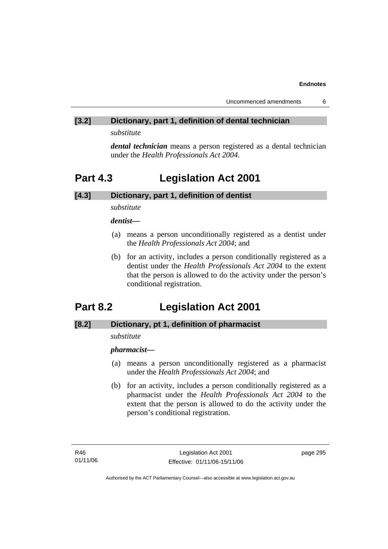### **[3.2] Dictionary, part 1, definition of dental technician**

*substitute* 

*dental technician* means a person registered as a dental technician under the *Health Professionals Act 2004*.

## **Part 4.3 Legislation Act 2001**

### **[4.3] Dictionary, part 1, definition of dentist**

*substitute* 

*dentist***—**

- (a) means a person unconditionally registered as a dentist under the *Health Professionals Act 2004*; and
- (b) for an activity, includes a person conditionally registered as a dentist under the *Health Professionals Act 2004* to the extent that the person is allowed to do the activity under the person's conditional registration.

## **Part 8.2 Legislation Act 2001**

### **[8.2] Dictionary, pt 1, definition of pharmacist**

### *substitute*

*pharmacist***—**

- (a) means a person unconditionally registered as a pharmacist under the *Health Professionals Act 2004*; and
- (b) for an activity, includes a person conditionally registered as a pharmacist under the *Health Professionals Act 2004* to the extent that the person is allowed to do the activity under the person's conditional registration.

page 295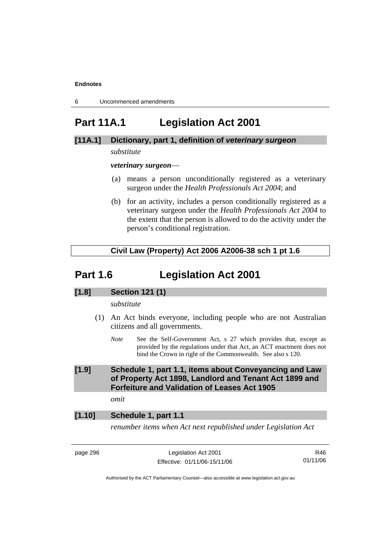6 Uncommenced amendments

# **Part 11A.1 Legislation Act 2001**

### **[11A.1] Dictionary, part 1, definition of** *veterinary surgeon*

### *substitute*

*veterinary surgeon*—

- (a) means a person unconditionally registered as a veterinary surgeon under the *Health Professionals Act 2004*; and
- (b) for an activity, includes a person conditionally registered as a veterinary surgeon under the *Health Professionals Act 2004* to the extent that the person is allowed to do the activity under the person's conditional registration.

### **Civil Law (Property) Act 2006 A2006-38 sch 1 pt 1.6**

## **Part 1.6 Legislation Act 2001**

### **[1.8] Section 121 (1)**

*substitute* 

- (1) An Act binds everyone, including people who are not Australian citizens and all governments.
	- *Note* See the Self-Government Act, s 27 which provides that, except as provided by the regulations under that Act, an ACT enactment does not bind the Crown in right of the Commonwealth. See also s 120.

### **[1.9] Schedule 1, part 1.1, items about Conveyancing and Law of Property Act 1898, Landlord and Tenant Act 1899 and Forfeiture and Validation of Leases Act 1905**

*omit* 

### **[1.10] Schedule 1, part 1.1**

*renumber items when Act next republished under Legislation Act* 

page 296 Legislation Act 2001 Effective: 01/11/06-15/11/06

R46 01/11/06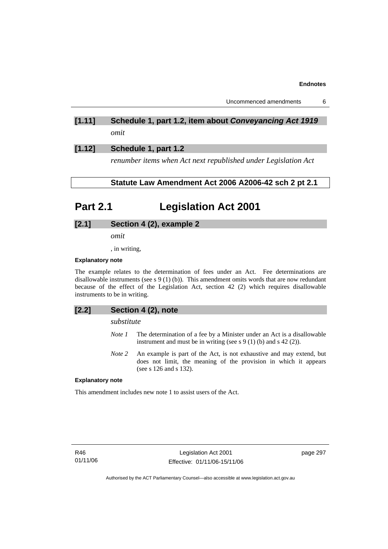Uncommenced amendments 6

## **[1.11] Schedule 1, part 1.2, item about** *Conveyancing Act 1919 omit*

### **[1.12] Schedule 1, part 1.2**

*renumber items when Act next republished under Legislation Act* 

### **Statute Law Amendment Act 2006 A2006-42 sch 2 pt 2.1**

# **Part 2.1 Legislation Act 2001**

### **[2.1] Section 4 (2), example 2**

*omit* 

, in writing,

### **Explanatory note**

The example relates to the determination of fees under an Act. Fee determinations are disallowable instruments (see s 9 (1) (b)). This amendment omits words that are now redundant because of the effect of the Legislation Act, section 42 (2) which requires disallowable instruments to be in writing.

### **[2.2] Section 4 (2), note**

### *substitute*

- *Note 1* The determination of a fee by a Minister under an Act is a disallowable instrument and must be in writing (see s  $9(1)$  (b) and s  $42(2)$ ).
- *Note 2* An example is part of the Act, is not exhaustive and may extend, but does not limit, the meaning of the provision in which it appears (see s 126 and s 132).

#### **Explanatory note**

This amendment includes new note 1 to assist users of the Act.

R46 01/11/06 page 297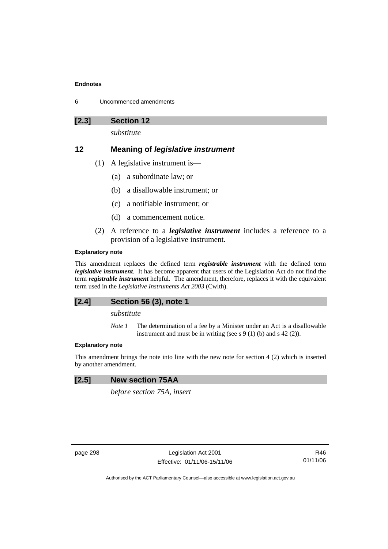| Uncommenced amendments |
|------------------------|
|                        |

**[2.3] Section 12** 

*substitute* 

### **12 Meaning of** *legislative instrument*

- (1) A legislative instrument is—
	- (a) a subordinate law; or
	- (b) a disallowable instrument; or
	- (c) a notifiable instrument; or
	- (d) a commencement notice.
- (2) A reference to a *legislative instrument* includes a reference to a provision of a legislative instrument.

#### **Explanatory note**

This amendment replaces the defined term *registrable instrument* with the defined term *legislative instrument*. It has become apparent that users of the Legislation Act do not find the term *registrable instrument* helpful. The amendment, therefore, replaces it with the equivalent term used in the *Legislative Instruments Act 2003* (Cwlth).

### **[2.4] Section 56 (3), note 1**

### *substitute*

*Note 1* The determination of a fee by a Minister under an Act is a disallowable instrument and must be in writing (see s 9 (1) (b) and s 42 (2)).

### **Explanatory note**

This amendment brings the note into line with the new note for section 4 (2) which is inserted by another amendment.

### **[2.5] New section 75AA**

*before section 75A, insert* 

page 298 Legislation Act 2001 Effective: 01/11/06-15/11/06

R46 01/11/06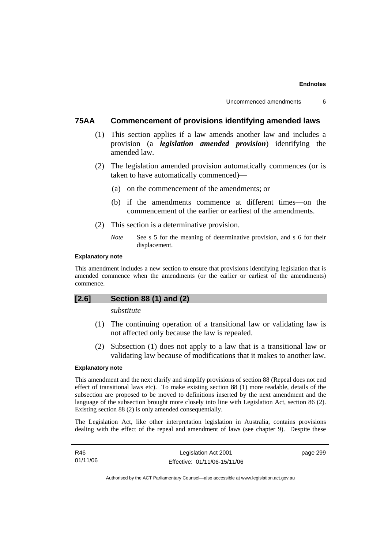### **75AA Commencement of provisions identifying amended laws**

- (1) This section applies if a law amends another law and includes a provision (a *legislation amended provision*) identifying the amended law.
- (2) The legislation amended provision automatically commences (or is taken to have automatically commenced)—
	- (a) on the commencement of the amendments; or
	- (b) if the amendments commence at different times—on the commencement of the earlier or earliest of the amendments.
- (2) This section is a determinative provision.
	- *Note* See s 5 for the meaning of determinative provision, and s 6 for their displacement.

#### **Explanatory note**

This amendment includes a new section to ensure that provisions identifying legislation that is amended commence when the amendments (or the earlier or earliest of the amendments) commence.

### **[2.6] Section 88 (1) and (2)**

### *substitute*

- (1) The continuing operation of a transitional law or validating law is not affected only because the law is repealed.
- (2) Subsection (1) does not apply to a law that is a transitional law or validating law because of modifications that it makes to another law.

#### **Explanatory note**

This amendment and the next clarify and simplify provisions of section 88 (Repeal does not end effect of transitional laws etc). To make existing section 88 (1) more readable, details of the subsection are proposed to be moved to definitions inserted by the next amendment and the language of the subsection brought more closely into line with Legislation Act, section 86 (2). Existing section 88 (2) is only amended consequentially.

The Legislation Act, like other interpretation legislation in Australia, contains provisions dealing with the effect of the repeal and amendment of laws (see chapter 9). Despite these

| R46      | Legislation Act 2001         | page 299 |
|----------|------------------------------|----------|
| 01/11/06 | Effective: 01/11/06-15/11/06 |          |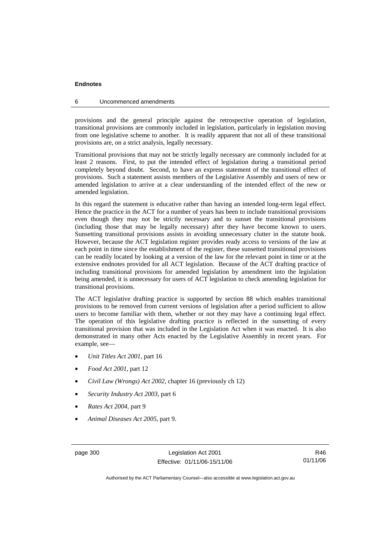#### 6 Uncommenced amendments

provisions and the general principle against the retrospective operation of legislation, transitional provisions are commonly included in legislation, particularly in legislation moving from one legislative scheme to another. It is readily apparent that not all of these transitional provisions are, on a strict analysis, legally necessary.

Transitional provisions that may not be strictly legally necessary are commonly included for at least 2 reasons. First, to put the intended effect of legislation during a transitional period completely beyond doubt. Second, to have an express statement of the transitional effect of provisions. Such a statement assists members of the Legislative Assembly and users of new or amended legislation to arrive at a clear understanding of the intended effect of the new or amended legislation.

In this regard the statement is educative rather than having an intended long-term legal effect. Hence the practice in the ACT for a number of years has been to include transitional provisions even though they may not be strictly necessary and to sunset the transitional provisions (including those that may be legally necessary) after they have become known to users. Sunsetting transitional provisions assists in avoiding unnecessary clutter in the statute book. However, because the ACT legislation register provides ready access to versions of the law at each point in time since the establishment of the register, these sunsetted transitional provisions can be readily located by looking at a version of the law for the relevant point in time or at the extensive endnotes provided for all ACT legislation. Because of the ACT drafting practice of including transitional provisions for amended legislation by amendment into the legislation being amended, it is unnecessary for users of ACT legislation to check amending legislation for transitional provisions.

The ACT legislative drafting practice is supported by section 88 which enables transitional provisions to be removed from current versions of legislation after a period sufficient to allow users to become familiar with them, whether or not they may have a continuing legal effect. The operation of this legislative drafting practice is reflected in the sunsetting of every transitional provision that was included in the Legislation Act when it was enacted. It is also demonstrated in many other Acts enacted by the Legislative Assembly in recent years. For example, see—

- *Unit Titles Act 2001*, part 16
- *Food Act 2001*, part 12
- *Civil Law (Wrongs) Act 2002*, chapter 16 (previously ch 12)
- *Security Industry Act 2003*, part 6
- *Rates Act 2004*, part 9
- *Animal Diseases Act 2005*, part 9.

page 300 Legislation Act 2001 Effective: 01/11/06-15/11/06

R46 01/11/06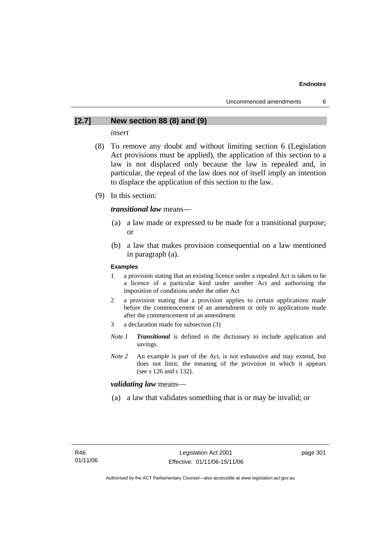### **[2.7] New section 88 (8) and (9)**

### *insert*

- (8) To remove any doubt and without limiting section 6 (Legislation Act provisions must be applied), the application of this section to a law is not displaced only because the law is repealed and, in particular, the repeal of the law does not of itself imply an intention to displace the application of this section to the law.
- (9) In this section:

### *transitional law* means—

- (a) a law made or expressed to be made for a transitional purpose; or
- (b) a law that makes provision consequential on a law mentioned in paragraph (a).

#### **Examples**

- 1 a provision stating that an existing licence under a repealed Act is taken to be a licence of a particular kind under another Act and authorising the imposition of conditions under the other Act
- 2 a provision stating that a provision applies to certain applications made before the commencement of an amendment or only to applications made after the commencement of an amendment
- 3 a declaration made for subsection (3)
- *Note 1 Transitional* is defined in the dictionary to include application and savings.
- *Note* 2 An example is part of the Act, is not exhaustive and may extend, but does not limit, the meaning of the provision in which it appears (see s 126 and s 132).

### *validating law* means—

(a) a law that validates something that is or may be invalid; or

page 301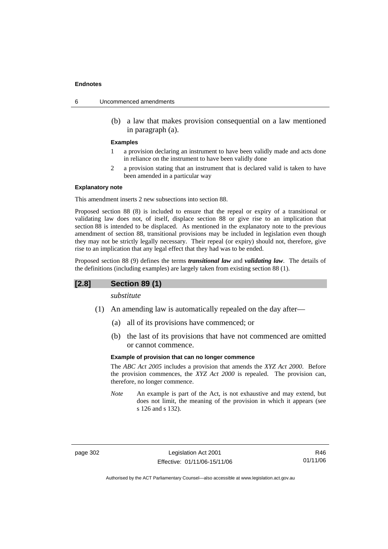- 6 Uncommenced amendments
	- (b) a law that makes provision consequential on a law mentioned in paragraph (a).

#### **Examples**

- 1 a provision declaring an instrument to have been validly made and acts done in reliance on the instrument to have been validly done
- 2 a provision stating that an instrument that is declared valid is taken to have been amended in a particular way

#### **Explanatory note**

This amendment inserts 2 new subsections into section 88.

Proposed section 88 (8) is included to ensure that the repeal or expiry of a transitional or validating law does not, of itself, displace section 88 or give rise to an implication that section 88 is intended to be displaced. As mentioned in the explanatory note to the previous amendment of section 88, transitional provisions may be included in legislation even though they may not be strictly legally necessary. Their repeal (or expiry) should not, therefore, give rise to an implication that any legal effect that they had was to be ended.

Proposed section 88 (9) defines the terms *transitional law* and *validating law*. The details of the definitions (including examples) are largely taken from existing section 88 (1).

### **[2.8] Section 89 (1)**

*substitute* 

- (1) An amending law is automatically repealed on the day after—
	- (a) all of its provisions have commenced; or
	- (b) the last of its provisions that have not commenced are omitted or cannot commence.

#### **Example of provision that can no longer commence**

The *ABC Act 2005* includes a provision that amends the *XYZ Act 2000*. Before the provision commences, the *XYZ Act 2000* is repealed. The provision can, therefore, no longer commence.

*Note* An example is part of the Act, is not exhaustive and may extend, but does not limit, the meaning of the provision in which it appears (see s 126 and s 132).

page 302 Legislation Act 2001 Effective: 01/11/06-15/11/06

R46 01/11/06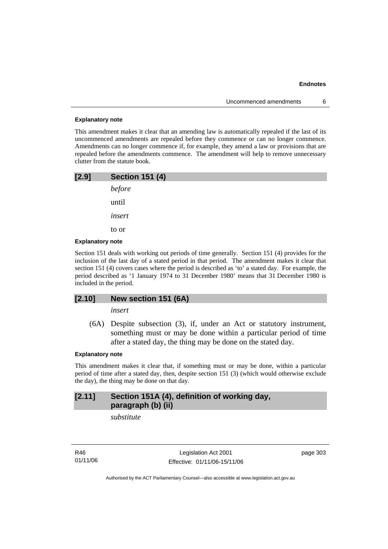#### **Explanatory note**

This amendment makes it clear that an amending law is automatically repealed if the last of its uncommenced amendments are repealed before they commence or can no longer commence. Amendments can no longer commence if, for example, they amend a law or provisions that are repealed before the amendments commence. The amendment will help to remove unnecessary clutter from the statute book.

| [2.9] | <b>Section 151 (4)</b> |
|-------|------------------------|
|       | before                 |
|       | until                  |
|       | insert                 |
|       | to or                  |
|       |                        |

### **Explanatory note**

Section 151 deals with working out periods of time generally. Section 151 (4) provides for the inclusion of the last day of a stated period in that period. The amendment makes it clear that section 151 (4) covers cases where the period is described as 'to' a stated day. For example, the period described as '1 January 1974 to 31 December 1980' means that 31 December 1980 is included in the period.

### **[2.10] New section 151 (6A)**

*insert* 

 (6A) Despite subsection (3), if, under an Act or statutory instrument, something must or may be done within a particular period of time after a stated day, the thing may be done on the stated day.

#### **Explanatory note**

This amendment makes it clear that, if something must or may be done, within a particular period of time after a stated day, then, despite section 151 (3) (which would otherwise exclude the day), the thing may be done on that day.

### **[2.11] Section 151A (4), definition of working day, paragraph (b) (ii)**

*substitute* 

R46 01/11/06

Legislation Act 2001 Effective: 01/11/06-15/11/06 page 303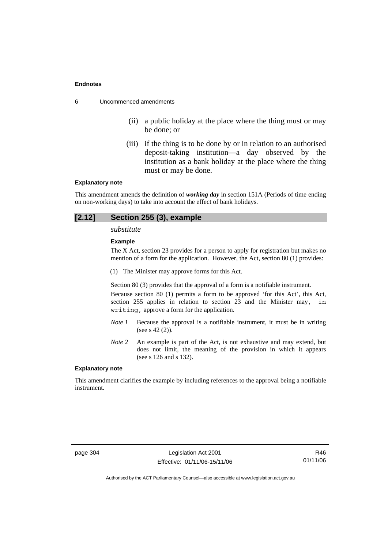- 6 Uncommenced amendments
	- (ii) a public holiday at the place where the thing must or may be done; or
	- (iii) if the thing is to be done by or in relation to an authorised deposit-taking institution—a day observed by the institution as a bank holiday at the place where the thing must or may be done.

#### **Explanatory note**

This amendment amends the definition of *working day* in section 151A (Periods of time ending on non-working days) to take into account the effect of bank holidays.

### **[2.12] Section 255 (3), example**

*substitute* 

#### **Example**

The X Act, section 23 provides for a person to apply for registration but makes no mention of a form for the application. However, the Act, section 80 (1) provides:

(1) The Minister may approve forms for this Act.

Section 80 (3) provides that the approval of a form is a notifiable instrument.

Because section 80 (1) permits a form to be approved 'for this Act', this Act, section 255 applies in relation to section 23 and the Minister may, in writing, approve a form for the application.

- *Note 1* Because the approval is a notifiable instrument, it must be in writing (see s 42 (2)).
- *Note 2* An example is part of the Act, is not exhaustive and may extend, but does not limit, the meaning of the provision in which it appears (see s 126 and s 132).

#### **Explanatory note**

This amendment clarifies the example by including references to the approval being a notifiable instrument.

page 304 Legislation Act 2001 Effective: 01/11/06-15/11/06

R46 01/11/06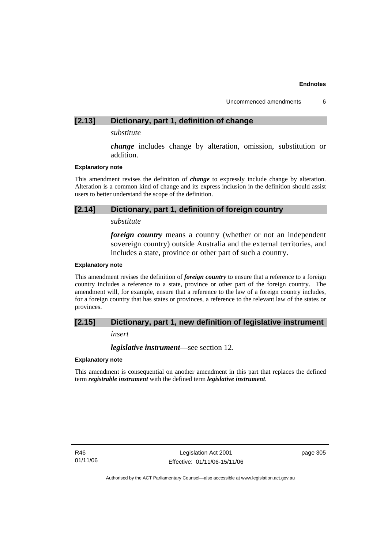Uncommenced amendments 6

### **[2.13] Dictionary, part 1, definition of change**

*substitute* 

*change* includes change by alteration, omission, substitution or addition.

#### **Explanatory note**

This amendment revises the definition of *change* to expressly include change by alteration. Alteration is a common kind of change and its express inclusion in the definition should assist users to better understand the scope of the definition.

### **[2.14] Dictionary, part 1, definition of foreign country**

### *substitute*

*foreign country* means a country (whether or not an independent sovereign country) outside Australia and the external territories, and includes a state, province or other part of such a country.

#### **Explanatory note**

This amendment revises the definition of *foreign country* to ensure that a reference to a foreign country includes a reference to a state, province or other part of the foreign country. The amendment will, for example, ensure that a reference to the law of a foreign country includes, for a foreign country that has states or provinces, a reference to the relevant law of the states or provinces.

### **[2.15] Dictionary, part 1, new definition of legislative instrument**

*insert* 

*legislative instrument*—see section 12.

### **Explanatory note**

This amendment is consequential on another amendment in this part that replaces the defined term *registrable instrument* with the defined term *legislative instrument*.

R46 01/11/06

Legislation Act 2001 Effective: 01/11/06-15/11/06 page 305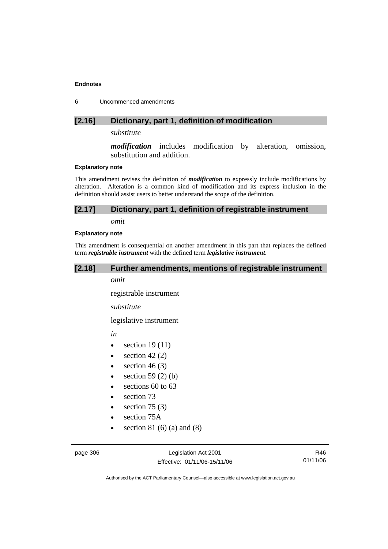6 Uncommenced amendments

### **[2.16] Dictionary, part 1, definition of modification**

*substitute* 

*modification* includes modification by alteration, omission, substitution and addition.

#### **Explanatory note**

This amendment revises the definition of *modification* to expressly include modifications by alteration. Alteration is a common kind of modification and its express inclusion in the definition should assist users to better understand the scope of the definition.

### **[2.17] Dictionary, part 1, definition of registrable instrument**

*omit* 

#### **Explanatory note**

This amendment is consequential on another amendment in this part that replaces the defined term *registrable instrument* with the defined term *legislative instrument*.

### **[2.18] Further amendments, mentions of registrable instrument**

*omit* 

registrable instrument

*substitute* 

legislative instrument

*in* 

- section  $19(11)$
- $\bullet$  section 42 (2)
- section  $46(3)$
- $\bullet$  section 59 (2) (b)
- sections 60 to 63
- section 73
- section  $75(3)$
- section 75A
- section 81 $(6)$  $(a)$  and  $(8)$

page 306 Legislation Act 2001 Effective: 01/11/06-15/11/06

R46 01/11/06